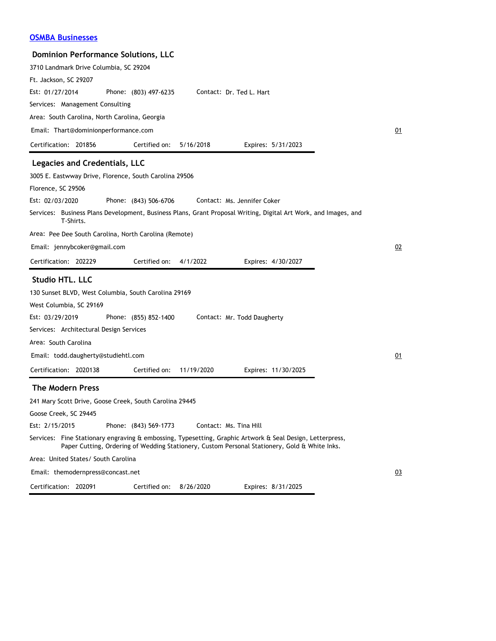| <b>Dominion Performance Solutions, LLC</b>              |                       |            |                                                                                                                                                                                                            |    |
|---------------------------------------------------------|-----------------------|------------|------------------------------------------------------------------------------------------------------------------------------------------------------------------------------------------------------------|----|
| 3710 Landmark Drive Columbia, SC 29204                  |                       |            |                                                                                                                                                                                                            |    |
| Ft. Jackson, SC 29207                                   |                       |            |                                                                                                                                                                                                            |    |
| Est: 01/27/2014                                         | Phone: (803) 497-6235 |            | Contact: Dr. Ted L. Hart                                                                                                                                                                                   |    |
| Services: Management Consulting                         |                       |            |                                                                                                                                                                                                            |    |
| Area: South Carolina, North Carolina, Georgia           |                       |            |                                                                                                                                                                                                            |    |
| Email: Thart@dominionperformance.com                    |                       |            |                                                                                                                                                                                                            | 01 |
| Certification: 201856                                   | Certified on:         | 5/16/2018  | Expires: 5/31/2023                                                                                                                                                                                         |    |
| Legacies and Credentials, LLC                           |                       |            |                                                                                                                                                                                                            |    |
| 3005 E. Eastwway Drive, Florence, South Carolina 29506  |                       |            |                                                                                                                                                                                                            |    |
| Florence, SC 29506                                      |                       |            |                                                                                                                                                                                                            |    |
| Est: 02/03/2020                                         | Phone: (843) 506-6706 |            | Contact: Ms. Jennifer Coker                                                                                                                                                                                |    |
| T-Shirts.                                               |                       |            | Services: Business Plans Development, Business Plans, Grant Proposal Writing, Digital Art Work, and Images, and                                                                                            |    |
| Area: Pee Dee South Carolina, North Carolina (Remote)   |                       |            |                                                                                                                                                                                                            |    |
| Email: jennybcoker@gmail.com                            |                       |            |                                                                                                                                                                                                            | 02 |
| Certification: 202229                                   | Certified on:         | 4/1/2022   | Expires: 4/30/2027                                                                                                                                                                                         |    |
| Studio HTL. LLC                                         |                       |            |                                                                                                                                                                                                            |    |
| 130 Sunset BLVD, West Columbia, South Carolina 29169    |                       |            |                                                                                                                                                                                                            |    |
| West Columbia, SC 29169                                 |                       |            |                                                                                                                                                                                                            |    |
| Est: 03/29/2019                                         | Phone: (855) 852-1400 |            | Contact: Mr. Todd Daugherty                                                                                                                                                                                |    |
| Services: Architectural Design Services                 |                       |            |                                                                                                                                                                                                            |    |
| Area: South Carolina                                    |                       |            |                                                                                                                                                                                                            |    |
| Email: todd.daugherty@studiehtl.com                     |                       |            |                                                                                                                                                                                                            | 01 |
| Certification: 2020138                                  | Certified on:         | 11/19/2020 | Expires: 11/30/2025                                                                                                                                                                                        |    |
| <b>The Modern Press</b>                                 |                       |            |                                                                                                                                                                                                            |    |
| 241 Mary Scott Drive, Goose Creek, South Carolina 29445 |                       |            |                                                                                                                                                                                                            |    |
| Goose Creek, SC 29445                                   |                       |            |                                                                                                                                                                                                            |    |
| Est: 2/15/2015                                          | Phone: (843) 569-1773 |            | Contact: Ms. Tina Hill                                                                                                                                                                                     |    |
|                                                         |                       |            | Services: Fine Stationary engraving & embossing, Typesetting, Graphic Artwork & Seal Design, Letterpress,<br>Paper Cutting, Ordering of Wedding Stationery, Custom Personal Stationery, Gold & White Inks. |    |
| Area: United States/ South Carolina                     |                       |            |                                                                                                                                                                                                            |    |
| Email: themodernpress@concast.net                       |                       |            |                                                                                                                                                                                                            | 03 |
| Certification: 202091                                   | Certified on:         | 8/26/2020  | Expires: 8/31/2025                                                                                                                                                                                         |    |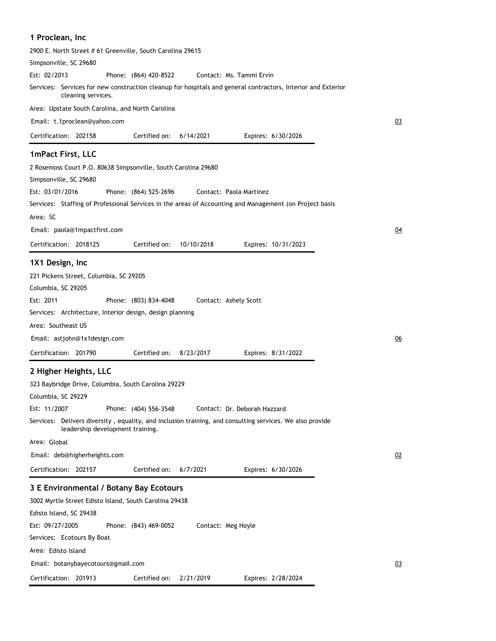| 1 Proclean, Inc                                                                                                                              |           |
|----------------------------------------------------------------------------------------------------------------------------------------------|-----------|
| 2900 E. North Street # 61 Greenville, South Carolina 29615                                                                                   |           |
| Simpsonville, SC 29680                                                                                                                       |           |
| Est: 02/2013<br>Phone: (864) 420-8522<br>Contact: Ms. Tammi Ervin                                                                            |           |
| Services: Services for new construction cleanup for hospitals and general contractors, Interior and Exterior<br>cleaning services.           |           |
| Area: Upstate South Carolina, and North Carolina                                                                                             |           |
| Email: t.1proclean@yahoo.com                                                                                                                 | 03        |
| Certification: 202158<br>Certified on:<br>6/14/2021<br>Expires: 6/30/2026                                                                    |           |
| 1mPact First, LLC                                                                                                                            |           |
| 2 Rosemoss Court P.O. 80638 Simpsonville, South Carolina 29680                                                                               |           |
| Simpsonville, SC 29680                                                                                                                       |           |
| Est: 03/01/2016<br>Phone: (864) 525-2696<br>Contact: Paola Martinez                                                                          |           |
| Services: Staffing of Professional Services in the areas of Accounting and Management (on Project basis                                      |           |
| Area: SC                                                                                                                                     |           |
| Email: paola@1mpactfirst.com                                                                                                                 | <u>04</u> |
| 10/10/2018<br>Certification: 2018125<br>Certified on:<br>Expires: 10/31/2023                                                                 |           |
| 1X1 Design, Inc                                                                                                                              |           |
| 221 Pickens Street, Columbia, SC 29205                                                                                                       |           |
| Columbia, SC 29205                                                                                                                           |           |
| Est: 2011<br>Phone: (803) 834-4048<br>Contact: Ashely Scott                                                                                  |           |
| Services: Architecture, Interior design, design planning                                                                                     |           |
| Area: Southeast US                                                                                                                           |           |
| Email: astjohn@1x1design.com                                                                                                                 | 06        |
| Certification: 201790<br>Certified on:<br>8/23/2017<br>Expires: 8/31/2022                                                                    |           |
| 2 Higher Heights, LLC                                                                                                                        |           |
| 323 Baybridge Drive, Columbia, South Carolina 29229                                                                                          |           |
| Columbia, SC 29229                                                                                                                           |           |
| Est: 11/2007<br>Phone: (404) 556-3548<br>Contact: Dr. Deborah Hazzard                                                                        |           |
| Services: Delivers diversity, equality, and inclusion training, and consulting services. We also provide<br>leadership development training. |           |
| Area: Global                                                                                                                                 |           |
| Email: deb@higherheights.com                                                                                                                 | 02        |
| Certification: 202157<br>Certified on:<br>6/7/2021<br>Expires: 6/30/2026                                                                     |           |
| 3 E Environmental / Botany Bay Ecotours                                                                                                      |           |
| 3002 Myrtle Street Edisto Island, South Carolina 29438                                                                                       |           |
| Edisto Island, SC 29438                                                                                                                      |           |
| Est: 09/27/2005<br>Phone: (843) 469-0052<br>Contact: Meg Hoyle                                                                               |           |
| Services: Ecotours By Boat                                                                                                                   |           |
| Area: Edisto Island                                                                                                                          |           |
| Email: botanybayecotours@gmail.com                                                                                                           | 03        |
| Certification: 201913<br>Certified on:<br>2/21/2019<br>Expires: 2/28/2024                                                                    |           |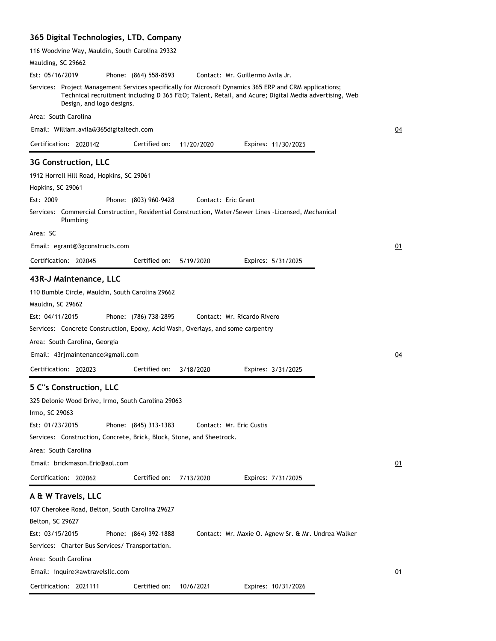# **365 Digital Technologies, LTD. Company**

| 116 Woodvine Way, Mauldin, South Carolina 29332                                                                                                                                                                                                                                                            |           |
|------------------------------------------------------------------------------------------------------------------------------------------------------------------------------------------------------------------------------------------------------------------------------------------------------------|-----------|
| Maulding, SC 29662                                                                                                                                                                                                                                                                                         |           |
| Est: 05/16/2019<br>Phone: (864) 558-8593<br>Contact: Mr. Guillermo Avila Jr.                                                                                                                                                                                                                               |           |
| Services: Project Management Services specifically for Microsoft Dynamics 365 ERP and CRM applications;<br>Technical recruitment including D 365 F&O Talent, Retail, and Acure; Digital Media advertising, Web<br>Design, and logo designs.                                                                |           |
| Area: South Carolina                                                                                                                                                                                                                                                                                       |           |
| Email: William.avila@365digitaltech.com                                                                                                                                                                                                                                                                    | 04        |
| Certification: 2020142<br>Certified on:<br>11/20/2020<br>Expires: 11/30/2025                                                                                                                                                                                                                               |           |
| 3G Construction, LLC                                                                                                                                                                                                                                                                                       |           |
| 1912 Horrell Hill Road, Hopkins, SC 29061                                                                                                                                                                                                                                                                  |           |
| Hopkins, SC 29061                                                                                                                                                                                                                                                                                          |           |
| Est: 2009<br>Phone: (803) 960-9428<br>Contact: Eric Grant                                                                                                                                                                                                                                                  |           |
| Services: Commercial Construction, Residential Construction, Water/Sewer Lines -Licensed, Mechanical<br>Plumbing                                                                                                                                                                                           |           |
| Area: SC                                                                                                                                                                                                                                                                                                   |           |
| Email: egrant@3gconstructs.com                                                                                                                                                                                                                                                                             | 01        |
| Certification: 202045<br>Certified on:<br>5/19/2020<br>Expires: 5/31/2025                                                                                                                                                                                                                                  |           |
|                                                                                                                                                                                                                                                                                                            |           |
| 43R-J Maintenance, LLC<br>110 Bumble Circle, Mauldin, South Carolina 29662<br>Mauldin, SC 29662<br>Est: 04/11/2015<br>Phone: (786) 738-2895<br>Contact: Mr. Ricardo Rivero<br>Services: Concrete Construction, Epoxy, Acid Wash, Overlays, and some carpentry                                              |           |
| Area: South Carolina, Georgia                                                                                                                                                                                                                                                                              |           |
| Email: 43rjmaintenance@gmail.com                                                                                                                                                                                                                                                                           | <u>04</u> |
| Certification: 202023<br>Certified on:<br>3/18/2020<br>Expires: 3/31/2025                                                                                                                                                                                                                                  |           |
| 5 C"s Construction, LLC<br>325 Delonie Wood Drive, Irmo, South Carolina 29063<br>Irmo, SC 29063<br>Est: 01/23/2015<br>Phone: (845) 313-1383<br>Contact: Mr. Eric Custis<br>Services: Construction, Concrete, Brick, Block, Stone, and Sheetrock.<br>Area: South Carolina<br>Email: brickmason.Eric@aol.com | 01        |
| Certification: 202062<br>Certified on:<br>7/13/2020<br>Expires: 7/31/2025                                                                                                                                                                                                                                  |           |
| A & W Travels, LLC<br>107 Cherokee Road, Belton, South Carolina 29627<br>Belton, SC 29627<br>Est: 03/15/2015<br>Phone: (864) 392-1888<br>Contact: Mr. Maxie O. Agnew Sr. & Mr. Undrea Walker<br>Services: Charter Bus Services/ Transportation.                                                            |           |
| Area: South Carolina                                                                                                                                                                                                                                                                                       |           |
| Email: inquire@awtravelsllc.com                                                                                                                                                                                                                                                                            | 01        |
| Certification: 2021111<br>Certified on:<br>10/6/2021<br>Expires: 10/31/2026                                                                                                                                                                                                                                |           |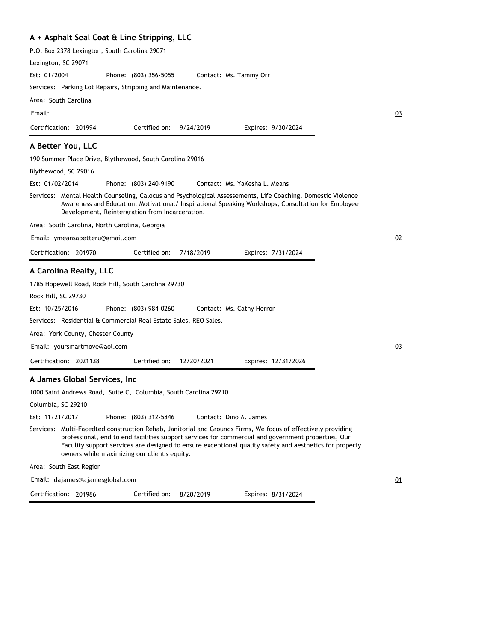### **A + Asphalt Seal Coat & Line Stripping, LLC**

P.O. Box 2378 Lexington, South Carolina 29071

Lexington, SC 29071

Phone: (803) 356-5055 Est: 01/2004 Contact: Ms. Tammy Orr

Services: Parking Lot Repairs, Stripping and Maintenance.

Area: South Carolina

Email:

Certification: 201994 Expires: 9/30/2024 Certified on: 9/24/2019

#### **A Better You, LLC**

190 Summer Place Drive, Blythewood, South Carolina 29016

Blythewood, SC 29016

Phone: (803) 240-9190 Est: 01/02/2014 Contact: Ms. YaKesha L. Means

Services: Mental Health Counseling, Calocus and Psychological Assessements, Life Coaching, Domestic Violence Awareness and Education, Motivational/ Inspirational Speaking Workshops, Consultation for Employee Development, Reintergration from Incarceration.

Area: South Carolina, North Carolina, Georgia

Email: ymeansabetteru@gmail.com

| Certification: 201970<br>Certified on: 7/18/2019 |  | Expires: 7/31/2024 |
|--------------------------------------------------|--|--------------------|
|--------------------------------------------------|--|--------------------|

#### **A Carolina Realty, LLC**

1785 Hopewell Road, Rock Hill, South Carolina 29730

Rock Hill, SC 29730

Phone: (803) 984-0260 Est: 10/25/2016 Contact: Ms. Cathy Herron

Services: Residential & Commercial Real Estate Sales, REO Sales.

Area: York County, Chester County

Email: yoursmartmove@aol.com

Certification: 2021138 Expires: 12/31/2026 Certified on: 12/20/2021

#### **A James Global Services, Inc**

1000 Saint Andrews Road, Suite C, Columbia, South Carolina 29210

Columbia, SC 29210

Phone: (803) 312-5846 Est: 11/21/2017 Contact: Dino A. James

Services: Multi-Facedted construction Rehab, Janitorial and Grounds Firms, We focus of effectively providing professional, end to end facilities support services for commercial and government properties, Our Faculity support services are designed to ensure exceptional quality safety and aesthetics for property owners while maximizing our client's equity.

Area: South East Region

Email: dajames@ajamesglobal.com

Certification: 201986

Certified on: 8/20/2019

Expires: 8/31/2024

02

03

03

01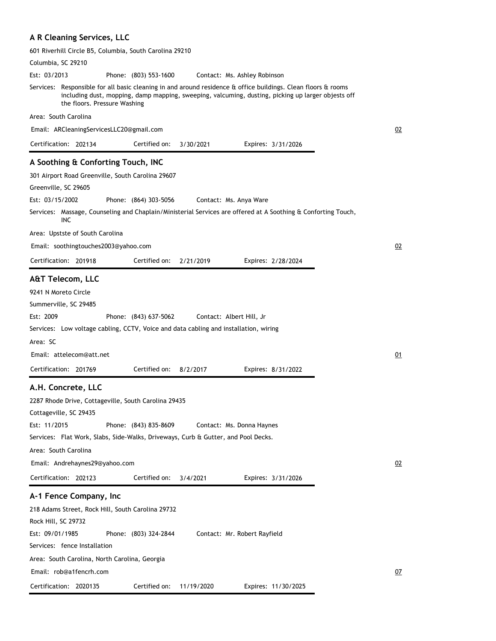# **A R Cleaning Services, LLC**

| 601 Riverhill Circle B5, Columbia, South Carolina 29210                                                                                                                                                                                             |           |
|-----------------------------------------------------------------------------------------------------------------------------------------------------------------------------------------------------------------------------------------------------|-----------|
| Columbia, SC 29210                                                                                                                                                                                                                                  |           |
| Est: 03/2013<br>Phone: (803) 553-1600<br>Contact: Ms. Ashley Robinson                                                                                                                                                                               |           |
| Services: Responsible for all basic cleaning in and around residence & office buildings. Clean floors & rooms<br>including dust, mopping, damp mapping, sweeping, valcuming, dusting, picking up larger objests off<br>the floors. Pressure Washing |           |
| Area: South Carolina                                                                                                                                                                                                                                |           |
| Email: ARCleaningServicesLLC20@gmail.com                                                                                                                                                                                                            | 02        |
| Certification: 202134<br>Certified on:<br>3/30/2021<br>Expires: 3/31/2026                                                                                                                                                                           |           |
| A Soothing & Conforting Touch, INC                                                                                                                                                                                                                  |           |
| 301 Airport Road Greenville, South Carolina 29607                                                                                                                                                                                                   |           |
| Greenville, SC 29605                                                                                                                                                                                                                                |           |
| Est: 03/15/2002<br>Phone: (864) 303-5056<br>Contact: Ms. Anya Ware                                                                                                                                                                                  |           |
| Services: Massage, Counseling and Chaplain/Ministerial Services are offered at A Soothing & Conforting Touch,                                                                                                                                       |           |
| INC                                                                                                                                                                                                                                                 |           |
| Area: Upstste of South Carolina                                                                                                                                                                                                                     |           |
| Email: soothingtouches2003@yahoo.com                                                                                                                                                                                                                | 02        |
| Certification: 201918<br>Certified on:<br>2/21/2019<br>Expires: 2/28/2024                                                                                                                                                                           |           |
|                                                                                                                                                                                                                                                     |           |
| <b>A&amp;T Telecom, LLC</b>                                                                                                                                                                                                                         |           |
| 9241 N Moreto Circle                                                                                                                                                                                                                                |           |
| Summerville, SC 29485                                                                                                                                                                                                                               |           |
| Est: 2009<br>Phone: (843) 637-5062<br>Contact: Albert Hill, Jr                                                                                                                                                                                      |           |
| Services: Low voltage cabling, CCTV, Voice and data cabling and installation, wiring                                                                                                                                                                |           |
| Area: SC                                                                                                                                                                                                                                            |           |
| Email: attelecom@att.net                                                                                                                                                                                                                            | 01        |
| Certified on:<br>Certification: 201769<br>8/2/2017<br>Expires: 8/31/2022                                                                                                                                                                            |           |
|                                                                                                                                                                                                                                                     |           |
| A.H. Concrete, LLC                                                                                                                                                                                                                                  |           |
| 2287 Rhode Drive, Cottageville, South Carolina 29435                                                                                                                                                                                                |           |
| Cottageville, SC 29435                                                                                                                                                                                                                              |           |
| Est: 11/2015<br>Phone: (843) 835-8609<br>Contact: Ms. Donna Haynes                                                                                                                                                                                  |           |
| Services: Flat Work, Slabs, Side-Walks, Driveways, Curb & Gutter, and Pool Decks.                                                                                                                                                                   |           |
| Area: South Carolina                                                                                                                                                                                                                                |           |
| Email: Andrehaynes29@yahoo.com                                                                                                                                                                                                                      | 02        |
| Certification: 202123<br>Certified on:<br>3/4/2021<br>Expires: 3/31/2026                                                                                                                                                                            |           |
|                                                                                                                                                                                                                                                     |           |
| A-1 Fence Company, Inc                                                                                                                                                                                                                              |           |
| 218 Adams Street, Rock Hill, South Carolina 29732                                                                                                                                                                                                   |           |
| Rock Hill, SC 29732                                                                                                                                                                                                                                 |           |
| Est: 09/01/1985<br>Phone: (803) 324-2844<br>Contact: Mr. Robert Rayfield                                                                                                                                                                            |           |
| Services: fence Installation                                                                                                                                                                                                                        |           |
| Area: South Carolina, North Carolina, Georgia                                                                                                                                                                                                       |           |
| Email: rob@a1fencrh.com                                                                                                                                                                                                                             | <u>07</u> |
| Certification: 2020135<br>Certified on:<br>11/19/2020<br>Expires: 11/30/2025                                                                                                                                                                        |           |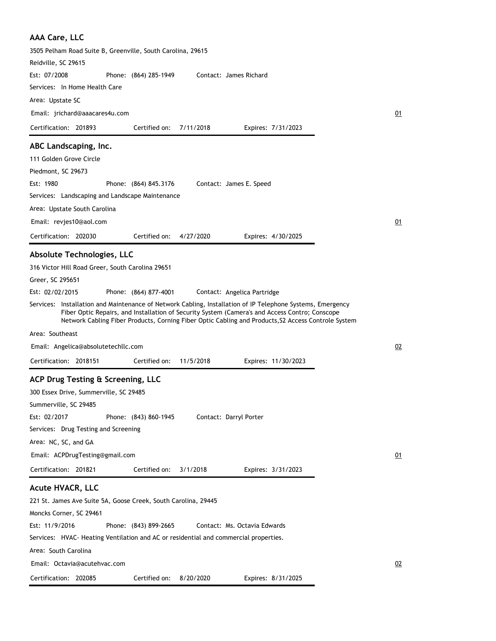| <b>AAA Care, LLC</b>                                                                                                                                                                                                                                                                                                |    |
|---------------------------------------------------------------------------------------------------------------------------------------------------------------------------------------------------------------------------------------------------------------------------------------------------------------------|----|
| 3505 Pelham Road Suite B, Greenville, South Carolina, 29615                                                                                                                                                                                                                                                         |    |
| Reidville, SC 29615                                                                                                                                                                                                                                                                                                 |    |
| Est: 07/2008<br>Phone: (864) 285-1949<br>Contact: James Richard                                                                                                                                                                                                                                                     |    |
| Services: In Home Health Care                                                                                                                                                                                                                                                                                       |    |
| Area: Upstate SC                                                                                                                                                                                                                                                                                                    |    |
| Email: jrichard@aaacares4u.com                                                                                                                                                                                                                                                                                      | 01 |
| Certified on:<br>Certification: 201893<br>7/11/2018<br>Expires: 7/31/2023                                                                                                                                                                                                                                           |    |
|                                                                                                                                                                                                                                                                                                                     |    |
| ABC Landscaping, Inc.                                                                                                                                                                                                                                                                                               |    |
| 111 Golden Grove Circle                                                                                                                                                                                                                                                                                             |    |
| Piedmont, SC 29673                                                                                                                                                                                                                                                                                                  |    |
| Est: 1980<br>Phone: (864) 845.3176<br>Contact: James E. Speed                                                                                                                                                                                                                                                       |    |
| Services: Landscaping and Landscape Maintenance                                                                                                                                                                                                                                                                     |    |
| Area: Upstate South Carolina                                                                                                                                                                                                                                                                                        |    |
| Email: revjes10@aol.com                                                                                                                                                                                                                                                                                             | 01 |
| Certification: 202030<br>Certified on:<br>4/27/2020<br>Expires: 4/30/2025                                                                                                                                                                                                                                           |    |
| <b>Absolute Technologies, LLC</b>                                                                                                                                                                                                                                                                                   |    |
| 316 Victor Hill Road Greer, South Carolina 29651                                                                                                                                                                                                                                                                    |    |
| Greer, SC 295651                                                                                                                                                                                                                                                                                                    |    |
| Est: 02/02/2015<br>Phone: (864) 877-4001<br>Contact: Angelica Partridge                                                                                                                                                                                                                                             |    |
| Services: Installation and Maintenance of Network Cabling, Installation of IP Telephone Systems, Emergency<br>Fiber Optic Repairs, and Installation of Security System (Camera's and Access Contro; Conscope<br>Network Cabling Fiber Products, Corning Fiber Optic Cabling and Products, S2 Access Controle System |    |
| Area: Southeast                                                                                                                                                                                                                                                                                                     |    |
| Email: Angelica@absolutetechllc.com                                                                                                                                                                                                                                                                                 | 02 |
| Certification: 2018151<br>Certified on:<br>11/5/2018<br>Expires: 11/30/2023                                                                                                                                                                                                                                         |    |
| ACP Drug Testing & Screening, LLC                                                                                                                                                                                                                                                                                   |    |
| 300 Essex Drive, Summerville, SC 29485                                                                                                                                                                                                                                                                              |    |
| Summerville, SC 29485                                                                                                                                                                                                                                                                                               |    |
| Est: 02/2017<br>Phone: (843) 860-1945<br>Contact: Darryl Porter                                                                                                                                                                                                                                                     |    |
| Services: Drug Testing and Screening                                                                                                                                                                                                                                                                                |    |
| Area: NC, SC, and GA                                                                                                                                                                                                                                                                                                |    |
|                                                                                                                                                                                                                                                                                                                     |    |
| Email: ACPDrugTesting@gmail.com                                                                                                                                                                                                                                                                                     | 01 |
| Certification: 201821<br>Certified on:<br>3/1/2018<br>Expires: 3/31/2023                                                                                                                                                                                                                                            |    |
| <b>Acute HVACR, LLC</b>                                                                                                                                                                                                                                                                                             |    |
| 221 St. James Ave Suite 5A, Goose Creek, South Carolina, 29445                                                                                                                                                                                                                                                      |    |
| Moncks Corner, SC 29461                                                                                                                                                                                                                                                                                             |    |
| Est: 11/9/2016<br>Phone: (843) 899-2665<br>Contact: Ms. Octavia Edwards                                                                                                                                                                                                                                             |    |
| Services: HVAC-Heating Ventilation and AC or residential and commercial properties.                                                                                                                                                                                                                                 |    |
| Area: South Carolina                                                                                                                                                                                                                                                                                                |    |
| Email: Octavia@acutehvac.com                                                                                                                                                                                                                                                                                        | 02 |
| Certified on:<br>8/20/2020<br>Certification: 202085<br>Expires: 8/31/2025                                                                                                                                                                                                                                           |    |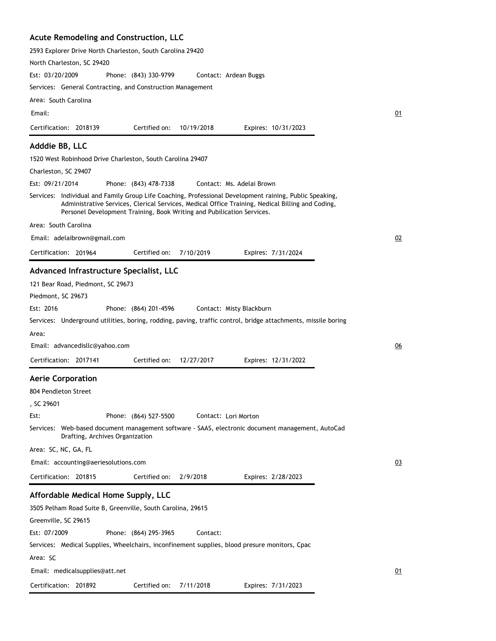#### **Acute Remodeling and Construction, LLC**

Certification: 201892

2593 Explorer Drive North Charleston, South Carolina 29420 North Charleston, SC 29420 Phone: (843) 330-9799 Services: General Contracting, and Construction Management Area: South Carolina Est: 03/20/2009 Certification: 2018139 Contact: Ardean Buggs Email: Expires: 10/31/2023 01 Certified on: 10/19/2018 **Adddie BB, LLC** 1520 West Robinhood Drive Charleston, South Carolina 29407 Charleston, SC 29407 Phone: (843) 478-7338 Services: Individual and Family Group Life Coaching, Professional Development raining, Public Speaking, Administrative Services, Clerical Services, Medical Office Training, Nedical Billing and Coding, Personel Development Training, Book Writing and Pubilication Services. Area: South Carolina Est: 09/21/2014 Certification: 201964 Contact: Ms. Adelai Brown Email: adelaibrown@gmail.com Expires: 7/31/2024 02 Certified on: 7/10/2019 **Advanced Infrastructure Specialist, LLC** 121 Bear Road, Piedmont, SC 29673 Piedmont, SC 29673 Phone: (864) 201-4596 Services: Underground utilities, boring, rodding, paving, traffic control, bridge attachments, missile boring Area: Est: 2016 Certification: 2017141 Contact: Misty Blackburn Email: advancedisllc@yahoo.com Expires: 12/31/2022 06 Certified on: 12/27/2017 **Aerie Corporation** 804 Pendleton Street , SC 29601 Phone: (864) 527-5500 Services: Web-based document management software - SAAS, electronic document management, AutoCad Drafting, Archives Organization Area: SC, NC, GA, FL Est: Certification: 201815 Contact: Lori Morton Email: accounting@aeriesolutions.com Expires: 2/28/2023 03 Certified on: 2/9/2018 **Affordable Medical Home Supply, LLC** 3505 Pelham Road Suite B, Greenville, South Carolina, 29615 Greenville, SC 29615 Phone: (864) 295-3965 Services: Medical Supplies, Wheelchairs, inconfinement supplies, blood presure monitors, Cpac Area: SC Est: 07/2009 Contact: Email: medicalsupplies@att.net 01

Certified on: 7/11/2018

Expires: 7/31/2023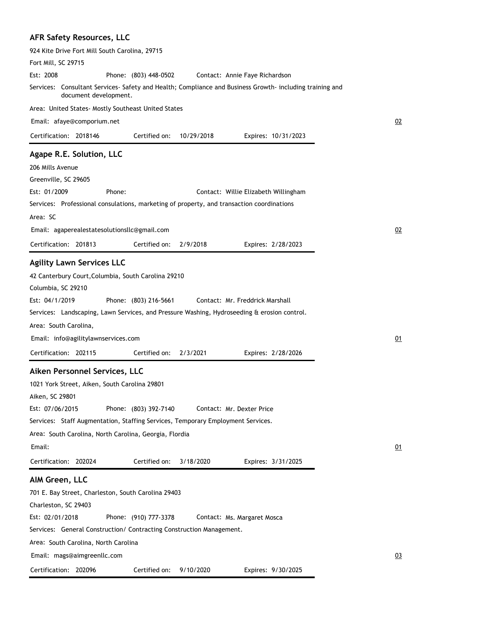# **AFR Safety Resources, LLC**

| 924 Kite Drive Fort Mill South Carolina, 29715                                                                                  |    |
|---------------------------------------------------------------------------------------------------------------------------------|----|
| Fort Mill, SC 29715                                                                                                             |    |
| Est: 2008<br>Phone: (803) 448-0502<br>Contact: Annie Faye Richardson                                                            |    |
| Services: Consultant Services-Safety and Health; Compliance and Business Growth-including training and<br>document development. |    |
| Area: United States- Mostly Southeast United States                                                                             |    |
| Email: afaye@comporium.net                                                                                                      | 02 |
| Certified on:<br>Certification: 2018146<br>10/29/2018<br>Expires: 10/31/2023                                                    |    |
| Agape R.E. Solution, LLC                                                                                                        |    |
| 206 Mills Avenue                                                                                                                |    |
| Greenville, SC 29605                                                                                                            |    |
| Est: 01/2009<br>Phone:<br>Contact: Willie Elizabeth Willingham                                                                  |    |
| Services: Professional consulations, marketing of property, and transaction coordinations                                       |    |
| Area: SC                                                                                                                        |    |
| Email: agaperealestatesolutionsllc@gmail.com                                                                                    | 02 |
| Certification: 201813<br>Certified on:<br>2/9/2018<br>Expires: 2/28/2023                                                        |    |
| <b>Agility Lawn Services LLC</b>                                                                                                |    |
| 42 Canterbury Court, Columbia, South Carolina 29210                                                                             |    |
| Columbia, SC 29210                                                                                                              |    |
| Est: 04/1/2019<br>Phone: (803) 216-5661<br>Contact: Mr. Freddrick Marshall                                                      |    |
| Services: Landscaping, Lawn Services, and Pressure Washing, Hydroseeding & erosion control.                                     |    |
| Area: South Carolina,                                                                                                           |    |
| Email: info@agilitylawnservices.com                                                                                             | 01 |
| Certification: 202115<br>Certified on:<br>2/3/2021<br>Expires: 2/28/2026                                                        |    |
|                                                                                                                                 |    |
| Aiken Personnel Services, LLC                                                                                                   |    |
| 1021 York Street, Aiken, South Carolina 29801                                                                                   |    |
| Aiken, SC 29801                                                                                                                 |    |
| Est: 07/06/2015<br>Phone: (803) 392-7140<br>Contact: Mr. Dexter Price                                                           |    |
| Services: Staff Augmentation, Staffing Services, Temporary Employment Services.                                                 |    |
| Area: South Carolina, North Carolina, Georgia, Flordia                                                                          |    |
| Email:                                                                                                                          | 01 |
| Certification: 202024<br>Certified on:<br>3/18/2020<br>Expires: 3/31/2025                                                       |    |
| AIM Green, LLC                                                                                                                  |    |
| 701 E. Bay Street, Charleston, South Carolina 29403                                                                             |    |
| Charleston, SC 29403                                                                                                            |    |
| Est: 02/01/2018<br>Phone: (910) 777-3378<br>Contact: Ms. Margaret Mosca                                                         |    |
| Services: General Construction/ Contracting Construction Management.                                                            |    |
| Area: South Carolina, North Carolina                                                                                            |    |
| Email: mags@aimgreenllc.com                                                                                                     | 03 |
| Expires: 9/30/2025<br>Certification: 202096<br>Certified on: 9/10/2020                                                          |    |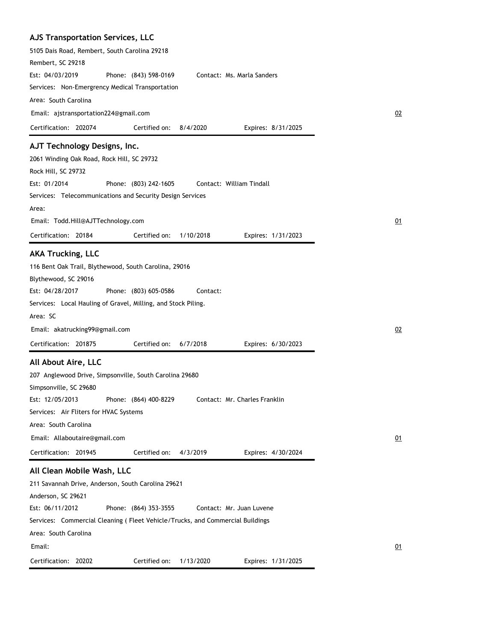| 5105 Dais Road, Rembert, South Carolina 29218                                 |                    |
|-------------------------------------------------------------------------------|--------------------|
| Rembert, SC 29218                                                             |                    |
| Est: 04/03/2019<br>Phone: (843) 598-0169<br>Contact: Ms. Marla Sanders        |                    |
| Services: Non-Emergrency Medical Transportation                               |                    |
| Area: South Carolina                                                          |                    |
| Email: ajstransportation224@gmail.com                                         |                    |
| Certification: 202074<br>Certified on:<br>8/4/2020                            | Expires: 8/31/2025 |
| AJT Technology Designs, Inc.                                                  |                    |
| 2061 Winding Oak Road, Rock Hill, SC 29732                                    |                    |
| Rock Hill, SC 29732                                                           |                    |
| Est: 01/2014<br>Phone: (803) 242-1605<br>Contact: William Tindall             |                    |
| Services: Telecommunications and Security Design Services                     |                    |
| Area:                                                                         |                    |
| Email: Todd.Hill@AJTTechnology.com                                            |                    |
| Certification: 20184<br>Certified on:<br>1/10/2018                            | Expires: 1/31/2023 |
|                                                                               |                    |
| <b>AKA Trucking, LLC</b>                                                      |                    |
| 116 Bent Oak Trail, Blythewood, South Carolina, 29016                         |                    |
| Blythewood, SC 29016                                                          |                    |
| Est: 04/28/2017<br>Phone: (803) 605-0586<br>Contact:                          |                    |
|                                                                               |                    |
| Services: Local Hauling of Gravel, Milling, and Stock Piling.                 |                    |
| Area: SC                                                                      |                    |
| Email: akatrucking99@gmail.com                                                |                    |
| Certification: 201875<br>Certified on:<br>6/7/2018                            | Expires: 6/30/2023 |
|                                                                               |                    |
| All About Aire, LLC                                                           |                    |
| 207 Anglewood Drive, Simpsonville, South Carolina 29680                       |                    |
| Simpsonville, SC 29680                                                        |                    |
| Est: 12/05/2013<br>Phone: (864) 400-8229<br>Contact: Mr. Charles Franklin     |                    |
| Services: Air Fliters for HVAC Systems                                        |                    |
| Area: South Carolina                                                          |                    |
| Email: Allaboutaire@gmail.com                                                 |                    |
| Certification: 201945<br>Certified on:<br>4/3/2019                            | Expires: 4/30/2024 |
| All Clean Mobile Wash, LLC                                                    |                    |
| 211 Savannah Drive, Anderson, South Carolina 29621                            |                    |
| Anderson, SC 29621                                                            |                    |
| Est: 06/11/2012<br>Phone: (864) 353-3555<br>Contact: Mr. Juan Luvene          |                    |
| Services: Commercial Cleaning (Fleet Vehicle/Trucks, and Commercial Buildings |                    |
| Area: South Carolina                                                          |                    |
| Email:                                                                        |                    |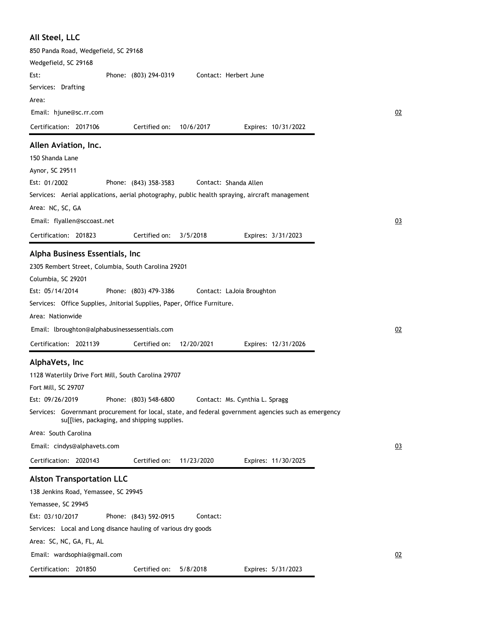| All Steel, LLC                                                                                       |  |
|------------------------------------------------------------------------------------------------------|--|
| 850 Panda Road, Wedgefield, SC 29168                                                                 |  |
| Wedgefield, SC 29168                                                                                 |  |
| Phone: (803) 294-0319<br>Contact: Herbert June<br>Est:                                               |  |
| Services: Drafting                                                                                   |  |
| Area:                                                                                                |  |
| Email: hjune@sc.rr.com                                                                               |  |
| Certification: 2017106<br>Certified on:<br>10/6/2017<br>Expires: 10/31/2022                          |  |
| Allen Aviation, Inc.                                                                                 |  |
| 150 Shanda Lane                                                                                      |  |
| Aynor, SC 29511                                                                                      |  |
| Est: 01/2002<br>Contact: Shanda Allen<br>Phone: (843) 358-3583                                       |  |
| Services: Aerial applications, aerial photography, public health spraying, aircraft management       |  |
| Area: NC, SC, GA                                                                                     |  |
| Email: flyallen@sccoast.net                                                                          |  |
| Certification: 201823<br>Certified on:<br>3/5/2018<br>Expires: 3/31/2023                             |  |
| Alpha Business Essentials, Inc                                                                       |  |
| 2305 Rembert Street, Columbia, South Carolina 29201                                                  |  |
| Columbia, SC 29201                                                                                   |  |
| Est: 05/14/2014<br>Phone: (803) 479-3386<br>Contact: LaJoia Broughton                                |  |
| Services: Office Supplies, Jnitorial Supplies, Paper, Office Furniture.                              |  |
| Area: Nationwide                                                                                     |  |
| Email: lbroughton@alphabusinessessentials.com                                                        |  |
| Certification: 2021139<br>Certified on:<br>12/20/2021<br>Expires: 12/31/2026                         |  |
| AlphaVets, Inc                                                                                       |  |
|                                                                                                      |  |
| 1128 Waterlily Drive Fort Mill, South Carolina 29707<br>Fort Mill, SC 29707                          |  |
| Est: 09/26/2019<br>Phone: (803) 548-6800<br>Contact: Ms. Cynthia L. Spragg                           |  |
| Services: Governmant procurement for local, state, and federal government agencies such as emergency |  |
| su[[lies, packaging, and shipping supplies.                                                          |  |
| Area: South Carolina                                                                                 |  |
| Email: cindys@alphavets.com                                                                          |  |
| Certification: 2020143<br>Certified on:<br>11/23/2020<br>Expires: 11/30/2025                         |  |
| <b>Alston Transportation LLC</b>                                                                     |  |
| 138 Jenkins Road, Yemassee, SC 29945                                                                 |  |
| Yemassee, SC 29945                                                                                   |  |
| Est: 03/10/2017<br>Phone: (843) 592-0915<br>Contact:                                                 |  |
| Services: Local and Long disance hauling of various dry goods                                        |  |
| Area: SC, NC, GA, FL, AL                                                                             |  |
| Email: wardsophia@gmail.com                                                                          |  |
|                                                                                                      |  |
| Certification: 201850<br>Certified on:<br>5/8/2018<br>Expires: 5/31/2023                             |  |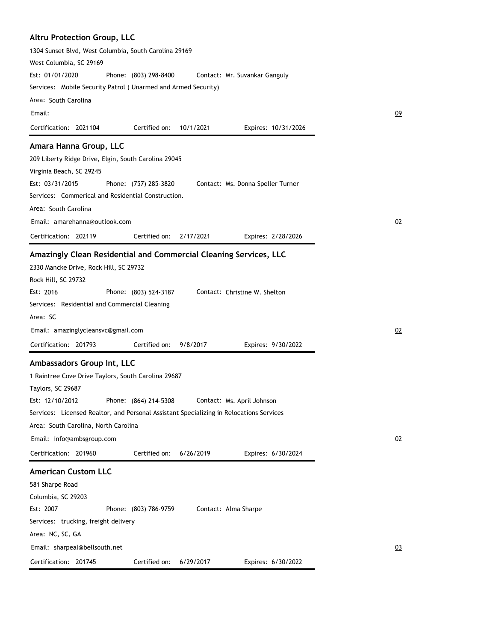| <b>Altru Protection Group, LLC</b>                                                         |  |
|--------------------------------------------------------------------------------------------|--|
| 1304 Sunset Blvd, West Columbia, South Carolina 29169                                      |  |
| West Columbia, SC 29169                                                                    |  |
| Est: 01/01/2020<br>Phone: (803) 298-8400<br>Contact: Mr. Suvankar Ganguly                  |  |
| Services: Mobile Security Patrol (Unarmed and Armed Security)                              |  |
| Area: South Carolina                                                                       |  |
| Email:                                                                                     |  |
| Certification: 2021104<br>Certified on:<br>10/1/2021<br>Expires: 10/31/2026                |  |
| Amara Hanna Group, LLC                                                                     |  |
| 209 Liberty Ridge Drive, Elgin, South Carolina 29045                                       |  |
| Virginia Beach, SC 29245                                                                   |  |
| Est: 03/31/2015<br>Phone: (757) 285-3820<br>Contact: Ms. Donna Speller Turner              |  |
| Services: Commerical and Residential Construction.                                         |  |
| Area: South Carolina                                                                       |  |
| Email: amarehanna@outlook.com                                                              |  |
| Certification: 202119<br>Certified on:<br>2/17/2021<br>Expires: 2/28/2026                  |  |
|                                                                                            |  |
| Amazingly Clean Residential and Commercial Cleaning Services, LLC                          |  |
| 2330 Mancke Drive, Rock Hill, SC 29732                                                     |  |
| Rock Hill, SC 29732<br>Est: 2016<br>Phone: (803) 524-3187<br>Contact: Christine W. Shelton |  |
| Services: Residential and Commercial Cleaning                                              |  |
| Area: SC                                                                                   |  |
| Email: amazinglycleansvc@gmail.com                                                         |  |
|                                                                                            |  |
| Certification: 201793<br>Certified on:<br>9/8/2017<br>Expires: 9/30/2022                   |  |
| Ambassadors Group Int, LLC                                                                 |  |
| 1 Raintree Cove Drive Taylors, South Carolina 29687                                        |  |
| Taylors, SC 29687                                                                          |  |
| Est: 12/10/2012<br>Phone: (864) 214-5308<br>Contact: Ms. April Johnson                     |  |
| Services: Licensed Realtor, and Personal Assistant Specializing in Relocations Services    |  |
| Area: South Carolina, North Carolina                                                       |  |
| Email: info@ambsgroup.com                                                                  |  |
| Certification: 201960<br>Certified on:<br>6/26/2019<br>Expires: 6/30/2024                  |  |
| <b>American Custom LLC</b>                                                                 |  |
| 581 Sharpe Road                                                                            |  |
| Columbia, SC 29203                                                                         |  |
| Est: 2007<br>Phone: (803) 786-9759<br>Contact: Alma Sharpe                                 |  |
| Services: trucking, freight delivery                                                       |  |
| Area: NC, SC, GA                                                                           |  |
| Email: sharpeal@bellsouth.net                                                              |  |
| Certification: 201745<br>Certified on:<br>6/29/2017<br>Expires: 6/30/2022                  |  |
|                                                                                            |  |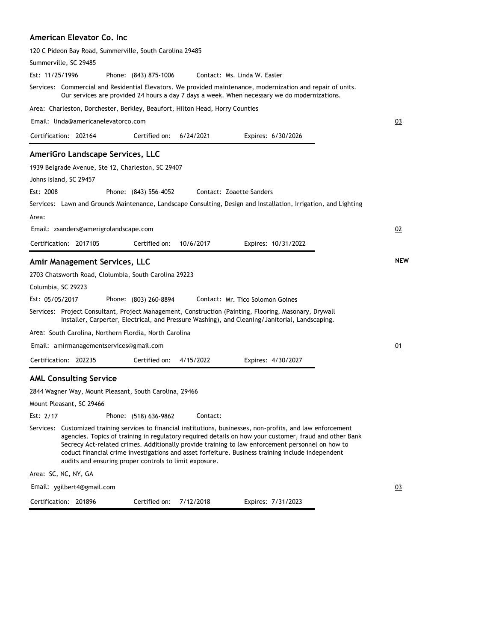### **American Elevator Co. Inc**

|                    |                                         | 120 C Pideon Bay Road, Summerville, South Carolina 29485                     |           |                                                                                                                                                                                                                                                                                                                                                                                                                                   |            |
|--------------------|-----------------------------------------|------------------------------------------------------------------------------|-----------|-----------------------------------------------------------------------------------------------------------------------------------------------------------------------------------------------------------------------------------------------------------------------------------------------------------------------------------------------------------------------------------------------------------------------------------|------------|
|                    | Summerville, SC 29485                   |                                                                              |           |                                                                                                                                                                                                                                                                                                                                                                                                                                   |            |
| Est: 11/25/1996    |                                         | Phone: (843) 875-1006                                                        |           | Contact: Ms. Linda W. Easler                                                                                                                                                                                                                                                                                                                                                                                                      |            |
|                    |                                         |                                                                              |           | Services: Commercial and Residential Elevators. We provided maintenance, modernization and repair of units.<br>Our services are provided 24 hours a day 7 days a week. When necessary we do modernizations.                                                                                                                                                                                                                       |            |
|                    |                                         | Area: Charleston, Dorchester, Berkley, Beaufort, Hilton Head, Horry Counties |           |                                                                                                                                                                                                                                                                                                                                                                                                                                   |            |
|                    | Email: linda@americanelevatorco.com     |                                                                              |           |                                                                                                                                                                                                                                                                                                                                                                                                                                   | 03         |
|                    | Certification: 202164                   | Certified on:                                                                | 6/24/2021 | Expires: 6/30/2026                                                                                                                                                                                                                                                                                                                                                                                                                |            |
|                    | AmeriGro Landscape Services, LLC        |                                                                              |           |                                                                                                                                                                                                                                                                                                                                                                                                                                   |            |
|                    |                                         | 1939 Belgrade Avenue, Ste 12, Charleston, SC 29407                           |           |                                                                                                                                                                                                                                                                                                                                                                                                                                   |            |
|                    | Johns Island, SC 29457                  |                                                                              |           |                                                                                                                                                                                                                                                                                                                                                                                                                                   |            |
| Est: 2008          |                                         | Phone: (843) 556-4052                                                        |           | Contact: Zoaette Sanders                                                                                                                                                                                                                                                                                                                                                                                                          |            |
|                    |                                         |                                                                              |           | Services: Lawn and Grounds Maintenance, Landscape Consulting, Design and Installation, Irrigation, and Lighting                                                                                                                                                                                                                                                                                                                   |            |
| Area:              |                                         |                                                                              |           |                                                                                                                                                                                                                                                                                                                                                                                                                                   |            |
|                    | Email: zsanders@amerigrolandscape.com   |                                                                              |           |                                                                                                                                                                                                                                                                                                                                                                                                                                   | 02         |
|                    | Certification: 2017105                  | Certified on:                                                                | 10/6/2017 | Expires: 10/31/2022                                                                                                                                                                                                                                                                                                                                                                                                               |            |
|                    | Amir Management Services, LLC           |                                                                              |           |                                                                                                                                                                                                                                                                                                                                                                                                                                   | <b>NEW</b> |
|                    |                                         | 2703 Chatsworth Road, Clolumbia, South Carolina 29223                        |           |                                                                                                                                                                                                                                                                                                                                                                                                                                   |            |
| Columbia, SC 29223 |                                         |                                                                              |           |                                                                                                                                                                                                                                                                                                                                                                                                                                   |            |
| Est: 05/05/2017    |                                         | Phone: (803) 260-8894                                                        |           | Contact: Mr. Tico Solomon Goines                                                                                                                                                                                                                                                                                                                                                                                                  |            |
|                    |                                         |                                                                              |           | Services: Project Consultant, Project Management, Construction (Painting, Flooring, Masonary, Drywall<br>Installer, Carperter, Electrical, and Pressure Washing), and Cleaning/Janitorial, Landscaping.                                                                                                                                                                                                                           |            |
|                    |                                         | Area:  South Carolina, Northern Flordia, North Carolina                      |           |                                                                                                                                                                                                                                                                                                                                                                                                                                   |            |
|                    | Email: amirmanagementservices@gmail.com |                                                                              |           |                                                                                                                                                                                                                                                                                                                                                                                                                                   | 01         |
|                    | Certification: 202235                   | Certified on:                                                                | 4/15/2022 | Expires: 4/30/2027                                                                                                                                                                                                                                                                                                                                                                                                                |            |
|                    | <b>AML Consulting Service</b>           |                                                                              |           |                                                                                                                                                                                                                                                                                                                                                                                                                                   |            |
|                    |                                         | 2844 Wagner Way, Mount Pleasant, South Carolina, 29466                       |           |                                                                                                                                                                                                                                                                                                                                                                                                                                   |            |
|                    | Mount Pleasant, SC 29466                |                                                                              |           |                                                                                                                                                                                                                                                                                                                                                                                                                                   |            |
| Est: 2/17          |                                         | Phone: (518) 636-9862                                                        | Contact:  |                                                                                                                                                                                                                                                                                                                                                                                                                                   |            |
|                    |                                         | audits and ensuring proper controls to limit exposure.                       |           | Services: Customized training services to financial institutions, businesses, non-profits, and law enforcement<br>agencies. Topics of training in regulatory required details on how your customer, fraud and other Bank<br>Secrecy Act-related crimes. Additionally provide training to law enforcement personnel on how to<br>coduct financial crime investigations and asset forfeiture. Business training include independent |            |
|                    | Area: SC, NC, NY, GA                    |                                                                              |           |                                                                                                                                                                                                                                                                                                                                                                                                                                   |            |
|                    | Email: ygilbert4@gmail.com              |                                                                              |           |                                                                                                                                                                                                                                                                                                                                                                                                                                   | 03         |
|                    | Certification: 201896                   | Certified on:                                                                | 7/12/2018 | Expires: 7/31/2023                                                                                                                                                                                                                                                                                                                                                                                                                |            |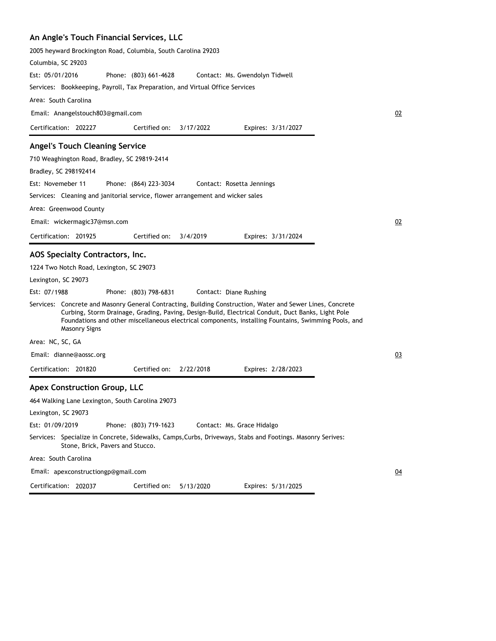# **An Angle's Touch Financial Services, LLC**

| All Aligie's Touch Financial Services, LLC                                                                                                                                                                                                                                                                                                       |    |
|--------------------------------------------------------------------------------------------------------------------------------------------------------------------------------------------------------------------------------------------------------------------------------------------------------------------------------------------------|----|
| 2005 heyward Brockington Road, Columbia, South Carolina 29203                                                                                                                                                                                                                                                                                    |    |
| Columbia, SC 29203                                                                                                                                                                                                                                                                                                                               |    |
| Est: 05/01/2016<br>Phone: (803) 661-4628<br>Contact: Ms. Gwendolyn Tidwell                                                                                                                                                                                                                                                                       |    |
| Services: Bookkeeping, Payroll, Tax Preparation, and Virtual Office Services                                                                                                                                                                                                                                                                     |    |
| Area: South Carolina                                                                                                                                                                                                                                                                                                                             |    |
| Email: Anangelstouch803@gmail.com                                                                                                                                                                                                                                                                                                                | 02 |
| Certification: 202227<br>Certified on:<br>3/17/2022<br>Expires: 3/31/2027                                                                                                                                                                                                                                                                        |    |
| <b>Angel's Touch Cleaning Service</b>                                                                                                                                                                                                                                                                                                            |    |
| 710 Weaghington Road, Bradley, SC 29819-2414                                                                                                                                                                                                                                                                                                     |    |
| Bradley, SC 298192414                                                                                                                                                                                                                                                                                                                            |    |
| Est: Novemeber 11<br>Phone: (864) 223-3034<br>Contact: Rosetta Jennings                                                                                                                                                                                                                                                                          |    |
| Services: Cleaning and janitorial service, flower arrangement and wicker sales                                                                                                                                                                                                                                                                   |    |
| Area: Greenwood County                                                                                                                                                                                                                                                                                                                           |    |
| Email: wickermagic37@msn.com                                                                                                                                                                                                                                                                                                                     | 02 |
| Certification: 201925<br>Certified on:<br>3/4/2019<br>Expires: 3/31/2024                                                                                                                                                                                                                                                                         |    |
| AOS Specialty Contractors, Inc.                                                                                                                                                                                                                                                                                                                  |    |
| 1224 Two Notch Road, Lexington, SC 29073                                                                                                                                                                                                                                                                                                         |    |
| Lexington, SC 29073                                                                                                                                                                                                                                                                                                                              |    |
| Est: 07/1988<br>Phone: (803) 798-6831<br>Contact: Diane Rushing                                                                                                                                                                                                                                                                                  |    |
| Services: Concrete and Masonry General Contracting, Building Construction, Water and Sewer Lines, Concrete<br>Curbing, Storm Drainage, Grading, Paving, Design-Build, Electrical Conduit, Duct Banks, Light Pole<br>Foundations and other miscellaneous electrical components, installing Fountains, Swimming Pools, and<br><b>Masonry Signs</b> |    |
| Area: NC, SC, GA                                                                                                                                                                                                                                                                                                                                 |    |
| Email: dianne@aossc.org                                                                                                                                                                                                                                                                                                                          | 03 |
| Certification: 201820<br>Certified on:<br>2/22/2018<br>Expires: 2/28/2023                                                                                                                                                                                                                                                                        |    |
| <b>Apex Construction Group, LLC</b>                                                                                                                                                                                                                                                                                                              |    |
| 464 Walking Lane Lexington, South Carolina 29073                                                                                                                                                                                                                                                                                                 |    |
| Lexington, SC 29073                                                                                                                                                                                                                                                                                                                              |    |
| Est: 01/09/2019<br>Phone: (803) 719-1623<br>Contact: Ms. Grace Hidalgo                                                                                                                                                                                                                                                                           |    |
| Services: Specialize in Concrete, Sidewalks, Camps, Curbs, Driveways, Stabs and Footings. Masonry Serives:<br>Stone, Brick, Pavers and Stucco.                                                                                                                                                                                                   |    |
| Area: South Carolina                                                                                                                                                                                                                                                                                                                             |    |
| Email: apexconstructiongp@gmail.com                                                                                                                                                                                                                                                                                                              | 04 |

Certification: 202037 Expires: 5/31/2025 Certified on: 5/13/2020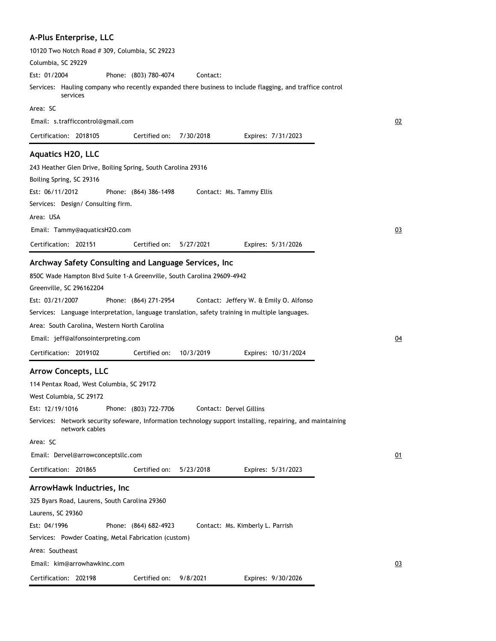| A-Plus Enterprise, LLC                                                                                                                                                                                                                                                                                                                                                                                                                                                                                                    |    |
|---------------------------------------------------------------------------------------------------------------------------------------------------------------------------------------------------------------------------------------------------------------------------------------------------------------------------------------------------------------------------------------------------------------------------------------------------------------------------------------------------------------------------|----|
| 10120 Two Notch Road # 309, Columbia, SC 29223                                                                                                                                                                                                                                                                                                                                                                                                                                                                            |    |
| Columbia, SC 29229                                                                                                                                                                                                                                                                                                                                                                                                                                                                                                        |    |
| Est: 01/2004<br>Phone: (803) 780-4074<br>Contact:                                                                                                                                                                                                                                                                                                                                                                                                                                                                         |    |
| Services: Hauling company who recently expanded there business to include flagging, and traffice control<br>services                                                                                                                                                                                                                                                                                                                                                                                                      |    |
| Area: SC                                                                                                                                                                                                                                                                                                                                                                                                                                                                                                                  |    |
| Email: s.trafficcontrol@gmail.com                                                                                                                                                                                                                                                                                                                                                                                                                                                                                         | 02 |
| Certification: 2018105<br>Certified on:<br>7/30/2018<br>Expires: 7/31/2023                                                                                                                                                                                                                                                                                                                                                                                                                                                |    |
| <b>Aquatics H2O, LLC</b><br>243 Heather Glen Drive, Boiling Spring, South Carolina 29316<br>Boiling Spring, SC 29316<br>Est: 06/11/2012<br>Phone: (864) 386-1498<br>Contact: Ms. Tammy Ellis<br>Services: Design/ Consulting firm.                                                                                                                                                                                                                                                                                        |    |
| Area: USA                                                                                                                                                                                                                                                                                                                                                                                                                                                                                                                 |    |
| Email: Tammy@aquaticsH2O.com                                                                                                                                                                                                                                                                                                                                                                                                                                                                                              | 03 |
| Certification: 202151<br>Certified on:<br>5/27/2021<br>Expires: 5/31/2026                                                                                                                                                                                                                                                                                                                                                                                                                                                 |    |
| Archway Safety Consulting and Language Services, Inc<br>850C Wade Hampton Blvd Suite 1-A Greenville, South Carolina 29609-4942<br>Greenville, SC 296162204<br>Est: 03/21/2007<br>Phone: (864) 271-2954<br>Contact: Jeffery W. & Emily O. Alfonso<br>Services: Language interpretation, language translation, safety training in multiple languages.<br>Area: South Carolina, Western North Carolina<br>Email: jeff@alfonsointerpreting.com<br>Certification: 2019102<br>Certified on:<br>10/3/2019<br>Expires: 10/31/2024 | 04 |
| <b>Arrow Concepts, LLC</b>                                                                                                                                                                                                                                                                                                                                                                                                                                                                                                |    |
| 114 Pentax Road, West Columbia, SC 29172<br>West Columbia, SC 29172<br>Est: 12/19/1016<br>Phone: (803) 722-7706<br>Contact: Dervel Gillins<br>Services: Network security sofeware, Information technology support installing, repairing, and maintaining<br>network cables<br>Area: SC<br>Email: Dervel@arrowconceptsllc.com<br>Certified on:<br>Certification: 201865<br>5/23/2018<br>Expires: 5/31/2023<br>ArrowHawk Inductries, Inc                                                                                    | 01 |
| 325 Byars Road, Laurens, South Carolina 29360                                                                                                                                                                                                                                                                                                                                                                                                                                                                             |    |
| Laurens, SC 29360<br>Est: 04/1996<br>Phone: (864) 682-4923<br>Contact: Ms. Kimberly L. Parrish<br>Services: Powder Coating, Metal Fabrication (custom)<br>Area: Southeast<br>Email: kim@arrowhawkinc.com                                                                                                                                                                                                                                                                                                                  | 03 |
| Certification: 202198<br>Certified on: 9/8/2021<br>Expires: 9/30/2026                                                                                                                                                                                                                                                                                                                                                                                                                                                     |    |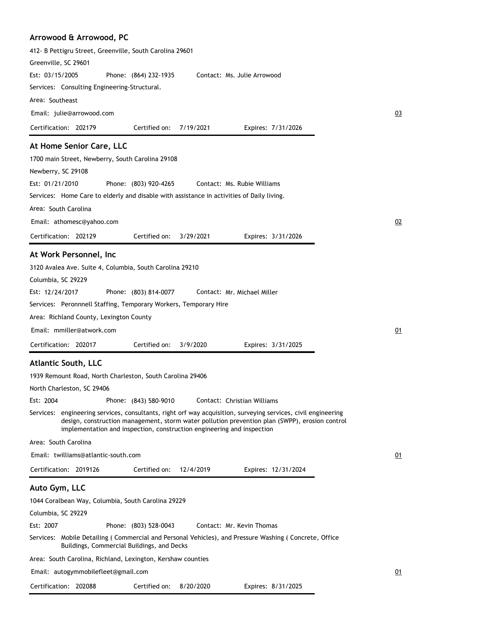# **Arrowood & Arrowood, PC**

| 412- B Pettigru Street, Greenville, South Carolina 29601                                                                                                                                                                                                                                  |    |
|-------------------------------------------------------------------------------------------------------------------------------------------------------------------------------------------------------------------------------------------------------------------------------------------|----|
| Greenville, SC 29601                                                                                                                                                                                                                                                                      |    |
| Est: 03/15/2005<br>Phone: (864) 232-1935<br>Contact: Ms. Julie Arrowood                                                                                                                                                                                                                   |    |
| Services: Consulting Engineering-Structural.                                                                                                                                                                                                                                              |    |
| Area: Southeast                                                                                                                                                                                                                                                                           |    |
| Email: julie@arrowood.com                                                                                                                                                                                                                                                                 | 03 |
| Certification: 202179<br>Certified on:<br>7/19/2021<br>Expires: 7/31/2026                                                                                                                                                                                                                 |    |
| At Home Senior Care, LLC                                                                                                                                                                                                                                                                  |    |
| 1700 main Street, Newberry, South Carolina 29108                                                                                                                                                                                                                                          |    |
| Newberry, SC 29108                                                                                                                                                                                                                                                                        |    |
| Est: 01/21/2010<br>Phone: (803) 920-4265<br>Contact: Ms. Rubie Williams                                                                                                                                                                                                                   |    |
| Services: Home Care to elderly and disable with assistance in activities of Daily living.                                                                                                                                                                                                 |    |
| Area: South Carolina                                                                                                                                                                                                                                                                      |    |
| Email: athomesc@yahoo.com                                                                                                                                                                                                                                                                 | 02 |
| Certified on:<br>Certification: 202129<br>3/29/2021<br>Expires: 3/31/2026                                                                                                                                                                                                                 |    |
| At Work Personnel, Inc.                                                                                                                                                                                                                                                                   |    |
| 3120 Avalea Ave. Suite 4, Columbia, South Carolina 29210                                                                                                                                                                                                                                  |    |
| Columbia, SC 29229                                                                                                                                                                                                                                                                        |    |
| Est: 12/24/2017<br>Phone: (803) 814-0077<br>Contact: Mr. Michael Miller                                                                                                                                                                                                                   |    |
| Services: Peronnnell Staffing, Temporary Workers, Temporary Hire                                                                                                                                                                                                                          |    |
| Area: Richland County, Lexington County                                                                                                                                                                                                                                                   |    |
| Email: mmiller@atwork.com                                                                                                                                                                                                                                                                 | 01 |
| Certification: 202017<br>Certified on:<br>3/9/2020                                                                                                                                                                                                                                        |    |
| Expires: 3/31/2025                                                                                                                                                                                                                                                                        |    |
| <b>Atlantic South, LLC</b>                                                                                                                                                                                                                                                                |    |
| 1939 Remount Road, North Charleston, South Carolina 29406                                                                                                                                                                                                                                 |    |
| North Charleston, SC 29406                                                                                                                                                                                                                                                                |    |
| Est: 2004<br>Phone: (843) 580-9010<br>Contact: Christian Williams                                                                                                                                                                                                                         |    |
| Services: engineering services, consultants, right orf way acquisition, surveying services, civil engineering<br>design, construction management, storm water pollution prevention plan (SWPP), erosion control<br>implementation and inspection, construction engineering and inspection |    |
| Area: South Carolina                                                                                                                                                                                                                                                                      |    |
| Email: twilliams@atlantic-south.com                                                                                                                                                                                                                                                       | 01 |
| Certification: 2019126<br>Certified on:<br>12/4/2019<br>Expires: 12/31/2024                                                                                                                                                                                                               |    |
| Auto Gym, LLC                                                                                                                                                                                                                                                                             |    |
| 1044 Coralbean Way, Columbia, South Carolina 29229                                                                                                                                                                                                                                        |    |
| Columbia, SC 29229                                                                                                                                                                                                                                                                        |    |
| Est: 2007<br>Phone: (803) 528-0043<br>Contact: Mr. Kevin Thomas                                                                                                                                                                                                                           |    |
| Services: Mobile Detailing (Commercial and Personal Vehicles), and Pressure Washing (Concrete, Office<br>Buildings, Commercial Buildings, and Decks                                                                                                                                       |    |
| Area: South Carolina, Richland, Lexington, Kershaw counties                                                                                                                                                                                                                               |    |
| Email: autogymmobilefleet@gmail.com                                                                                                                                                                                                                                                       | 01 |
| Certification: 202088<br>Certified on:<br>8/20/2020<br>Expires: 8/31/2025                                                                                                                                                                                                                 |    |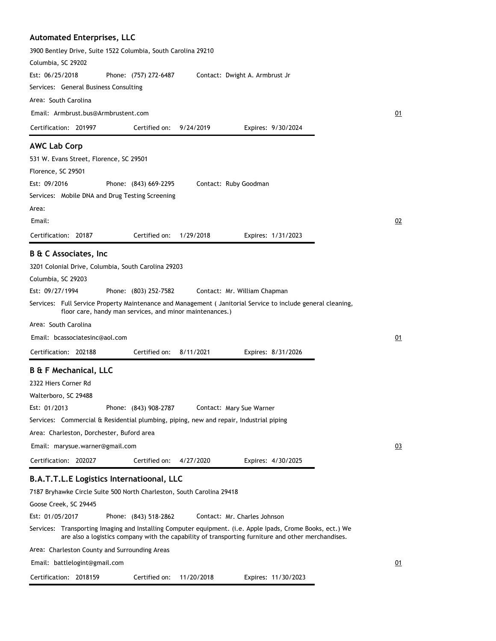#### **Automated Enterprises, LLC**

3900 Bentley Drive, Suite 1522 Columbia, South Carolina 29210 Columbia, SC 29202 Phone: (757) 272-6487 Services: General Business Consulting Area: South Carolina Est: 06/25/2018 Certification: 201997 Contact: Dwight A. Armbrust Jr Email: Armbrust.bus@Armbrustent.com Expires: 9/30/2024 01 Certified on: 9/24/2019 **AWC Lab Corp** 531 W. Evans Street, Florence, SC 29501 Florence, SC 29501 Phone: (843) 669-2295 Services: Mobile DNA and Drug Testing Screening Area: Est: 09/2016 Certification: 20187 Contact: Ruby Goodman Email: Expires: 1/31/2023 02 Certified on: 1/29/2018 **B & C Associates, Inc** 3201 Colonial Drive, Columbia, South Carolina 29203 Columbia, SC 29203 Phone: (803) 252-7582 Services: Full Service Property Maintenance and Management ( Janitorial Service to include general cleaning, floor care, handy man services, and minor maintenances.) Area: South Carolina Est: 09/27/1994 Certification: 202188 Contact: Mr. William Chapman Email: bcassociatesinc@aol.com Expires: 8/31/2026 01 Certified on: 8/11/2021 **B & F Mechanical, LLC** 2322 Hiers Corner Rd Walterboro, SC 29488 Phone: (843) 908-2787 Services: Commercial & Residential plumbing, piping, new and repair, Industrial piping Area: Charleston, Dorchester, Buford area Est: 01/2013 Certification: 202027 Contact: Mary Sue Warner Email: marysue.warner@gmail.com Expires: 4/30/2025 03 Certified on: 4/27/2020 **B.A.T.T.L.E Logistics Internatioonal, LLC** 7187 Bryhawke Circle Suite 500 North Charleston, South Carolina 29418 Goose Creek, SC 29445 Phone: (843) 518-2862 Services: Transporting Imaging and Installing Computer equipment. (i.e. Apple Ipads, Crome Books, ect.) We are also a logistics company with the capability of transporting furniture and other merchandises. Area: Charleston County and Surrounding Areas Est: 01/05/2017 Contact: Mr. Charles Johnson

Email: battlelogint@gmail.com

Certification: 2018159 Expires: 11/30/2023 Certified on: 11/20/2018

01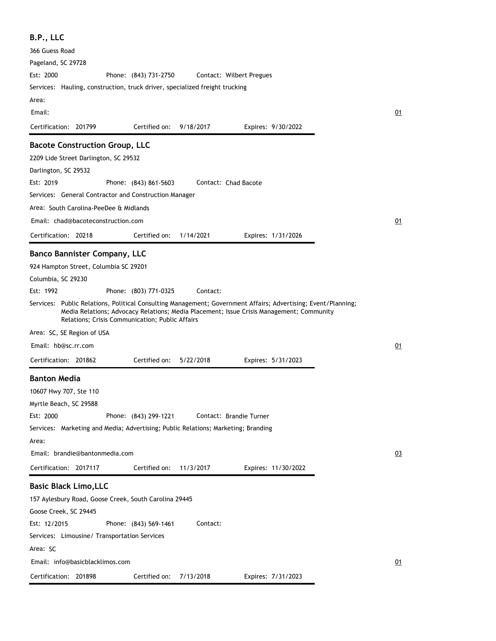| B.P., LLC                                                                                                                                                        |                       |           |                                                                                          |    |
|------------------------------------------------------------------------------------------------------------------------------------------------------------------|-----------------------|-----------|------------------------------------------------------------------------------------------|----|
| 366 Guess Road                                                                                                                                                   |                       |           |                                                                                          |    |
| Pageland, SC 29728                                                                                                                                               |                       |           |                                                                                          |    |
| Est: 2000                                                                                                                                                        | Phone: (843) 731-2750 |           | Contact: Wilbert Pregues                                                                 |    |
| Services: Hauling, construction, truck driver, specialized freight trucking                                                                                      |                       |           |                                                                                          |    |
| Area:                                                                                                                                                            |                       |           |                                                                                          |    |
| Email:                                                                                                                                                           |                       |           |                                                                                          | 01 |
| Certification: 201799                                                                                                                                            | Certified on:         | 9/18/2017 | Expires: 9/30/2022                                                                       |    |
| <b>Bacote Construction Group, LLC</b>                                                                                                                            |                       |           |                                                                                          |    |
| 2209 Lide Street Darlington, SC 29532                                                                                                                            |                       |           |                                                                                          |    |
| Darlington, SC 29532                                                                                                                                             |                       |           |                                                                                          |    |
| Est: 2019                                                                                                                                                        | Phone: (843) 861-5603 |           | Contact: Chad Bacote                                                                     |    |
| Services: General Contractor and Construction Manager                                                                                                            |                       |           |                                                                                          |    |
| Area: South Carolina-PeeDee & Midlands                                                                                                                           |                       |           |                                                                                          |    |
| Email: chad@bacoteconstruction.com                                                                                                                               |                       |           |                                                                                          | 01 |
| Certification: 20218                                                                                                                                             | Certified on:         | 1/14/2021 | Expires: 1/31/2026                                                                       |    |
| <b>Banco Bannister Company, LLC</b>                                                                                                                              |                       |           |                                                                                          |    |
| 924 Hampton Street, Columbia SC 29201                                                                                                                            |                       |           |                                                                                          |    |
| Columbia, SC 29230                                                                                                                                               |                       |           |                                                                                          |    |
| Est: 1992                                                                                                                                                        | Phone: (803) 771-0325 | Contact:  |                                                                                          |    |
| Services: Public Relations, Political Consulting Management; Government Affairs; Advertising; Event/Planning;<br>Relations; Crisis Communication; Public Affairs |                       |           | Media Relations; Advocacy Relations; Media Placement; Issue Crisis Management; Community |    |
| Area: SC, SE Region of USA                                                                                                                                       |                       |           |                                                                                          |    |
| Email: hb@sc.rr.com                                                                                                                                              |                       |           |                                                                                          | 01 |
| Certification: 201862                                                                                                                                            | Certified on:         | 5/22/2018 | Expires: 5/31/2023                                                                       |    |
| <b>Banton Media</b>                                                                                                                                              |                       |           |                                                                                          |    |
| 10607 Hwy 707, Ste 110                                                                                                                                           |                       |           |                                                                                          |    |
| Myrtle Beach, SC 29588                                                                                                                                           |                       |           |                                                                                          |    |
| Est: 2000                                                                                                                                                        | Phone: (843) 299-1221 |           | Contact: Brandie Turner                                                                  |    |
| Services: Marketing and Media; Advertising; Public Relations; Marketing; Branding                                                                                |                       |           |                                                                                          |    |
| Area:                                                                                                                                                            |                       |           |                                                                                          |    |
| Email: brandie@bantonmedia.com                                                                                                                                   |                       |           |                                                                                          | 03 |
| Certification: 2017117                                                                                                                                           | Certified on:         | 11/3/2017 | Expires: 11/30/2022                                                                      |    |
| <b>Basic Black Limo, LLC</b>                                                                                                                                     |                       |           |                                                                                          |    |
| 157 Aylesbury Road, Goose Creek, South Carolina 29445                                                                                                            |                       |           |                                                                                          |    |
| Goose Creek, SC 29445                                                                                                                                            |                       |           |                                                                                          |    |
| Est: 12/2015                                                                                                                                                     | Phone: (843) 569-1461 | Contact:  |                                                                                          |    |
| Services: Limousine/ Transportation Services                                                                                                                     |                       |           |                                                                                          |    |
| Area: SC                                                                                                                                                         |                       |           |                                                                                          |    |
| Email: info@basicblacklimos.com                                                                                                                                  |                       |           |                                                                                          | 01 |
| Certification: 201898                                                                                                                                            | Certified on:         | 7/13/2018 | Expires: 7/31/2023                                                                       |    |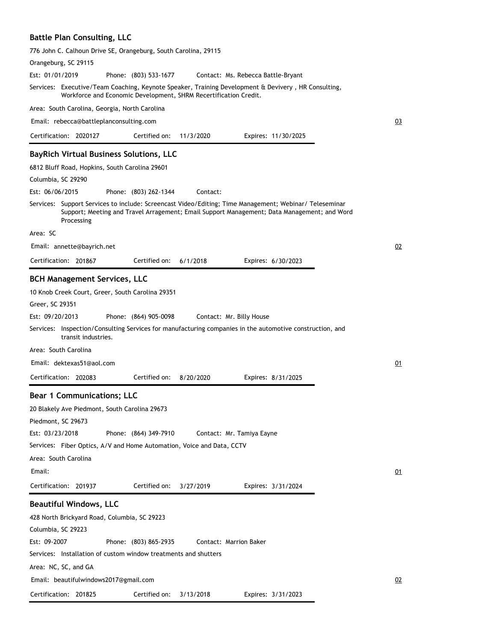## **Battle Plan Consulting, LLC**

| 776 John C. Calhoun Drive SE, Orangeburg, South Carolina, 29115                                                                                                                                                     |    |
|---------------------------------------------------------------------------------------------------------------------------------------------------------------------------------------------------------------------|----|
| Orangeburg, SC 29115                                                                                                                                                                                                |    |
| Est: 01/01/2019<br>Phone: (803) 533-1677<br>Contact: Ms. Rebecca Battle-Bryant                                                                                                                                      |    |
| Services: Executive/Team Coaching, Keynote Speaker, Training Development & Devivery, HR Consulting,<br>Workforce and Economic Development, SHRM Recertification Credit.                                             |    |
| Area: South Carolina, Georgia, North Carolina                                                                                                                                                                       |    |
| Email: rebecca@battleplanconsulting.com                                                                                                                                                                             | 03 |
| Certification: 2020127<br>Certified on:<br>11/3/2020<br>Expires: 11/30/2025                                                                                                                                         |    |
| <b>BayRich Virtual Business Solutions, LLC</b>                                                                                                                                                                      |    |
| 6812 Bluff Road, Hopkins, South Carolina 29601                                                                                                                                                                      |    |
| Columbia, SC 29290                                                                                                                                                                                                  |    |
| Est: 06/06/2015<br>Phone: (803) 262-1344<br>Contact:                                                                                                                                                                |    |
| Services: Support Services to include: Screencast Video/Editing; Time Management; Webinar/ Teleseminar<br>Support; Meeting and Travel Arragement; Email Support Management; Data Management; and Word<br>Processing |    |
| Area: SC                                                                                                                                                                                                            |    |
| Email: annette@bayrich.net                                                                                                                                                                                          | 02 |
| Certification: 201867<br>Certified on:<br>6/1/2018<br>Expires: 6/30/2023                                                                                                                                            |    |
| <b>BCH Management Services, LLC</b>                                                                                                                                                                                 |    |
| 10 Knob Creek Court, Greer, South Carolina 29351                                                                                                                                                                    |    |
| Greer, SC 29351                                                                                                                                                                                                     |    |
| Est: 09/20/2013<br>Phone: (864) 905-0098<br>Contact: Mr. Billy House                                                                                                                                                |    |
| Services: Inspection/Consulting Services for manufacturing companies in the automotive construction, and<br>transit industries.                                                                                     |    |
| Area: South Carolina                                                                                                                                                                                                |    |
| Email: dektexas51@aol.com                                                                                                                                                                                           | 01 |
| Certified on:<br>Certification: 202083<br>8/20/2020<br>Expires: 8/31/2025                                                                                                                                           |    |
| <b>Bear 1 Communications; LLC</b>                                                                                                                                                                                   |    |
| 20 Blakely Ave Piedmont, South Carolina 29673                                                                                                                                                                       |    |
| Piedmont, SC 29673                                                                                                                                                                                                  |    |
| Est: 03/23/2018<br>Phone: (864) 349-7910<br>Contact: Mr. Tamiya Eayne                                                                                                                                               |    |
| Services: Fiber Optics, A/V and Home Automation, Voice and Data, CCTV                                                                                                                                               |    |
| Area: South Carolina                                                                                                                                                                                                |    |
| Email:                                                                                                                                                                                                              | 01 |
| Certified on:<br>Certification: 201937<br>3/27/2019<br>Expires: 3/31/2024                                                                                                                                           |    |
|                                                                                                                                                                                                                     |    |
| <b>Beautiful Windows, LLC</b>                                                                                                                                                                                       |    |
| 428 North Brickyard Road, Columbia, SC 29223                                                                                                                                                                        |    |
| Columbia, SC 29223                                                                                                                                                                                                  |    |
| Est: 09-2007<br>Phone: (803) 865-2935<br>Contact: Marrion Baker                                                                                                                                                     |    |
| Services: Installation of custom window treatments and shutters                                                                                                                                                     |    |
| Area: NC, SC, and GA                                                                                                                                                                                                |    |
| Email: beautifulwindows2017@gmail.com                                                                                                                                                                               | 02 |

Certification: 201825 Expires: 3/31/2023 Certified on: 3/13/2018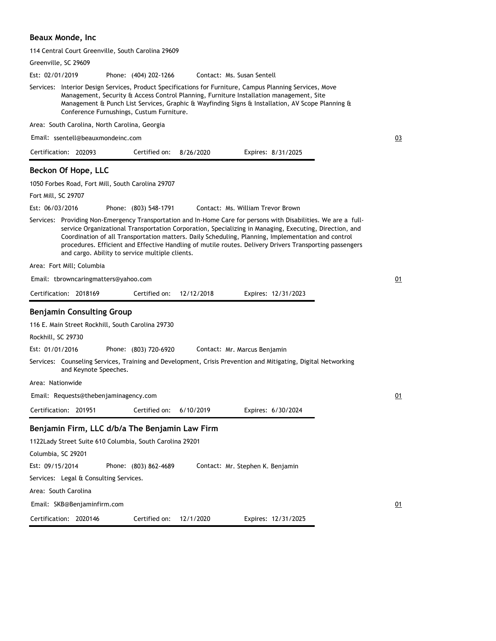## **Beaux Monde, Inc**

| 114 Central Court Greenville, South Carolina 29609                                                                                                                                                                                                                                                                                                                                                                                                                                            |    |
|-----------------------------------------------------------------------------------------------------------------------------------------------------------------------------------------------------------------------------------------------------------------------------------------------------------------------------------------------------------------------------------------------------------------------------------------------------------------------------------------------|----|
| Greenville, SC 29609                                                                                                                                                                                                                                                                                                                                                                                                                                                                          |    |
| Est: 02/01/2019<br>Contact: Ms. Susan Sentell<br>Phone: (404) 202-1266                                                                                                                                                                                                                                                                                                                                                                                                                        |    |
| Services: Interior Design Services, Product Specifications for Furniture, Campus Planning Services, Move<br>Management, Security & Access Control Planning, Furniture Installation management, Site<br>Management & Punch List Services, Graphic & Wayfinding Signs & Installation, AV Scope Planning &<br>Conference Furnushings, Custum Furniture.                                                                                                                                          |    |
| Area: South Carolina, North Carolina, Georgia                                                                                                                                                                                                                                                                                                                                                                                                                                                 |    |
| Email: ssentell@beauxmondeinc.com                                                                                                                                                                                                                                                                                                                                                                                                                                                             | 03 |
| Certification: 202093<br>Certified on:<br>8/26/2020<br>Expires: 8/31/2025                                                                                                                                                                                                                                                                                                                                                                                                                     |    |
| Beckon Of Hope, LLC                                                                                                                                                                                                                                                                                                                                                                                                                                                                           |    |
| 1050 Forbes Road, Fort Mill, South Carolina 29707                                                                                                                                                                                                                                                                                                                                                                                                                                             |    |
| Fort Mill, SC 29707                                                                                                                                                                                                                                                                                                                                                                                                                                                                           |    |
| Est: 06/03/2016<br>Phone: (803) 548-1791<br>Contact: Ms. William Trevor Brown                                                                                                                                                                                                                                                                                                                                                                                                                 |    |
| Services: Providing Non-Emergency Transportation and In-Home Care for persons with Disabilities. We are a full-<br>service Organizational Transportation Corporation, Specializing in Managing, Executing, Direction, and<br>Coordination of all Transportation matters. Daily Scheduling, Planning, Implementation and control<br>procedures. Efficient and Effective Handling of mutile routes. Delivery Drivers Transporting passengers<br>and cargo. Ability to service multiple clients. |    |
| Area: Fort Mill; Columbia                                                                                                                                                                                                                                                                                                                                                                                                                                                                     |    |
| Email: tbrowncaringmatters@yahoo.com                                                                                                                                                                                                                                                                                                                                                                                                                                                          | 01 |
| Certification: 2018169<br>Certified on:<br>12/12/2018<br>Expires: 12/31/2023                                                                                                                                                                                                                                                                                                                                                                                                                  |    |
| <b>Benjamin Consulting Group</b>                                                                                                                                                                                                                                                                                                                                                                                                                                                              |    |
| 116 E. Main Street Rockhill, South Carolina 29730                                                                                                                                                                                                                                                                                                                                                                                                                                             |    |
| Rockhill, SC 29730                                                                                                                                                                                                                                                                                                                                                                                                                                                                            |    |
| Est: 01/01/2016<br>Phone: (803) 720-6920<br>Contact: Mr. Marcus Benjamin                                                                                                                                                                                                                                                                                                                                                                                                                      |    |
| Services: Counseling Services, Training and Development, Crisis Prevention and Mitigating, Digital Networking<br>and Keynote Speeches.                                                                                                                                                                                                                                                                                                                                                        |    |
| Area: Nationwide                                                                                                                                                                                                                                                                                                                                                                                                                                                                              |    |
| Email: Requests@thebenjaminagency.com                                                                                                                                                                                                                                                                                                                                                                                                                                                         | 01 |
| 6/10/2019<br>Expires: 6/30/2024<br>Certification: 201951<br>Certified on:                                                                                                                                                                                                                                                                                                                                                                                                                     |    |
| Benjamin Firm, LLC d/b/a The Benjamin Law Firm                                                                                                                                                                                                                                                                                                                                                                                                                                                |    |
| 1122Lady Street Suite 610 Columbia, South Carolina 29201                                                                                                                                                                                                                                                                                                                                                                                                                                      |    |
| Columbia, SC 29201                                                                                                                                                                                                                                                                                                                                                                                                                                                                            |    |
| Est: 09/15/2014<br>Phone: (803) 862-4689<br>Contact: Mr. Stephen K. Benjamin                                                                                                                                                                                                                                                                                                                                                                                                                  |    |
| Services: Legal & Consulting Services.                                                                                                                                                                                                                                                                                                                                                                                                                                                        |    |
| Area: South Carolina                                                                                                                                                                                                                                                                                                                                                                                                                                                                          |    |
| Email: SKB@Benjaminfirm.com                                                                                                                                                                                                                                                                                                                                                                                                                                                                   | 01 |
| Certification: 2020146<br>Certified on:<br>12/1/2020<br>Expires: 12/31/2025                                                                                                                                                                                                                                                                                                                                                                                                                   |    |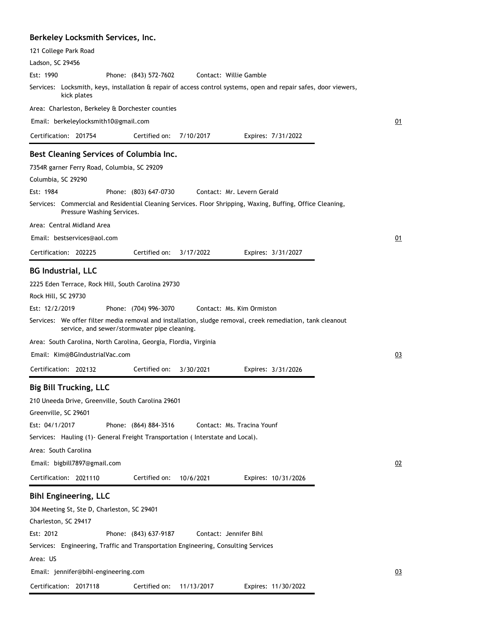### **Berkeley Locksmith Services, Inc.**

| 121 College Park Road                                                                                                                    |
|------------------------------------------------------------------------------------------------------------------------------------------|
| Ladson, SC 29456                                                                                                                         |
| Est: 1990<br>Phone: (843) 572-7602<br>Contact: Willie Gamble                                                                             |
| Services: Locksmith, keys, installation & repair of access control systems, open and repair safes, door viewers,<br>kick plates          |
| Area: Charleston, Berkeley & Dorchester counties                                                                                         |
| Email: berkeleylocksmith10@gmail.com                                                                                                     |
| Certification: 201754<br>7/10/2017<br>Certified on:<br>Expires: 7/31/2022                                                                |
| Best Cleaning Services of Columbia Inc.                                                                                                  |
| 7354R garner Ferry Road, Columbia, SC 29209                                                                                              |
| Columbia, SC 29290                                                                                                                       |
| Est: 1984<br>Phone: (803) 647-0730<br>Contact: Mr. Levern Gerald                                                                         |
| Services: Commercial and Residential Cleaning Services. Floor Shripping, Waxing, Buffing, Office Cleaning,<br>Pressure Washing Services. |
| Area: Central Midland Area                                                                                                               |
| Email: bestservices@aol.com                                                                                                              |
| Certification: 202225<br>Certified on:<br>3/17/2022<br>Expires: 3/31/2027                                                                |
| <b>BG Industrial, LLC</b>                                                                                                                |
| 2225 Eden Terrace, Rock Hill, South Carolina 29730                                                                                       |
| Rock Hill, SC 29730                                                                                                                      |
| Est: 12/2/2019<br>Phone: (704) 996-3070<br>Contact: Ms. Kim Ormiston                                                                     |
| Services: We offer filter media removal and installation, sludge removal, creek remediation, tank cleanout                               |
| service, and sewer/stormwater pipe cleaning.                                                                                             |
| Area: South Carolina, North Carolina, Georgia, Flordia, Virginia                                                                         |
| Email: Kim@BGIndustrialVac.com                                                                                                           |
| Certification: 202132<br>Certified on:<br>3/30/2021<br>Expires: 3/31/2026                                                                |
| <b>Big Bill Trucking, LLC</b>                                                                                                            |
| 210 Uneeda Drive, Greenville, South Carolina 29601                                                                                       |
| Greenville, SC 29601                                                                                                                     |
| Est: 04/1/2017<br>Phone: (864) 884-3516<br>Contact: Ms. Tracina Younf                                                                    |
| Services: Hauling (1) General Freight Transportation (Interstate and Local).                                                             |
| Area: South Carolina                                                                                                                     |
| Email: bigbill7897@gmail.com                                                                                                             |
| Certification: 2021110<br>Certified on:<br>10/6/2021<br>Expires: 10/31/2026                                                              |
| <b>Bihl Engineering, LLC</b>                                                                                                             |
| 304 Meeting St, Ste D, Charleston, SC 29401                                                                                              |
| Charleston, SC 29417                                                                                                                     |
| Est: 2012<br>Phone: (843) 637-9187<br>Contact: Jennifer Bihl                                                                             |
| Services: Engineering, Traffic and Transportation Engineering, Consulting Services                                                       |
| Area: US                                                                                                                                 |
| Email: jennifer@bihl-engineering.com                                                                                                     |
|                                                                                                                                          |
| Certification: 2017118<br>Certified on:<br>11/13/2017<br>Expires: 11/30/2022                                                             |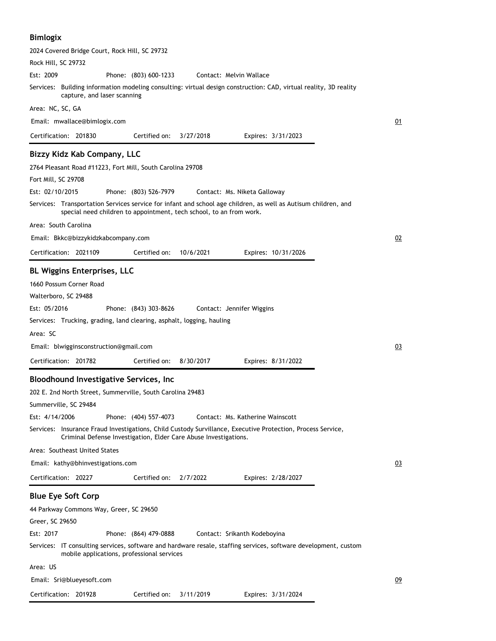# **Bimlogix**

| 2024 Covered Bridge Court, Rock Hill, SC 29732                                                                                                                                        |    |
|---------------------------------------------------------------------------------------------------------------------------------------------------------------------------------------|----|
| Rock Hill, SC 29732                                                                                                                                                                   |    |
| Est: 2009<br>Phone: (803) 600-1233<br>Contact: Melvin Wallace                                                                                                                         |    |
| Services: Building information modeling consulting: virtual design construction: CAD, virtual reality, 3D reality<br>capture, and laser scanning                                      |    |
| Area: NC, SC, GA                                                                                                                                                                      |    |
| Email: mwallace@bimlogix.com                                                                                                                                                          | 01 |
| Certification: 201830<br>Certified on:<br>3/27/2018<br>Expires: 3/31/2023                                                                                                             |    |
| Bizzy Kidz Kab Company, LLC                                                                                                                                                           |    |
| 2764 Pleasant Road #11223, Fort Mill, South Carolina 29708                                                                                                                            |    |
| Fort Mill, SC 29708                                                                                                                                                                   |    |
| Est: 02/10/2015<br>Phone: (803) 526-7979<br>Contact: Ms. Niketa Galloway                                                                                                              |    |
| Services: Transportation Services service for infant and school age children, as well as Autisum children, and<br>special need children to appointment, tech school, to an from work. |    |
| Area: South Carolina                                                                                                                                                                  |    |
| Email: Bkkc@bizzykidzkabcompany.com                                                                                                                                                   | 02 |
| Certification: 2021109<br>Certified on:<br>10/6/2021<br>Expires: 10/31/2026                                                                                                           |    |
| <b>BL Wiggins Enterprises, LLC</b>                                                                                                                                                    |    |
| 1660 Possum Corner Road                                                                                                                                                               |    |
| Walterboro, SC 29488                                                                                                                                                                  |    |
| Est: 05/2016<br>Phone: (843) 303-8626<br>Contact: Jennifer Wiggins                                                                                                                    |    |
| Services: Trucking, grading, land clearing, asphalt, logging, hauling                                                                                                                 |    |
| Area: SC                                                                                                                                                                              |    |
| Email: blwigginsconstruction@gmail.com                                                                                                                                                | 03 |
| Certification: 201782<br>Certified on:<br>8/30/2017<br>Expires: 8/31/2022                                                                                                             |    |
| Bloodhound Investigative Services, Inc                                                                                                                                                |    |
| 202 E. 2nd North Street, Summerville, South Carolina 29483                                                                                                                            |    |
| Summerville, SC 29484                                                                                                                                                                 |    |
| Est: 4/14/2006<br>Phone: (404) 557-4073<br>Contact: Ms. Katherine Wainscott                                                                                                           |    |
| Services: Insurance Fraud Investigations, Child Custody Survillance, Executive Protection, Process Service,<br>Criminal Defense Investigation, Elder Care Abuse Investigations.       |    |
| Area: Southeast United States                                                                                                                                                         |    |
| Email: kathy@bhinvestigations.com                                                                                                                                                     | 03 |
| Certification: 20227<br>Certified on:<br>2/7/2022<br>Expires: 2/28/2027                                                                                                               |    |
| <b>Blue Eye Soft Corp</b>                                                                                                                                                             |    |
| 44 Parkway Commons Way, Greer, SC 29650                                                                                                                                               |    |
| Greer, SC 29650                                                                                                                                                                       |    |
| Est: 2017<br>Phone: (864) 479-0888<br>Contact: Srikanth Kodeboyina                                                                                                                    |    |
| Services: IT consulting services, software and hardware resale, staffing services, software development, custom<br>mobile applications, professional services                         |    |
| Area: US                                                                                                                                                                              |    |
| Email: Sri@blueyesoft.com                                                                                                                                                             | 09 |
| Certified on:<br>3/11/2019<br>Expires: 3/31/2024<br>Certification: 201928                                                                                                             |    |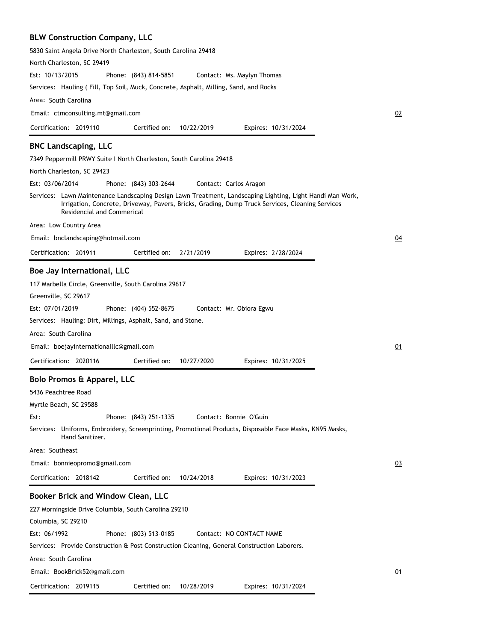# **BLW Construction Company, LLC**

| 5830 Saint Angela Drive North Charleston, South Carolina 29418                                                                                                                                                                             |   |
|--------------------------------------------------------------------------------------------------------------------------------------------------------------------------------------------------------------------------------------------|---|
| North Charleston, SC 29419                                                                                                                                                                                                                 |   |
| Est: 10/13/2015<br>Phone: (843) 814-5851<br>Contact: Ms. Maylyn Thomas                                                                                                                                                                     |   |
| Services: Hauling (Fill, Top Soil, Muck, Concrete, Asphalt, Milling, Sand, and Rocks                                                                                                                                                       |   |
| Area: South Carolina                                                                                                                                                                                                                       |   |
| Email: ctmconsulting.mt@gmail.com                                                                                                                                                                                                          | С |
| Certified on:<br>Certification: 2019110<br>10/22/2019<br>Expires: 10/31/2024                                                                                                                                                               |   |
| <b>BNC Landscaping, LLC</b>                                                                                                                                                                                                                |   |
| 7349 Peppermill PRWY Suite I North Charleston, South Carolina 29418                                                                                                                                                                        |   |
| North Charleston, SC 29423                                                                                                                                                                                                                 |   |
| Est: 03/06/2014<br>Phone: (843) 303-2644<br>Contact: Carlos Aragon                                                                                                                                                                         |   |
| Services: Lawn Maintenance Landscaping Design Lawn Treatment, Landscaping Lighting, Light Handi Man Work,<br>Irrigation, Concrete, Driveway, Pavers, Bricks, Grading, Dump Truck Services, Cleaning Services<br>Residencial and Commerical |   |
| Area: Low Country Area                                                                                                                                                                                                                     |   |
| Email: bnclandscaping@hotmail.com                                                                                                                                                                                                          | С |
| Certification: 201911<br>Certified on:<br>2/21/2019<br>Expires: 2/28/2024                                                                                                                                                                  |   |
| Boe Jay International, LLC                                                                                                                                                                                                                 |   |
|                                                                                                                                                                                                                                            |   |
| 117 Marbella Circle, Greenville, South Carolina 29617<br>Greenville, SC 29617                                                                                                                                                              |   |
|                                                                                                                                                                                                                                            |   |
| Est: 07/01/2019<br>Phone: (404) 552-8675<br>Contact: Mr. Obiora Egwu                                                                                                                                                                       |   |
| Services: Hauling: Dirt, Millings, Asphalt, Sand, and Stone.                                                                                                                                                                               |   |
| Area: South Carolina                                                                                                                                                                                                                       |   |
| Email: boejayinternationalllc@gmail.com                                                                                                                                                                                                    |   |
| Certification: 2020116<br>Certified on:<br>10/27/2020<br>Expires: 10/31/2025                                                                                                                                                               |   |
| Bolo Promos & Apparel, LLC                                                                                                                                                                                                                 |   |
| 5436 Peachtree Road                                                                                                                                                                                                                        |   |
| Myrtle Beach, SC 29588                                                                                                                                                                                                                     |   |
| Est:<br>Phone: (843) 251-1335<br>Contact: Bonnie O'Guin                                                                                                                                                                                    |   |
| Services: Uniforms, Embroidery, Screenprinting, Promotional Products, Disposable Face Masks, KN95 Masks,<br>Hand Sanitizer.                                                                                                                |   |
| Area: Southeast                                                                                                                                                                                                                            |   |
| Email: bonnieopromo@gmail.com                                                                                                                                                                                                              |   |
| Certification: 2018142<br>Certified on:<br>10/24/2018<br>Expires: 10/31/2023                                                                                                                                                               |   |
| Booker Brick and Window Clean, LLC                                                                                                                                                                                                         |   |
| 227 Morningside Drive Columbia, South Carolina 29210                                                                                                                                                                                       |   |
| Columbia, SC 29210                                                                                                                                                                                                                         |   |
| Est: 06/1992<br>Phone: (803) 513-0185<br>Contact: NO CONTACT NAME                                                                                                                                                                          |   |
| Services: Provide Construction & Post Construction Cleaning, General Construction Laborers.                                                                                                                                                |   |
| Area: South Carolina                                                                                                                                                                                                                       |   |
|                                                                                                                                                                                                                                            |   |
| Email: BookBrick52@gmail.com                                                                                                                                                                                                               | C |
| Certification: 2019115<br>Certified on:<br>10/28/2019<br>Expires: 10/31/2024                                                                                                                                                               |   |

02

 $\overline{04}$ 

 $01$ 

03

01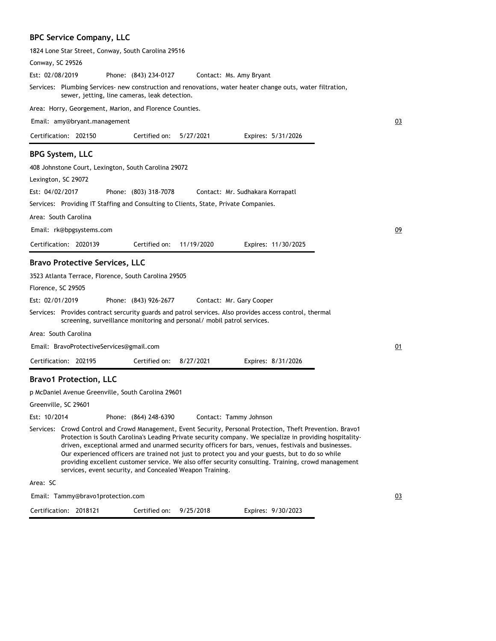# **BPC Service Company, LLC**

| 1824 Lone Star Street, Conway, South Carolina 29516                                                                                                                                                                                                                                                                                                                                                                                                                                                                                                                                                   |    |
|-------------------------------------------------------------------------------------------------------------------------------------------------------------------------------------------------------------------------------------------------------------------------------------------------------------------------------------------------------------------------------------------------------------------------------------------------------------------------------------------------------------------------------------------------------------------------------------------------------|----|
| Conway, SC 29526                                                                                                                                                                                                                                                                                                                                                                                                                                                                                                                                                                                      |    |
| Est: 02/08/2019<br>Phone: (843) 234-0127<br>Contact: Ms. Amy Bryant                                                                                                                                                                                                                                                                                                                                                                                                                                                                                                                                   |    |
| Services: Plumbing Services- new construction and renovations, water heater change outs, water filtration,<br>sewer, jetting, line cameras, leak detection.                                                                                                                                                                                                                                                                                                                                                                                                                                           |    |
| Area: Horry, Georgement, Marion, and Florence Counties.                                                                                                                                                                                                                                                                                                                                                                                                                                                                                                                                               |    |
| Email: amy@bryant.management                                                                                                                                                                                                                                                                                                                                                                                                                                                                                                                                                                          | 03 |
| Certification: 202150<br>Certified on:<br>5/27/2021<br>Expires: 5/31/2026                                                                                                                                                                                                                                                                                                                                                                                                                                                                                                                             |    |
| <b>BPG System, LLC</b>                                                                                                                                                                                                                                                                                                                                                                                                                                                                                                                                                                                |    |
| 408 Johnstone Court, Lexington, South Carolina 29072                                                                                                                                                                                                                                                                                                                                                                                                                                                                                                                                                  |    |
| Lexington, SC 29072                                                                                                                                                                                                                                                                                                                                                                                                                                                                                                                                                                                   |    |
| Est: 04/02/2017<br>Phone: (803) 318-7078<br>Contact: Mr. Sudhakara Korrapatl                                                                                                                                                                                                                                                                                                                                                                                                                                                                                                                          |    |
| Services: Providing IT Staffing and Consulting to Clients, State, Private Companies.                                                                                                                                                                                                                                                                                                                                                                                                                                                                                                                  |    |
| Area: South Carolina                                                                                                                                                                                                                                                                                                                                                                                                                                                                                                                                                                                  |    |
| Email: rk@bpgsystems.com                                                                                                                                                                                                                                                                                                                                                                                                                                                                                                                                                                              | 09 |
| Certification: 2020139<br>Certified on:<br>11/19/2020<br>Expires: 11/30/2025                                                                                                                                                                                                                                                                                                                                                                                                                                                                                                                          |    |
| <b>Bravo Protective Services, LLC</b>                                                                                                                                                                                                                                                                                                                                                                                                                                                                                                                                                                 |    |
| 3523 Atlanta Terrace, Florence, South Carolina 29505                                                                                                                                                                                                                                                                                                                                                                                                                                                                                                                                                  |    |
| Florence, SC 29505                                                                                                                                                                                                                                                                                                                                                                                                                                                                                                                                                                                    |    |
| Est: 02/01/2019<br>Phone: (843) 926-2677<br>Contact: Mr. Gary Cooper                                                                                                                                                                                                                                                                                                                                                                                                                                                                                                                                  |    |
| Services: Provides contract sercurity guards and patrol services. Also provides access control, thermal<br>screening, surveillance monitoring and personal/ mobil patrol services.                                                                                                                                                                                                                                                                                                                                                                                                                    |    |
| Area: South Carolina                                                                                                                                                                                                                                                                                                                                                                                                                                                                                                                                                                                  |    |
| Email: BravoProtectiveServices@gmail.com                                                                                                                                                                                                                                                                                                                                                                                                                                                                                                                                                              | 01 |
| Certification: 202195<br>Certified on:<br>8/27/2021<br>Expires: 8/31/2026                                                                                                                                                                                                                                                                                                                                                                                                                                                                                                                             |    |
|                                                                                                                                                                                                                                                                                                                                                                                                                                                                                                                                                                                                       |    |
| <b>Bravo1 Protection, LLC</b><br>p McDaniel Avenue Greenville, South Carolina 29601                                                                                                                                                                                                                                                                                                                                                                                                                                                                                                                   |    |
| Greenville, SC 29601                                                                                                                                                                                                                                                                                                                                                                                                                                                                                                                                                                                  |    |
| Est: 10/2014<br>Phone: (864) 248-6390<br>Contact: Tammy Johnson                                                                                                                                                                                                                                                                                                                                                                                                                                                                                                                                       |    |
| Services: Crowd Control and Crowd Management, Event Security, Personal Protection, Theft Prevention. Bravo1<br>Protection is South Carolina's Leading Private security company. We specialize in providing hospitality-<br>driven, exceptional armed and unarmed security officers for bars, venues, festivals and businesses.<br>Our experienced officers are trained not just to protect you and your guests, but to do so while<br>providing excellent customer service. We also offer security consulting. Training, crowd management<br>services, event security, and Concealed Weapon Training. |    |
| Area: SC                                                                                                                                                                                                                                                                                                                                                                                                                                                                                                                                                                                              |    |
| Email: Tammy@bravo1protection.com                                                                                                                                                                                                                                                                                                                                                                                                                                                                                                                                                                     | 03 |
| Certified on:<br>Certification: 2018121<br>9/25/2018<br>Expires: 9/30/2023                                                                                                                                                                                                                                                                                                                                                                                                                                                                                                                            |    |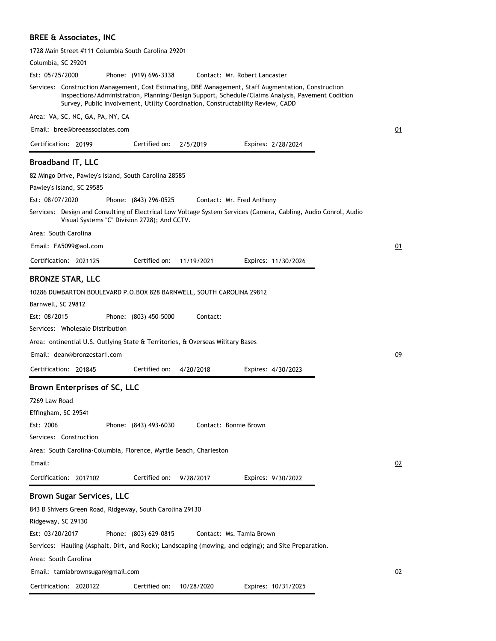# **BREE & Associates, INC**

| 1728 Main Street #111 Columbia South Carolina 29201                                                                                                                                                                                                                                         |  |
|---------------------------------------------------------------------------------------------------------------------------------------------------------------------------------------------------------------------------------------------------------------------------------------------|--|
| Columbia, SC 29201                                                                                                                                                                                                                                                                          |  |
| Est: 05/25/2000<br>Phone: (919) 696-3338<br>Contact: Mr. Robert Lancaster                                                                                                                                                                                                                   |  |
| Services: Construction Management, Cost Estimating, DBE Management, Staff Augmentation, Construction<br>Inspections/Administration, Planning/Design Support, Schedule/Claims Analysis, Pavement Codition<br>Survey, Public Involvement, Utility Coordination, Constructability Review, CADD |  |
| Area: VA, SC, NC, GA, PA, NY, CA                                                                                                                                                                                                                                                            |  |
| Email: bree@breeassociates.com                                                                                                                                                                                                                                                              |  |
| Certified on:<br>Certification: 20199<br>2/5/2019<br>Expires: 2/28/2024                                                                                                                                                                                                                     |  |
| <b>Broadband IT, LLC</b>                                                                                                                                                                                                                                                                    |  |
| 82 Mingo Drive, Pawley's Island, South Carolina 28585                                                                                                                                                                                                                                       |  |
| Pawley's Island, SC 29585                                                                                                                                                                                                                                                                   |  |
| Est: 08/07/2020<br>Phone: (843) 296-0525<br>Contact: Mr. Fred Anthony                                                                                                                                                                                                                       |  |
| Services: Design and Consulting of Electrical Low Voltage System Services (Camera, Cabling, Audio Conrol, Audio<br>Visual Systems "C" Division 2728); And CCTV.                                                                                                                             |  |
| Area: South Carolina                                                                                                                                                                                                                                                                        |  |
| Email: FA5099@aol.com                                                                                                                                                                                                                                                                       |  |
| Certification: 2021125<br>Certified on:<br>11/19/2021<br>Expires: 11/30/2026                                                                                                                                                                                                                |  |
|                                                                                                                                                                                                                                                                                             |  |
| <b>BRONZE STAR, LLC</b>                                                                                                                                                                                                                                                                     |  |
| 10286 DUMBARTON BOULEVARD P.O.BOX 828 BARNWELL, SOUTH CAROLINA 29812                                                                                                                                                                                                                        |  |
| Barnwell, SC 29812                                                                                                                                                                                                                                                                          |  |
| Est: 08/2015<br>Phone: (803) 450-5000<br>Contact:                                                                                                                                                                                                                                           |  |
| Services: Wholesale Distribution                                                                                                                                                                                                                                                            |  |
| Area: ontinential U.S. Outlying State & Territories, & Overseas Military Bases                                                                                                                                                                                                              |  |
| Email: dean@bronzestar1.com                                                                                                                                                                                                                                                                 |  |
| Certified on:<br>Certification: 201845<br>4/20/2018<br>Expires: 4/30/2023                                                                                                                                                                                                                   |  |
| Brown Enterprises of SC, LLC                                                                                                                                                                                                                                                                |  |
| 7269 Law Road                                                                                                                                                                                                                                                                               |  |
| Effingham, SC 29541                                                                                                                                                                                                                                                                         |  |
| Est: 2006<br>Phone: (843) 493-6030<br>Contact: Bonnie Brown                                                                                                                                                                                                                                 |  |
| Services: Construction                                                                                                                                                                                                                                                                      |  |
| Area: South Carolina-Columbia, Florence, Myrtle Beach, Charleston                                                                                                                                                                                                                           |  |
| Email:                                                                                                                                                                                                                                                                                      |  |
| Certified on:<br>Expires: 9/30/2022                                                                                                                                                                                                                                                         |  |
| Certification: 2017102<br>9/28/2017                                                                                                                                                                                                                                                         |  |
| <b>Brown Sugar Services, LLC</b>                                                                                                                                                                                                                                                            |  |
| 843 B Shivers Green Road, Ridgeway, South Carolina 29130                                                                                                                                                                                                                                    |  |
| Ridgeway, SC 29130                                                                                                                                                                                                                                                                          |  |
| Est: 03/20/2017<br>Phone: (803) 629-0815<br>Contact: Ms. Tamia Brown                                                                                                                                                                                                                        |  |
| Services: Hauling (Asphalt, Dirt, and Rock); Landscaping (mowing, and edging); and Site Preparation.                                                                                                                                                                                        |  |
| Area: South Carolina                                                                                                                                                                                                                                                                        |  |
| Email: tamiabrownsugar@gmail.com                                                                                                                                                                                                                                                            |  |
| Certification: 2020122<br>Certified on:<br>10/28/2020<br>Expires: 10/31/2025                                                                                                                                                                                                                |  |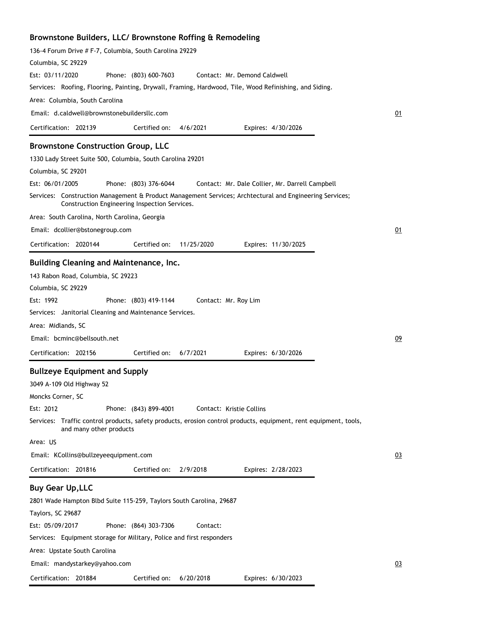# **Brownstone Builders, LLC/ Brownstone Roffing & Remodeling**

| 136-4 Forum Drive # F-7, Columbia, South Carolina 29229                                                                                                         |    |
|-----------------------------------------------------------------------------------------------------------------------------------------------------------------|----|
| Columbia, SC 29229<br>Est: 03/11/2020                                                                                                                           |    |
| Phone: (803) 600-7603<br>Contact: Mr. Demond Caldwell<br>Services: Roofing, Flooring, Painting, Drywall, Framing, Hardwood, Tile, Wood Refinishing, and Siding. |    |
| Area:  Columbia, South Carolina                                                                                                                                 |    |
| Email: d.caldwell@brownstonebuildersllc.com                                                                                                                     | 01 |
| Certification: 202139<br>Certified on:<br>4/6/2021<br>Expires: 4/30/2026                                                                                        |    |
|                                                                                                                                                                 |    |
| <b>Brownstone Construction Group, LLC</b>                                                                                                                       |    |
| 1330 Lady Street Suite 500, Columbia, South Carolina 29201                                                                                                      |    |
| Columbia, SC 29201                                                                                                                                              |    |
| Est: 06/01/2005<br>Phone: (803) 376-6044<br>Contact: Mr. Dale Collier, Mr. Darrell Campbell                                                                     |    |
| Services: Construction Management & Product Management Services; Archtectural and Engineering Services;<br>Construction Engineering Inspection Services.        |    |
| Area: South Carolina, North Carolina, Georgia                                                                                                                   |    |
| Email: dcollier@bstonegroup.com                                                                                                                                 | 01 |
| Certification: 2020144<br>Certified on:<br>11/25/2020<br>Expires: 11/30/2025                                                                                    |    |
| Building Cleaning and Maintenance, Inc.                                                                                                                         |    |
| 143 Rabon Road, Columbia, SC 29223                                                                                                                              |    |
| Columbia, SC 29229                                                                                                                                              |    |
| Est: 1992<br>Phone: (803) 419-1144<br>Contact: Mr. Roy Lim                                                                                                      |    |
| Services: Janitorial Cleaning and Maintenance Services.                                                                                                         |    |
| Area: Midlands, SC                                                                                                                                              |    |
| Email: bcminc@bellsouth.net                                                                                                                                     | 09 |
| Certified on:<br>Certification: 202156<br>6/7/2021<br>Expires: 6/30/2026                                                                                        |    |
| <b>Bullzeye Equipment and Supply</b>                                                                                                                            |    |
| 3049 A-109 Old Highway 52                                                                                                                                       |    |
| Moncks Corner, SC                                                                                                                                               |    |
| Est: 2012<br>Phone: (843) 899-4001<br>Contact: Kristie Collins                                                                                                  |    |
| Services: Traffic control products, safety products, erosion control products, equipment, rent equipment, tools,<br>and many other products                     |    |
| Area: US                                                                                                                                                        |    |
| Email: KCollins@bullzeyeequipment.com                                                                                                                           | 03 |
| Certification: 201816<br>Expires: 2/28/2023<br>Certified on:<br>2/9/2018                                                                                        |    |
| <b>Buy Gear Up, LLC</b>                                                                                                                                         |    |
| 2801 Wade Hampton Blbd Suite 115-259, Taylors South Carolina, 29687                                                                                             |    |
| Taylors, SC 29687                                                                                                                                               |    |
| Est: 05/09/2017<br>Phone: (864) 303-7306<br>Contact:                                                                                                            |    |
| Services: Equipment storage for Military, Police and first responders                                                                                           |    |
| Area: Upstate South Carolina                                                                                                                                    |    |
| Email: mandystarkey@yahoo.com                                                                                                                                   | 03 |
|                                                                                                                                                                 |    |
| Certification: 201884<br>Certified on:<br>6/20/2018<br>Expires: 6/30/2023                                                                                       |    |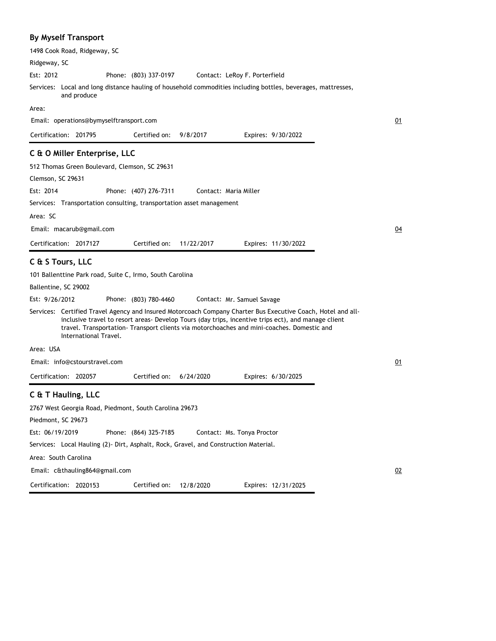### **By Myself Transport**

1498 Cook Road, Ridgeway, SC

Ridgeway, SC

Phone: (803) 337-0197 Est: 2012 Contact: LeRoy F. Porterfield

Local and long distance hauling of household commodities including bottles, beverages, mattresses, Services: and produce

Expires: 9/30/2022

Expires: 6/30/2025

01

04

 $01$ 

02

Area:

Email: operations@bymyselftransport.com

Certification: 201795 Certified on: 9/8/2017

### **C & O Miller Enterprise, LLC**

512 Thomas Green Boulevard, Clemson, SC 29631

Clemson, SC 29631

Phone: (407) 276-7311 Est: 2014 Contact: Maria Miller

Services: Transportation consulting, transportation asset management

Area: SC

Email: macarub@gmail.com

Certification: 2017127 Expires: 11/30/2022 Certified on: 11/22/2017

Certified on: 6/24/2020

### **C & S Tours, LLC**

101 Ballenttine Park road, Suite C, Irmo, South Carolina

Ballentine, SC 29002

Phone: (803) 780-4460 Est: 9/26/2012 Contact: Mr. Samuel Savage

Services: Certified Travel Agency and Insured Motorcoach Company Charter Bus Executive Coach, Hotel and allinclusive travel to resort areas- Develop Tours (day trips, incentive trips ect), and manage client travel. Transportation- Transport clients via motorchoaches and mini-coaches. Domestic and International Travel.

Area: USA

Email: info@cstourstravel.com

Certification: 202057

### **C & T Hauling, LLC**

2767 West Georgia Road, Piedmont, South Carolina 29673 Piedmont, SC 29673 Phone: (864) 325-7185 Services: Local Hauling (2)- Dirt, Asphalt, Rock, Gravel, and Construction Material. Area: South Carolina Est: 06/19/2019 Certification: 2020153 Contact: Ms. Tonya Proctor Email: c&thauling864@gmail.com Expires: 12/31/2025 Certified on: 12/8/2020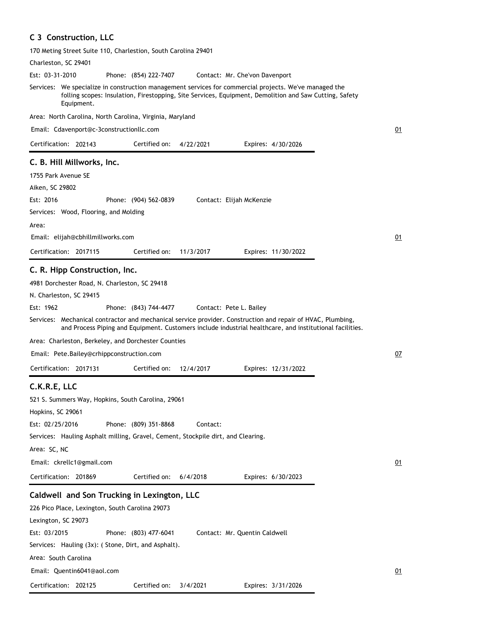## **C 3 Construction, LLC**

170 Meting Street Suite 110, Charlestion, South Carolina 29401

| Charleston, SC 29401                                                                                                                                                                                                           |    |
|--------------------------------------------------------------------------------------------------------------------------------------------------------------------------------------------------------------------------------|----|
| Est: 03-31-2010<br>Phone: (854) 222-7407<br>Contact: Mr. Che'von Davenport                                                                                                                                                     |    |
| Services: We specialize in construction management services for commercial projects. We've managed the<br>folling scopes: Insulation, Firestopping, Site Services, Equipment, Demolition and Saw Cutting, Safety<br>Equipment. |    |
| Area: North Carolina, North Carolina, Virginia, Maryland                                                                                                                                                                       |    |
| Email: Cdavenport@c-3constructionllc.com                                                                                                                                                                                       | 01 |
| Certification: 202143<br>Certified on:<br>4/22/2021<br>Expires: 4/30/2026                                                                                                                                                      |    |
| C. B. Hill Millworks, Inc.                                                                                                                                                                                                     |    |
| 1755 Park Avenue SE                                                                                                                                                                                                            |    |
| Aiken, SC 29802                                                                                                                                                                                                                |    |
| Est: 2016<br>Phone: (904) 562-0839<br>Contact: Elijah McKenzie                                                                                                                                                                 |    |
| Services: Wood, Flooring, and Molding                                                                                                                                                                                          |    |
| Area:                                                                                                                                                                                                                          |    |
| Email: elijah@cbhillmillworks.com                                                                                                                                                                                              | 01 |
|                                                                                                                                                                                                                                |    |
| Certification: 2017115<br>Certified on:<br>11/3/2017<br>Expires: 11/30/2022                                                                                                                                                    |    |
| C. R. Hipp Construction, Inc.                                                                                                                                                                                                  |    |
| 4981 Dorchester Road, N. Charleston, SC 29418                                                                                                                                                                                  |    |
| N. Charleston, SC 29415                                                                                                                                                                                                        |    |
| Est: 1962<br>Phone: (843) 744-4477<br>Contact: Pete L. Bailey                                                                                                                                                                  |    |
| Services: Mechanical contractor and mechanical service provider. Construction and repair of HVAC, Plumbing,                                                                                                                    |    |
| and Process Piping and Equipment. Customers include industrial healthcare, and institutional facilities.                                                                                                                       |    |
| Area: Charleston, Berkeley, and Dorchester Counties                                                                                                                                                                            |    |
| Email: Pete.Bailey@crhippconstruction.com                                                                                                                                                                                      | 07 |
| Certification: 2017131<br>Certified on:<br>12/4/2017<br>Expires: 12/31/2022                                                                                                                                                    |    |
| C.K.R.E, LLC                                                                                                                                                                                                                   |    |
| 521 S. Summers Way, Hopkins, South Carolina, 29061                                                                                                                                                                             |    |
| Hopkins, SC 29061                                                                                                                                                                                                              |    |
| Est: 02/25/2016<br>Phone: (809) 351-8868<br>Contact:                                                                                                                                                                           |    |
| Services: Hauling Asphalt milling, Gravel, Cement, Stockpile dirt, and Clearing.                                                                                                                                               |    |
| Area: SC, NC                                                                                                                                                                                                                   |    |
| Email: ckrellc1@gmail.com                                                                                                                                                                                                      | 01 |
|                                                                                                                                                                                                                                |    |
| Certification: 201869<br>Certified on:<br>6/4/2018<br>Expires: 6/30/2023                                                                                                                                                       |    |
| Caldwell and Son Trucking in Lexington, LLC                                                                                                                                                                                    |    |
| 226 Pico Place, Lexington, South Carolina 29073                                                                                                                                                                                |    |
| Lexington, SC 29073                                                                                                                                                                                                            |    |
| Est: 03/2015<br>Phone: (803) 477-6041<br>Contact: Mr. Quentin Caldwell                                                                                                                                                         |    |
| Services: Hauling (3x): (Stone, Dirt, and Asphalt).                                                                                                                                                                            |    |
| Area: South Carolina                                                                                                                                                                                                           |    |
| Email: Quentin6041@aol.com                                                                                                                                                                                                     | 01 |
| Certification: 202125<br>Certified on:<br>3/4/2021<br>Expires: 3/31/2026                                                                                                                                                       |    |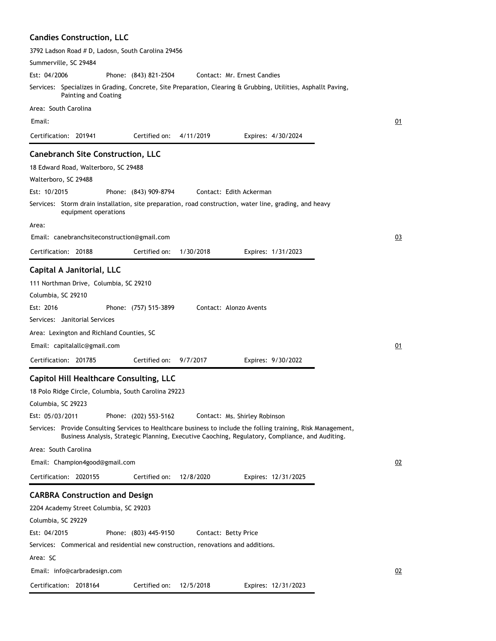|  | <b>Candies Construction, LLC</b> |  |  |
|--|----------------------------------|--|--|
|--|----------------------------------|--|--|

| 3792 Ladson Road # D, Ladosn, South Carolina 29456                                                                                                                                                                 |    |
|--------------------------------------------------------------------------------------------------------------------------------------------------------------------------------------------------------------------|----|
| Summerville, SC 29484                                                                                                                                                                                              |    |
| Est: 04/2006<br>Contact: Mr. Ernest Candies<br>Phone: (843) 821-2504                                                                                                                                               |    |
| Services: Specializes in Grading, Concrete, Site Preparation, Clearing & Grubbing, Utilities, Asphallt Paving,<br><b>Painting and Coating</b>                                                                      |    |
| Area: South Carolina                                                                                                                                                                                               |    |
| Email:                                                                                                                                                                                                             | 01 |
| Certification: 201941<br>Certified on:<br>4/11/2019<br>Expires: 4/30/2024                                                                                                                                          |    |
| <b>Canebranch Site Construction, LLC</b>                                                                                                                                                                           |    |
| 18 Edward Road, Walterboro, SC 29488                                                                                                                                                                               |    |
| Walterboro, SC 29488                                                                                                                                                                                               |    |
| Est: 10/2015<br>Phone: (843) 909-8794<br>Contact: Edith Ackerman                                                                                                                                                   |    |
| Services: Storm drain installation, site preparation, road construction, water line, grading, and heavy<br>equipment operations                                                                                    |    |
| Area:                                                                                                                                                                                                              |    |
| Email: canebranchsiteconstruction@gmail.com                                                                                                                                                                        | 03 |
| Certification: 20188<br>Certified on:<br>1/30/2018<br>Expires: 1/31/2023                                                                                                                                           |    |
| Capital A Janitorial, LLC                                                                                                                                                                                          |    |
| 111 Northman Drive, Columbia, SC 29210                                                                                                                                                                             |    |
| Columbia, SC 29210                                                                                                                                                                                                 |    |
| Est: 2016<br>Contact: Alonzo Avents<br>Phone: (757) 515-3899                                                                                                                                                       |    |
| Services: Janitorial Services                                                                                                                                                                                      |    |
| Area: Lexington and Richland Counties, SC                                                                                                                                                                          |    |
| Email: capitalallc@gmail.com                                                                                                                                                                                       | 01 |
| Certification: 201785<br>Certified on:<br>9/7/2017<br>Expires: 9/30/2022                                                                                                                                           |    |
| <b>Capitol Hill Healthcare Consulting, LLC</b>                                                                                                                                                                     |    |
| 18 Polo Ridge Circle, Columbia, South Carolina 29223                                                                                                                                                               |    |
| Columbia, SC 29223                                                                                                                                                                                                 |    |
| Est: 05/03/2011<br>Phone: (202) 553-5162<br>Contact: Ms. Shirley Robinson                                                                                                                                          |    |
| Services: Provide Consulting Services to Healthcare business to include the folling training, Risk Management,<br>Business Analysis, Strategic Planning, Executive Caoching, Regulatory, Compliance, and Auditing. |    |
| Area: South Carolina                                                                                                                                                                                               |    |
| Email: Champion4good@gmail.com                                                                                                                                                                                     | 02 |
| Certification: 2020155<br>Certified on:<br>12/8/2020<br>Expires: 12/31/2025                                                                                                                                        |    |
| <b>CARBRA Construction and Design</b>                                                                                                                                                                              |    |
| 2204 Academy Street Columbia, SC 29203                                                                                                                                                                             |    |
| Columbia, SC 29229                                                                                                                                                                                                 |    |
| Est: 04/2015<br>Phone: (803) 445-9150<br>Contact: Betty Price                                                                                                                                                      |    |
| Services: Commerical and residential new construction, renovations and additions.                                                                                                                                  |    |
| Area: SC                                                                                                                                                                                                           |    |
| Email: info@carbradesign.com                                                                                                                                                                                       | 02 |
| Certification: 2018164<br>Certified on: 12/5/2018<br>Expires: 12/31/2023                                                                                                                                           |    |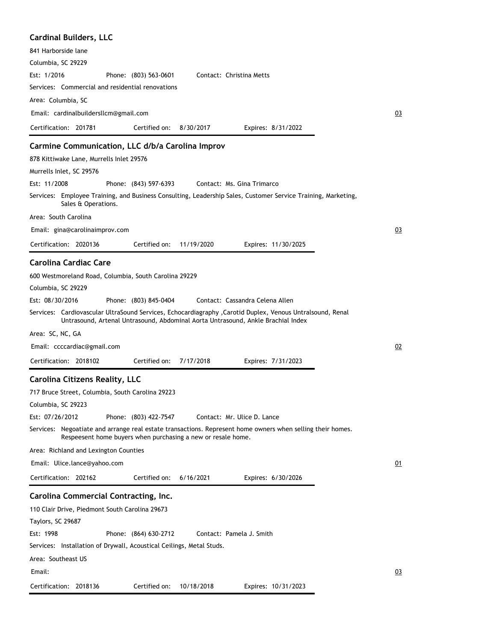| <b>Cardinal Builders, LLC</b>                                                                                                                                                                  |    |
|------------------------------------------------------------------------------------------------------------------------------------------------------------------------------------------------|----|
| 841 Harborside lane                                                                                                                                                                            |    |
| Columbia, SC 29229                                                                                                                                                                             |    |
| Est: 1/2016<br>Phone: (803) 563-0601<br>Contact: Christina Metts                                                                                                                               |    |
| Services: Commercial and residential renovations                                                                                                                                               |    |
| Area: Columbia, SC                                                                                                                                                                             |    |
| Email: cardinalbuildersllcm@gmail.com                                                                                                                                                          | 03 |
| Certification: 201781<br>Certified on:<br>8/30/2017<br>Expires: 8/31/2022                                                                                                                      |    |
| Carmine Communication, LLC d/b/a Carolina Improv                                                                                                                                               |    |
| 878 Kittiwake Lane, Murrells Inlet 29576                                                                                                                                                       |    |
| Murrells Inlet, SC 29576                                                                                                                                                                       |    |
| Est: 11/2008<br>Phone: (843) 597-6393<br>Contact: Ms. Gina Trimarco                                                                                                                            |    |
| Services: Employee Training, and Business Consulting, Leadership Sales, Customer Service Training, Marketing,<br>Sales & Operations.                                                           |    |
| Area: South Carolina                                                                                                                                                                           |    |
| Email: gina@carolinaimprov.com                                                                                                                                                                 | 03 |
| Certification: 2020136<br>Certified on:<br>11/19/2020<br>Expires: 11/30/2025                                                                                                                   |    |
| <b>Carolina Cardiac Care</b>                                                                                                                                                                   |    |
| 600 Westmoreland Road, Columbia, South Carolina 29229                                                                                                                                          |    |
| Columbia, SC 29229                                                                                                                                                                             |    |
| Est: 08/30/2016<br>Phone: (803) 845-0404<br>Contact: Cassandra Celena Allen                                                                                                                    |    |
| Services: Cardiovascular UltraSound Services, Echocardiagraphy , Carotid Duplex, Venous Untralsound, Renal<br>Untrasound, Artenal Untrasound, Abdominal Aorta Untrasound, Ankle Brachial Index |    |
| Area: SC, NC, GA                                                                                                                                                                               |    |
| Email: ccccardiac@gmail.com                                                                                                                                                                    | 02 |
| Certification: 2018102<br>Certified on:<br>7/17/2018<br>Expires: 7/31/2023                                                                                                                     |    |
| <b>Carolina Citizens Reality, LLC</b>                                                                                                                                                          |    |
| 717 Bruce Street, Columbia, South Carolina 29223                                                                                                                                               |    |
| Columbia, SC 29223                                                                                                                                                                             |    |
| Est: 07/26/2012<br>Phone: (803) 422-7547<br>Contact: Mr. Ulice D. Lance                                                                                                                        |    |
| Services: Negoatiate and arrange real estate transactions. Represent home owners when selling their homes.<br>Respeesent home buyers when purchasing a new or resale home.                     |    |
| Area: Richland and Lexington Counties                                                                                                                                                          |    |
| Email: Ulice.lance@yahoo.com                                                                                                                                                                   | 01 |
| Certification: 202162<br>Certified on:<br>6/16/2021<br>Expires: 6/30/2026                                                                                                                      |    |
| Carolina Commercial Contracting, Inc.                                                                                                                                                          |    |
| 110 Clair Drive, Piedmont South Carolina 29673                                                                                                                                                 |    |
| Taylors, SC 29687                                                                                                                                                                              |    |
| Est: 1998<br>Phone: (864) 630-2712<br>Contact: Pamela J. Smith                                                                                                                                 |    |
| Services: Installation of Drywall, Acoustical Ceilings, Metal Studs.                                                                                                                           |    |
| Area: Southeast US                                                                                                                                                                             |    |
| Email:                                                                                                                                                                                         | 03 |
| Certification: 2018136<br>Certified on:<br>10/18/2018<br>Expires: 10/31/2023                                                                                                                   |    |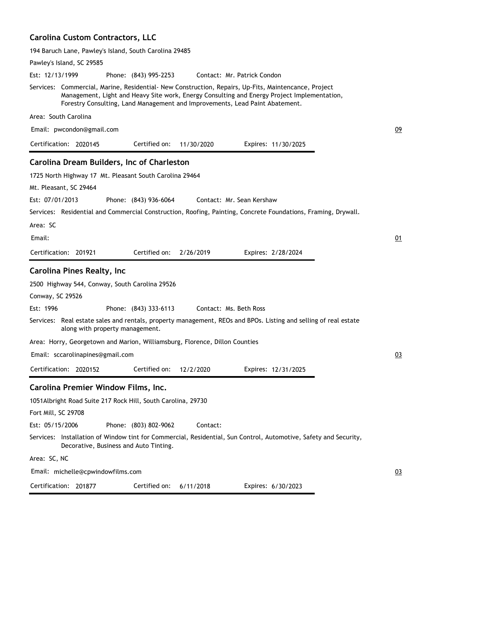# **Carolina Custom Contractors, LLC**

194 Baruch Lane, Pawley's Island, South Carolina 29485

| Pawley's Island, SC 29585                                                                                                                                                                                                                                                           |    |
|-------------------------------------------------------------------------------------------------------------------------------------------------------------------------------------------------------------------------------------------------------------------------------------|----|
| Est: 12/13/1999<br>Phone: (843) 995-2253<br>Contact: Mr. Patrick Condon                                                                                                                                                                                                             |    |
| Services: Commercial, Marine, Residential- New Construction, Repairs, Up-Fits, Maintencance, Project<br>Management, Light and Heavy Site work, Energy Consulting and Energy Project Implementation,<br>Forestry Consulting, Land Management and Improvements, Lead Paint Abatement. |    |
| Area: South Carolina                                                                                                                                                                                                                                                                |    |
| Email: pwcondon@gmail.com                                                                                                                                                                                                                                                           | 09 |
| Certified on:<br>Certification: 2020145<br>11/30/2020<br>Expires: 11/30/2025                                                                                                                                                                                                        |    |
| Carolina Dream Builders, Inc of Charleston                                                                                                                                                                                                                                          |    |
| 1725 North Highway 17 Mt. Pleasant South Carolina 29464                                                                                                                                                                                                                             |    |
| Mt. Pleasant, SC 29464                                                                                                                                                                                                                                                              |    |
| Est: 07/01/2013<br>Phone: (843) 936-6064<br>Contact: Mr. Sean Kershaw                                                                                                                                                                                                               |    |
| Services: Residential and Commercial Construction, Roofing, Painting, Concrete Foundations, Framing, Drywall.                                                                                                                                                                       |    |
| Area: SC                                                                                                                                                                                                                                                                            |    |
| Email:                                                                                                                                                                                                                                                                              | 01 |
| Certified on:<br>Certification: 201921<br>2/26/2019<br>Expires: 2/28/2024                                                                                                                                                                                                           |    |
| <b>Carolina Pines Realty, Inc</b>                                                                                                                                                                                                                                                   |    |
| 2500 Highway 544, Conway, South Carolina 29526                                                                                                                                                                                                                                      |    |
| Conway, SC 29526                                                                                                                                                                                                                                                                    |    |
| Est: 1996<br>Phone: (843) 333-6113<br>Contact: Ms. Beth Ross                                                                                                                                                                                                                        |    |
| Services: Real estate sales and rentals, property management, REOs and BPOs. Listing and selling of real estate<br>along with property management.                                                                                                                                  |    |
| Area: Horry, Georgetown and Marion, Williamsburg, Florence, Dillon Counties                                                                                                                                                                                                         |    |
| Email: sccarolinapines@gmail.com                                                                                                                                                                                                                                                    | 03 |
| Certification: 2020152<br>Certified on:<br>12/2/2020<br>Expires: 12/31/2025                                                                                                                                                                                                         |    |
| Carolina Premier Window Films, Inc.                                                                                                                                                                                                                                                 |    |
| 1051 Albright Road Suite 217 Rock Hill, South Carolina, 29730                                                                                                                                                                                                                       |    |
| Fort Mill, SC 29708                                                                                                                                                                                                                                                                 |    |
| Est: 05/15/2006<br>Phone: (803) 802-9062<br>Contact:                                                                                                                                                                                                                                |    |
| Services: Installation of Window tint for Commercial, Residential, Sun Control, Automotive, Safety and Security,<br>Decorative, Business and Auto Tinting.                                                                                                                          |    |
| Area: SC, NC                                                                                                                                                                                                                                                                        |    |
| Email: michelle@cpwindowfilms.com                                                                                                                                                                                                                                                   | 03 |
| Certification: 201877<br>6/11/2018<br>Expires: 6/30/2023<br>Certified on:                                                                                                                                                                                                           |    |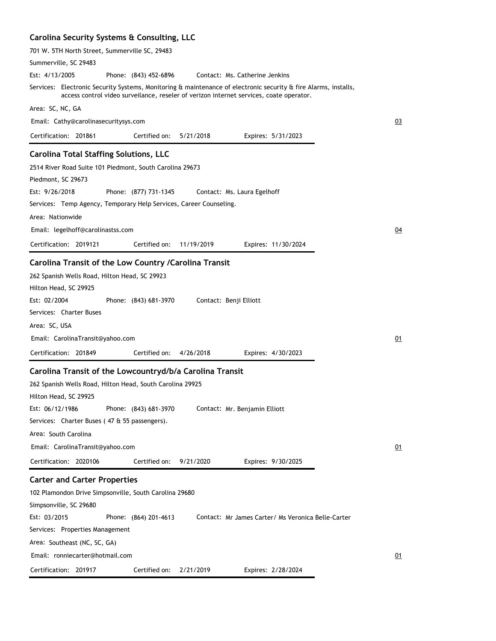### **Carolina Security Systems & Consulting, LLC**

| 701 W. 5TH North Street, Summerville SC, 29483                                                                                                                                                             |                  |
|------------------------------------------------------------------------------------------------------------------------------------------------------------------------------------------------------------|------------------|
| Summerville, SC 29483                                                                                                                                                                                      |                  |
| Est: 4/13/2005<br>Phone: (843) 452-6896<br>Contact: Ms. Catherine Jenkins                                                                                                                                  |                  |
| Services: Electronic Security Systems, Monitoring & maintenance of electronic security & fire Alarms, installs,<br>access control video surveilance, reseler of verizon internet services, coate operator. |                  |
| Area: SC, NC, GA                                                                                                                                                                                           |                  |
| Email: Cathy@carolinasecuritysys.com                                                                                                                                                                       | 03               |
| Certification: 201861<br>Certified on:<br>5/21/2018<br>Expires: 5/31/2023                                                                                                                                  |                  |
| <b>Carolina Total Staffing Solutions, LLC</b>                                                                                                                                                              |                  |
| 2514 River Road Suite 101 Piedmont, South Carolina 29673                                                                                                                                                   |                  |
| Piedmont, SC 29673                                                                                                                                                                                         |                  |
| Est: 9/26/2018<br>Phone: (877) 731-1345<br>Contact: Ms. Laura Egelhoff                                                                                                                                     |                  |
| Services: Temp Agency, Temporary Help Services, Career Counseling.                                                                                                                                         |                  |
| Area: Nationwide                                                                                                                                                                                           |                  |
| Email: legelhoff@carolinastss.com                                                                                                                                                                          | $\underline{04}$ |
| Certified on:<br>Certification: 2019121<br>11/19/2019<br>Expires: 11/30/2024                                                                                                                               |                  |
|                                                                                                                                                                                                            |                  |
| Carolina Transit of the Low Country / Carolina Transit                                                                                                                                                     |                  |
| 262 Spanish Wells Road, Hilton Head, SC 29923                                                                                                                                                              |                  |
| Hilton Head, SC 29925                                                                                                                                                                                      |                  |
| Est: 02/2004<br>Phone: (843) 681-3970<br>Contact: Benji Elliott                                                                                                                                            |                  |
| Services: Charter Buses                                                                                                                                                                                    |                  |
| Area: SC, USA                                                                                                                                                                                              |                  |
| Email: CarolinaTransit@yahoo.com                                                                                                                                                                           | 01               |
| Certification: 201849<br>Certified on:<br>4/26/2018<br>Expires: 4/30/2023                                                                                                                                  |                  |
| Carolina Transit of the Lowcountryd/b/a Carolina Transit                                                                                                                                                   |                  |
| 262 Spanish Wells Road, Hilton Head, South Carolina 29925                                                                                                                                                  |                  |
| Hilton Head, SC 29925                                                                                                                                                                                      |                  |
| Est: 06/12/1986<br>Phone: (843) 681-3970<br>Contact: Mr. Benjamin Elliott                                                                                                                                  |                  |
| Services: Charter Buses (47 & 55 passengers).                                                                                                                                                              |                  |
| Area: South Carolina                                                                                                                                                                                       |                  |
| Email: CarolinaTransit@yahoo.com                                                                                                                                                                           | 01               |
| Certification: 2020106<br>Certified on:<br>9/21/2020<br>Expires: 9/30/2025                                                                                                                                 |                  |
| <b>Carter and Carter Properties</b>                                                                                                                                                                        |                  |
| 102 Plamondon Drive Simpsonville, South Carolina 29680                                                                                                                                                     |                  |
| Simpsonville, SC 29680                                                                                                                                                                                     |                  |
| Est: 03/2015<br>Phone: (864) 201-4613<br>Contact: Mr James Carter/ Ms Veronica Belle-Carter                                                                                                                |                  |
| Services: Properties Management                                                                                                                                                                            |                  |
| Area: Southeast (NC, SC, GA)                                                                                                                                                                               |                  |
| Email: ronniecarter@hotmail.com                                                                                                                                                                            | 01               |
|                                                                                                                                                                                                            |                  |
| Certification: 201917<br>Certified on:<br>2/21/2019<br>Expires: 2/28/2024                                                                                                                                  |                  |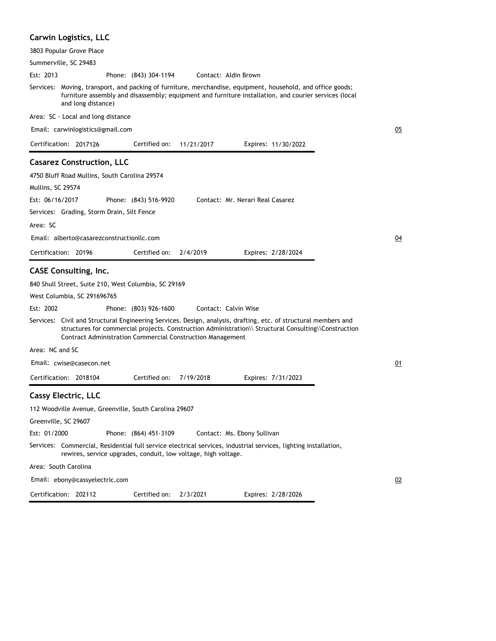# **Carwin Logistics, LLC**

| 3803 Popular Grove Place                               |                                                                |                      |                                                                                                                                                                                                                          |    |
|--------------------------------------------------------|----------------------------------------------------------------|----------------------|--------------------------------------------------------------------------------------------------------------------------------------------------------------------------------------------------------------------------|----|
| Summerville, SC 29483                                  |                                                                |                      |                                                                                                                                                                                                                          |    |
| Est: 2013                                              | Phone: (843) 304-1194                                          | Contact: Aldin Brown |                                                                                                                                                                                                                          |    |
| and long distance)                                     |                                                                |                      | Services: Moving, transport, and packing of furniture, merchandise, equipment, household, and office goods;<br>furniture assembly and disassembly; equipment and furniture installation, and courier services (local     |    |
| Area: SC - Local and long distance                     |                                                                |                      |                                                                                                                                                                                                                          |    |
| Email: carwinlogistics@gmail.com                       |                                                                |                      |                                                                                                                                                                                                                          | 05 |
| Certification: 2017126                                 | Certified on:                                                  | 11/21/2017           | Expires: 11/30/2022                                                                                                                                                                                                      |    |
| <b>Casarez Construction, LLC</b>                       |                                                                |                      |                                                                                                                                                                                                                          |    |
| 4750 Bluff Road Mullins, South Carolina 29574          |                                                                |                      |                                                                                                                                                                                                                          |    |
| Mullins, SC 29574                                      |                                                                |                      |                                                                                                                                                                                                                          |    |
| Est: 06/16/2017                                        | Phone: (843) 516-9920                                          |                      | Contact: Mr. Nerari Real Casarez                                                                                                                                                                                         |    |
| Services: Grading, Storm Drain, Silt Fence             |                                                                |                      |                                                                                                                                                                                                                          |    |
| Area: SC                                               |                                                                |                      |                                                                                                                                                                                                                          |    |
| Email: alberto@casarezconstructionllc.com              |                                                                |                      |                                                                                                                                                                                                                          | 04 |
| Certification: 20196                                   | Certified on:                                                  | 2/4/2019             | Expires: 2/28/2024                                                                                                                                                                                                       |    |
| <b>CASE Consulting, Inc.</b>                           |                                                                |                      |                                                                                                                                                                                                                          |    |
| 840 Shull Street, Suite 210, West Columbia, SC 29169   |                                                                |                      |                                                                                                                                                                                                                          |    |
| West Columbia, SC 291696765                            |                                                                |                      |                                                                                                                                                                                                                          |    |
| Est: 2002                                              | Phone: (803) 926-1600                                          | Contact: Calvin Wise |                                                                                                                                                                                                                          |    |
|                                                        | Contract Administration Commercial Construction Management     |                      | Services: Civil and Structural Engineering Services. Design, analysis, drafting, etc. of structural members and<br>structures for commercial projects. Construction Administration\\ Structural Consulting\\Construction |    |
| Area: NC and SC                                        |                                                                |                      |                                                                                                                                                                                                                          |    |
| Email: cwise@casecon.net                               |                                                                |                      |                                                                                                                                                                                                                          | 01 |
| Certification: 2018104                                 | Certified on:                                                  | 7/19/2018            | Expires: 7/31/2023                                                                                                                                                                                                       |    |
| <b>Cassy Electric, LLC</b>                             |                                                                |                      |                                                                                                                                                                                                                          |    |
| 112 Woodville Avenue, Greenville, South Carolina 29607 |                                                                |                      |                                                                                                                                                                                                                          |    |
| Greenville, SC 29607                                   |                                                                |                      |                                                                                                                                                                                                                          |    |
| Est: 01/2000                                           | Phone: (864) 451-3109                                          |                      | Contact: Ms. Ebony Sullivan                                                                                                                                                                                              |    |
|                                                        | rewires, service upgrades, conduit, low voltage, high voltage. |                      | Services: Commercial, Residential full service electrical services, industrial services, lighting installation,                                                                                                          |    |
| Area: South Carolina                                   |                                                                |                      |                                                                                                                                                                                                                          |    |
| Email: ebony@cassyelectric.com                         |                                                                |                      |                                                                                                                                                                                                                          | 02 |
| Certification: 202112                                  | Certified on:                                                  | 2/3/2021             | Expires: 2/28/2026                                                                                                                                                                                                       |    |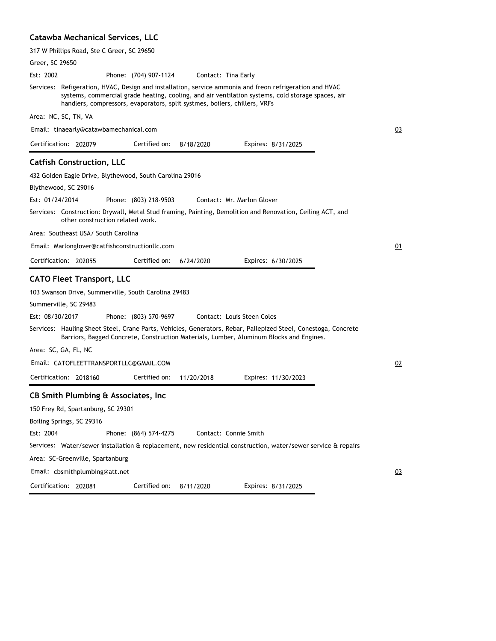# **Catawba Mechanical Services, LLC**

| 317 W Phillips Road, Ste C Greer, SC 29650                                                                                                                                                                                                                                                 |    |
|--------------------------------------------------------------------------------------------------------------------------------------------------------------------------------------------------------------------------------------------------------------------------------------------|----|
| Greer, SC 29650                                                                                                                                                                                                                                                                            |    |
| Est: 2002<br>Phone: (704) 907-1124<br>Contact: Tina Early                                                                                                                                                                                                                                  |    |
| Services: Refigeration, HVAC, Design and installation, service ammonia and freon refrigeration and HVAC<br>systems, commercial grade heating, cooling, and air ventilation systems, cold storage spaces, air<br>handlers, compressors, evaporators, split systmes, boilers, chillers, VRFs |    |
| Area: NC, SC, TN, VA                                                                                                                                                                                                                                                                       |    |
| Email: tinaearly@catawbamechanical.com                                                                                                                                                                                                                                                     | 03 |
| Certification: 202079<br>Certified on:<br>8/18/2020<br>Expires: 8/31/2025                                                                                                                                                                                                                  |    |
| <b>Catfish Construction, LLC</b>                                                                                                                                                                                                                                                           |    |
| 432 Golden Eagle Drive, Blythewood, South Carolina 29016                                                                                                                                                                                                                                   |    |
| Blythewood, SC 29016                                                                                                                                                                                                                                                                       |    |
| Est: 01/24/2014<br>Phone: (803) 218-9503<br>Contact: Mr. Marlon Glover                                                                                                                                                                                                                     |    |
| Services: Construction: Drywall, Metal Stud framing, Painting, Demolition and Renovation, Ceiling ACT, and<br>other construction related work.                                                                                                                                             |    |
| Area:   Southeast USA/  South Carolina                                                                                                                                                                                                                                                     |    |
| Email: Marlonglover@catfishconstructionllc.com                                                                                                                                                                                                                                             | 01 |
| Certification: 202055<br>Certified on:<br>6/24/2020<br>Expires: 6/30/2025                                                                                                                                                                                                                  |    |
| <b>CATO Fleet Transport, LLC</b>                                                                                                                                                                                                                                                           |    |
| 103 Swanson Drive, Summerville, South Carolina 29483                                                                                                                                                                                                                                       |    |
| Summerville, SC 29483                                                                                                                                                                                                                                                                      |    |
| Est: 08/30/2017<br>Phone: (803) 570-9697<br>Contact: Louis Steen Coles                                                                                                                                                                                                                     |    |
| Services: Hauling Sheet Steel, Crane Parts, Vehicles, Generators, Rebar, Pallepized Steel, Conestoga, Concrete<br>Barriors, Bagged Concrete, Construction Materials, Lumber, Aluminum Blocks and Engines.                                                                                  |    |
| Area: SC, GA, FL, NC                                                                                                                                                                                                                                                                       |    |
| Email: CATOFLEETTRANSPORTLLC@GMAIL.COM                                                                                                                                                                                                                                                     | 02 |
| Certification: 2018160<br>Certified on:<br>11/20/2018<br>Expires: 11/30/2023                                                                                                                                                                                                               |    |
| CB Smith Plumbing & Associates, Inc.                                                                                                                                                                                                                                                       |    |
| 150 Frey Rd, Spartanburg, SC 29301                                                                                                                                                                                                                                                         |    |
| Boiling Springs, SC 29316                                                                                                                                                                                                                                                                  |    |
| Phone: (864) 574-4275<br>Contact: Connie Smith<br>Est: 2004                                                                                                                                                                                                                                |    |
| Services: Water/sewer installation & replacement, new residential construction, water/sewer service & repairs                                                                                                                                                                              |    |
| Area: SC-Greenville, Spartanburg                                                                                                                                                                                                                                                           |    |
| Email: cbsmithplumbing@att.net                                                                                                                                                                                                                                                             | 03 |
| Certification: 202081<br>Certified on:<br>8/11/2020<br>Expires: 8/31/2025                                                                                                                                                                                                                  |    |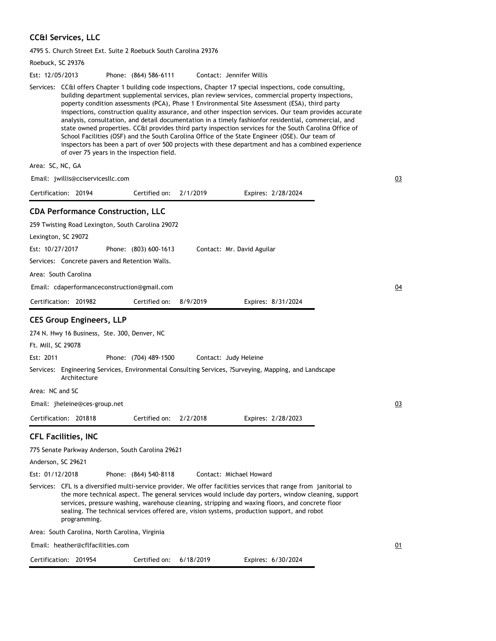# **CC&I Services, LLC**

4795 S. Church Street Ext. Suite 2 Roebuck South Carolina 29376

| Roebuck, SC 29376                                                                                                                                                                                                                                                                                                                                                                                                                                                                                                                                                                                                                                                                                                                                                                                                                                                                                   |    |
|-----------------------------------------------------------------------------------------------------------------------------------------------------------------------------------------------------------------------------------------------------------------------------------------------------------------------------------------------------------------------------------------------------------------------------------------------------------------------------------------------------------------------------------------------------------------------------------------------------------------------------------------------------------------------------------------------------------------------------------------------------------------------------------------------------------------------------------------------------------------------------------------------------|----|
| Est: 12/05/2013<br>Phone: (864) 586-6111<br>Contact: Jennifer Willis                                                                                                                                                                                                                                                                                                                                                                                                                                                                                                                                                                                                                                                                                                                                                                                                                                |    |
| Services: CC&I offers Chapter 1 building code inspections, Chapter 17 special inspections, code consulting,<br>building department supplemental services, plan review services, commercial property inspections,<br>poperty condition assessments (PCA), Phase 1 Environmental Site Assessment (ESA), third party<br>inspections, construction quality assurance, and other inspection services. Our team provides accurate<br>analysis, consultation, and detail documentation in a timely fashionfor residential, commercial, and<br>state owned properties. CC&I provides third party inspection services for the South Carolina Office of<br>School Facilities (OSF) and the South Carolina Office of the State Engineer (OSE). Our team of<br>inspectors has been a part of over 500 projects with these department and has a combined experience<br>of over 75 years in the inspection field. |    |
| Area: SC, NC, GA                                                                                                                                                                                                                                                                                                                                                                                                                                                                                                                                                                                                                                                                                                                                                                                                                                                                                    |    |
| Email: jwillis@cciservicesllc.com                                                                                                                                                                                                                                                                                                                                                                                                                                                                                                                                                                                                                                                                                                                                                                                                                                                                   | 03 |
| Certification: 20194<br>Certified on:<br>2/1/2019<br>Expires: 2/28/2024                                                                                                                                                                                                                                                                                                                                                                                                                                                                                                                                                                                                                                                                                                                                                                                                                             |    |
| <b>CDA Performance Construction, LLC</b><br>259 Twisting Road Lexington, South Carolina 29072<br>Lexington, SC 29072<br>Est: 10/27/2017<br>Phone: (803) 600-1613<br>Contact: Mr. David Aguilar<br>Services: Concrete pavers and Retention Walls.<br>Area: South Carolina                                                                                                                                                                                                                                                                                                                                                                                                                                                                                                                                                                                                                            |    |
| Email: cdaperformanceconstruction@gmail.com                                                                                                                                                                                                                                                                                                                                                                                                                                                                                                                                                                                                                                                                                                                                                                                                                                                         | 04 |
| Certification: 201982<br>Certified on:<br>8/9/2019<br>Expires: 8/31/2024                                                                                                                                                                                                                                                                                                                                                                                                                                                                                                                                                                                                                                                                                                                                                                                                                            |    |
| <b>CES Group Engineers, LLP</b><br>274 N. Hwy 16 Business, Ste. 300, Denver, NC<br>Ft. Mill, SC 29078<br>Est: 2011<br>Phone: (704) 489-1500<br>Contact: Judy Heleine<br>Services: Engineering Services, Environmental Consulting Services, ?Surveying, Mapping, and Landscape<br>Architecture<br>Area: NC and SC<br>Email: jheleine@ces-group.net<br>Expires: 2/28/2023<br>Certification: 201818<br>Certified on: $2/2/2018$                                                                                                                                                                                                                                                                                                                                                                                                                                                                        | 03 |
| <b>CFL Facilities, INC</b><br>775 Senate Parkway Anderson, South Carolina 29621<br>Anderson, SC 29621<br>Est: 01/12/2018<br>Phone: (864) 540-8118<br>Contact: Michael Howard<br>Services:   CFL is a diversified multi-service provider. We offer facilities services that range from  janitorial to<br>the more technical aspect. The general services would include day porters, window cleaning, support<br>services, pressure washing, warehouse cleaning, stripping and waxing floors, and concrete floor<br>sealing. The technical services offered are, vision systems, production support, and robot<br>programming.<br>Area: South Carolina, North Carolina, Virginia                                                                                                                                                                                                                      |    |
| Email: heather@cflfacilities.com                                                                                                                                                                                                                                                                                                                                                                                                                                                                                                                                                                                                                                                                                                                                                                                                                                                                    | 01 |
| Certification: 201954<br>6/18/2019<br>Expires: 6/30/2024<br>Certified on:                                                                                                                                                                                                                                                                                                                                                                                                                                                                                                                                                                                                                                                                                                                                                                                                                           |    |
|                                                                                                                                                                                                                                                                                                                                                                                                                                                                                                                                                                                                                                                                                                                                                                                                                                                                                                     |    |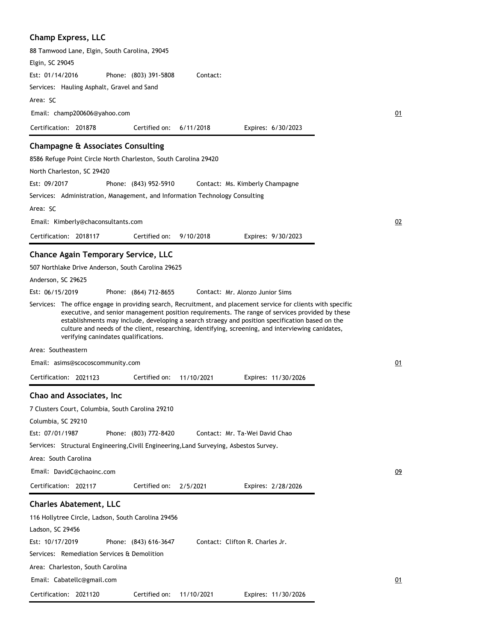| <b>Champ Express, LLC</b>                                                                                                                                                                                                                                                                                                                                                                                                                                        |    |
|------------------------------------------------------------------------------------------------------------------------------------------------------------------------------------------------------------------------------------------------------------------------------------------------------------------------------------------------------------------------------------------------------------------------------------------------------------------|----|
| 88 Tamwood Lane, Elgin, South Carolina, 29045                                                                                                                                                                                                                                                                                                                                                                                                                    |    |
| Elgin, SC 29045                                                                                                                                                                                                                                                                                                                                                                                                                                                  |    |
| Est: 01/14/2016<br>Phone: (803) 391-5808<br>Contact:                                                                                                                                                                                                                                                                                                                                                                                                             |    |
| Services: Hauling Asphalt, Gravel and Sand                                                                                                                                                                                                                                                                                                                                                                                                                       |    |
| Area: SC                                                                                                                                                                                                                                                                                                                                                                                                                                                         |    |
| Email: champ200606@yahoo.com                                                                                                                                                                                                                                                                                                                                                                                                                                     | 01 |
| Certification: 201878<br>Certified on:<br>6/11/2018<br>Expires: 6/30/2023                                                                                                                                                                                                                                                                                                                                                                                        |    |
| <b>Champagne &amp; Associates Consulting</b>                                                                                                                                                                                                                                                                                                                                                                                                                     |    |
| 8586 Refuge Point Circle North Charleston, South Carolina 29420                                                                                                                                                                                                                                                                                                                                                                                                  |    |
| North Charleston, SC 29420                                                                                                                                                                                                                                                                                                                                                                                                                                       |    |
| Est: 09/2017<br>Phone: (843) 952-5910<br>Contact: Ms. Kimberly Champagne                                                                                                                                                                                                                                                                                                                                                                                         |    |
| Services: Administration, Management, and Information Technology Consulting                                                                                                                                                                                                                                                                                                                                                                                      |    |
| Area: SC                                                                                                                                                                                                                                                                                                                                                                                                                                                         |    |
| Email: Kimberly@chaconsultants.com                                                                                                                                                                                                                                                                                                                                                                                                                               | 02 |
| Certification: 2018117<br>Certified on:<br>9/10/2018<br>Expires: 9/30/2023                                                                                                                                                                                                                                                                                                                                                                                       |    |
|                                                                                                                                                                                                                                                                                                                                                                                                                                                                  |    |
| <b>Chance Again Temporary Service, LLC</b>                                                                                                                                                                                                                                                                                                                                                                                                                       |    |
| 507 Northlake Drive Anderson, South Carolina 29625                                                                                                                                                                                                                                                                                                                                                                                                               |    |
| Anderson, SC 29625                                                                                                                                                                                                                                                                                                                                                                                                                                               |    |
| Est: 06/15/2019<br>Phone: (864) 712-8655<br>Contact: Mr. Alonzo Junior Sims                                                                                                                                                                                                                                                                                                                                                                                      |    |
| Services: The office engage in providing search, Recruitment, and placement service for clients with specific<br>executive, and senior management position requirements. The range of services provided by these<br>establishments may include, developing a search straegy and position specification based on the<br>culture and needs of the client, researching, identifying, screening, and interviewing canidates,<br>verifying canindates qualifications. |    |
| Area: Southeastern                                                                                                                                                                                                                                                                                                                                                                                                                                               |    |
| Email: asims@scocoscommunity.com                                                                                                                                                                                                                                                                                                                                                                                                                                 | 01 |
| Certification: 2021123<br>Certified on:<br>11/10/2021<br>Expires: 11/30/2026                                                                                                                                                                                                                                                                                                                                                                                     |    |
| Chao and Associates, Inc                                                                                                                                                                                                                                                                                                                                                                                                                                         |    |
| 7 Clusters Court, Columbia, South Carolina 29210                                                                                                                                                                                                                                                                                                                                                                                                                 |    |
| Columbia, SC 29210                                                                                                                                                                                                                                                                                                                                                                                                                                               |    |
| Est: 07/01/1987<br>Phone: (803) 772-8420<br>Contact: Mr. Ta-Wei David Chao                                                                                                                                                                                                                                                                                                                                                                                       |    |
| Services: Structural Engineering, Civill Engineering, Land Surveying, Asbestos Survey.                                                                                                                                                                                                                                                                                                                                                                           |    |
| Area: South Carolina                                                                                                                                                                                                                                                                                                                                                                                                                                             |    |
| Email: DavidC@chaoinc.com                                                                                                                                                                                                                                                                                                                                                                                                                                        | 09 |
| Certification: 202117<br>Certified on:<br>2/5/2021<br>Expires: 2/28/2026                                                                                                                                                                                                                                                                                                                                                                                         |    |
| <b>Charles Abatement, LLC</b>                                                                                                                                                                                                                                                                                                                                                                                                                                    |    |
| 116 Hollytree Circle, Ladson, South Carolina 29456                                                                                                                                                                                                                                                                                                                                                                                                               |    |
| Ladson, SC 29456                                                                                                                                                                                                                                                                                                                                                                                                                                                 |    |
| Est: 10/17/2019<br>Phone: (843) 616-3647<br>Contact: Clifton R. Charles Jr.                                                                                                                                                                                                                                                                                                                                                                                      |    |
| Services: Remediation Services & Demolition                                                                                                                                                                                                                                                                                                                                                                                                                      |    |
| Area: Charleston, South Carolina                                                                                                                                                                                                                                                                                                                                                                                                                                 |    |
| Email: Cabatellc@gmail.com                                                                                                                                                                                                                                                                                                                                                                                                                                       | 01 |
|                                                                                                                                                                                                                                                                                                                                                                                                                                                                  |    |
| Certification: 2021120<br>Certified on:<br>11/10/2021<br>Expires: 11/30/2026                                                                                                                                                                                                                                                                                                                                                                                     |    |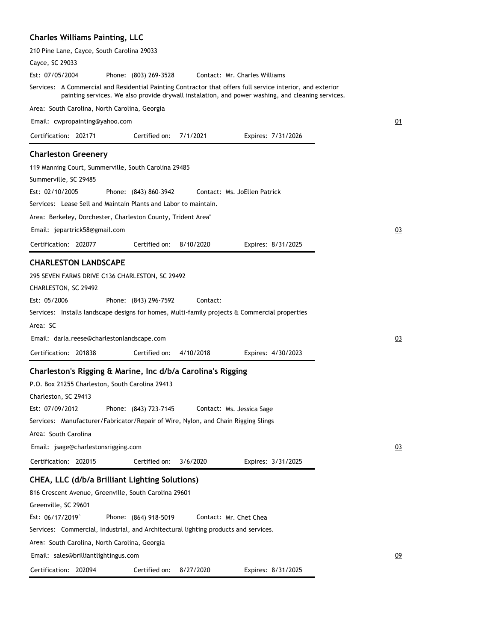# **Charles Williams Painting, LLC**

| 210 Pine Lane, Cayce, South Carolina 29033                                                                                                                                                                      |    |
|-----------------------------------------------------------------------------------------------------------------------------------------------------------------------------------------------------------------|----|
| Cayce, SC 29033                                                                                                                                                                                                 |    |
| Est: 07/05/2004<br>Phone: (803) 269-3528<br>Contact: Mr. Charles Williams                                                                                                                                       |    |
| Services: A Commercial and Residential Painting Contractor that offers full service interior, and exterior<br>painting services. We also provide drywall instalation, and power washing, and cleaning services. |    |
| Area: South Carolina, North Carolina, Georgia                                                                                                                                                                   |    |
| Email: cwpropainting@yahoo.com                                                                                                                                                                                  | 01 |
| Certification: 202171<br>Certified on:<br>7/1/2021<br>Expires: 7/31/2026                                                                                                                                        |    |
| <b>Charleston Greenery</b>                                                                                                                                                                                      |    |
| 119 Manning Court, Summerville, South Carolina 29485                                                                                                                                                            |    |
| Summerville, SC 29485                                                                                                                                                                                           |    |
| Est: 02/10/2005<br>Contact: Ms. JoEllen Patrick<br>Phone: (843) 860-3942                                                                                                                                        |    |
| Services: Lease Sell and Maintain Plants and Labor to maintain.                                                                                                                                                 |    |
| Area: Berkeley, Dorchester, Charleston County, Trident Area"                                                                                                                                                    |    |
| Email: jepartrick58@gmail.com                                                                                                                                                                                   | 03 |
|                                                                                                                                                                                                                 |    |
| Certification: 202077<br>Certified on:<br>8/10/2020<br>Expires: 8/31/2025                                                                                                                                       |    |
| <b>CHARLESTON LANDSCAPE</b>                                                                                                                                                                                     |    |
| 295 SEVEN FARMS DRIVE C136 CHARLESTON, SC 29492                                                                                                                                                                 |    |
| CHARLESTON, SC 29492                                                                                                                                                                                            |    |
| Est: 05/2006<br>Phone: (843) 296-7592<br>Contact:                                                                                                                                                               |    |
| Services: Installs landscape designs for homes, Multi-family projects & Commercial properties                                                                                                                   |    |
| Area: SC                                                                                                                                                                                                        |    |
| Email: darla.reese@charlestonlandscape.com                                                                                                                                                                      | 03 |
| Certification: 201838<br>Certified on:<br>4/10/2018<br>Expires: 4/30/2023                                                                                                                                       |    |
| Charleston's Rigging & Marine, Inc d/b/a Carolina's Rigging                                                                                                                                                     |    |
|                                                                                                                                                                                                                 |    |
| P.O. Box 21255 Charleston, South Carolina 29413                                                                                                                                                                 |    |
| Charleston, SC 29413<br>Est: 07/09/2012                                                                                                                                                                         |    |
| Phone: (843) 723-7145<br>Contact: Ms. Jessica Sage                                                                                                                                                              |    |
| Services: Manufacturer/Fabricator/Repair of Wire, Nylon, and Chain Rigging Slings                                                                                                                               |    |
| Area: South Carolina                                                                                                                                                                                            |    |
| Email: jsage@charlestonsrigging.com                                                                                                                                                                             | 03 |
| Certification: 202015<br>Certified on:<br>3/6/2020<br>Expires: 3/31/2025                                                                                                                                        |    |
| CHEA, LLC (d/b/a Brilliant Lighting Solutions)                                                                                                                                                                  |    |
| 816 Crescent Avenue, Greenville, South Carolina 29601                                                                                                                                                           |    |
| Greenville, SC 29601                                                                                                                                                                                            |    |
| Est: 06/17/2019<br>Phone: (864) 918-5019<br>Contact: Mr. Chet Chea                                                                                                                                              |    |
| Services: Commercial, Industrial, and Architectural lighting products and services.                                                                                                                             |    |
| Area: South Carolina, North Carolina, Georgia                                                                                                                                                                   |    |
| Email: sales@brilliantlightingus.com                                                                                                                                                                            | 09 |
| Certification: 202094<br>Certified on:<br>Expires: 8/31/2025<br>8/27/2020                                                                                                                                       |    |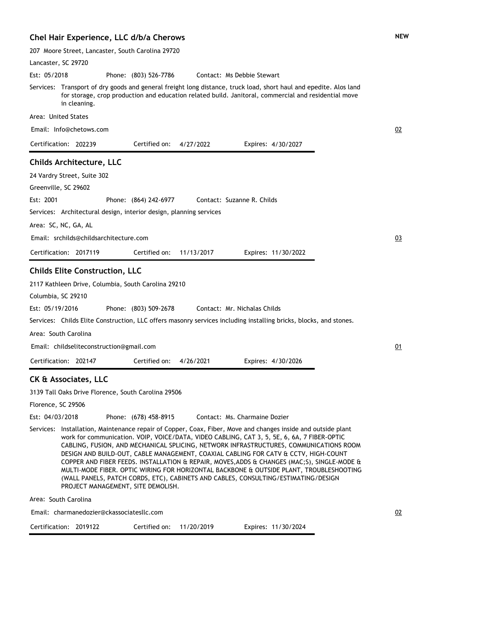#### **Chel Hair Experience, LLC d/b/a Cherows**

207 Moore Street, Lancaster, South Carolina 29720

Lancaster, SC 29720 Phone: (803) 526-7786 Services: Transport of dry goods and general freight long distance, truck load, short haul and epedite. Alos land for storage, crop production and education related build. Janitoral, commercial and residential move in cleaning. Area: United States Est: 05/2018 Certification: 202239 Contact: Ms Debbie Stewart Email: Info@chetows.com Expires: 4/30/2027 02 Certified on: 4/27/2022 **Childs Architecture, LLC** 24 Vardry Street, Suite 302 Greenville, SC 29602 Phone: (864) 242-6977 Services: Architectural design, interior design, planning services Area: SC, NC, GA, AL Est: 2001 Certification: 2017119 Contact: Suzanne R. Childs Email: srchilds@childsarchitecture.com Expires: 11/30/2022 03 Certified on: 11/13/2017 **Childs Elite Construction, LLC** 2117 Kathleen Drive, Columbia, South Carolina 29210 Columbia, SC 29210 Phone: (803) 509-2678 Services: Childs Elite Construction, LLC offers masonry services including installing bricks, blocks, and stones. Area: South Carolina Est: 05/19/2016 Certification: 202147 Contact: Mr. Nichalas Childs Email: childseliteconstruction@gmail.com Expires: 4/30/2026 01 Certified on: 4/26/2021 **CK & Associates, LLC** 3139 Tall Oaks Drive Florence, South Carolina 29506 Florence, SC 29506 Phone: (678) 458-8915 Services: Installation, Maintenance repair of Copper, Coax, Fiber, Move and changes inside and outside plant work for communication. VOIP, VOICE/DATA, VIDEO CABLING, CAT 3, 5, 5E, 6, 6A, 7 FIBER-OPTIC CABLING, FUSION, AND MECHANICAL SPLICING, NETWORK INFRASTRUCTURES, COMMUNICATIONS ROOM DESIGN AND BUILD-OUT, CABLE MANAGEMENT, COAXIAL CABLING FOR CATV & CCTV, HIGH-COUNT COPPER AND FIBER FEEDS. INSTALLATION & REPAIR, MOVES,ADDS & CHANGES (MAC;S), SINGLE-MODE & MULTI-MODE FIBER. OPTIC WIRING FOR HORIZONTAL BACKBONE & OUTSIDE PLANT, TROUBLESHOOTING (WALL PANELS, PATCH CORDS, ETC), CABINETS AND CABLES, CONSULTING/ESTIMATING/DESIGN PROJECT MANAGEMENT, SITE DEMOLISH. Area: South Carolina Est: 04/03/2018 Contact: Ms. Charmaine Dozier

Email: charmanedozier@ckassociatesllc.com

| Certification: 2019122 |  | Certified on: 11/20/2019 |  | Expires: 11/30/2024 |
|------------------------|--|--------------------------|--|---------------------|
|------------------------|--|--------------------------|--|---------------------|

02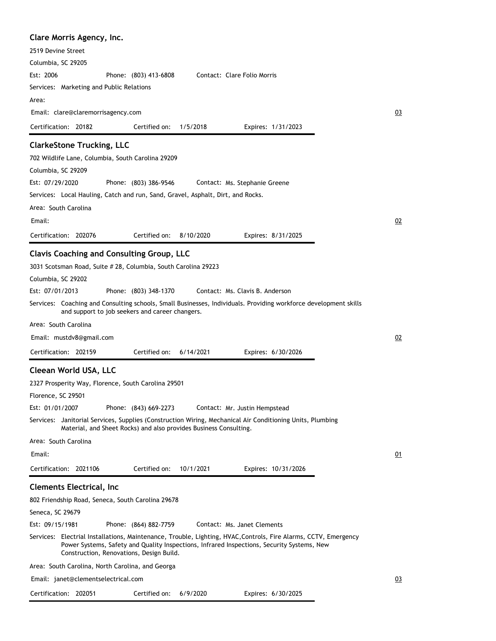| Clare Morris Agency, Inc.                                                                                                                                                                                                                                 |    |
|-----------------------------------------------------------------------------------------------------------------------------------------------------------------------------------------------------------------------------------------------------------|----|
| 2519 Devine Street                                                                                                                                                                                                                                        |    |
| Columbia, SC 29205                                                                                                                                                                                                                                        |    |
| Est: 2006<br>Contact: Clare Folio Morris<br>Phone: (803) 413-6808                                                                                                                                                                                         |    |
| Services: Marketing and Public Relations                                                                                                                                                                                                                  |    |
| Area:                                                                                                                                                                                                                                                     |    |
| Email: clare@claremorrisagency.com                                                                                                                                                                                                                        | 03 |
| Certification: 20182<br>Certified on:<br>1/5/2018<br>Expires: 1/31/2023                                                                                                                                                                                   |    |
| <b>ClarkeStone Trucking, LLC</b>                                                                                                                                                                                                                          |    |
| 702 Wildlife Lane, Columbia, South Carolina 29209                                                                                                                                                                                                         |    |
| Columbia, SC 29209                                                                                                                                                                                                                                        |    |
| Est: 07/29/2020<br>Phone: (803) 386-9546<br>Contact: Ms. Stephanie Greene                                                                                                                                                                                 |    |
| Services: Local Hauling, Catch and run, Sand, Gravel, Asphalt, Dirt, and Rocks.                                                                                                                                                                           |    |
| Area: South Carolina                                                                                                                                                                                                                                      |    |
| Email:                                                                                                                                                                                                                                                    | 02 |
|                                                                                                                                                                                                                                                           |    |
| Certification: 202076<br>Certified on:<br>8/10/2020<br>Expires: 8/31/2025                                                                                                                                                                                 |    |
| <b>Clavis Coaching and Consulting Group, LLC</b>                                                                                                                                                                                                          |    |
| 3031 Scotsman Road, Suite # 28, Columbia, South Carolina 29223                                                                                                                                                                                            |    |
| Columbia, SC 29202                                                                                                                                                                                                                                        |    |
| Est: 07/01/2013<br>Phone: (803) 348-1370<br>Contact: Ms. Clavis B. Anderson                                                                                                                                                                               |    |
| Services: Coaching and Consulting schools, Small Businesses, Individuals. Providing workforce development skills<br>and support to job seekers and career changers.                                                                                       |    |
| Area: South Carolina                                                                                                                                                                                                                                      |    |
| Email: mustdv8@gmail.com                                                                                                                                                                                                                                  | 02 |
| Certification: 202159<br>Certified on:<br>Expires: 6/30/2026<br>6/14/2021                                                                                                                                                                                 |    |
| Cleean World USA, LLC                                                                                                                                                                                                                                     |    |
| 2327 Prosperity Way, Florence, South Carolina 29501                                                                                                                                                                                                       |    |
| Florence, SC 29501                                                                                                                                                                                                                                        |    |
| Est: 01/01/2007<br>Phone: (843) 669-2273<br>Contact: Mr. Justin Hempstead                                                                                                                                                                                 |    |
| Services: Janitorial Services, Supplies (Construction Wiring, Mechanical Air Conditioning Units, Plumbing<br>Material, and Sheet Rocks) and also provides Business Consulting.                                                                            |    |
| Area: South Carolina                                                                                                                                                                                                                                      |    |
| Email:                                                                                                                                                                                                                                                    | 01 |
| Certified on:<br>Certification: 2021106<br>10/1/2021<br>Expires: 10/31/2026                                                                                                                                                                               |    |
| <b>Clements Electrical, Inc</b>                                                                                                                                                                                                                           |    |
| 802 Friendship Road, Seneca, South Carolina 29678                                                                                                                                                                                                         |    |
| Seneca, SC 29679                                                                                                                                                                                                                                          |    |
| Est: 09/15/1981<br>Phone: (864) 882-7759<br>Contact: Ms. Janet Clements                                                                                                                                                                                   |    |
| Services: Electrial Installations, Maintenance, Trouble, Lighting, HVAC, Controls, Fire Alarms, CCTV, Emergency<br>Power Systems, Safety and Quality Inspections, Infrared Inspections, Security Systems, New<br>Construction, Renovations, Design Build. |    |
| Area: South Carolina, North Carolina, and Georga                                                                                                                                                                                                          |    |
| Email: janet@clementselectrical.com                                                                                                                                                                                                                       | 03 |
| Certified on:<br>Certification: 202051<br>6/9/2020<br>Expires: 6/30/2025                                                                                                                                                                                  |    |
|                                                                                                                                                                                                                                                           |    |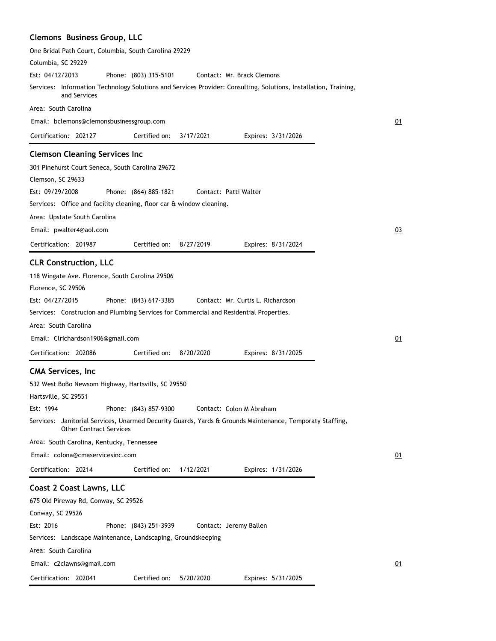## **Clemons Business Group, LLC**

| One Bridal Path Court, Columbia, South Carolina 29229                                                                                         |    |
|-----------------------------------------------------------------------------------------------------------------------------------------------|----|
| Columbia, SC 29229                                                                                                                            |    |
| Est: 04/12/2013<br>Phone: (803) 315-5101<br>Contact: Mr. Brack Clemons                                                                        |    |
| Services: Information Technology Solutions and Services Provider: Consulting, Solutions, Installation, Training,<br>and Services              |    |
| Area: South Carolina                                                                                                                          |    |
| Email: bclemons@clemonsbusinessgroup.com                                                                                                      | 01 |
| Certification: 202127<br>Certified on:<br>3/17/2021<br>Expires: 3/31/2026                                                                     |    |
| <b>Clemson Cleaning Services Inc</b>                                                                                                          |    |
| 301 Pinehurst Court Seneca, South Carolina 29672                                                                                              |    |
| Clemson, SC 29633                                                                                                                             |    |
| Est: 09/29/2008<br>Phone: (864) 885-1821<br>Contact: Patti Walter                                                                             |    |
| Services: Office and facility cleaning, floor car & window cleaning.                                                                          |    |
| Area: Upstate South Carolina                                                                                                                  |    |
| Email: pwalter4@aol.com                                                                                                                       | 03 |
| Certification: 201987<br>Certified on:<br>8/27/2019<br>Expires: 8/31/2024                                                                     |    |
|                                                                                                                                               |    |
| <b>CLR Construction, LLC</b>                                                                                                                  |    |
| 118 Wingate Ave. Florence, South Carolina 29506                                                                                               |    |
| Florence, SC 29506                                                                                                                            |    |
| Est: 04/27/2015<br>Phone: (843) 617-3385<br>Contact: Mr. Curtis L. Richardson                                                                 |    |
| Services: Construcion and Plumbing Services for Commercial and Residential Properties.                                                        |    |
| Area: South Carolina                                                                                                                          |    |
| Email: Clrichardson1906@gmail.com                                                                                                             | 01 |
| Certification: 202086<br>Certified on:<br>8/20/2020<br>Expires: 8/31/2025                                                                     |    |
| <b>CMA Services, Inc.</b>                                                                                                                     |    |
| 532 West BoBo Newsom Highway, Hartsvills, SC 29550                                                                                            |    |
| Hartsville, SC 29551                                                                                                                          |    |
| Est: 1994<br>Phone: (843) 857-9300<br>Contact: Colon M Abraham                                                                                |    |
| Janitorial Services, Unarmed Decurity Guards, Yards & Grounds Maintenance, Temporaty Staffing,<br>Services:<br><b>Other Contract Services</b> |    |
| Area: South Carolina, Kentucky, Tennessee                                                                                                     |    |
| Email: colona@cmaservicesinc.com                                                                                                              | 01 |
| Certification: 20214<br>Certified on:<br>1/12/2021<br>Expires: 1/31/2026                                                                      |    |
| Coast 2 Coast Lawns, LLC                                                                                                                      |    |
| 675 Old Pireway Rd, Conway, SC 29526                                                                                                          |    |
| Conway, SC 29526                                                                                                                              |    |
| Est: 2016<br>Phone: (843) 251-3939<br>Contact: Jeremy Ballen                                                                                  |    |
| Services: Landscape Maintenance, Landscaping, Groundskeeping                                                                                  |    |
| Area: South Carolina                                                                                                                          |    |
| Email: c2clawns@gmail.com                                                                                                                     | 01 |
| Certified on:<br>Certification: 202041<br>5/20/2020<br>Expires: 5/31/2025                                                                     |    |
|                                                                                                                                               |    |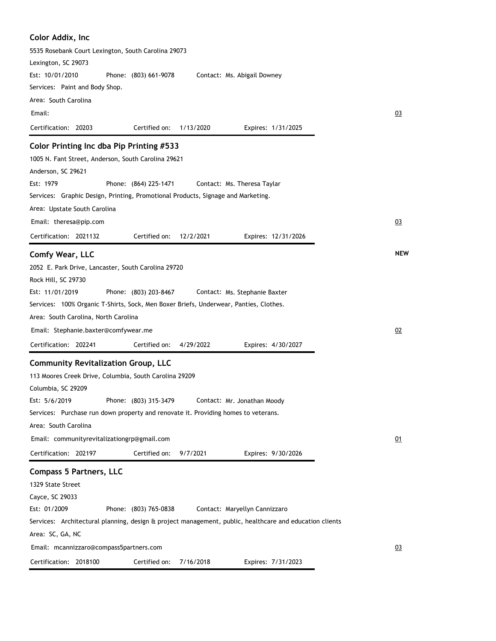| Color Addix, Inc                                                                                        |            |
|---------------------------------------------------------------------------------------------------------|------------|
| 5535 Rosebank Court Lexington, South Carolina 29073                                                     |            |
| Lexington, SC 29073                                                                                     |            |
| Est: 10/01/2010<br>Phone: (803) 661-9078<br>Contact: Ms. Abigail Downey                                 |            |
| Services: Paint and Body Shop.                                                                          |            |
| Area: South Carolina                                                                                    |            |
| Email:                                                                                                  | 03         |
| Certification: 20203<br>Certified on:<br>1/13/2020<br>Expires: 1/31/2025                                |            |
| Color Printing Inc dba Pip Printing #533                                                                |            |
| 1005 N. Fant Street, Anderson, South Carolina 29621                                                     |            |
| Anderson, SC 29621                                                                                      |            |
| Est: 1979<br>Phone: (864) 225-1471<br>Contact: Ms. Theresa Taylar                                       |            |
| Services: Graphic Design, Printing, Promotional Products, Signage and Marketing.                        |            |
| Area: Upstate South Carolina                                                                            |            |
| Email: theresa@pip.com                                                                                  | 03         |
| Certification: 2021132<br>Certified on:<br>12/2/2021<br>Expires: 12/31/2026                             |            |
| Comfy Wear, LLC                                                                                         | <b>NEW</b> |
| 2052 E. Park Drive, Lancaster, South Carolina 29720                                                     |            |
| Rock Hill, SC 29730                                                                                     |            |
| Est: 11/01/2019<br>Phone: (803) 203-8467<br>Contact: Ms. Stephanie Baxter                               |            |
| Services: 100% Organic T-Shirts, Sock, Men Boxer Briefs, Underwear, Panties, Clothes.                   |            |
| Area: South Carolina, North Carolina                                                                    |            |
| Email: Stephanie.baxter@comfywear.me                                                                    | 02         |
|                                                                                                         |            |
| Certification: 202241<br>Certified on:<br>4/29/2022<br>Expires: 4/30/2027                               |            |
| <b>Community Revitalization Group, LLC</b>                                                              |            |
| 113 Moores Creek Drive, Columbia, South Carolina 29209                                                  |            |
| Columbia, SC 29209                                                                                      |            |
| Phone: (803) 315-3479<br>Est: 5/6/2019<br>Contact: Mr. Jonathan Moody                                   |            |
| Services: Purchase run down property and renovate it. Providing homes to veterans.                      |            |
| Area: South Carolina                                                                                    |            |
| Email: communityrevitalizationgrp@gmail.com                                                             | 01         |
| Certification: 202197<br>Certified on:<br>9/7/2021<br>Expires: 9/30/2026                                |            |
| <b>Compass 5 Partners, LLC</b>                                                                          |            |
| 1329 State Street                                                                                       |            |
| Cayce, SC 29033                                                                                         |            |
| Est: 01/2009<br>Phone: (803) 765-0838<br>Contact: Maryellyn Cannizzaro                                  |            |
| Services: Architectural planning, design & project management, public, healthcare and education clients |            |
| Area: SC, GA, NC                                                                                        |            |
| Email: mcannizzaro@compass5partners.com                                                                 | 03         |
| Certification: 2018100<br>Certified on:<br>7/16/2018<br>Expires: 7/31/2023                              |            |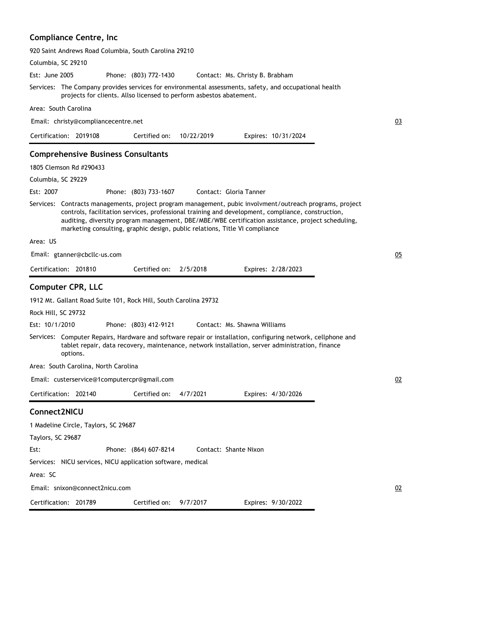## **Compliance Centre, Inc**

|                     |                                           | 920 Saint Andrews Road Columbia, South Carolina 29210               |            |                                                                                                                                                                                                                                                                                                                                                                                                   |    |
|---------------------|-------------------------------------------|---------------------------------------------------------------------|------------|---------------------------------------------------------------------------------------------------------------------------------------------------------------------------------------------------------------------------------------------------------------------------------------------------------------------------------------------------------------------------------------------------|----|
| Columbia, SC 29210  |                                           |                                                                     |            |                                                                                                                                                                                                                                                                                                                                                                                                   |    |
| Est: June 2005      |                                           | Phone: (803) 772-1430                                               |            | Contact: Ms. Christy B. Brabham                                                                                                                                                                                                                                                                                                                                                                   |    |
|                     |                                           | projects for clients. Allso licensed to perform asbestos abatement. |            | Services: The Company provides services for environmental assessments, safety, and occupational health                                                                                                                                                                                                                                                                                            |    |
|                     | Area: South Carolina                      |                                                                     |            |                                                                                                                                                                                                                                                                                                                                                                                                   |    |
|                     | Email: christy@compliancecentre.net       |                                                                     |            |                                                                                                                                                                                                                                                                                                                                                                                                   | 03 |
|                     | Certification: 2019108                    | Certified on:                                                       | 10/22/2019 | Expires: 10/31/2024                                                                                                                                                                                                                                                                                                                                                                               |    |
|                     | <b>Comprehensive Business Consultants</b> |                                                                     |            |                                                                                                                                                                                                                                                                                                                                                                                                   |    |
|                     | 1805 Clemson Rd #290433                   |                                                                     |            |                                                                                                                                                                                                                                                                                                                                                                                                   |    |
| Columbia, SC 29229  |                                           |                                                                     |            |                                                                                                                                                                                                                                                                                                                                                                                                   |    |
| Est: 2007           |                                           | Phone: (803) 733-1607                                               |            | Contact: Gloria Tanner                                                                                                                                                                                                                                                                                                                                                                            |    |
|                     |                                           |                                                                     |            | Services: Contracts managements, project program management, pubic involvment/outreach programs, project<br>controls, facilitation services, professional training and development, compliance, construction,<br>auditing, diversity program management, DBE/MBE/WBE certification assistance, project scheduling,<br>marketing consulting, graphic design, public relations, Title VI compliance |    |
| Area: US            |                                           |                                                                     |            |                                                                                                                                                                                                                                                                                                                                                                                                   |    |
|                     | Email: gtanner@cbcllc-us.com              |                                                                     |            |                                                                                                                                                                                                                                                                                                                                                                                                   | 05 |
|                     | Certification: 201810                     | Certified on:                                                       | 2/5/2018   | Expires: 2/28/2023                                                                                                                                                                                                                                                                                                                                                                                |    |
|                     | <b>Computer CPR, LLC</b>                  | 1912 Mt. Gallant Road Suite 101, Rock Hill, South Carolina 29732    |            |                                                                                                                                                                                                                                                                                                                                                                                                   |    |
| Rock Hill, SC 29732 |                                           |                                                                     |            |                                                                                                                                                                                                                                                                                                                                                                                                   |    |
| Est: 10/1/2010      |                                           | Phone: (803) 412-9121                                               |            | Contact: Ms. Shawna Williams                                                                                                                                                                                                                                                                                                                                                                      |    |
|                     | options.                                  |                                                                     |            | Services: Computer Repairs, Hardware and software repair or installation, configuring network, cellphone and<br>tablet repair, data recovery, maintenance, network installation, server administration, finance                                                                                                                                                                                   |    |
|                     | Area: South Carolina, North Carolina      |                                                                     |            |                                                                                                                                                                                                                                                                                                                                                                                                   |    |
|                     |                                           | Email: custerservice@1computercpr@gmail.com                         |            |                                                                                                                                                                                                                                                                                                                                                                                                   | 02 |
|                     | Certification: 202140                     | Certified on:                                                       | 4/7/2021   | Expires: 4/30/2026                                                                                                                                                                                                                                                                                                                                                                                |    |
| Connect2NICU        |                                           |                                                                     |            |                                                                                                                                                                                                                                                                                                                                                                                                   |    |
|                     | 1 Madeline Circle, Taylors, SC 29687      |                                                                     |            |                                                                                                                                                                                                                                                                                                                                                                                                   |    |
| Taylors, SC 29687   |                                           |                                                                     |            |                                                                                                                                                                                                                                                                                                                                                                                                   |    |
| Est:                |                                           | Phone: (864) 607-8214                                               |            | Contact: Shante Nixon                                                                                                                                                                                                                                                                                                                                                                             |    |
|                     |                                           | Services: NICU services, NICU application software, medical         |            |                                                                                                                                                                                                                                                                                                                                                                                                   |    |
| Area: SC            |                                           |                                                                     |            |                                                                                                                                                                                                                                                                                                                                                                                                   |    |
|                     | Email: snixon@connect2nicu.com            |                                                                     |            |                                                                                                                                                                                                                                                                                                                                                                                                   | 02 |
|                     | Certification: 201789                     | Certified on:                                                       | 9/7/2017   | Expires: 9/30/2022                                                                                                                                                                                                                                                                                                                                                                                |    |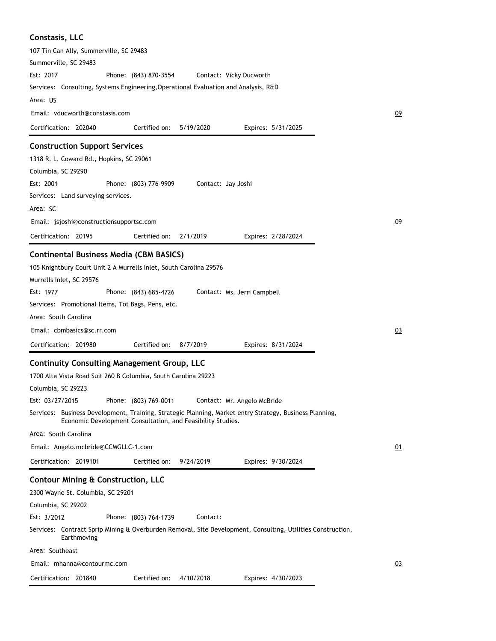| Constasis, LLC                                                                                                                                                         |    |
|------------------------------------------------------------------------------------------------------------------------------------------------------------------------|----|
| 107 Tin Can Ally, Summerville, SC 29483                                                                                                                                |    |
| Summerville, SC 29483                                                                                                                                                  |    |
| Est: 2017<br>Phone: (843) 870-3554<br>Contact: Vicky Ducworth                                                                                                          |    |
| Services: Consulting, Systems Engineering, Operational Evaluation and Analysis, R&D                                                                                    |    |
| Area: US                                                                                                                                                               |    |
| Email: vducworth@constasis.com                                                                                                                                         | 09 |
| Certification: 202040<br>Certified on:<br>5/19/2020<br>Expires: 5/31/2025                                                                                              |    |
| <b>Construction Support Services</b>                                                                                                                                   |    |
| 1318 R. L. Coward Rd., Hopkins, SC 29061                                                                                                                               |    |
| Columbia, SC 29290                                                                                                                                                     |    |
| Est: 2001<br>Phone: (803) 776-9909<br>Contact: Jay Joshi                                                                                                               |    |
| Services: Land surveying services.                                                                                                                                     |    |
| Area: SC                                                                                                                                                               |    |
| Email: jsjoshi@constructionsupportsc.com                                                                                                                               | 09 |
| Certification: 20195<br>2/1/2019<br>Certified on:<br>Expires: 2/28/2024                                                                                                |    |
|                                                                                                                                                                        |    |
| <b>Continental Business Media (CBM BASICS)</b>                                                                                                                         |    |
| 105 Knightbury Court Unit 2 A Murrells Inlet, South Carolina 29576                                                                                                     |    |
| Murrells Inlet, SC 29576                                                                                                                                               |    |
| Est: 1977<br>Phone: (843) 685-4726<br>Contact: Ms. Jerri Campbell                                                                                                      |    |
| Services: Promotional Items, Tot Bags, Pens, etc.                                                                                                                      |    |
| Area: South Carolina                                                                                                                                                   |    |
| Email: cbmbasics@sc.rr.com                                                                                                                                             | 03 |
| Certified on:<br>Certification: 201980<br>8/7/2019<br>Expires: 8/31/2024                                                                                               |    |
| <b>Continuity Consulting Management Group, LLC</b>                                                                                                                     |    |
| 1700 Alta Vista Road Suit 260 B Columbia, South Carolina 29223                                                                                                         |    |
| Columbia, SC 29223                                                                                                                                                     |    |
| Est: 03/27/2015<br>Phone: (803) 769-0011<br>Contact: Mr. Angelo McBride                                                                                                |    |
| Services: Business Development, Training, Strategic Planning, Market entry Strategy, Business Planning,<br>Economic Development Consultation, and Feasibility Studies. |    |
| Area: South Carolina                                                                                                                                                   |    |
| Email: Angelo.mcbride@CCMGLLC-1.com                                                                                                                                    | 01 |
| Certification: 2019101<br>Certified on:<br>9/24/2019<br>Expires: 9/30/2024                                                                                             |    |
| Contour Mining & Construction, LLC                                                                                                                                     |    |
| 2300 Wayne St. Columbia, SC 29201                                                                                                                                      |    |
| Columbia, SC 29202                                                                                                                                                     |    |
| Est: 3/2012<br>Phone: (803) 764-1739<br>Contact:                                                                                                                       |    |
| Services: Contract Sprip Mining & Overburden Removal, Site Development, Consulting, Utilities Construction,<br>Earthmoving                                             |    |
| Area: Southeast                                                                                                                                                        |    |
| Email: mhanna@contourmc.com                                                                                                                                            | 03 |
| Certification: 201840<br>Certified on:<br>4/10/2018<br>Expires: 4/30/2023                                                                                              |    |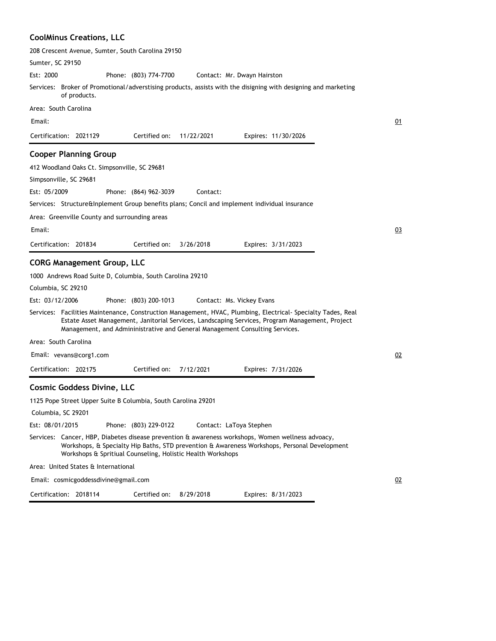#### **CoolMinus Creations, LLC**

|                      |                                               | 208 Crescent Avenue, Sumter, South Carolina 29150             |                                                             |                                                                                                                                                                                                                                                                                                |  |
|----------------------|-----------------------------------------------|---------------------------------------------------------------|-------------------------------------------------------------|------------------------------------------------------------------------------------------------------------------------------------------------------------------------------------------------------------------------------------------------------------------------------------------------|--|
| Sumter, SC 29150     |                                               |                                                               |                                                             |                                                                                                                                                                                                                                                                                                |  |
| Est: 2000            |                                               | Phone: (803) 774-7700                                         |                                                             | Contact: Mr. Dwayn Hairston                                                                                                                                                                                                                                                                    |  |
|                      | of products.                                  |                                                               |                                                             | Services: Broker of Promotional/adverstising products, assists with the disigning with designing and marketing                                                                                                                                                                                 |  |
| Area: South Carolina |                                               |                                                               |                                                             |                                                                                                                                                                                                                                                                                                |  |
| Email:               |                                               |                                                               |                                                             |                                                                                                                                                                                                                                                                                                |  |
|                      | Certification: 2021129                        | Certified on:                                                 | 11/22/2021                                                  | Expires: 11/30/2026                                                                                                                                                                                                                                                                            |  |
|                      | <b>Cooper Planning Group</b>                  |                                                               |                                                             |                                                                                                                                                                                                                                                                                                |  |
|                      | 412 Woodland Oaks Ct. Simpsonville, SC 29681  |                                                               |                                                             |                                                                                                                                                                                                                                                                                                |  |
|                      | Simpsonville, SC 29681                        |                                                               |                                                             |                                                                                                                                                                                                                                                                                                |  |
| Est: 05/2009         |                                               | Phone: (864) 962-3039                                         | Contact:                                                    |                                                                                                                                                                                                                                                                                                |  |
|                      |                                               |                                                               |                                                             | Services: Structure&Inplement Group benefits plans; Concil and implement individual insurance                                                                                                                                                                                                  |  |
|                      | Area: Greenville County and surrounding areas |                                                               |                                                             |                                                                                                                                                                                                                                                                                                |  |
| Email:               |                                               |                                                               |                                                             |                                                                                                                                                                                                                                                                                                |  |
|                      | Certification: 201834                         | Certified on:                                                 | 3/26/2018                                                   | Expires: 3/31/2023                                                                                                                                                                                                                                                                             |  |
|                      | <b>CORG Management Group, LLC</b>             |                                                               |                                                             |                                                                                                                                                                                                                                                                                                |  |
|                      |                                               | 1000 Andrews Road Suite D, Columbia, South Carolina 29210     |                                                             |                                                                                                                                                                                                                                                                                                |  |
| Columbia, SC 29210   |                                               |                                                               |                                                             |                                                                                                                                                                                                                                                                                                |  |
| Est: 03/12/2006      |                                               | Phone: (803) 200-1013                                         |                                                             | Contact: Ms. Vickey Evans                                                                                                                                                                                                                                                                      |  |
|                      |                                               |                                                               |                                                             | Services: Facilities Maintenance, Construction Management, HVAC, Plumbing, Electrical-Specialty Tades, Real<br>Estate Asset Management, Janitorial Services, Landscaping Services, Program Management, Project<br>Management, and Admininistrative and General Management Consulting Services. |  |
| Area: South Carolina |                                               |                                                               |                                                             |                                                                                                                                                                                                                                                                                                |  |
|                      | Email: vevans@corg1.com                       |                                                               |                                                             |                                                                                                                                                                                                                                                                                                |  |
|                      | Certification: 202175                         | Certified on:                                                 | 7/12/2021                                                   | Expires: 7/31/2026                                                                                                                                                                                                                                                                             |  |
|                      | <b>Cosmic Goddess Divine, LLC</b>             |                                                               |                                                             |                                                                                                                                                                                                                                                                                                |  |
|                      |                                               | 1125 Pope Street Upper Suite B Columbia, South Carolina 29201 |                                                             |                                                                                                                                                                                                                                                                                                |  |
| Columbia, SC 29201   |                                               |                                                               |                                                             |                                                                                                                                                                                                                                                                                                |  |
| Est: 08/01/2015      |                                               | Phone: (803) 229-0122                                         |                                                             | Contact: LaToya Stephen                                                                                                                                                                                                                                                                        |  |
|                      |                                               |                                                               | Workshops & Spritiual Counseling, Holistic Health Workshops | Services: Cancer, HBP, Diabetes disease prevention & awareness workshops, Women wellness advoacy,<br>Workshops, & Specialty Hip Baths, STD prevention & Awareness Workshops, Personal Development                                                                                              |  |
|                      | Area: United States & International           |                                                               |                                                             |                                                                                                                                                                                                                                                                                                |  |
|                      | Email: cosmicgoddessdivine@gmail.com          |                                                               |                                                             |                                                                                                                                                                                                                                                                                                |  |

Expires: 8/31/2023

Certification: 2018114 Certified on: 8/29/2018  $\overline{2}$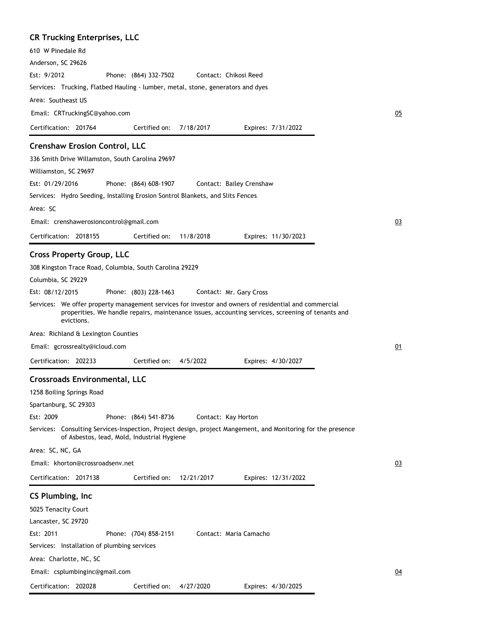# **CR Trucking Enterprises, LLC**

| 610 W Pinedale Rd                                                                                                                                                                                          |    |
|------------------------------------------------------------------------------------------------------------------------------------------------------------------------------------------------------------|----|
| Anderson, SC 29626                                                                                                                                                                                         |    |
| Est: 9/2012<br>Phone: (864) 332-7502<br>Contact: Chikosi Reed                                                                                                                                              |    |
| Services: Trucking, Flatbed Hauling - lumber, metal, stone, generators and dyes                                                                                                                            |    |
| Area: Southeast US                                                                                                                                                                                         |    |
| Email: CRTruckingSC@yahoo.com                                                                                                                                                                              | 05 |
| Certification: 201764<br>Certified on:<br>7/18/2017<br>Expires: 7/31/2022                                                                                                                                  |    |
| <b>Crenshaw Erosion Control, LLC</b>                                                                                                                                                                       |    |
| 336 Smith Drive Willamston, South Carolina 29697                                                                                                                                                           |    |
| Williamston, SC 29697                                                                                                                                                                                      |    |
| Est: 01/29/2016<br>Phone: (864) 608-1907<br>Contact: Bailey Crenshaw                                                                                                                                       |    |
| Services: Hydro Seeding, Installing Erosion Sontrol Blankets, and Slits Fences                                                                                                                             |    |
| Area: SC                                                                                                                                                                                                   |    |
| Email: crenshawerosioncontrol@gmail.com                                                                                                                                                                    | 03 |
| Certification: 2018155<br>Certified on:<br>11/8/2018<br>Expires: 11/30/2023                                                                                                                                |    |
| <b>Cross Property Group, LLC</b>                                                                                                                                                                           |    |
| 308 Kingston Trace Road, Columbia, South Carolina 29229                                                                                                                                                    |    |
| Columbia, SC 29229                                                                                                                                                                                         |    |
| Est: 08/12/2015<br>Phone: (803) 228-1463<br>Contact: Mr. Gary Cross                                                                                                                                        |    |
| Services: We offer property management services for investor and owners of residential and commercial<br>properities. We handle repairs, maintenance issues, accounting services, screening of tenants and |    |
| evictions.                                                                                                                                                                                                 |    |
| Area: Richland & Lexington Counties                                                                                                                                                                        |    |
| Email: gcrossrealty@icloud.com                                                                                                                                                                             | 01 |
| Certification: 202233<br>Certified on:<br>4/5/2022<br>Expires: 4/30/2027                                                                                                                                   |    |
| <b>Crossroads Environmental, LLC</b>                                                                                                                                                                       |    |
| 1258 Boiling Springs Road                                                                                                                                                                                  |    |
| Spartanburg, SC 29303                                                                                                                                                                                      |    |
| Est: 2009<br>Phone: (864) 541-8736<br>Contact: Kay Horton                                                                                                                                                  |    |
| Services: Consulting Services-Inspection, Project design, project Mangement, and Monitoring for the presence<br>of Asbestos, lead, Mold, Industrial Hygiene                                                |    |
| Area: SC, NC, GA                                                                                                                                                                                           |    |
| Email: khorton@crossroadsenv.net                                                                                                                                                                           | 03 |
| Certification: 2017138<br>Certified on:<br>12/21/2017<br>Expires: 12/31/2022                                                                                                                               |    |
| CS Plumbing, Inc.                                                                                                                                                                                          |    |
| 5025 Tenacity Court                                                                                                                                                                                        |    |
| Lancaster, SC 29720                                                                                                                                                                                        |    |
| Est: 2011<br>Phone: (704) 858-2151<br>Contact: Maria Camacho                                                                                                                                               |    |
| Services: Installation of plumbing services                                                                                                                                                                |    |
| Area: Charlotte, NC, SC                                                                                                                                                                                    |    |
| Email: csplumbinginc@gmail.com                                                                                                                                                                             | 04 |
| Certification: 202028<br>Certified on:<br>4/27/2020<br>Expires: 4/30/2025                                                                                                                                  |    |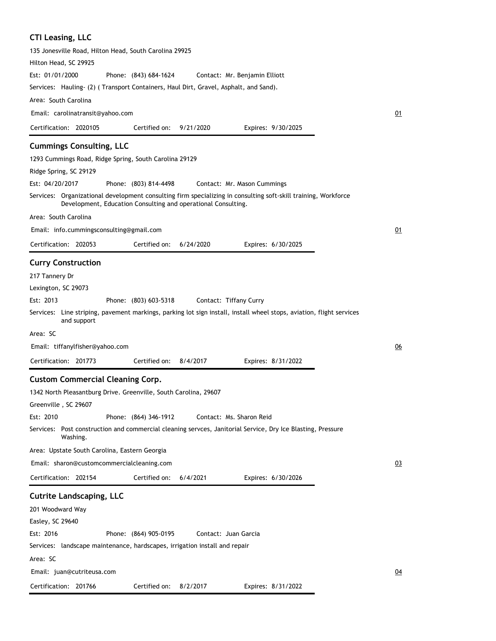# **CTI Leasing, LLC**

| 135 Jonesville Road, Hilton Head, South Carolina 29925                                                                                                                                                  |                       |           |                               |                    |    |
|---------------------------------------------------------------------------------------------------------------------------------------------------------------------------------------------------------|-----------------------|-----------|-------------------------------|--------------------|----|
| Hilton Head, SC 29925                                                                                                                                                                                   |                       |           |                               |                    |    |
| Est: 01/01/2000                                                                                                                                                                                         | Phone: (843) 684-1624 |           | Contact: Mr. Benjamin Elliott |                    |    |
| Services: Hauling-(2) (Transport Containers, Haul Dirt, Gravel, Asphalt, and Sand).                                                                                                                     |                       |           |                               |                    |    |
| Area: South Carolina                                                                                                                                                                                    |                       |           |                               |                    |    |
| Email: carolinatransit@yahoo.com                                                                                                                                                                        |                       |           |                               |                    | 01 |
| Certification: 2020105                                                                                                                                                                                  | Certified on:         | 9/21/2020 |                               | Expires: 9/30/2025 |    |
| <b>Cummings Consulting, LLC</b>                                                                                                                                                                         |                       |           |                               |                    |    |
| 1293 Cummings Road, Ridge Spring, South Carolina 29129                                                                                                                                                  |                       |           |                               |                    |    |
| Ridge Spring, SC 29129                                                                                                                                                                                  |                       |           |                               |                    |    |
| Est: 04/20/2017                                                                                                                                                                                         | Phone: (803) 814-4498 |           | Contact: Mr. Mason Cummings   |                    |    |
| Services: Organizational development consulting firm specializing in consulting soft-skill training, Workforce<br>Development, Education Consulting and operational Consulting.                         |                       |           |                               |                    |    |
| Area: South Carolina                                                                                                                                                                                    |                       |           |                               |                    |    |
| Email: info.cummingsconsulting@gmail.com                                                                                                                                                                |                       |           |                               |                    | 01 |
| Certification: 202053                                                                                                                                                                                   | Certified on:         | 6/24/2020 |                               | Expires: 6/30/2025 |    |
| <b>Curry Construction</b><br>217 Tannery Dr<br>Lexington, SC 29073<br>Est: 2013<br>Services: Line striping, pavement markings, parking lot sign install, install wheel stops, aviation, flight services | Phone: (803) 603-5318 |           | Contact: Tiffany Curry        |                    |    |
| and support                                                                                                                                                                                             |                       |           |                               |                    |    |
| Area: SC                                                                                                                                                                                                |                       |           |                               |                    |    |
| Email: tiffanylfisher@yahoo.com                                                                                                                                                                         |                       |           |                               |                    | 06 |
| Certification: 201773                                                                                                                                                                                   | Certified on:         | 8/4/2017  |                               | Expires: 8/31/2022 |    |
| <b>Custom Commercial Cleaning Corp.</b><br>1342 North Pleasantburg Drive. Greenville, South Carolina, 29607<br>Greenville, SC 29607                                                                     |                       |           |                               |                    |    |
| Est: 2010                                                                                                                                                                                               | Phone: (864) 346-1912 |           | Contact: Ms. Sharon Reid      |                    |    |
| Services: Post construction and commercial cleaning servces, Janitorial Service, Dry Ice Blasting, Pressure<br>Washing.                                                                                 |                       |           |                               |                    |    |
| Area: Upstate South Carolina, Eastern Georgia                                                                                                                                                           |                       |           |                               |                    |    |
| Email: sharon@customcommercialcleaning.com                                                                                                                                                              |                       |           |                               |                    | 03 |
| Certification: 202154                                                                                                                                                                                   | Certified on:         | 6/4/2021  |                               | Expires: 6/30/2026 |    |
| <b>Cutrite Landscaping, LLC</b>                                                                                                                                                                         |                       |           |                               |                    |    |
| 201 Woodward Way                                                                                                                                                                                        |                       |           |                               |                    |    |
| Easley, SC 29640                                                                                                                                                                                        |                       |           |                               |                    |    |
| Est: 2016                                                                                                                                                                                               | Phone: (864) 905-0195 |           | Contact: Juan Garcia          |                    |    |
| Services: landscape maintenance, hardscapes, irrigation install and repair                                                                                                                              |                       |           |                               |                    |    |
| Area: SC                                                                                                                                                                                                |                       |           |                               |                    |    |
| Email: juan@cutriteusa.com                                                                                                                                                                              |                       |           |                               |                    | 04 |
| Certification: 201766                                                                                                                                                                                   | Certified on:         | 8/2/2017  |                               | Expires: 8/31/2022 |    |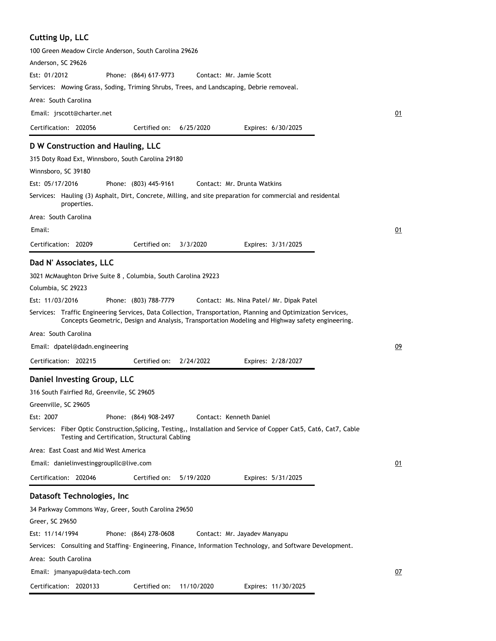#### **Cutting Up, LLC**

| <b>Cutting Up, LLC</b>                                                                                                                                                                                           |    |
|------------------------------------------------------------------------------------------------------------------------------------------------------------------------------------------------------------------|----|
| 100 Green Meadow Circle Anderson, South Carolina 29626                                                                                                                                                           |    |
| Anderson, SC 29626                                                                                                                                                                                               |    |
| Est: 01/2012<br>Phone: (864) 617-9773<br>Contact: Mr. Jamie Scott                                                                                                                                                |    |
| Services: Mowing Grass, Soding, Triming Shrubs, Trees, and Landscaping, Debrie removeal.                                                                                                                         |    |
| Area: South Carolina                                                                                                                                                                                             |    |
| Email: jrscott@charter.net                                                                                                                                                                                       | 01 |
| Certification: 202056<br>Certified on:<br>6/25/2020<br>Expires: 6/30/2025                                                                                                                                        |    |
| D W Construction and Hauling, LLC                                                                                                                                                                                |    |
| 315 Doty Road Ext, Winnsboro, South Carolina 29180                                                                                                                                                               |    |
| Winnsboro, SC 39180                                                                                                                                                                                              |    |
| Est: 05/17/2016<br>Phone: (803) 445-9161<br>Contact: Mr. Drunta Watkins                                                                                                                                          |    |
| Services: Hauling (3) Asphalt, Dirt, Concrete, Milling, and site preparation for commercial and residental<br>properties.                                                                                        |    |
| Area: South Carolina                                                                                                                                                                                             |    |
| Email:                                                                                                                                                                                                           | 01 |
| Certification: 20209<br>Certified on:<br>3/3/2020<br>Expires: 3/31/2025                                                                                                                                          |    |
| Dad N' Associates, LLC                                                                                                                                                                                           |    |
| 3021 McMaughton Drive Suite 8, Columbia, South Carolina 29223                                                                                                                                                    |    |
| Columbia, SC 29223                                                                                                                                                                                               |    |
| Est: 11/03/2016<br>Phone: (803) 788-7779<br>Contact: Ms. Nina Patel/ Mr. Dipak Patel                                                                                                                             |    |
| Services: Traffic Engineering Services, Data Collection, Transportation, Planning and Optimization Services,<br>Concepts Geometric, Design and Analysis, Transportation Modeling and Highway safety engineering. |    |
| Area: South Carolina                                                                                                                                                                                             |    |
| Email: dpatel@dadn.engineering                                                                                                                                                                                   | 09 |
| Certification: 202215<br>Certified on:<br>2/24/2022<br>Expires: 2/28/2027                                                                                                                                        |    |
| Daniel Investing Group, LLC                                                                                                                                                                                      |    |
| 316 South Fairfied Rd, Greenvile, SC 29605                                                                                                                                                                       |    |
| Greenville, SC 29605                                                                                                                                                                                             |    |
| Est: 2007<br>Phone: (864) 908-2497<br>Contact: Kenneth Daniel                                                                                                                                                    |    |
| Services: Fiber Optic Construction, Splicing, Testing,, Installation and Service of Copper Cat5, Cat6, Cat7, Cable<br>Testing and Certification, Structural Cabling                                              |    |
| Area: East Coast and Mid West America                                                                                                                                                                            |    |
| Email: danielinvestinggroupllc@live.com                                                                                                                                                                          | 01 |
| Certification: 202046<br>Certified on:<br>5/19/2020<br>Expires: 5/31/2025                                                                                                                                        |    |
| Datasoft Technologies, Inc                                                                                                                                                                                       |    |
| 34 Parkway Commons Way, Greer, South Carolina 29650                                                                                                                                                              |    |
| Greer, SC 29650                                                                                                                                                                                                  |    |
| Est: 11/14/1994<br>Phone: (864) 278-0608<br>Contact: Mr. Jayadev Manyapu                                                                                                                                         |    |

Services: Consulting and Staffing- Engineering, Finance, Information Technology, and Software Development.

Area: South Carolina Certification: 2020133 Email: jmanyapu@data-tech.com Expires: 11/30/2025 07 Certified on: 11/10/2020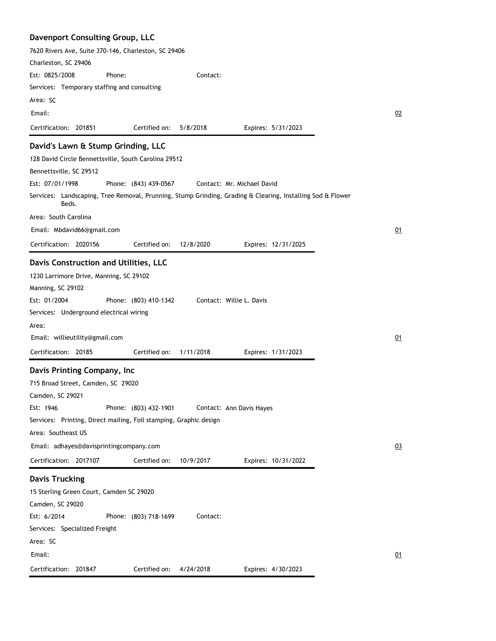| Davenport Consulting Group, LLC                                                                                     |                                  |
|---------------------------------------------------------------------------------------------------------------------|----------------------------------|
| 7620 Rivers Ave, Suite 370-146, Charleston, SC 29406                                                                |                                  |
| Charleston, SC 29406<br>Est: 0825/2008                                                                              |                                  |
| Phone:                                                                                                              | Contact:                         |
| Services: Temporary staffing and consulting                                                                         |                                  |
| Area: SC                                                                                                            |                                  |
| Email:                                                                                                              | 02                               |
| Certification: 201851<br>Certified on:                                                                              | 5/8/2018<br>Expires: 5/31/2023   |
| David's Lawn & Stump Grinding, LLC                                                                                  |                                  |
| 128 David Circle Bennettsville, South Carolina 29512                                                                |                                  |
| Bennettsville, SC 29512                                                                                             |                                  |
| Est: 07/01/1998<br>Phone: (843) 439-0567                                                                            | Contact: Mr. Michael David       |
| Services: Landscaping, Tree Removal, Prunning, Stump Grinding, Grading & Clearing, Installing Sod & Flower<br>Beds. |                                  |
| Area: South Carolina                                                                                                |                                  |
| Email: Mbdavid66@gmail.com                                                                                          | 01                               |
| Certification: 2020156<br>Certified on:                                                                             | 12/8/2020<br>Expires: 12/31/2025 |
| Davis Construction and Utilities, LLC                                                                               |                                  |
| 1230 Larrimore Drive, Manning, SC 29102                                                                             |                                  |
| Manning, SC 29102                                                                                                   |                                  |
| Est: 01/2004<br>Phone: (803) 410-1342                                                                               | Contact: Willie L. Davis         |
| Services: Underground electrical wiring                                                                             |                                  |
| Area:                                                                                                               |                                  |
| Email: willieutility@gmail.com                                                                                      | 01                               |
| Certification: 20185<br>Certified on:                                                                               | 1/11/2018<br>Expires: 1/31/2023  |
| Davis Printing Company, Inc                                                                                         |                                  |
| 715 Broad Street, Camden, SC 29020                                                                                  |                                  |
| Camden, SC 29021                                                                                                    |                                  |
| Est: 1946<br>Phone: (803) 432-1901                                                                                  | Contact: Ann Davis Hayes         |
| Services: Printing, Direct mailing, Foil stamping, Graphic design                                                   |                                  |
| Area: Southeast US                                                                                                  |                                  |
| Email: adhayes@davisprintingcompany.com                                                                             | Q <sub>3</sub>                   |
| Certification: 2017107<br>Certified on:                                                                             | 10/9/2017<br>Expires: 10/31/2022 |
| <b>Davis Trucking</b>                                                                                               |                                  |
| 15 Sterling Green Court, Camden SC 29020                                                                            |                                  |
| Camden, SC 29020                                                                                                    |                                  |
| Est: 6/2014<br>Phone: (803) 718-1699                                                                                | Contact:                         |
| Services: Specialized Freight                                                                                       |                                  |
| Area: SC                                                                                                            |                                  |
| Email:                                                                                                              | $Q_1$                            |
| Certification: 201847<br>Certified on:                                                                              | Expires: 4/30/2023<br>4/24/2018  |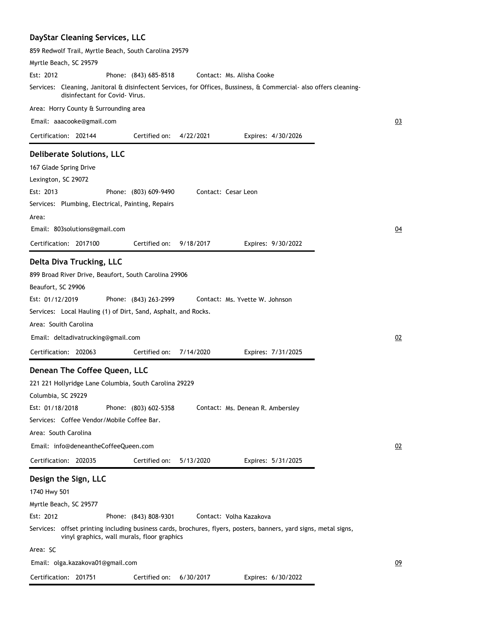#### **DayStar Cleaning Services, LLC** 859 Redwolf Trail, Myrtle Beach, South Carolina 29579 Myrtle Beach, SC 29579 Phone: (843) 685-8518 Services: Cleaning, Janitoral & disinfectent Services, for Offices, Bussiness, & Commercial- also offers cleaningdisinfectant for Covid- Virus. Area: Horry County & Surrounding area Est: 2012 Contact: Ms. Alisha Cooke Email: aaacooke@gmail.com

Certified on: 4/22/2021

Expires: 4/30/2026

Contact: Cesar Leon

#### **Deliberate Solutions, LLC**

167 Glade Spring Drive Lexington, SC 29072 Phone: (803) 609-9490 Est: 2013

Certification: 202144

Services: Plumbing, Electrical, Painting, Repairs Area:

Email: 803solutions@gmail.com

Certification: 2017100 Expires: 9/30/2022 Certified on: 9/18/2017

#### **Delta Diva Trucking, LLC**

899 Broad River Drive, Beaufort, South Carolina 29906 Beaufort, SC 29906 Phone: (843) 263-2999 Services: Local Hauling (1) of Dirt, Sand, Asphalt, and Rocks. Area: Souith Carolina Est: 01/12/2019 Contact: Ms. Yvette W. Johnson

Email: deltadivatrucking@gmail.com

Certification: 202063 Expires: 7/31/2025 Certified on: 7/14/2020

#### **Denean The Coffee Queen, LLC**

221 221 Hollyridge Lane Columbia, South Carolina 29229 Columbia, SC 29229 Phone: (803) 602-5358 Services: Coffee Vendor/Mobile Coffee Bar. Area: South Carolina Est: 01/18/2018 Certification: 202035 Contact: Ms. Denean R. Ambersley Email: info@deneantheCoffeeQueen.com Expires: 5/31/2025 02 Certified on: 5/13/2020 **Design the Sign, LLC**

#### 1740 Hwy 501 Myrtle Beach, SC 29577 Phone: (843) 808-9301 Services: offset printing including business cards, brochures, flyers, posters, banners, yard signs, metal signs, vinyl graphics, wall murals, floor graphics Area: SC Est: 2012 Certification: 201751 Contact: Volha Kazakova Email: olga.kazakova01@gmail.com Expires: 6/30/2022 Certified on: 6/30/2017

03

04

02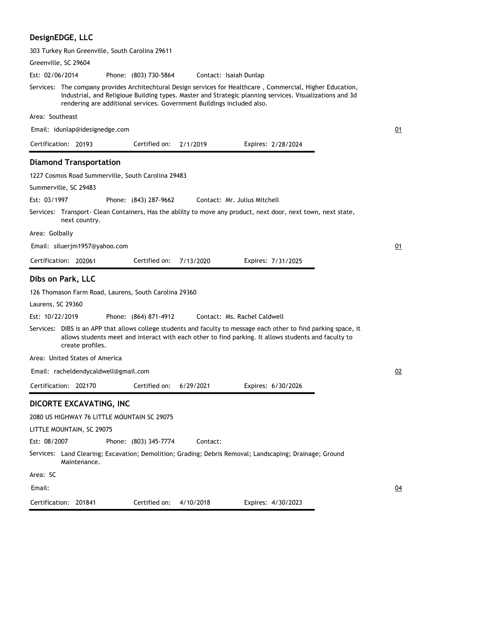## **DesignEDGE, LLC**

| 303 Turkey Run Greenville, South Carolina 29611                                                                                                                                                                                                                                                  |                    |
|--------------------------------------------------------------------------------------------------------------------------------------------------------------------------------------------------------------------------------------------------------------------------------------------------|--------------------|
| Greenville, SC 29604                                                                                                                                                                                                                                                                             |                    |
| Est: 02/06/2014<br>Phone: (803) 730-5864<br>Contact: Isaiah Dunlap                                                                                                                                                                                                                               |                    |
| Services: The company provides Architechtural Design services for Healthcare, Commercial, Higher Education,<br>Industrial, and Religioue Building types. Master and Strategic planning services. Visualizations and 3d<br>rendering are additional services. Government Buildings included also. |                    |
| Area: Southeast                                                                                                                                                                                                                                                                                  |                    |
| Email: idunlap@idesignedge.com                                                                                                                                                                                                                                                                   | 01                 |
| Certification: 20193<br>Certified on:<br>2/1/2019                                                                                                                                                                                                                                                | Expires: 2/28/2024 |
| <b>Diamond Transportation</b>                                                                                                                                                                                                                                                                    |                    |
| 1227 Cosmos Road Summerville, South Carolina 29483                                                                                                                                                                                                                                               |                    |
| Summerville, SC 29483                                                                                                                                                                                                                                                                            |                    |
| Est: 03/1997<br>Phone: (843) 287-9662<br>Contact: Mr. Julius Mitchell                                                                                                                                                                                                                            |                    |
| Services: Transport- Clean Containers, Has the ablilty to move any product, next door, next town, next state,<br>next country.                                                                                                                                                                   |                    |
| Area: Golbally                                                                                                                                                                                                                                                                                   |                    |
| Email: siluerjm1957@yahoo.com                                                                                                                                                                                                                                                                    | 01                 |
| Certification: 202061<br>Certified on:<br>7/13/2020                                                                                                                                                                                                                                              | Expires: 7/31/2025 |
| Dibs on Park, LLC                                                                                                                                                                                                                                                                                |                    |
| 126 Thomason Farm Road, Laurens, South Carolina 29360                                                                                                                                                                                                                                            |                    |
| Laurens, SC 29360                                                                                                                                                                                                                                                                                |                    |
| Est: 10/22/2019<br>Phone: (864) 871-4912<br>Contact: Ms. Rachel Caldwell                                                                                                                                                                                                                         |                    |
| Services: DIBS is an APP that allows college students and faculty to message each other to find parking space, it<br>allows students meet and interact with each other to find parking. It allows students and faculty to<br>create profiles.                                                    |                    |
| Area: United States of America                                                                                                                                                                                                                                                                   |                    |
| Email: racheldendycaldwell@gmail.com                                                                                                                                                                                                                                                             | 02                 |
| Certification: 202170<br>Certified on:<br>6/29/2021                                                                                                                                                                                                                                              | Expires: 6/30/2026 |
| DICORTE EXCAVATING, INC                                                                                                                                                                                                                                                                          |                    |
| 2080 US HIGHWAY 76 LITTLE MOUNTAIN SC 29075                                                                                                                                                                                                                                                      |                    |
| LITTLE MOUNTAIN, SC 29075                                                                                                                                                                                                                                                                        |                    |
| Est: 08/2007<br>Phone: (803) 345-7774<br>Contact:                                                                                                                                                                                                                                                |                    |
| Services: Land Clearing; Excavation; Demolition; Grading; Debris Removal; Landscaping; Drainage; Ground<br>Maintenance.                                                                                                                                                                          |                    |
| Area: SC                                                                                                                                                                                                                                                                                         |                    |
| Email:                                                                                                                                                                                                                                                                                           | <u>04</u>          |
| Certification: 201841<br>Certified on:<br>4/10/2018                                                                                                                                                                                                                                              | Expires: 4/30/2023 |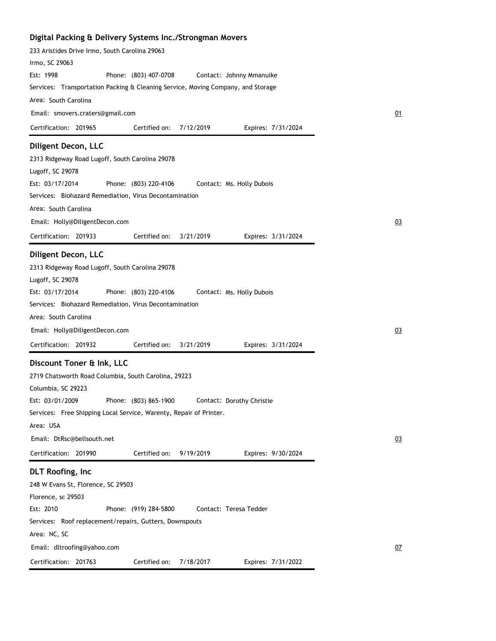| Digital Packing & Delivery Systems Inc./Strongman Movers                                                                                                                                                                                                            |    |
|---------------------------------------------------------------------------------------------------------------------------------------------------------------------------------------------------------------------------------------------------------------------|----|
| 233 Aristides Drive Irmo, South Carolina 29063                                                                                                                                                                                                                      |    |
| Irmo, SC 29063                                                                                                                                                                                                                                                      |    |
| Est: 1998<br>Phone: (803) 407-0708<br>Contact: Johnny Mmanuike                                                                                                                                                                                                      |    |
| Services: Transportation Packing & Cleaning Service, Moving Company, and Storage                                                                                                                                                                                    |    |
| Area: South Carolina                                                                                                                                                                                                                                                |    |
| Email: smovers.craters@gmail.com                                                                                                                                                                                                                                    | 01 |
| Certification: 201965<br>Certified on:<br>7/12/2019<br>Expires: 7/31/2024                                                                                                                                                                                           |    |
| Diligent Decon, LLC<br>2313 Ridgeway Road Lugoff, South Carolina 29078<br>Lugoff, SC 29078<br>Est: 03/17/2014<br>Phone: (803) 220-4106<br>Contact: Ms. Holly Dubois<br>Services: Biohazard Remediation, Virus Decontamination                                       |    |
| Area: South Carolina                                                                                                                                                                                                                                                |    |
|                                                                                                                                                                                                                                                                     |    |
| Email: Holly@DiligentDecon.com                                                                                                                                                                                                                                      | 03 |
| Certification: 201933<br>Certified on:<br>3/21/2019<br>Expires: 3/31/2024                                                                                                                                                                                           |    |
| Diligent Decon, LLC<br>2313 Ridgeway Road Lugoff, South Carolina 29078<br>Lugoff, SC 29078<br>Est: 03/17/2014<br>Phone: (803) 220-4106<br>Contact: Ms. Holly Dubois                                                                                                 |    |
| Services: Biohazard Remediation, Virus Decontamination                                                                                                                                                                                                              |    |
| Area: South Carolina                                                                                                                                                                                                                                                |    |
| Email: Holly@DiligentDecon.com                                                                                                                                                                                                                                      | 03 |
| Certification: 201932<br>Certified on:<br>3/21/2019<br>Expires: 3/31/2024                                                                                                                                                                                           |    |
| Discount Toner & Ink, LLC<br>2719 Chatsworth Road Columbia, South Carolina, 29223<br>Columbia, SC 29223<br>Est: 03/01/2009<br>Phone: (803) 865-1900<br>Contact: Dorothy Christie<br>Services: Free Shipping Local Service, Warenty, Repair of Printer.<br>Area: USA |    |
| Email: DtRsc@bellsouth.net                                                                                                                                                                                                                                          | 03 |
| 9/19/2019<br>Certification: 201990<br>Certified on:<br>Expires: 9/30/2024                                                                                                                                                                                           |    |
| <b>DLT Roofing, Inc</b><br>248 W Evans St, Florence, SC 29503<br>Florence, sc 29503<br>Est: 2010<br>Phone: (919) 284-5800<br>Contact: Teresa Tedder<br>Services: Roof replacement/repairs, Gutters, Downspouts                                                      |    |
| Area: NC, SC                                                                                                                                                                                                                                                        |    |
| Email: dltroofing@yahoo.com                                                                                                                                                                                                                                         | 07 |
| Certification: 201763<br>Certified on:<br>7/18/2017<br>Expires: 7/31/2022                                                                                                                                                                                           |    |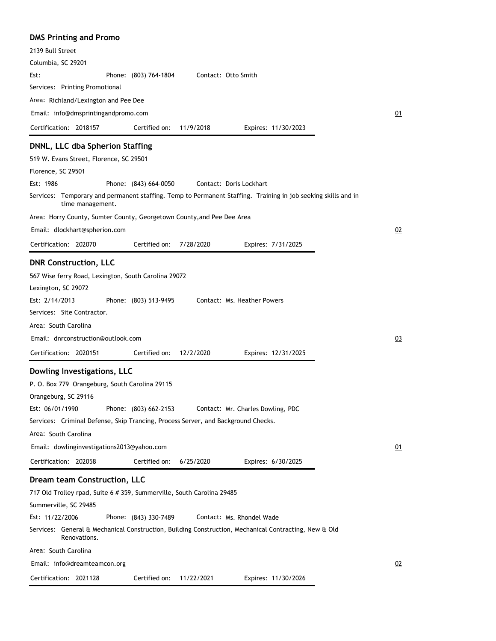| <b>DMS Printing and Promo</b>                                                                                                     |    |
|-----------------------------------------------------------------------------------------------------------------------------------|----|
| 2139 Bull Street                                                                                                                  |    |
| Columbia, SC 29201                                                                                                                |    |
| Contact: Otto Smith<br>Est:<br>Phone: (803) 764-1804                                                                              |    |
| Services: Printing Promotional                                                                                                    |    |
| Area: Richland/Lexington and Pee Dee                                                                                              |    |
| Email: info@dmsprintingandpromo.com                                                                                               | 01 |
| Certification: 2018157<br>11/9/2018<br>Certified on:<br>Expires: 11/30/2023                                                       |    |
| DNNL, LLC dba Spherion Staffing                                                                                                   |    |
| 519 W. Evans Street, Florence, SC 29501                                                                                           |    |
| Florence, SC 29501                                                                                                                |    |
| Est: 1986<br>Phone: (843) 664-0050<br>Contact: Doris Lockhart                                                                     |    |
| Services: Temporary and permanent staffing. Temp to Permanent Staffing. Training in job seeking skills and in<br>time management. |    |
| Area: Horry County, Sumter County, Georgetown County, and Pee Dee Area                                                            |    |
| Email: dlockhart@spherion.com                                                                                                     | 02 |
| Certification: 202070<br>Certified on:<br>7/28/2020<br>Expires: 7/31/2025                                                         |    |
| <b>DNR Construction, LLC</b>                                                                                                      |    |
| 567 Wise ferry Road, Lexington, South Carolina 29072                                                                              |    |
| Lexington, SC 29072                                                                                                               |    |
| Est: 2/14/2013<br>Phone: (803) 513-9495<br>Contact: Ms. Heather Powers                                                            |    |
| Services: Site Contractor.                                                                                                        |    |
| Area: South Carolina                                                                                                              |    |
| Email: dnrconstruction@outlook.com                                                                                                | 03 |
|                                                                                                                                   |    |
| Certification: 2020151<br>Certified on:<br>12/2/2020<br>Expires: 12/31/2025                                                       |    |
| Dowling Investigations, LLC                                                                                                       |    |
| P. O. Box 779 Orangeburg, South Carolina 29115                                                                                    |    |
| Orangeburg, SC 29116                                                                                                              |    |
| Est: 06/01/1990<br>Phone: (803) 662-2153<br>Contact: Mr. Charles Dowling, PDC                                                     |    |
| Services: Criminal Defense, Skip Trancing, Process Server, and Background Checks.                                                 |    |
| Area: South Carolina                                                                                                              |    |
| Email: dowlinginvestigations2013@yahoo.com                                                                                        | 01 |
| Certification: 202058<br>Certified on:<br>6/25/2020<br>Expires: 6/30/2025                                                         |    |
| Dream team Construction, LLC                                                                                                      |    |
| 717 Old Trolley rpad, Suite 6 # 359, Summerville, South Carolina 29485                                                            |    |
| Summerville, SC 29485                                                                                                             |    |
| Est: 11/22/2006<br>Phone: (843) 330-7489<br>Contact: Ms. Rhondel Wade                                                             |    |
| Services: General & Mechanical Construction, Building Construction, Mechanical Contracting, New & Old<br>Renovations.             |    |
| Area: South Carolina                                                                                                              |    |
| Email: info@dreamteamcon.org                                                                                                      | 02 |
| Certification: 2021128<br>Certified on:<br>11/22/2021<br>Expires: 11/30/2026                                                      |    |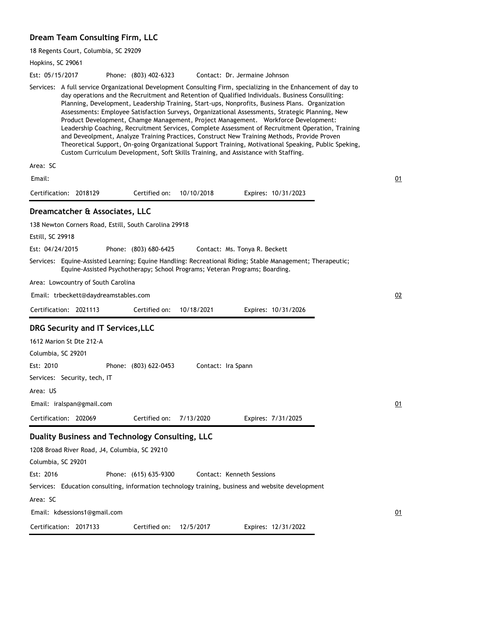#### **Dream Team Consulting Firm, LLC**

18 Regents Court, Columbia, SC 29209

Hopkins, SC 29061 Phone: (803) 402-6323 Services: A full service Organizational Development Consulting Firm, specializing in the Enhancement of day to day operations and the Recruitment and Retention of Qualified Individuals. Business Consullting: Planning, Development, Leadership Training, Start-ups, Nonprofits, Business Plans. Organization Assessments: Employee Satisfaction Surveys, Organizational Assessments, Strategic Planning, New Product Development, Chamge Management, Project Management. Workforce Development: Leadership Coaching, Recruitment Services, Complete Assessment of Recruitment Operation, Training and Deveolpment, Analyze Training Practices, Construct New Training Methods, Provide Proven Theoretical Support, On-going Organizational Support Training, Motivational Speaking, Public Speking, Custom Curriculum Development, Soft Skills Training, and Assistance with Staffing. Area: SC Est: 05/15/2017 Certification: 2018129 Contact: Dr. Jermaine Johnson Email: Expires: 10/31/2023 01 Certified on: 10/10/2018 **Dreamcatcher & Associates, LLC** 138 Newton Corners Road, Estill, South Carolina 29918 Estill, SC 29918 Phone: (803) 680-6425 Equine-Assisted Learning; Equine Handling: Recreational Riding; Stable Management; Therapeutic; Services: Equine-Assisted Psychotherapy; School Programs; Veteran Programs; Boarding. Area: Lowcountry of South Carolina Est: 04/24/2015 Certification: 2021113 Contact: Ms. Tonya R. Beckett Email: trbeckett@daydreamstables.com Expires: 10/31/2026 02 Certified on: 10/18/2021 **DRG Security and IT Services,LLC** 1612 Marion St Dte 212-A Columbia, SC 29201 Phone: (803) 622-0453 Services: Security, tech, IT Area: US Est: 2010 Certification: 202069 Contact: Ira Spann Email: iralspan@gmail.com Expires: 7/31/2025 01 Certified on: 7/13/2020 **Duality Business and Technology Consulting, LLC** 1208 Broad River Road, J4, Columbia, SC 29210 Columbia, SC 29201 Phone: (615) 635-9300 Services: Education consulting, information technology training, business and website development Area: SC Est: 2016 Certification: 2017133 Contact: Kenneth Sessions Email: kdsessions1@gmail.com Expires: 12/31/2022 01 Certified on: 12/5/2017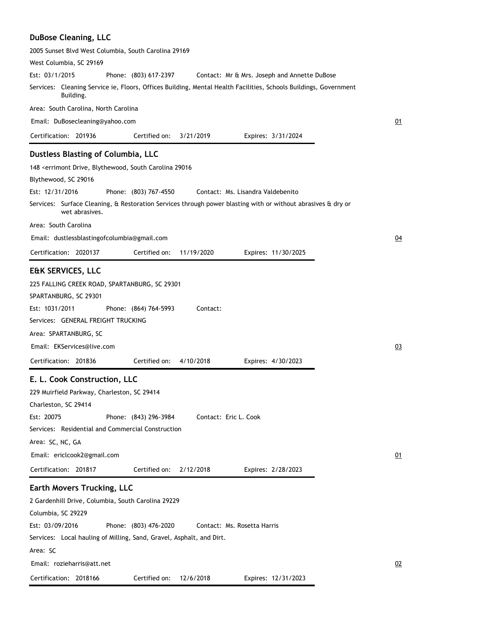### **DuBose Cleaning, LLC**

| 2005 Sunset Blvd West Columbia, South Carolina 29169                                                                           |           |
|--------------------------------------------------------------------------------------------------------------------------------|-----------|
| West Columbia, SC 29169                                                                                                        |           |
| Est: 03/1/2015<br>Phone: (803) 617-2397<br>Contact: Mr & Mrs. Joseph and Annette DuBose                                        |           |
| Services: Cleaning Service ie, Floors, Offices Building, Mental Health Facilities, Schools Buildings, Government<br>Building.  |           |
| Area: South Carolina, North Carolina                                                                                           |           |
| Email: DuBosecleaning@yahoo.com                                                                                                | 01        |
| Certification: 201936<br>Certified on:<br>3/21/2019<br>Expires: 3/31/2024                                                      |           |
| Dustless Blasting of Columbia, LLC                                                                                             |           |
| 148 < errimont Drive, Blythewood, South Carolina 29016                                                                         |           |
| Blythewood, SC 29016                                                                                                           |           |
| Est: 12/31/2016<br>Phone: (803) 767-4550<br>Contact: Ms. Lisandra Valdebenito                                                  |           |
| Services: Surface Cleaning, & Restoration Services through power blasting with or without abrasives & dry or<br>wet abrasives. |           |
| Area: South Carolina                                                                                                           |           |
| Email: dustlessblastingofcolumbia@gmail.com                                                                                    | 04        |
| Certification: 2020137<br>Certified on:<br>11/19/2020<br>Expires: 11/30/2025                                                   |           |
| <b>E&amp;K SERVICES, LLC</b>                                                                                                   |           |
| 225 FALLING CREEK ROAD, SPARTANBURG, SC 29301                                                                                  |           |
| SPARTANBURG, SC 29301                                                                                                          |           |
| Est: 1031/2011<br>Contact:<br>Phone: (864) 764-5993                                                                            |           |
| Services: GENERAL FREIGHT TRUCKING                                                                                             |           |
| Area: SPARTANBURG, SC                                                                                                          |           |
| Email: EKServices@live.com                                                                                                     | 03        |
| Certification: 201836<br>Certified on:<br>4/10/2018<br>Expires: 4/30/2023                                                      |           |
| E. L. Cook Construction, LLC                                                                                                   |           |
| 229 Muirfield Parkway, Charleston, SC 29414                                                                                    |           |
| Charleston, SC 29414                                                                                                           |           |
| Est: 20075<br>Phone: (843) 296-3984<br>Contact: Eric L. Cook                                                                   |           |
| Services: Residential and Commercial Construction                                                                              |           |
| Area: SC, NC, GA                                                                                                               |           |
| Email: ericlcook2@gmail.com                                                                                                    | <u>01</u> |
| Certification: 201817<br>Certified on:<br>2/12/2018<br>Expires: 2/28/2023                                                      |           |
| <b>Earth Movers Trucking, LLC</b>                                                                                              |           |
| 2 Gardenhill Drive, Columbia, South Carolina 29229                                                                             |           |
| Columbia, SC 29229                                                                                                             |           |
| Est: 03/09/2016<br>Phone: (803) 476-2020<br>Contact: Ms. Rosetta Harris                                                        |           |
| Services: Local hauling of Milling, Sand, Gravel, Asphalt, and Dirt.                                                           |           |
| Area: SC                                                                                                                       |           |
| Email: rozieharris@att.net                                                                                                     | 02        |
| Certification: 2018166<br>Certified on:<br>12/6/2018<br>Expires: 12/31/2023                                                    |           |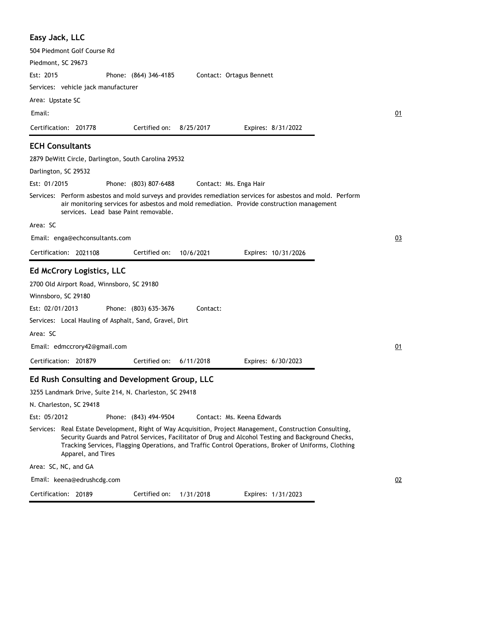| Easy Jack, LLC                                                                                                                                                                                                                                                                                                                                 |    |
|------------------------------------------------------------------------------------------------------------------------------------------------------------------------------------------------------------------------------------------------------------------------------------------------------------------------------------------------|----|
| 504 Piedmont Golf Course Rd                                                                                                                                                                                                                                                                                                                    |    |
| Piedmont, SC 29673                                                                                                                                                                                                                                                                                                                             |    |
| Est: 2015<br>Contact: Ortagus Bennett<br>Phone: (864) 346-4185                                                                                                                                                                                                                                                                                 |    |
| Services: vehicle jack manufacturer                                                                                                                                                                                                                                                                                                            |    |
| Area: Upstate SC                                                                                                                                                                                                                                                                                                                               |    |
| Email:                                                                                                                                                                                                                                                                                                                                         | 01 |
| Certification: 201778<br>Certified on:<br>8/25/2017<br>Expires: 8/31/2022                                                                                                                                                                                                                                                                      |    |
| <b>ECH Consultants</b>                                                                                                                                                                                                                                                                                                                         |    |
| 2879 DeWitt Circle, Darlington, South Carolina 29532                                                                                                                                                                                                                                                                                           |    |
| Darlington, SC 29532                                                                                                                                                                                                                                                                                                                           |    |
| Est: 01/2015<br>Phone: (803) 807-6488<br>Contact: Ms. Enga Hair                                                                                                                                                                                                                                                                                |    |
| Services: Perform asbestos and mold surveys and provides remediation services for asbestos and mold. Perform<br>air monitoring services for asbestos and mold remediation. Provide construction management<br>services. Lead base Paint removable.                                                                                             |    |
| Area: SC                                                                                                                                                                                                                                                                                                                                       |    |
| Email: enga@echconsultants.com                                                                                                                                                                                                                                                                                                                 | 03 |
| Certification: 2021108<br>Certified on:<br>10/6/2021<br>Expires: 10/31/2026                                                                                                                                                                                                                                                                    |    |
| <b>Ed McCrory Logistics, LLC</b>                                                                                                                                                                                                                                                                                                               |    |
| 2700 Old Airport Road, Winnsboro, SC 29180                                                                                                                                                                                                                                                                                                     |    |
| Winnsboro, SC 29180                                                                                                                                                                                                                                                                                                                            |    |
| Est: 02/01/2013<br>Contact:<br>Phone: (803) 635-3676                                                                                                                                                                                                                                                                                           |    |
| Services: Local Hauling of Asphalt, Sand, Gravel, Dirt                                                                                                                                                                                                                                                                                         |    |
| Area: SC                                                                                                                                                                                                                                                                                                                                       |    |
| Email: edmccrory42@gmail.com                                                                                                                                                                                                                                                                                                                   | 01 |
| Certification: 201879<br>Certified on:<br>6/11/2018<br>Expires: 6/30/2023                                                                                                                                                                                                                                                                      |    |
| Ed Rush Consulting and Development Group, LLC                                                                                                                                                                                                                                                                                                  |    |
| 3255 Landmark Drive, Suite 214, N. Charleston, SC 29418                                                                                                                                                                                                                                                                                        |    |
| N. Charleston, SC 29418                                                                                                                                                                                                                                                                                                                        |    |
| Est: 05/2012<br>Contact: Ms. Keena Edwards<br>Phone: (843) 494-9504                                                                                                                                                                                                                                                                            |    |
| Services: Real Estate Development, Right of Way Acquisition, Project Management, Construction Consulting,<br>Security Guards and Patrol Services, Facilitator of Drug and Alcohol Testing and Background Checks,<br>Tracking Services, Flagging Operations, and Traffic Control Operations, Broker of Uniforms, Clothing<br>Apparel, and Tires |    |
| Area: SC, NC, and GA                                                                                                                                                                                                                                                                                                                           |    |
| Email: keena@edrushcdg.com                                                                                                                                                                                                                                                                                                                     | 02 |
| Certification: 20189<br>Certified on:<br>Expires: 1/31/2023<br>1/31/2018                                                                                                                                                                                                                                                                       |    |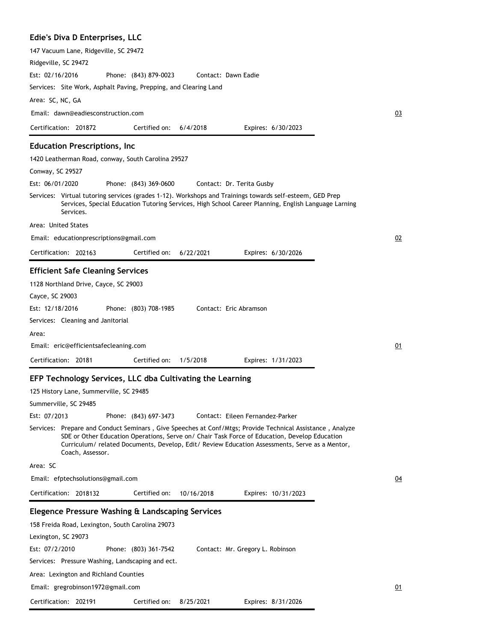### **Edie's Diva D Enterprises, LLC**

| 147 Vacuum Lane, Ridgeville, SC 29472                                                                                                                                                                                                                                                                                            |    |
|----------------------------------------------------------------------------------------------------------------------------------------------------------------------------------------------------------------------------------------------------------------------------------------------------------------------------------|----|
| Ridgeville, SC 29472                                                                                                                                                                                                                                                                                                             |    |
| Est: 02/16/2016<br>Phone: (843) 879-0023<br>Contact: Dawn Eadie                                                                                                                                                                                                                                                                  |    |
| Services: Site Work, Asphalt Paving, Prepping, and Clearing Land                                                                                                                                                                                                                                                                 |    |
| Area: SC, NC, GA                                                                                                                                                                                                                                                                                                                 |    |
| Email: dawn@eadiesconstruction.com                                                                                                                                                                                                                                                                                               | 03 |
| Certification: 201872<br>6/4/2018<br>Certified on:<br>Expires: 6/30/2023                                                                                                                                                                                                                                                         |    |
| <b>Education Prescriptions, Inc</b>                                                                                                                                                                                                                                                                                              |    |
| 1420 Leatherman Road, conway, South Carolina 29527                                                                                                                                                                                                                                                                               |    |
| Conway, SC 29527                                                                                                                                                                                                                                                                                                                 |    |
| Est: 06/01/2020<br>Phone: (843) 369-0600<br>Contact: Dr. Terita Gusby                                                                                                                                                                                                                                                            |    |
| Services: Virtual tutoring services (grades 1-12). Workshops and Trainings towards self-esteem, GED Prep<br>Services, Special Education Tutoring Services, High School Career Planning, English Language Larning<br>Services.                                                                                                    |    |
| Area: United States                                                                                                                                                                                                                                                                                                              |    |
| Email: educationprescriptions@gmail.com                                                                                                                                                                                                                                                                                          | 02 |
| Certification: 202163<br>Certified on:<br>6/22/2021<br>Expires: 6/30/2026                                                                                                                                                                                                                                                        |    |
| <b>Efficient Safe Cleaning Services</b>                                                                                                                                                                                                                                                                                          |    |
| 1128 Northland Drive, Cayce, SC 29003                                                                                                                                                                                                                                                                                            |    |
| Cayce, SC 29003                                                                                                                                                                                                                                                                                                                  |    |
| Est: 12/18/2016<br>Contact: Eric Abramson<br>Phone: (803) 708-1985                                                                                                                                                                                                                                                               |    |
| Services: Cleaning and Janitorial                                                                                                                                                                                                                                                                                                |    |
| Area:                                                                                                                                                                                                                                                                                                                            |    |
| Email: eric@efficientsafecleaning.com                                                                                                                                                                                                                                                                                            | 01 |
| Certification: 20181<br>Certified on:<br>1/5/2018<br>Expires: 1/31/2023                                                                                                                                                                                                                                                          |    |
|                                                                                                                                                                                                                                                                                                                                  |    |
| EFP Technology Services, LLC dba Cultivating the Learning                                                                                                                                                                                                                                                                        |    |
| 125 History Lane, Summerville, SC 29485                                                                                                                                                                                                                                                                                          |    |
| Summerville, SC 29485                                                                                                                                                                                                                                                                                                            |    |
| Est: 07/2013<br>Phone: (843) 697-3473<br>Contact: Eileen Fernandez-Parker                                                                                                                                                                                                                                                        |    |
| Services: Prepare and Conduct Seminars, Give Speeches at Conf/Mtgs; Provide Technical Assistance, Analyze<br>SDE or Other Education Operations, Serve on/ Chair Task Force of Education, Develop Education<br>Curriculum/ related Documents, Develop, Edit/ Review Education Assessments, Serve as a Mentor,<br>Coach, Assessor. |    |
| Area: SC                                                                                                                                                                                                                                                                                                                         |    |
| Email: efptechsolutions@gmail.com                                                                                                                                                                                                                                                                                                | 04 |
| Certification: 2018132<br>Certified on:<br>10/16/2018<br>Expires: 10/31/2023                                                                                                                                                                                                                                                     |    |
| Elegence Pressure Washing & Landscaping Services                                                                                                                                                                                                                                                                                 |    |
| 158 Freida Road, Lexington, South Carolina 29073                                                                                                                                                                                                                                                                                 |    |
| Lexington, SC 29073                                                                                                                                                                                                                                                                                                              |    |
| Phone: (803) 361-7542<br>Est: 07/2/2010<br>Contact: Mr. Gregory L. Robinson                                                                                                                                                                                                                                                      |    |
| Services: Pressure Washing, Landscaping and ect.                                                                                                                                                                                                                                                                                 |    |
|                                                                                                                                                                                                                                                                                                                                  |    |
| Area: Lexington and Richland Counties                                                                                                                                                                                                                                                                                            |    |
| Email: gregrobinson1972@gmail.com                                                                                                                                                                                                                                                                                                | 01 |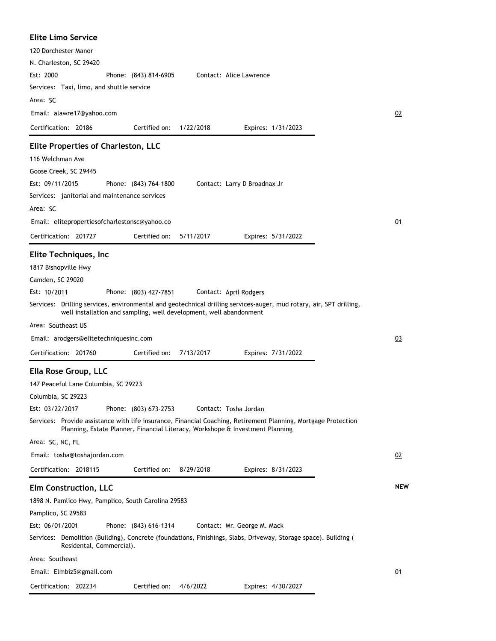| <b>Elite Limo Service</b>                                                                                                                                                                 |            |
|-------------------------------------------------------------------------------------------------------------------------------------------------------------------------------------------|------------|
| 120 Dorchester Manor                                                                                                                                                                      |            |
| N. Charleston, SC 29420                                                                                                                                                                   |            |
| Est: 2000<br>Contact: Alice Lawrence<br>Phone: (843) 814-6905                                                                                                                             |            |
| Services: Taxi, limo, and shuttle service                                                                                                                                                 |            |
| Area: SC                                                                                                                                                                                  |            |
| Email: alawre17@yahoo.com                                                                                                                                                                 | 02         |
| Certification: 20186<br>Certified on:<br>1/22/2018<br>Expires: 1/31/2023                                                                                                                  |            |
| <b>Elite Properties of Charleston, LLC</b>                                                                                                                                                |            |
| 116 Welchman Ave                                                                                                                                                                          |            |
| Goose Creek, SC 29445                                                                                                                                                                     |            |
| Est: 09/11/2015<br>Phone: (843) 764-1800<br>Contact: Larry D Broadnax Jr                                                                                                                  |            |
| Services: janitorial and maintenance services                                                                                                                                             |            |
| Area: SC                                                                                                                                                                                  |            |
| Email: elitepropertiesofcharlestonsc@yahoo.co                                                                                                                                             | <u>01</u>  |
| Certification: 201727<br>Certified on:<br>5/11/2017<br>Expires: 5/31/2022                                                                                                                 |            |
| Elite Techniques, Inc                                                                                                                                                                     |            |
| 1817 Bishopville Hwy                                                                                                                                                                      |            |
| Camden, SC 29020                                                                                                                                                                          |            |
| Est: 10/2011                                                                                                                                                                              |            |
| Phone: (803) 427-7851<br>Contact: April Rodgers                                                                                                                                           |            |
| Services: Drilling services, environmental and geotechnical drilling services-auger, mud rotary, air, SPT drilling,<br>well installation and sampling, well development, well abandonment |            |
| Area: Southeast US                                                                                                                                                                        |            |
| Email: arodgers@elitetechniquesinc.com                                                                                                                                                    | 03         |
| Certification: 201760<br>Certified on:<br>7/13/2017<br>Expires: 7/31/2022                                                                                                                 |            |
|                                                                                                                                                                                           |            |
| Ella Rose Group, LLC                                                                                                                                                                      |            |
| 147 Peaceful Lane Columbia, SC 29223<br>Columbia, SC 29223                                                                                                                                |            |
| Est: 03/22/2017<br>Contact: Tosha Jordan                                                                                                                                                  |            |
| Phone: (803) 673-2753<br>Services: Provide assistance with life insurance, Financial Coaching, Retirement Planning, Mortgage Protection                                                   |            |
| Planning, Estate Planner, Financial Literacy, Workshope & Investment Planning                                                                                                             |            |
| Area: SC, NC, FL                                                                                                                                                                          |            |
| Email: tosha@toshajordan.com                                                                                                                                                              | 02         |
| Certified on:<br>Certification: 2018115<br>8/29/2018<br>Expires: 8/31/2023                                                                                                                |            |
| <b>Elm Construction, LLC</b>                                                                                                                                                              | <b>NEW</b> |
| 1898 N. Pamlico Hwy, Pamplico, South Carolina 29583                                                                                                                                       |            |
| Pamplico, SC 29583                                                                                                                                                                        |            |
| Est: 06/01/2001<br>Phone: (843) 616-1314<br>Contact: Mr. George M. Mack                                                                                                                   |            |
| Services: Demolition (Building), Concrete (foundations, Finishings, Slabs, Driveway, Storage space). Building (                                                                           |            |
| Residental, Commercial).                                                                                                                                                                  |            |
| Area: Southeast                                                                                                                                                                           |            |
| Email: Elmbiz5@gmail.com                                                                                                                                                                  | 01         |
| Certification: 202234<br>Certified on: 4/6/2022<br>Expires: 4/30/2027                                                                                                                     |            |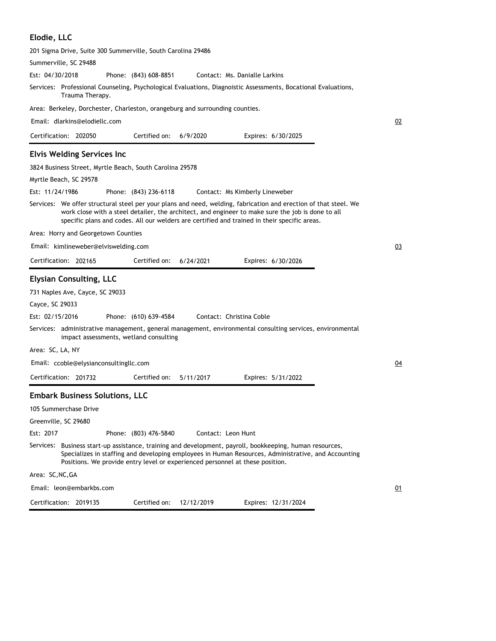#### **Elodie, LLC**

| 201 Sigma Drive, Suite 300 Summerville, South Carolina 29486                                                                                                                                                                                                                                                          |           |
|-----------------------------------------------------------------------------------------------------------------------------------------------------------------------------------------------------------------------------------------------------------------------------------------------------------------------|-----------|
| Summerville, SC 29488                                                                                                                                                                                                                                                                                                 |           |
| Est: 04/30/2018<br>Phone: (843) 608-8851<br>Contact: Ms. Danialle Larkins                                                                                                                                                                                                                                             |           |
| Services: Professional Counseling, Psychological Evaluations, Diagnoistic Assessments, Bocational Evaluations,<br>Trauma Therapy.                                                                                                                                                                                     |           |
| Area: Berkeley, Dorchester, Charleston, orangeburg and surrounding counties.                                                                                                                                                                                                                                          |           |
| Email: dlarkins@elodiellc.com                                                                                                                                                                                                                                                                                         | 02        |
| Certification: 202050<br>Certified on:<br>6/9/2020<br>Expires: 6/30/2025                                                                                                                                                                                                                                              |           |
| <b>Elvis Welding Services Inc</b>                                                                                                                                                                                                                                                                                     |           |
| 3824 Business Street, Myrtle Beach, South Carolina 29578                                                                                                                                                                                                                                                              |           |
| Myrtle Beach, SC 29578                                                                                                                                                                                                                                                                                                |           |
| Est: 11/24/1986<br>Phone: (843) 236-6118<br>Contact: Ms Kimberly Lineweber                                                                                                                                                                                                                                            |           |
| Services: We offer structural steel per your plans and need, welding, fabrication and erection of that steel. We<br>work close with a steel detailer, the architect, and engineer to make sure the job is done to all<br>specific plans and codes. All our welders are certified and trained in their specific areas. |           |
| Area: Horry and Georgetown Counties                                                                                                                                                                                                                                                                                   |           |
| Email: kimlineweber@elviswelding.com                                                                                                                                                                                                                                                                                  | 03        |
| Certified on:<br>Certification: 202165<br>6/24/2021<br>Expires: 6/30/2026                                                                                                                                                                                                                                             |           |
| <b>Elysian Consulting, LLC</b>                                                                                                                                                                                                                                                                                        |           |
| 731 Naples Ave, Cayce, SC 29033                                                                                                                                                                                                                                                                                       |           |
| Cayce, SC 29033                                                                                                                                                                                                                                                                                                       |           |
| Est: 02/15/2016<br>Contact: Christina Coble<br>Phone: (610) 639-4584                                                                                                                                                                                                                                                  |           |
| Services:   administrative management, general management, environmental consulting services, environmental<br>impact assessments, wetland consulting                                                                                                                                                                 |           |
| Area: SC, LA, NY                                                                                                                                                                                                                                                                                                      |           |
| Email: ccoble@elysianconsultingllc.com                                                                                                                                                                                                                                                                                | <u>04</u> |
| Certified on:<br>Certification: 201732<br>5/11/2017<br>Expires: 5/31/2022                                                                                                                                                                                                                                             |           |
| <b>Embark Business Solutions, LLC</b>                                                                                                                                                                                                                                                                                 |           |
| 105 Summerchase Drive                                                                                                                                                                                                                                                                                                 |           |
| Greenville, SC 29680                                                                                                                                                                                                                                                                                                  |           |
| Est: 2017<br>Phone: (803) 476-5840<br>Contact: Leon Hunt                                                                                                                                                                                                                                                              |           |
| Services: Business start-up assistance, training and development, payroll, bookkeeping, human resources,<br>Specializes in staffing and developing employees in Human Resources, Administrative, and Accounting<br>Positions. We provide entry level or experienced personnel at these position.                      |           |
| Area: SC,NC,GA                                                                                                                                                                                                                                                                                                        |           |
| Email: leon@embarkbs.com                                                                                                                                                                                                                                                                                              | 01        |
| Certified on:<br>12/12/2019<br>Expires: 12/31/2024<br>Certification: 2019135                                                                                                                                                                                                                                          |           |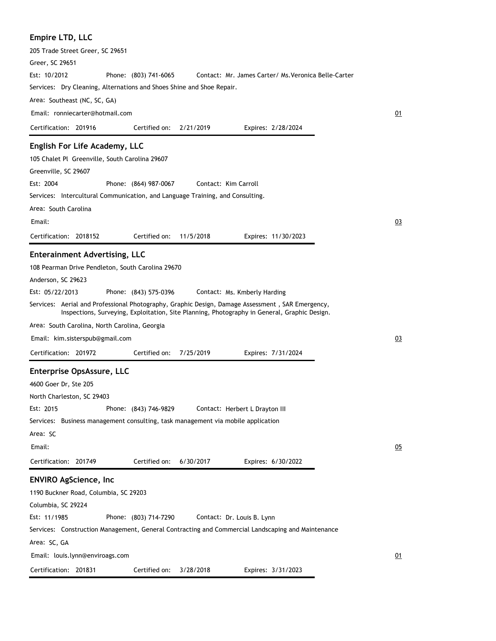## **Empire LTD, LLC**

| Linpire LTD, LLC                                                                                  |    |
|---------------------------------------------------------------------------------------------------|----|
| 205 Trade Street Greer, SC 29651                                                                  |    |
| Greer, SC 29651                                                                                   |    |
| Est: 10/2012<br>Contact: Mr. James Carter/ Ms. Veronica Belle-Carter<br>Phone: (803) 741-6065     |    |
| Services: Dry Cleaning, Alternations and Shoes Shine and Shoe Repair.                             |    |
| Area: Southeast (NC, SC, GA)                                                                      |    |
| Email: ronniecarter@hotmail.com                                                                   | 01 |
| Certification: 201916<br>Certified on:<br>2/21/2019<br>Expires: 2/28/2024                         |    |
| English For Life Academy, LLC                                                                     |    |
|                                                                                                   |    |
| 105 Chalet Pl Greenville, South Carolina 29607                                                    |    |
| Greenville, SC 29607                                                                              |    |
| Est: 2004<br>Contact: Kim Carroll<br>Phone: (864) 987-0067                                        |    |
| Services: Intercultural Communication, and Language Training, and Consulting.                     |    |
| Area: South Carolina                                                                              |    |
| Email:                                                                                            | 03 |
| Certification: 2018152<br>Certified on:<br>11/5/2018<br>Expires: 11/30/2023                       |    |
| <b>Enterainment Advertising, LLC</b>                                                              |    |
| 108 Pearman Drive Pendleton, South Carolina 29670                                                 |    |
| Anderson, SC 29623                                                                                |    |
| Est: 05/22/2013<br>Phone: (843) 575-0396<br>Contact: Ms. Kmberly Harding                          |    |
| Services: Aerial and Professional Photography, Graphic Design, Damage Assessment, SAR Emergency,  |    |
| Inspections, Surveying, Exploitation, Site Planning, Photography in General, Graphic Design.      |    |
| Area: South Carolina, North Carolina, Georgia                                                     |    |
| Email: kim.sisterspub@gmail.com                                                                   | 03 |
| Certification: 201972<br>Certified on:<br>7/25/2019<br>Expires: 7/31/2024                         |    |
| Enterprise OpsAssure, LLC                                                                         |    |
| 4600 Goer Dr, Ste 205                                                                             |    |
| North Charleston, SC 29403                                                                        |    |
| Est: 2015<br>Phone: (843) 746-9829<br>Contact: Herbert L Drayton III                              |    |
| Services: Business management consulting, task management via mobile application                  |    |
| Area: SC                                                                                          |    |
| Email:                                                                                            |    |
|                                                                                                   | 05 |
| Certification: 201749<br>Certified on:<br>6/30/2017<br>Expires: 6/30/2022                         |    |
| <b>ENVIRO AgScience, Inc</b>                                                                      |    |
| 1190 Buckner Road, Columbia, SC 29203                                                             |    |
| Columbia, SC 29224                                                                                |    |
| Est: 11/1985<br>Phone: (803) 714-7290<br>Contact: Dr. Louis B. Lynn                               |    |
| Services: Construction Management, General Contracting and Commercial Landscaping and Maintenance |    |
| Area: SC, GA                                                                                      |    |
| Email: louis.lynn@enviroags.com                                                                   | 01 |
| Certification: 201831<br>Certified on:<br>3/28/2018<br>Expires: 3/31/2023                         |    |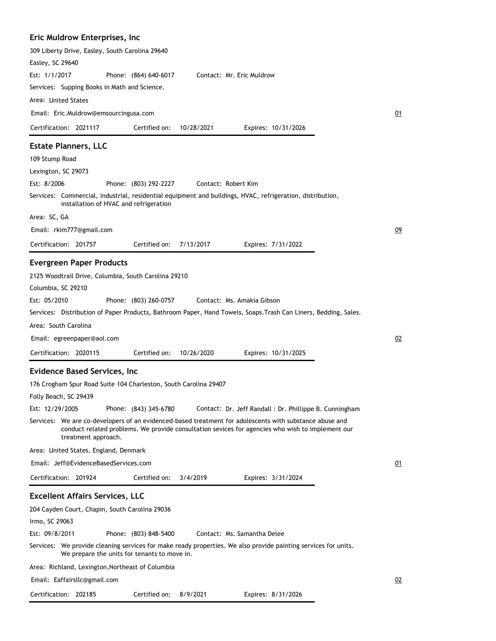## **Eric Muldrow Enterprises, Inc**

| 309 Liberty Drive, Easley, South Carolina 29640<br>Easley, SC 29640<br>Est: 1/1/2017<br>Phone: (864) 640-6017<br>Contact: Mr. Eric Muldrow<br>Services: Supping Books in Math and Science.                                                                                                                                                             |    |
|--------------------------------------------------------------------------------------------------------------------------------------------------------------------------------------------------------------------------------------------------------------------------------------------------------------------------------------------------------|----|
| Area: United States                                                                                                                                                                                                                                                                                                                                    |    |
| Email: Eric.Muldrow@emsourcingusa.com                                                                                                                                                                                                                                                                                                                  | 01 |
| Certification: 2021117<br>Certified on:<br>10/28/2021<br>Expires: 10/31/2026                                                                                                                                                                                                                                                                           |    |
| <b>Estate Planners, LLC</b>                                                                                                                                                                                                                                                                                                                            |    |
| 109 Stump Road                                                                                                                                                                                                                                                                                                                                         |    |
| Lexington, SC 29073                                                                                                                                                                                                                                                                                                                                    |    |
| Est: 8/2006<br>Phone: (803) 292-2227<br>Contact: Robert Kim<br>Services: Commercial, industrial, residential equipment and buildings, HVAC, refrigeration, distribution,                                                                                                                                                                               |    |
| installation of HVAC and refrigeration                                                                                                                                                                                                                                                                                                                 |    |
| Area: SC, GA                                                                                                                                                                                                                                                                                                                                           |    |
| Email: rkim777@gmail.com                                                                                                                                                                                                                                                                                                                               | 09 |
| 7/13/2017<br>Certification: 201757<br>Certified on:<br>Expires: 7/31/2022                                                                                                                                                                                                                                                                              |    |
| <b>Evergreen Paper Products</b>                                                                                                                                                                                                                                                                                                                        |    |
| 2125 Woodtrail Drive, Columbia, South Carolina 29210<br>Columbia, SC 29210<br>Est: 05/2010<br>Phone: (803) 260-0757<br>Contact: Ms. Amakia Gibson<br>Services:   Distribution of Paper Products, Bathroom Paper, Hand Towels, Soaps.Trash Can Liners, Bedding, Sales.<br>Area: South Carolina                                                          |    |
| Email: egreenpaper@aol.com                                                                                                                                                                                                                                                                                                                             | 02 |
| Certification: 2020115<br>Certified on:<br>10/26/2020<br>Expires: 10/31/2025                                                                                                                                                                                                                                                                           |    |
|                                                                                                                                                                                                                                                                                                                                                        |    |
| <b>Evidence Based Services, Inc</b><br>176 Crogham Spur Road Suite 104 Charleston, South Carolina 29407<br>Folly Beach, SC 29439<br>Est: 12/29/2005<br>Phone: (843) 345-6780<br>Contact: Dr. Jeff Randall : Dr. Phillippe B. Cunningham                                                                                                                |    |
| Services: We are co-developers of an evidenced-based treatment for adolescents with substance abuse and<br>conduct related problems. We provide consultation sevices for agencies who wish to implement our<br>treatment approach.                                                                                                                     |    |
| Area: United States, England, Denmark                                                                                                                                                                                                                                                                                                                  |    |
| Email: Jeff@EvidenceBasedServices.com                                                                                                                                                                                                                                                                                                                  | 01 |
| Certification: 201924<br>Certified on:<br>3/4/2019<br>Expires: 3/31/2024                                                                                                                                                                                                                                                                               |    |
| <b>Excellent Affairs Services, LLC</b><br>204 Cayden Court, Chapin, South Carolina 29036<br>Irmo, SC 29063<br>Est: 09/8/2011<br>Phone: (803) 848-5400<br>Contact: Ms. Samantha Delee<br>Services: We provide cleaning services for make ready properties. We also provide painting services for units.<br>We prepare the units for tenants to move in. |    |
| Area: Richland, Lexington, Northeast of Columbia                                                                                                                                                                                                                                                                                                       |    |
| Email: Eaffairsllc@gmail.com                                                                                                                                                                                                                                                                                                                           | 02 |
| Certification: 202185<br>Certified on:<br>8/9/2021<br>Expires: 8/31/2026                                                                                                                                                                                                                                                                               |    |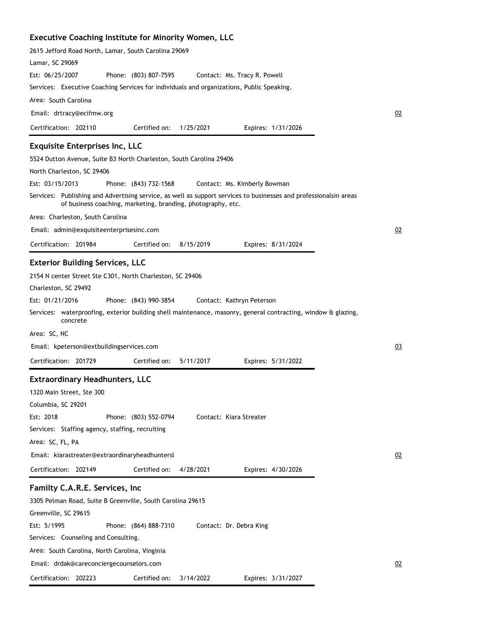### **Executive Coaching Institute for Minority Women, LLC**

| 2615 Jefford Road North, Lamar, South Carolina 29069<br>Lamar, SC 29069                                                                                                           |    |
|-----------------------------------------------------------------------------------------------------------------------------------------------------------------------------------|----|
| Est: 06/25/2007<br>Phone: (803) 807-7595<br>Contact: Ms. Tracy R. Powell                                                                                                          |    |
| Services: Executive Coaching Services for individuals and organizations, Public Speaking.                                                                                         |    |
| Area: South Carolina                                                                                                                                                              |    |
| Email: drtracy@ecifmw.org                                                                                                                                                         | 02 |
| Certification: 202110<br>Certified on:<br>1/25/2021<br>Expires: 1/31/2026                                                                                                         |    |
| <b>Exquisite Enterprises Inc, LLC</b>                                                                                                                                             |    |
| 5524 Dutton Avenue, Suite B3 North Charleston, South Carolina 29406                                                                                                               |    |
| North Charleston, SC 29406                                                                                                                                                        |    |
| Est: 03/15/2013<br>Phone: (843) 732-1568<br>Contact: Ms. Kimberly Bowman                                                                                                          |    |
| Services: Publishing and Advertising service, as well as support services to businesses and professionalsin areas<br>of business coaching, marketing, branding, photography, etc. |    |
| Area: Charleston, South Carolina                                                                                                                                                  |    |
| Email: admin@exquisiteenterprisesinc.com                                                                                                                                          | 02 |
| Certification: 201984<br>Certified on:<br>8/15/2019<br>Expires: 8/31/2024                                                                                                         |    |
| <b>Exterior Building Services, LLC</b>                                                                                                                                            |    |
| 2154 N center Street Ste C301, North Charleston, SC 29406                                                                                                                         |    |
| Charleston, SC 29492                                                                                                                                                              |    |
| Est: 01/21/2016<br>Phone: (843) 990-3854<br>Contact: Kathryn Peterson                                                                                                             |    |
| Services: waterproofing, exterior building shell maintenance, masonry, general contracting, window & glazing,<br>concrete                                                         |    |
| Area: SC, NC                                                                                                                                                                      |    |
| Email: kpeterson@extbuildingservices.com                                                                                                                                          | 03 |
| Certification: 201729<br>Certified on:<br>5/11/2017<br>Expires: 5/31/2022                                                                                                         |    |
| <b>Extraordinary Headhunters, LLC</b>                                                                                                                                             |    |
| 1320 Main Street, Ste 300                                                                                                                                                         |    |
| Columbia, SC 29201                                                                                                                                                                |    |
| Est: 2018<br>Phone: (803) 552-0794<br>Contact: Kiara Streater                                                                                                                     |    |
| Services: Staffing agency, staffing, recruiting                                                                                                                                   |    |
| Area: SC, FL, PA                                                                                                                                                                  |    |
| Email: kiarastreater@extraordinaryheadhuntersl                                                                                                                                    | 02 |
| Certification: 202149<br>Certified on:<br>4/28/2021<br>Expires: 4/30/2026                                                                                                         |    |
|                                                                                                                                                                                   |    |
| Familty C.A.R.E. Services, Inc                                                                                                                                                    |    |
| 3305 Pelman Road, Suite B Greenville, South Carolina 29615                                                                                                                        |    |
| Greenville, SC 29615                                                                                                                                                              |    |
| Est: 5/1995<br>Phone: (864) 888-7310<br>Contact: Dr. Debra King                                                                                                                   |    |
| Services: Counseling and Consulting.                                                                                                                                              |    |
| Area: South Carolina, North Carolina, Vinginia                                                                                                                                    |    |
| Email: drdak@careconciergecounselors.com                                                                                                                                          | 02 |
| Certification: 202223<br>Certified on:<br>3/14/2022<br>Expires: 3/31/2027                                                                                                         |    |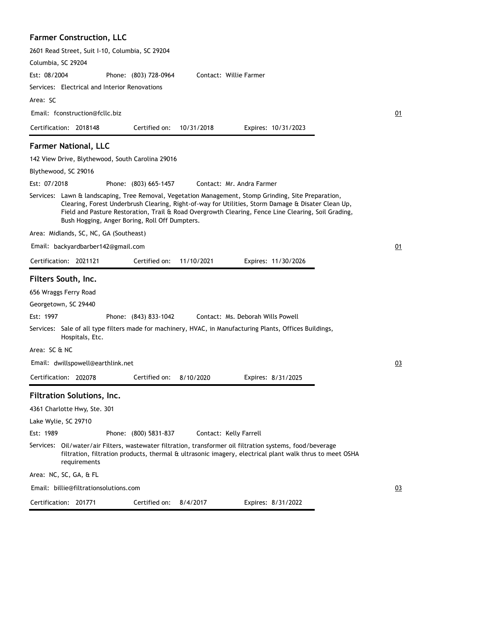| <b>Farmer Construction, LLC</b>                                                                                                                                                                                                                                                                                                                                     |    |
|---------------------------------------------------------------------------------------------------------------------------------------------------------------------------------------------------------------------------------------------------------------------------------------------------------------------------------------------------------------------|----|
| 2601 Read Street, Suit I-10, Columbia, SC 29204                                                                                                                                                                                                                                                                                                                     |    |
| Columbia, SC 29204                                                                                                                                                                                                                                                                                                                                                  |    |
| Est: 08/2004<br>Contact: Willie Farmer<br>Phone: (803) 728-0964                                                                                                                                                                                                                                                                                                     |    |
| Services: Electrical and Interior Renovations                                                                                                                                                                                                                                                                                                                       |    |
| Area: SC                                                                                                                                                                                                                                                                                                                                                            |    |
| Email: fconstruction@fcllc.biz                                                                                                                                                                                                                                                                                                                                      | 01 |
| Certification: 2018148<br>Certified on:<br>10/31/2018<br>Expires: 10/31/2023                                                                                                                                                                                                                                                                                        |    |
| <b>Farmer National, LLC</b>                                                                                                                                                                                                                                                                                                                                         |    |
| 142 View Drive, Blythewood, South Carolina 29016                                                                                                                                                                                                                                                                                                                    |    |
| Blythewood, SC 29016                                                                                                                                                                                                                                                                                                                                                |    |
| Est: 07/2018<br>Phone: (803) 665-1457<br>Contact: Mr. Andra Farmer                                                                                                                                                                                                                                                                                                  |    |
| Services: Lawn & landscaping, Tree Removal, Vegetation Management, Stomp Grinding, Site Preparation,<br>Clearing, Forest Underbrush Clearing, Right-of-way for Utilities, Storm Damage & Disater Clean Up,<br>Field and Pasture Restoration, Trail & Road Overgrowth Clearing, Fence Line Clearing, Soil Grading,<br>Bush Hogging, Anger Boring, Roll Off Dumpters. |    |
| Area: Midlands, SC, NC, GA (Southeast)                                                                                                                                                                                                                                                                                                                              |    |
| Email: backyardbarber142@gmail.com                                                                                                                                                                                                                                                                                                                                  | 01 |
| Certification: 2021121<br>Certified on:<br>11/10/2021<br>Expires: 11/30/2026                                                                                                                                                                                                                                                                                        |    |
| Filters South, Inc.                                                                                                                                                                                                                                                                                                                                                 |    |
| 656 Wraggs Ferry Road                                                                                                                                                                                                                                                                                                                                               |    |
| Georgetown, SC 29440                                                                                                                                                                                                                                                                                                                                                |    |
| Est: 1997<br>Phone: (843) 833-1042<br>Contact: Ms. Deborah Wills Powell                                                                                                                                                                                                                                                                                             |    |
| Services: Sale of all type filters made for machinery, HVAC, in Manufacturing Plants, Offices Buildings,<br>Hospitals, Etc.                                                                                                                                                                                                                                         |    |
| Area: SC & NC                                                                                                                                                                                                                                                                                                                                                       |    |
| Email: dwillspowell@earthlink.net                                                                                                                                                                                                                                                                                                                                   | 03 |
| Certified on:<br>Certification: 202078<br>8/10/2020<br>Expires: 8/31/2025                                                                                                                                                                                                                                                                                           |    |
| Filtration Solutions, Inc.                                                                                                                                                                                                                                                                                                                                          |    |
| 4361 Charlotte Hwy, Ste. 301                                                                                                                                                                                                                                                                                                                                        |    |
| Lake Wylie, SC 29710                                                                                                                                                                                                                                                                                                                                                |    |
| Est: 1989<br>Phone: (800) 5831-837<br>Contact: Kelly Farrell                                                                                                                                                                                                                                                                                                        |    |
| Services: Oil/water/air Filters, wastewater filtration, transformer oil filtration systems, food/beverage<br>filtration, filtration products, thermal & ultrasonic imagery, electrical plant walk thrus to meet OSHA<br>requirements                                                                                                                                |    |
| Area: NC, SC, GA, & FL                                                                                                                                                                                                                                                                                                                                              |    |
| Email: billie@filtrationsolutions.com                                                                                                                                                                                                                                                                                                                               | 03 |
| 8/4/2017<br>Certification: 201771<br>Certified on:<br>Expires: 8/31/2022                                                                                                                                                                                                                                                                                            |    |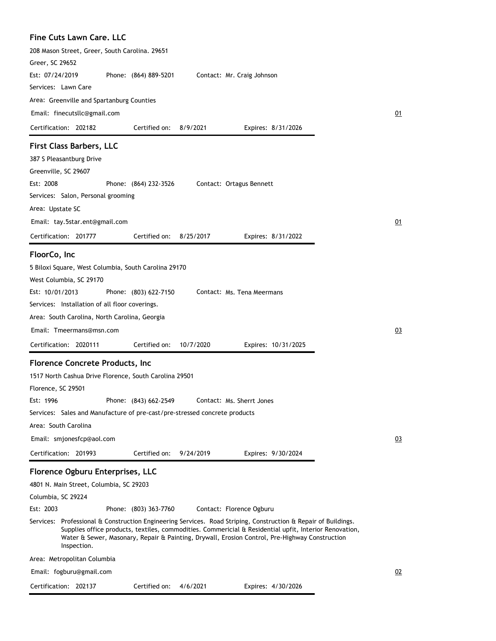| <b>Fine Cuts Lawn Care, LLC</b>                                                                                                                                                                                                                                                                                                           |           |
|-------------------------------------------------------------------------------------------------------------------------------------------------------------------------------------------------------------------------------------------------------------------------------------------------------------------------------------------|-----------|
| 208 Mason Street, Greer, South Carolina. 29651                                                                                                                                                                                                                                                                                            |           |
| Greer, SC 29652                                                                                                                                                                                                                                                                                                                           |           |
| Est: 07/24/2019<br>Phone: (864) 889-5201<br>Contact: Mr. Craig Johnson                                                                                                                                                                                                                                                                    |           |
| Services: Lawn Care                                                                                                                                                                                                                                                                                                                       |           |
| Area: Greenville and Spartanburg Counties                                                                                                                                                                                                                                                                                                 |           |
| Email: finecutsllc@gmail.com                                                                                                                                                                                                                                                                                                              | 01        |
| Certification: 202182<br>Certified on:<br>8/9/2021<br>Expires: 8/31/2026                                                                                                                                                                                                                                                                  |           |
| <b>First Class Barbers, LLC</b>                                                                                                                                                                                                                                                                                                           |           |
| 387 S Pleasantburg Drive                                                                                                                                                                                                                                                                                                                  |           |
| Greenville, SC 29607                                                                                                                                                                                                                                                                                                                      |           |
| Est: 2008<br>Phone: (864) 232-3526<br>Contact: Ortagus Bennett                                                                                                                                                                                                                                                                            |           |
| Services: Salon, Personal grooming                                                                                                                                                                                                                                                                                                        |           |
| Area: Upstate SC                                                                                                                                                                                                                                                                                                                          |           |
| Email: tay.5star.ent@gmail.com                                                                                                                                                                                                                                                                                                            | 01        |
| Certification: 201777<br>Certified on:<br>8/25/2017<br>Expires: 8/31/2022                                                                                                                                                                                                                                                                 |           |
| FloorCo, Inc                                                                                                                                                                                                                                                                                                                              |           |
| 5 Biloxi Square, West Columbia, South Carolina 29170                                                                                                                                                                                                                                                                                      |           |
| West Columbia, SC 29170                                                                                                                                                                                                                                                                                                                   |           |
| Est: 10/01/2013<br>Phone: (803) 622-7150<br>Contact: Ms. Tena Meermans                                                                                                                                                                                                                                                                    |           |
| Services: Installation of all floor coverings.                                                                                                                                                                                                                                                                                            |           |
| Area: South Carolina, North Carolina, Georgia                                                                                                                                                                                                                                                                                             |           |
| Email: Tmeermans@msn.com                                                                                                                                                                                                                                                                                                                  | <u>03</u> |
| Certified on:<br>Certification: 2020111<br>10/7/2020<br>Expires: 10/31/2025                                                                                                                                                                                                                                                               |           |
| <b>Florence Concrete Products, Inc</b>                                                                                                                                                                                                                                                                                                    |           |
| 1517 North Cashua Drive Florence, South Carolina 29501                                                                                                                                                                                                                                                                                    |           |
| Florence, SC 29501                                                                                                                                                                                                                                                                                                                        |           |
| Est: 1996<br>Phone: (843) 662-2549<br>Contact: Ms. Sherrt Jones                                                                                                                                                                                                                                                                           |           |
| Services: Sales and Manufacture of pre-cast/pre-stressed concrete products                                                                                                                                                                                                                                                                |           |
| Area: South Carolina                                                                                                                                                                                                                                                                                                                      |           |
| Email: smjonesfcp@aol.com                                                                                                                                                                                                                                                                                                                 | 03        |
| Certified on:<br>Certification: 201993<br>9/24/2019<br>Expires: 9/30/2024                                                                                                                                                                                                                                                                 |           |
| Florence Ogburu Enterprises, LLC                                                                                                                                                                                                                                                                                                          |           |
| 4801 N. Main Street, Columbia, SC 29203                                                                                                                                                                                                                                                                                                   |           |
| Columbia, SC 29224                                                                                                                                                                                                                                                                                                                        |           |
| Est: 2003<br>Phone: (803) 363-7760<br>Contact: Florence Ogburu                                                                                                                                                                                                                                                                            |           |
| Services: Professional & Construction Engineering Services. Road Striping, Construction & Repair of Buildings.<br>Supplies office products, textiles, commodities. Commericial & Residential upfit, Interior Renovation,<br>Water & Sewer, Masonary, Repair & Painting, Drywall, Erosion Control, Pre-Highway Construction<br>Inspection. |           |
| Area: Metropolitan Columbia                                                                                                                                                                                                                                                                                                               |           |
| Email: fogburu@gmail.com                                                                                                                                                                                                                                                                                                                  | 02        |
| Certification: 202137<br>Certified on: $4/6/2021$<br>Expires: 4/30/2026                                                                                                                                                                                                                                                                   |           |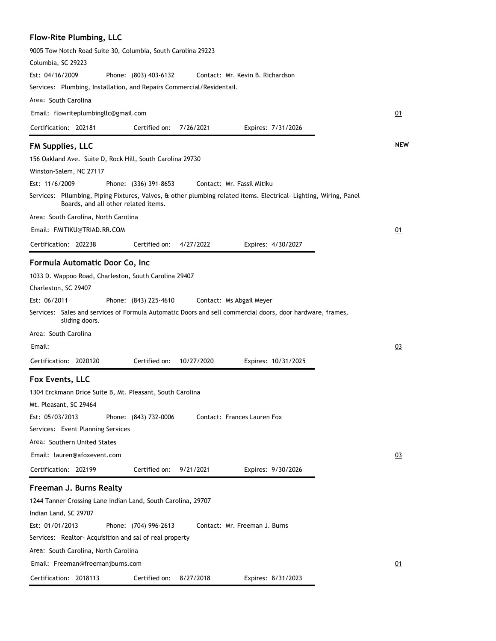## **Flow-Rite Plumbing, LLC**

| 9005 Tow Notch Road Suite 30, Columbia, South Carolina 29223                                                                                             |            |
|----------------------------------------------------------------------------------------------------------------------------------------------------------|------------|
| Columbia, SC 29223                                                                                                                                       |            |
| Est: 04/16/2009<br>Phone: (803) 403-6132<br>Contact: Mr. Kevin B. Richardson                                                                             |            |
| Services: Plumbing, Installation, and Repairs Commercial/Residentail.                                                                                    |            |
| Area: South Carolina                                                                                                                                     |            |
| Email: flowriteplumbingllc@gmail.com                                                                                                                     | 01         |
| Certified on:<br>Certification: 202181<br>7/26/2021<br>Expires: 7/31/2026                                                                                |            |
| <b>FM Supplies, LLC</b>                                                                                                                                  | <b>NEW</b> |
| 156 Oakland Ave. Suite D, Rock Hill, South Carolina 29730                                                                                                |            |
| Winston-Salem, NC 27117                                                                                                                                  |            |
| Est: 11/6/2009<br>Contact: Mr. Fassil Mitiku<br>Phone: (336) 391-8653                                                                                    |            |
| Services: Pllumbing, Piping Fixtures, Valves, & other plumbing related items. Electrical-Lighting, Wiring, Panel<br>Boards, and all other related items. |            |
| Area: South Carolina, North Carolina                                                                                                                     |            |
| Email: FMITIKU@TRIAD.RR.COM                                                                                                                              | 01         |
| Certification: 202238<br>Certified on:<br>4/27/2022<br>Expires: 4/30/2027                                                                                |            |
| Formula Automatic Door Co, Inc                                                                                                                           |            |
| 1033 D. Wappoo Road, Charleston, South Carolina 29407                                                                                                    |            |
| Charleston, SC 29407                                                                                                                                     |            |
| Est: 06/2011<br>Phone: (843) 225-4610<br>Contact: Ms Abgail Meyer                                                                                        |            |
| Services: Sales and services of Formula Automatic Doors and sell commercial doors, door hardware, frames,                                                |            |
| sliding doors.                                                                                                                                           |            |
| Area: South Carolina                                                                                                                                     |            |
| Email:                                                                                                                                                   | 03         |
| Certified on:<br>Certification: 2020120<br>10/27/2020<br>Expires: 10/31/2025                                                                             |            |
| Fox Events, LLC                                                                                                                                          |            |
| 1304 Erckmann Drice Suite B, Mt. Pleasant, South Carolina                                                                                                |            |
| Mt. Pleasant, SC 29464                                                                                                                                   |            |
| Est: 05/03/2013<br>Phone: (843) 732-0006<br>Contact: Frances Lauren Fox                                                                                  |            |
| Services: Event Planning Services                                                                                                                        |            |
| Area: Southern United States                                                                                                                             |            |
| Email: lauren@afoxevent.com                                                                                                                              | 03         |
| Certification: 202199<br>Certified on:<br>9/21/2021<br>Expires: 9/30/2026                                                                                |            |
| Freeman J. Burns Realty                                                                                                                                  |            |
| 1244 Tanner Crossing Lane Indian Land, South Carolina, 29707                                                                                             |            |
| Indian Land, SC 29707                                                                                                                                    |            |
| Est: 01/01/2013<br>Phone: (704) 996-2613<br>Contact: Mr. Freeman J. Burns                                                                                |            |
| Services: Realtor-Acquisition and sal of real property                                                                                                   |            |
| Area: South Carolina, North Carolina                                                                                                                     |            |
| Email: Freeman@freemanjburns.com                                                                                                                         | 01         |
| Certification: 2018113<br>Certified on:<br>Expires: 8/31/2023<br>8/27/2018                                                                               |            |
|                                                                                                                                                          |            |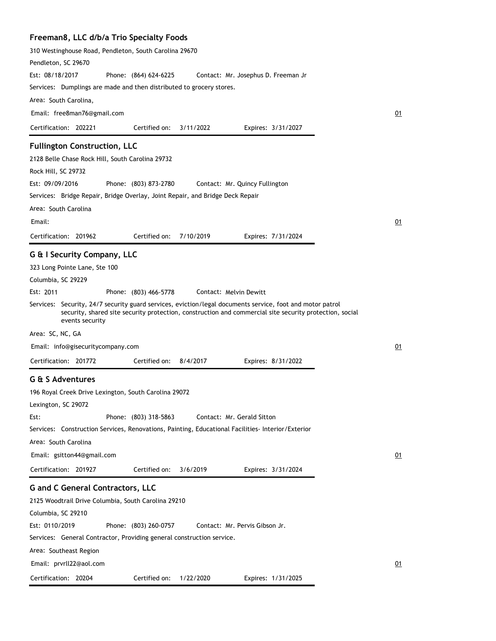## **Freeman8, LLC d/b/a Trio Specialty Foods**

| 310 Westinghouse Road, Pendleton, South Carolina 29670                                                                                                                                                                                  |    |
|-----------------------------------------------------------------------------------------------------------------------------------------------------------------------------------------------------------------------------------------|----|
| Pendleton, SC 29670                                                                                                                                                                                                                     |    |
| Est: 08/18/2017<br>Phone: (864) 624-6225<br>Contact: Mr. Josephus D. Freeman Jr                                                                                                                                                         |    |
| Services: Dumplings are made and then distributed to grocery stores.<br>Area: South Carolina,                                                                                                                                           |    |
|                                                                                                                                                                                                                                         |    |
| Email: free8man76@gmail.com                                                                                                                                                                                                             | 01 |
| 3/11/2022<br>Certification: 202221<br>Certified on:<br>Expires: 3/31/2027                                                                                                                                                               |    |
| <b>Fullington Construction, LLC</b>                                                                                                                                                                                                     |    |
| 2128 Belle Chase Rock Hill, South Carolina 29732                                                                                                                                                                                        |    |
| Rock Hill, SC 29732                                                                                                                                                                                                                     |    |
| Est: 09/09/2016<br>Phone: (803) 873-2780<br>Contact: Mr. Quincy Fullington                                                                                                                                                              |    |
| Services: Bridge Repair, Bridge Overlay, Joint Repair, and Bridge Deck Repair                                                                                                                                                           |    |
| Area: South Carolina                                                                                                                                                                                                                    |    |
| Email:                                                                                                                                                                                                                                  | 01 |
| Certified on:<br>Certification: 201962<br>7/10/2019<br>Expires: 7/31/2024                                                                                                                                                               |    |
| G & I Security Company, LLC                                                                                                                                                                                                             |    |
| 323 Long Pointe Lane, Ste 100                                                                                                                                                                                                           |    |
| Columbia, SC 29229                                                                                                                                                                                                                      |    |
| Est: 2011<br>Phone: (803) 466-5778<br>Contact: Melvin Dewitt                                                                                                                                                                            |    |
| Services: Security, 24/7 security guard services, eviction/legal documents service, foot and motor patrol<br>security, shared site security protection, construction and commercial site security protection, social<br>events security |    |
| Area: SC, NC, GA                                                                                                                                                                                                                        |    |
| Email: info@gisecuritycompany.com                                                                                                                                                                                                       | 01 |
| Certification: 201772<br>Certified on:<br>8/4/2017<br>Expires: 8/31/2022                                                                                                                                                                |    |
| G & S Adventures                                                                                                                                                                                                                        |    |
| 196 Royal Creek Drive Lexington, South Carolina 29072                                                                                                                                                                                   |    |
| Lexington, SC 29072                                                                                                                                                                                                                     |    |
| Phone: (803) 318-5863<br>Contact: Mr. Gerald Sitton<br>Est:                                                                                                                                                                             |    |
| Services: Construction Services, Renovations, Painting, Educational Facilities-Interior/Exterior                                                                                                                                        |    |
| Area: South Carolina                                                                                                                                                                                                                    |    |
| Email: gsitton44@gmail.com                                                                                                                                                                                                              | 01 |
| Certification: 201927<br>Certified on:<br>3/6/2019<br>Expires: 3/31/2024                                                                                                                                                                |    |
| <b>G</b> and C General Contractors, LLC                                                                                                                                                                                                 |    |
| 2125 Woodtrail Drive Columbia, South Carolina 29210                                                                                                                                                                                     |    |
| Columbia, SC 29210                                                                                                                                                                                                                      |    |
| Est: 0110/2019<br>Phone: (803) 260-0757<br>Contact: Mr. Pervis Gibson Jr.                                                                                                                                                               |    |
| Services: General Contractor, Providing general construction service.                                                                                                                                                                   |    |
| Area: Southeast Region                                                                                                                                                                                                                  |    |
| Email: prvrll22@aol.com                                                                                                                                                                                                                 | 01 |
| Certification: 20204<br>Certified on:<br>1/22/2020<br>Expires: 1/31/2025                                                                                                                                                                |    |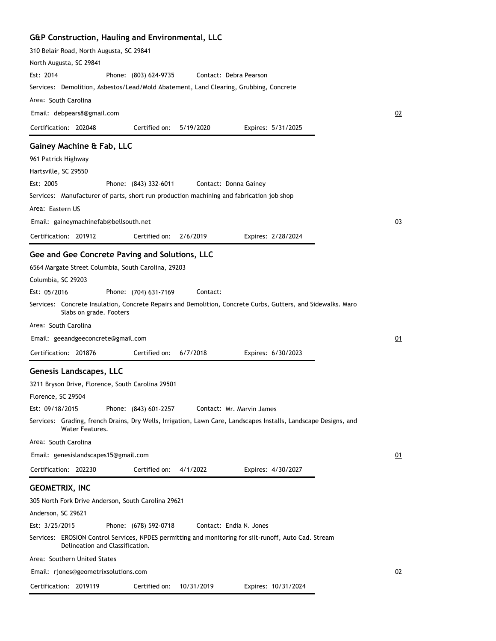## **G&P Construction, Hauling and Environmental, LLC**

| 310 Belair Road, North Augusta, SC 29841                                                                                                 |    |
|------------------------------------------------------------------------------------------------------------------------------------------|----|
| North Augusta, SC 29841                                                                                                                  |    |
| Est: 2014<br>Phone: (803) 624-9735<br>Contact: Debra Pearson                                                                             |    |
| Services: Demolition, Asbestos/Lead/Mold Abatement, Land Clearing, Grubbing, Concrete                                                    |    |
| Area: South Carolina                                                                                                                     |    |
| Email: debpears8@gmail.com                                                                                                               | 02 |
| Certification: 202048<br>Certified on:<br>5/19/2020<br>Expires: 5/31/2025                                                                |    |
| Gainey Machine & Fab, LLC                                                                                                                |    |
| 961 Patrick Highway                                                                                                                      |    |
| Hartsville, SC 29550                                                                                                                     |    |
| Est: 2005<br>Phone: (843) 332-6011<br>Contact: Donna Gainey                                                                              |    |
| Services: Manufacturer of parts, short run production machining and fabrication job shop                                                 |    |
| Area: Eastern US                                                                                                                         |    |
| Email: gaineymachinefab@bellsouth.net                                                                                                    | 03 |
| 2/6/2019<br>Certification: 201912<br>Certified on:<br>Expires: 2/28/2024                                                                 |    |
| Gee and Gee Concrete Paving and Solutions, LLC                                                                                           |    |
| 6564 Margate Street Columbia, South Carolina, 29203                                                                                      |    |
| Columbia, SC 29203                                                                                                                       |    |
| Est: 05/2016<br>Phone: (704) 631-7169<br>Contact:                                                                                        |    |
| Services: Concrete Insulation, Concrete Repairs and Demolition, Concrete Curbs, Gutters, and Sidewalks. Maro<br>Slabs on grade. Footers  |    |
| Area: South Carolina                                                                                                                     |    |
| Email: geeandgeeconcrete@gmail.com                                                                                                       | 01 |
| Certification: 201876<br>Certified on:<br>6/7/2018<br>Expires: 6/30/2023                                                                 |    |
|                                                                                                                                          |    |
| <b>Genesis Landscapes, LLC</b>                                                                                                           |    |
| 3211 Bryson Drive, Florence, South Carolina 29501                                                                                        |    |
| Florence, SC 29504                                                                                                                       |    |
| Est: 09/18/2015<br>Phone: (843) 601-2257<br>Contact: Mr. Marvin James                                                                    |    |
| Services: Grading, french Drains, Dry Wells, Irrigation, Lawn Care, Landscapes Installs, Landscape Designs, and<br>Water Features.       |    |
| Area: South Carolina                                                                                                                     |    |
| Email: genesislandscapes15@gmail.com                                                                                                     | 01 |
| Certification: 202230<br>Certified on:<br>4/1/2022<br>Expires: 4/30/2027                                                                 |    |
| <b>GEOMETRIX, INC</b>                                                                                                                    |    |
| 305 North Fork Drive Anderson, South Carolina 29621                                                                                      |    |
| Anderson, SC 29621                                                                                                                       |    |
| Est: 3/25/2015<br>Contact: Endia N. Jones<br>Phone: (678) 592-0718                                                                       |    |
| Services: EROSION Control Services, NPDES permitting and monitoring for silt-runoff, Auto Cad. Stream<br>Delineation and Classification. |    |
| Area: Southern United States                                                                                                             |    |
| Email: rjones@geometrixsolutions.com                                                                                                     | 02 |
| Certification: 2019119<br>Certified on:<br>10/31/2019<br>Expires: 10/31/2024                                                             |    |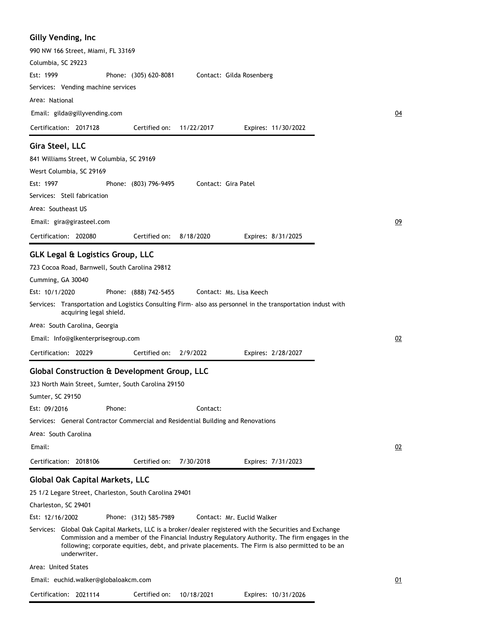| Gilly Vending, Inc                                                                                                                                                                                                                                                                                                              |                  |
|---------------------------------------------------------------------------------------------------------------------------------------------------------------------------------------------------------------------------------------------------------------------------------------------------------------------------------|------------------|
| 990 NW 166 Street, Miami, FL 33169                                                                                                                                                                                                                                                                                              |                  |
| Columbia, SC 29223                                                                                                                                                                                                                                                                                                              |                  |
| Est: 1999<br>Phone: (305) 620-8081<br>Contact: Gilda Rosenberg                                                                                                                                                                                                                                                                  |                  |
| Services: Vending machine services                                                                                                                                                                                                                                                                                              |                  |
| Area: National                                                                                                                                                                                                                                                                                                                  |                  |
| Email: gilda@gillyvending.com                                                                                                                                                                                                                                                                                                   | $\underline{04}$ |
| Certification: 2017128<br>Certified on:<br>11/22/2017<br>Expires: 11/30/2022                                                                                                                                                                                                                                                    |                  |
| Gira Steel, LLC                                                                                                                                                                                                                                                                                                                 |                  |
| 841 Williams Street, W Columbia, SC 29169                                                                                                                                                                                                                                                                                       |                  |
| Wesrt Columbia, SC 29169                                                                                                                                                                                                                                                                                                        |                  |
| Est: 1997<br>Phone: (803) 796-9495<br>Contact: Gira Patel                                                                                                                                                                                                                                                                       |                  |
| Services: Stell fabrication                                                                                                                                                                                                                                                                                                     |                  |
| Area: Southeast US                                                                                                                                                                                                                                                                                                              |                  |
| Email: gira@girasteel.com                                                                                                                                                                                                                                                                                                       | 09               |
| Certification: 202080<br>Certified on:<br>8/18/2020<br>Expires: 8/31/2025                                                                                                                                                                                                                                                       |                  |
| <b>GLK Legal &amp; Logistics Group, LLC</b>                                                                                                                                                                                                                                                                                     |                  |
| 723 Cocoa Road, Barnwell, South Carolina 29812                                                                                                                                                                                                                                                                                  |                  |
| Cumming, GA 30040                                                                                                                                                                                                                                                                                                               |                  |
| Est: 10/1/2020<br>Phone: (888) 742-5455<br>Contact: Ms. Lisa Keech                                                                                                                                                                                                                                                              |                  |
| Services: Transportation and Logistics Consulting Firm- also ass personnel in the transportation indust with<br>acquiring legal shield.                                                                                                                                                                                         |                  |
| Area: South Carolina, Georgia                                                                                                                                                                                                                                                                                                   |                  |
| Email: Info@glkenterprisegroup.com                                                                                                                                                                                                                                                                                              | 02               |
| Certification: 20229<br>Certified on:<br>2/9/2022<br>Expires: 2/28/2027                                                                                                                                                                                                                                                         |                  |
| <b>Global Construction &amp; Development Group, LLC</b>                                                                                                                                                                                                                                                                         |                  |
| 323 North Main Street, Sumter, South Carolina 29150                                                                                                                                                                                                                                                                             |                  |
| Sumter, SC 29150                                                                                                                                                                                                                                                                                                                |                  |
| Est: 09/2016<br>Phone:<br>Contact:                                                                                                                                                                                                                                                                                              |                  |
| Services: General Contractor Commercial and Residential Building and Renovations                                                                                                                                                                                                                                                |                  |
| Area: South Carolina                                                                                                                                                                                                                                                                                                            |                  |
| Email:                                                                                                                                                                                                                                                                                                                          | 02               |
| Certified on:<br>7/30/2018<br>Certification: 2018106<br>Expires: 7/31/2023                                                                                                                                                                                                                                                      |                  |
| <b>Global Oak Capital Markets, LLC</b>                                                                                                                                                                                                                                                                                          |                  |
| 25 1/2 Legare Street, Charleston, South Carolina 29401                                                                                                                                                                                                                                                                          |                  |
| Charleston, SC 29401                                                                                                                                                                                                                                                                                                            |                  |
| Est: 12/16/2002<br>Phone: (312) 585-7989<br>Contact: Mr. Euclid Walker                                                                                                                                                                                                                                                          |                  |
| Services: Global Oak Capital Markets, LLC is a broker/dealer registered with the Securities and Exchange<br>Commission and a member of the Financial Industry Regulatory Authority. The firm engages in the<br>following; corporate equities, debt, and private placements. The Firm is also permitted to be an<br>underwriter. |                  |
| Area: United States                                                                                                                                                                                                                                                                                                             |                  |
| Email: euchid.walker@globaloakcm.com                                                                                                                                                                                                                                                                                            | 01               |
|                                                                                                                                                                                                                                                                                                                                 |                  |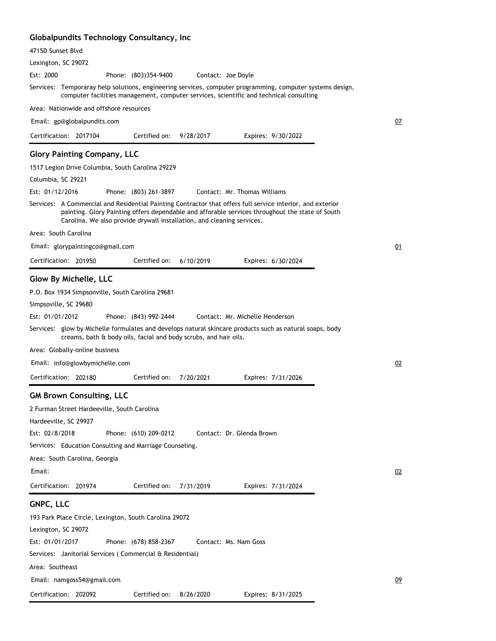### **Globalpundits Technology Consultancy, Inc**

| 4715D Sunset Blvd                                                                                                                                                                                                                                                                       |    |
|-----------------------------------------------------------------------------------------------------------------------------------------------------------------------------------------------------------------------------------------------------------------------------------------|----|
| Lexington, SC 29072                                                                                                                                                                                                                                                                     |    |
| Est: 2000<br>Phone: (803)354-9400<br>Contact: Joe Doyle                                                                                                                                                                                                                                 |    |
| Services: Temporaray help solutions, engineering services, computer programming, computer systems design,<br>computer facilities management, computer services, scientific and technical consulting                                                                                     |    |
| Area: Nationwide and offshore resources                                                                                                                                                                                                                                                 |    |
| Email: gp@globalpundits.com                                                                                                                                                                                                                                                             | 07 |
| Certification: 2017104<br>Certified on:<br>9/28/2017<br>Expires: 9/30/2022                                                                                                                                                                                                              |    |
| <b>Glory Painting Company, LLC</b>                                                                                                                                                                                                                                                      |    |
| 1517 Legion Drive Columbia, South Carolina 29229                                                                                                                                                                                                                                        |    |
| Columbia, SC 29221                                                                                                                                                                                                                                                                      |    |
| Est: 01/12/2016<br>Contact: Mr. Thomas Williams<br>Phone: (803) 261-3897                                                                                                                                                                                                                |    |
| Services: A Commercial and Residential Painting Contractor that offers full service interior, and exterior<br>painting. Glory Painting offers dependable and afforable services throughout the state of South<br>Carolina. We also provide drywall installation, and cleaning services. |    |
| Area: South Carolina                                                                                                                                                                                                                                                                    |    |
| Email: glorypaintingco@gmail.com                                                                                                                                                                                                                                                        | 01 |
| Certification: 201950<br>Certified on:<br>6/10/2019<br>Expires: 6/30/2024                                                                                                                                                                                                               |    |
| <b>Glow By Michelle, LLC</b>                                                                                                                                                                                                                                                            |    |
| P.O. Box 1934 Simpsonville, South Carolina 29681                                                                                                                                                                                                                                        |    |
| Simpsoville, SC 29680                                                                                                                                                                                                                                                                   |    |
| Est: 01/01/2012<br>Phone: (843) 992-2444<br>Contact: Mr. Michelle Henderson                                                                                                                                                                                                             |    |
| Services: glow by Michelle formulates and develops natural skincare products such as natural soaps, body<br>creams, bath & body oils, facial and body scrubs, and hair oils.                                                                                                            |    |
| Area: Globally-online business                                                                                                                                                                                                                                                          |    |
| Email: info@glowbymichelle.com                                                                                                                                                                                                                                                          | 02 |
| Certification: 202180<br>Certified on:<br>7/20/2021<br>Expires: 7/31/2026                                                                                                                                                                                                               |    |
| <b>GM Brown Consulting, LLC</b>                                                                                                                                                                                                                                                         |    |
| 2 Furman Street Hardeeville, South Carolina                                                                                                                                                                                                                                             |    |
| Hardeeville, SC 29927                                                                                                                                                                                                                                                                   |    |
| Est: 02/8/2018<br>Phone: (610) 209-0212<br>Contact: Dr. Glenda Brown                                                                                                                                                                                                                    |    |
| Services: Education Consulting and Marriage Counseling.                                                                                                                                                                                                                                 |    |
| Area: South Carolina, Georgia                                                                                                                                                                                                                                                           |    |
| Email:                                                                                                                                                                                                                                                                                  | 02 |
| Certification: 201974<br>Certified on:<br>7/31/2019<br>Expires: 7/31/2024                                                                                                                                                                                                               |    |
| GNPC, LLC                                                                                                                                                                                                                                                                               |    |
| 193 Park Place Circle, Lexington, South Carolina 29072                                                                                                                                                                                                                                  |    |
| Lexington, SC 29072                                                                                                                                                                                                                                                                     |    |
| Est: 01/01/2017<br>Phone: (678) 858-2367<br>Contact: Ms. Nam Goss                                                                                                                                                                                                                       |    |
| Services: Janitorial Services (Commercial & Residential)                                                                                                                                                                                                                                |    |
| Area: Southeast                                                                                                                                                                                                                                                                         |    |
| Email: namgoss54@gmail.com                                                                                                                                                                                                                                                              | 09 |
| Certification: 202092<br>Certified on:<br>Expires: 8/31/2025<br>8/26/2020                                                                                                                                                                                                               |    |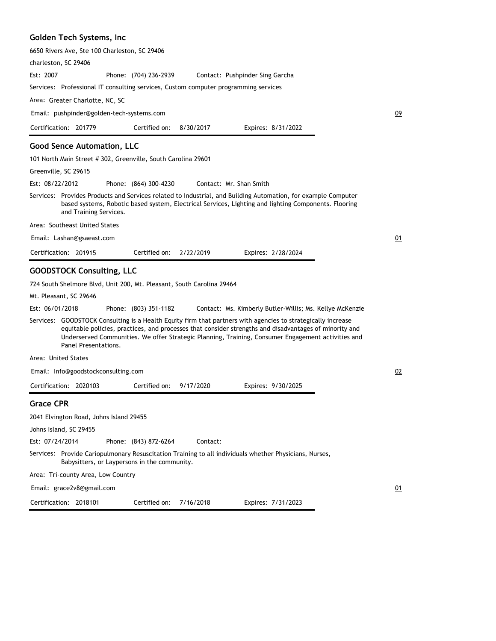#### **Golden Tech Systems, Inc**

6650 Rivers Ave, Ste 100 Charleston, SC 29406

charleston, SC 29406

Phone: (704) 236-2939 Est: 2007 Contact: Pushpinder Sing Garcha

Services: Professional IT consulting services, Custom computer programming services

Area: Greater Charlotte, NC, SC

Email: pushpinder@golden-tech-systems.com

| Certification: 201779 |  | Certified on: 8/30/2017 |  | Expires: 8/31/2022 |
|-----------------------|--|-------------------------|--|--------------------|
|-----------------------|--|-------------------------|--|--------------------|

#### **Good Sence Automation, LLC**

101 North Main Street # 302, Greenville, South Carolina 29601

Greenville, SC 29615

Phone: (864) 300-4230 Est: 08/22/2012 Contact: Mr. Shan Smith

Services: Provides Products and Services related to Industrial, and Building Automation, for example Computer based systems, Robotic based system, Electrical Services, Lighting and lighting Components. Flooring and Training Services.

Area: Southeast United States

Email: Lashan@gsaeast.com

Certification: 201915 Expires: 2/28/2024 Certified on: 2/22/2019

#### **GOODSTOCK Consulting, LLC**

724 South Shelmore Blvd, Unit 200, Mt. Pleasant, South Carolina 29464

Mt. Pleasant, SC 29646

Phone: (803) 351-1182 Est: 06/01/2018 Contact: Ms. Kimberly Butler-Willis; Ms. Kellye McKenzie

Services: GOODSTOCK Consulting is a Health Equity firm that partners with agencies to strategically increase equitable policies, practices, and processes that consider strengths and disadvantages of minority and Underserved Communities. We offer Strategic Planning, Training, Consumer Engagement activities and Panel Presentations.

Area: United States

Email: Info@goodstockconsulting.com

Certification: 2020103 Expires: 9/30/2025 Certified on: 9/17/2020

#### **Grace CPR**

2041 Elvington Road, Johns Island 29455

Johns Island, SC 29455

Phone: (843) 872-6264 Est: 07/24/2014 Contact:

Services: Provide Cariopulmonary Resuscitation Training to all individuals whether Physicians, Nurses, Babysitters, or Laypersons in the community.

Area: Tri-county Area, Low Country

Email: grace2v8@gmail.com

Certification: 2018101

Certified on: 7/16/2018

Expires: 7/31/2023

09

01

02

01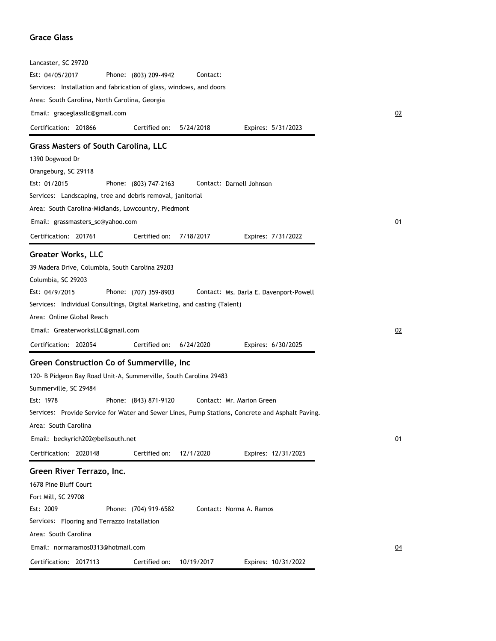#### **Grace Glass**

| Est: 04/05/2017<br>Phone: (803) 209-4942<br>Contact:                                                             |  |
|------------------------------------------------------------------------------------------------------------------|--|
| Services: Installation and fabrication of glass, windows, and doors                                              |  |
| Area: South Carolina, North Carolina, Georgia                                                                    |  |
| Email: graceglassllc@gmail.com                                                                                   |  |
| Certification: 201866<br>Certified on:<br>5/24/2018<br>Expires: 5/31/2023                                        |  |
| <b>Grass Masters of South Carolina, LLC</b>                                                                      |  |
| 1390 Dogwood Dr                                                                                                  |  |
| Orangeburg, SC 29118                                                                                             |  |
| Est: 01/2015<br>Phone: (803) 747-2163<br>Contact: Darnell Johnson                                                |  |
| Services: Landscaping, tree and debris removal, janitorial                                                       |  |
| Area: South Carolina-Midlands, Lowcountry, Piedmont                                                              |  |
| Email: grassmasters_sc@yahoo.com                                                                                 |  |
| Certification: 201761<br>Certified on:<br>7/18/2017<br>Expires: 7/31/2022                                        |  |
| <b>Greater Works, LLC</b>                                                                                        |  |
| 39 Madera Drive, Columbia, South Carolina 29203                                                                  |  |
| Columbia, SC 29203                                                                                               |  |
| Est: 04/9/2015<br>Phone: (707) 359-8903<br>Contact: Ms. Darla E. Davenport-Powell                                |  |
| Services: Individual Consultings, Digital Marketing, and casting (Talent)                                        |  |
| Area: Online Global Reach                                                                                        |  |
| Email: GreaterworksLLC@gmail.com                                                                                 |  |
| Certified on:<br>Certification: 202054<br>6/24/2020<br>Expires: 6/30/2025                                        |  |
| Green Construction Co of Summerville, Inc                                                                        |  |
|                                                                                                                  |  |
|                                                                                                                  |  |
| 120- B Pidgeon Bay Road Unit-A, Summerville, South Carolina 29483                                                |  |
| Summerville, SC 29484                                                                                            |  |
| Est: 1978<br>Phone: (843) 871-9120<br>Contact: Mr. Marion Green                                                  |  |
| Services: Provide Service for Water and Sewer Lines, Pump Stations, Concrete and Asphalt Paving.                 |  |
| Area: South Carolina                                                                                             |  |
| Email: beckyrich202@bellsouth.net<br>Certification: 2020148<br>Certified on:<br>12/1/2020<br>Expires: 12/31/2025 |  |
|                                                                                                                  |  |
| Green River Terrazo, Inc.<br>1678 Pine Bluff Court                                                               |  |
| Fort Mill, SC 29708                                                                                              |  |
| Est: 2009<br>Phone: (704) 919-6582<br>Contact: Norma A. Ramos                                                    |  |
| Services: Flooring and Terrazzo Installation                                                                     |  |
| Area: South Carolina                                                                                             |  |
| Email: normaramos0313@hotmail.com                                                                                |  |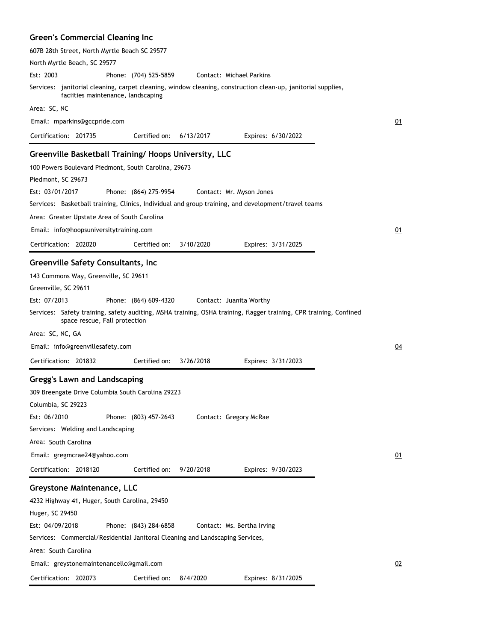### **Green's Commercial Cleaning Inc**

| 607B 28th Street, North Myrtle Beach SC 29577                                                                                                       |    |
|-----------------------------------------------------------------------------------------------------------------------------------------------------|----|
| North Myrtle Beach, SC 29577                                                                                                                        |    |
| Est: 2003<br>Phone: (704) 525-5859<br>Contact: Michael Parkins                                                                                      |    |
| Services: janitorial cleaning, carpet cleaning, window cleaning, construction clean-up, janitorial supplies,<br>faciities maintenance, landscaping  |    |
| Area: SC, NC                                                                                                                                        |    |
| Email: mparkins@gccpride.com                                                                                                                        | 01 |
| Certification: 201735<br>Certified on:<br>6/13/2017<br>Expires: 6/30/2022                                                                           |    |
| Greenville Basketball Training/ Hoops University, LLC                                                                                               |    |
| 100 Powers Boulevard Piedmont, South Carolina, 29673                                                                                                |    |
| Piedmont, SC 29673                                                                                                                                  |    |
| Est: 03/01/2017<br>Phone: (864) 275-9954<br>Contact: Mr. Myson Jones                                                                                |    |
| Services: Basketball training, Clinics, Individual and group training, and development/travel teams                                                 |    |
| Area: Greater Upstate Area of South Carolina                                                                                                        |    |
| Email: info@hoopsuniversitytraining.com                                                                                                             | 01 |
| Certification: 202020<br>Certified on:<br>3/10/2020<br>Expires: 3/31/2025                                                                           |    |
|                                                                                                                                                     |    |
| Greenville Safety Consultants, Inc                                                                                                                  |    |
| 143 Commons Way, Greenville, SC 29611                                                                                                               |    |
| Greenville, SC 29611                                                                                                                                |    |
| Est: 07/2013<br>Phone: (864) 609-4320<br>Contact: Juanita Worthy                                                                                    |    |
| Services: Safety training, safety auditing, MSHA training, OSHA training, flagger training, CPR training, Confined<br>space rescue, Fall protection |    |
| Area: SC, NC, GA                                                                                                                                    |    |
| Email: info@greenvillesafety.com                                                                                                                    | 04 |
| Certification: 201832<br>Certified on:<br>3/26/2018<br>Expires: 3/31/2023                                                                           |    |
| <b>Gregg's Lawn and Landscaping</b>                                                                                                                 |    |
| 309 Breengate Drive Columbia South Carolina 29223                                                                                                   |    |
| Columbia, SC 29223                                                                                                                                  |    |
| Est: 06/2010<br>Phone: (803) 457-2643<br>Contact: Gregory McRae                                                                                     |    |
| Services: Welding and Landscaping                                                                                                                   |    |
| Area: South Carolina                                                                                                                                |    |
| Email: gregmcrae24@yahoo.com                                                                                                                        | 01 |
| Certification: 2018120<br>9/20/2018<br>Certified on:<br>Expires: 9/30/2023                                                                          |    |
|                                                                                                                                                     |    |
| <b>Greystone Maintenance, LLC</b>                                                                                                                   |    |
| 4232 Highway 41, Huger, South Carolina, 29450                                                                                                       |    |
| Huger, SC 29450                                                                                                                                     |    |
| Est: 04/09/2018<br>Phone: (843) 284-6858<br>Contact: Ms. Bertha Irving                                                                              |    |
| Services: Commercial/Residential Janitoral Cleaning and Landscaping Services,                                                                       |    |
| Area: South Carolina                                                                                                                                |    |
| Email: greystonemaintenancellc@gmail.com                                                                                                            | 02 |
| Certification: 202073<br>Certified on:<br>8/4/2020<br>Expires: 8/31/2025                                                                            |    |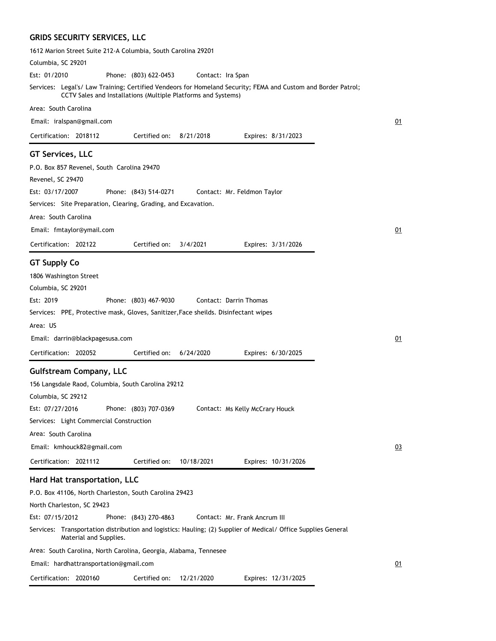### **GRIDS SECURITY SERVICES, LLC**

| 1612 Marion Street Suite 212-A Columbia, South Carolina 29201                                                                                                                  |    |
|--------------------------------------------------------------------------------------------------------------------------------------------------------------------------------|----|
| Columbia, SC 29201                                                                                                                                                             |    |
| Est: 01/2010<br>Phone: (803) 622-0453<br>Contact: Ira Span                                                                                                                     |    |
| Services: Legal's/ Law Training; Certified Vendeors for Homeland Security; FEMA and Custom and Border Patrol;<br>CCTV Sales and Installations (Multiple Platforms and Systems) |    |
| Area: South Carolina                                                                                                                                                           |    |
| Email: iralspan@gmail.com                                                                                                                                                      | 01 |
| Certification: 2018112<br>Certified on:<br>8/21/2018<br>Expires: 8/31/2023                                                                                                     |    |
| <b>GT Services, LLC</b>                                                                                                                                                        |    |
| P.O. Box 857 Revenel, South Carolina 29470                                                                                                                                     |    |
| Revenel, SC 29470                                                                                                                                                              |    |
| Est: 03/17/2007<br>Phone: (843) 514-0271<br>Contact: Mr. Feldmon Taylor                                                                                                        |    |
| Services: Site Preparation, Clearing, Grading, and Excavation.                                                                                                                 |    |
| Area: South Carolina                                                                                                                                                           |    |
| Email: fmtaylor@ymail.com                                                                                                                                                      | 01 |
| Certified on:<br>Certification: 202122<br>3/4/2021<br>Expires: 3/31/2026                                                                                                       |    |
|                                                                                                                                                                                |    |
| <b>GT Supply Co</b>                                                                                                                                                            |    |
| 1806 Washington Street                                                                                                                                                         |    |
| Columbia, SC 29201<br>Est: 2019<br>Contact: Darrin Thomas                                                                                                                      |    |
| Phone: (803) 467-9030<br>Services: PPE, Protective mask, Gloves, Sanitizer, Face sheilds. Disinfectant wipes                                                                   |    |
| Area: US                                                                                                                                                                       |    |
|                                                                                                                                                                                |    |
| Email: darrin@blackpagesusa.com                                                                                                                                                | 01 |
| Certification: 202052<br>Certified on:<br>6/24/2020<br>Expires: 6/30/2025                                                                                                      |    |
| <b>Gulfstream Company, LLC</b>                                                                                                                                                 |    |
| 156 Langsdale Raod, Columbia, South Carolina 29212                                                                                                                             |    |
| Columbia, SC 29212                                                                                                                                                             |    |
| Est: 07/27/2016<br>Phone: (803) 707-0369<br>Contact: Ms Kelly McCrary Houck                                                                                                    |    |
| Services: Light Commercial Construction                                                                                                                                        |    |
| Area: South Carolina                                                                                                                                                           |    |
| Email: kmhouck82@gmail.com                                                                                                                                                     | 03 |
| Certification: 2021112<br>Certified on:<br>10/18/2021<br>Expires: 10/31/2026                                                                                                   |    |
| Hard Hat transportation, LLC                                                                                                                                                   |    |
| P.O. Box 41106, North Charleston, South Carolina 29423                                                                                                                         |    |
| North Charleston, SC 29423                                                                                                                                                     |    |
| Est: 07/15/2012<br>Phone: (843) 270-4863<br>Contact: Mr. Frank Ancrum III                                                                                                      |    |
| Services: Transportation distribution and logistics: Hauling; (2) Supplier of Medical/ Office Supplies General<br>Material and Supplies.                                       |    |
| Area: South Carolina, North Carolina, Georgia, Alabama, Tennesee                                                                                                               |    |
| Email: hardhattransportation@gmail.com                                                                                                                                         | 01 |
| Certification: 2020160<br>Certified on:<br>Expires: 12/31/2025<br>12/21/2020                                                                                                   |    |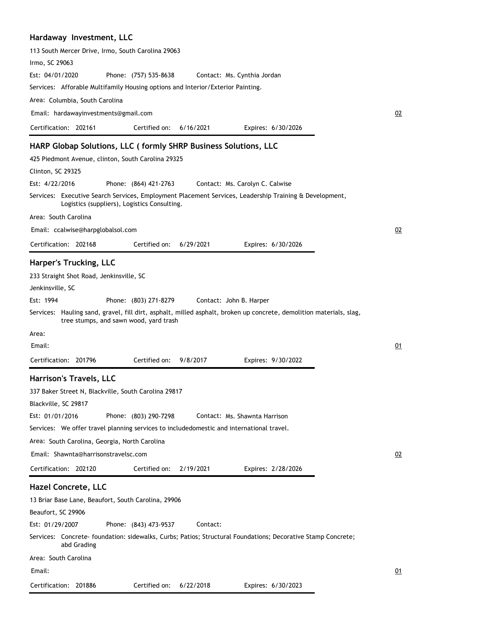#### **Hardaway Investment, LLC**

| 113 South Mercer Drive, Irmo, South Carolina 29063                                                                                                            |    |
|---------------------------------------------------------------------------------------------------------------------------------------------------------------|----|
| Irmo, SC 29063                                                                                                                                                |    |
| Est: 04/01/2020<br>Phone: (757) 535-8638<br>Contact: Ms. Cynthia Jordan                                                                                       |    |
| Services: Afforable Multifamily Housing options and Interior/Exterior Painting.                                                                               |    |
| Area: Columbia, South Carolina                                                                                                                                |    |
| Email: hardawayinvestments@gmail.com                                                                                                                          | 02 |
| Certification: 202161<br>Certified on:<br>6/16/2021<br>Expires: 6/30/2026                                                                                     |    |
| HARP Globap Solutions, LLC (formly SHRP Business Solutions, LLC                                                                                               |    |
| 425 Piedmont Avenue, clinton, South Carolina 29325                                                                                                            |    |
| Clinton, SC 29325                                                                                                                                             |    |
| Est: 4/22/2016<br>Phone: (864) 421-2763<br>Contact: Ms. Carolyn C. Calwise                                                                                    |    |
| Services: Executive Search Services, Employment Placement Services, Leadership Training & Development,<br>Logistics (suppliers), Logistics Consulting.        |    |
| Area: South Carolina                                                                                                                                          |    |
| Email: ccalwise@harpglobalsol.com                                                                                                                             | 02 |
| Certification: 202168<br>Certified on:<br>6/29/2021<br>Expires: 6/30/2026                                                                                     |    |
|                                                                                                                                                               |    |
| Harper's Trucking, LLC                                                                                                                                        |    |
| 233 Straight Shot Road, Jenkinsville, SC                                                                                                                      |    |
| Jenkinsville, SC                                                                                                                                              |    |
| Est: 1994<br>Phone: (803) 271-8279<br>Contact: John B. Harper                                                                                                 |    |
| Services: Hauling sand, gravel, fill dirt, asphalt, milled asphalt, broken up concrete, demolition materials, slag,<br>tree stumps, and sawn wood, yard trash |    |
| Area:                                                                                                                                                         |    |
| Email:                                                                                                                                                        | 01 |
| Certified on:<br>Certification: 201796<br>Expires: 9/30/2022<br>9/8/2017                                                                                      |    |
| <b>Harrison's Travels, LLC</b>                                                                                                                                |    |
| 337 Baker Street N, Blackville, South Carolina 29817                                                                                                          |    |
| Blackville, SC 29817                                                                                                                                          |    |
| Est: 01/01/2016<br>Phone: (803) 290-7298<br>Contact: Ms. Shawnta Harrison                                                                                     |    |
| Services: We offer travel planning services to includedomestic and international travel.                                                                      |    |
| Area: South Carolina, Georgia, North Carolina                                                                                                                 |    |
| Email: Shawnta@harrisonstravelsc.com                                                                                                                          | 02 |
| Certification: 202120<br>Certified on:<br>2/19/2021<br>Expires: 2/28/2026                                                                                     |    |
| <b>Hazel Concrete, LLC</b>                                                                                                                                    |    |
| 13 Briar Base Lane, Beaufort, South Carolina, 29906                                                                                                           |    |
| Beaufort, SC 29906                                                                                                                                            |    |
| Est: 01/29/2007<br>Phone: (843) 473-9537<br>Contact:                                                                                                          |    |
| Services: Concrete-foundation: sidewalks, Curbs; Patios; Structural Foundations; Decorative Stamp Concrete;<br>abd Grading                                    |    |
| Area: South Carolina                                                                                                                                          |    |
| Email:                                                                                                                                                        | 01 |
| Certified on:<br>Certification: 201886<br>6/22/2018<br>Expires: 6/30/2023                                                                                     |    |
|                                                                                                                                                               |    |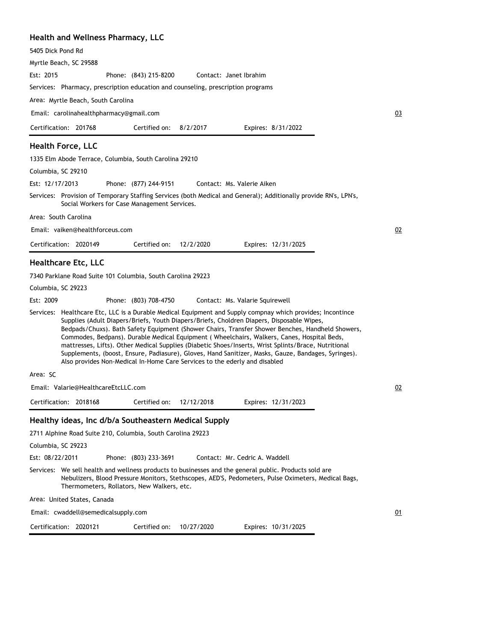#### **Health and Wellness Pharmacy, LLC**

Myrtle Beach, SC 29588

Phone: (843) 215-8200 Est: 2015 Contact: Janet Ibrahim

Services: Pharmacy, prescription education and counseling, prescription programs

Area: Myrtle Beach, South Carolina

Email: carolinahealthpharmacy@gmail.com

Certification: 201768 Expires: 8/31/2022 Certified on: 8/2/2017

#### **Health Force, LLC**

1335 Elm Abode Terrace, Columbia, South Carolina 29210

Columbia, SC 29210

Phone: (877) 244-9151 Est: 12/17/2013 Contact: Ms. Valerie Aiken

Services: Provision of Temporary Staffing Services (both Medical and General); Additionally provide RN's, LPN's, Social Workers for Case Management Services.

Area: South Carolina

Email: vaiken@healthforceus.com

Certification: 2020149 Expires: 12/31/2025 Certified on: 12/2/2020

#### **Healthcare Etc, LLC**

7340 Parklane Road Suite 101 Columbia, South Carolina 29223

Columbia, SC 29223

Phone: (803) 708-4750 Est: 2009 Contact: Ms. Valarie Squirewell

Services: Healthcare Etc, LLC is a Durable Medical Equipment and Supply compnay which provides; Incontince Supplies (Adult Diapers/Briefs, Youth Diapers/Briefs, Choldren Diapers, Disposable Wipes, Bedpads/Chuxs). Bath Safety Equipment (Shower Chairs, Transfer Shower Benches, Handheld Showers, Commodes, Bedpans). Durable Medical Equipment ( Wheelchairs, Walkers, Canes, Hospital Beds, mattresses, Lifts). Other Medical Supplies (Diabetic Shoes/Inserts, Wrist Splints/Brace, Nutritional Supplements, (boost, Ensure, Padiasure), Gloves, Hand Sanitizer, Masks, Gauze, Bandages, Syringes). Also provides Non-Medical In-Home Care Services to the ederly and disabled

Area: SC

Email: Valarie@HealthcareEtcLLC.com

Certification: 2018168 Expires: 12/31/2023 Certified on: 12/12/2018

#### **Healthy ideas, Inc d/b/a Southeastern Medical Supply**

2711 Alphine Road Suite 210, Columbia, South Carolina 29223

Columbia, SC 29223

Phone: (803) 233-3691 Est: 08/22/2011 Contact: Mr. Cedric A. Waddell

Services: We sell health and wellness products to businesses and the general public. Products sold are Nebulizers, Blood Pressure Monitors, Stethscopes, AED'S, Pedometers, Pulse Oximeters, Medical Bags, Thermometers, Rollators, New Walkers, etc.

Area: United States, Canada

Email: cwaddell@semedicalsupply.com

Certification: 2020121 Expires: 10/31/2025 Certified on: 10/27/2020

01

02

03

02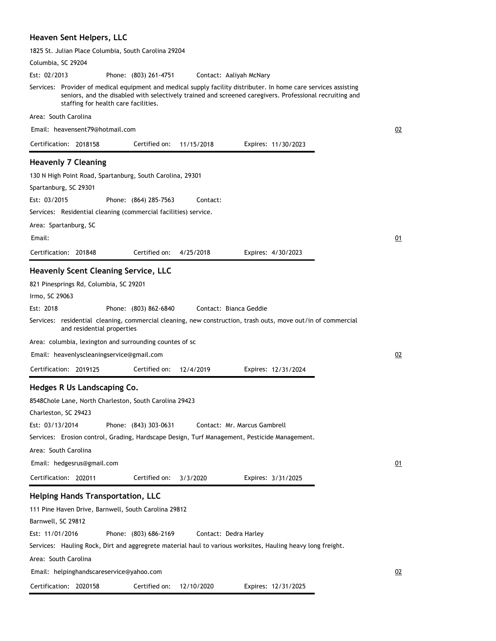#### **Heaven Sent Helpers, LLC**

| 1825 St. Julian Place Columbia, South Carolina 29204                                                                                                                                                                                                                |                     |
|---------------------------------------------------------------------------------------------------------------------------------------------------------------------------------------------------------------------------------------------------------------------|---------------------|
| Columbia, SC 29204                                                                                                                                                                                                                                                  |                     |
| Est: 02/2013<br>Phone: (803) 261-4751<br>Contact: Aaliyah McNary                                                                                                                                                                                                    |                     |
| Services: Provider of medical equipment and medical supply facility distributer. In home care services assisting<br>seniors, and the disabled with selectively trained and screened caregivers. Professional recruiting and<br>staffing for health care facilities. |                     |
| Area: South Carolina                                                                                                                                                                                                                                                |                     |
| Email: heavensent79@hotmail.com                                                                                                                                                                                                                                     | 02                  |
| Certification: 2018158<br>Certified on:<br>11/15/2018                                                                                                                                                                                                               | Expires: 11/30/2023 |
| <b>Heavenly 7 Cleaning</b>                                                                                                                                                                                                                                          |                     |
| 130 N High Point Road, Spartanburg, South Carolina, 29301                                                                                                                                                                                                           |                     |
| Spartanburg, SC 29301                                                                                                                                                                                                                                               |                     |
| Est: 03/2015<br>Phone: (864) 285-7563<br>Contact:                                                                                                                                                                                                                   |                     |
| Services: Residential cleaning (commercial facilities) service.                                                                                                                                                                                                     |                     |
| Area: Spartanburg, SC                                                                                                                                                                                                                                               |                     |
| Email:                                                                                                                                                                                                                                                              | 01                  |
| Certified on:<br>Certification: 201848<br>4/25/2018                                                                                                                                                                                                                 | Expires: 4/30/2023  |
|                                                                                                                                                                                                                                                                     |                     |
| <b>Heavenly Scent Cleaning Service, LLC</b>                                                                                                                                                                                                                         |                     |
| 821 Pinesprings Rd, Columbia, SC 29201                                                                                                                                                                                                                              |                     |
| Irmo, SC 29063                                                                                                                                                                                                                                                      |                     |
| Est: 2018<br>Phone: (803) 862-6840<br>Contact: Bianca Geddie                                                                                                                                                                                                        |                     |
| Services: residential cleaning, commercial cleaning, new construction, trash outs, move out/in of commercial<br>and residential properties                                                                                                                          |                     |
| Area: columbia, lexington and surrounding countes of sc                                                                                                                                                                                                             |                     |
| Email: heavenlyscleaningservice@gmail.com                                                                                                                                                                                                                           | 02                  |
| Certification: 2019125<br>Certified on:<br>12/4/2019                                                                                                                                                                                                                | Expires: 12/31/2024 |
|                                                                                                                                                                                                                                                                     |                     |
| Hedges R Us Landscaping Co.                                                                                                                                                                                                                                         |                     |
| 8548Chole Lane, North Charleston, South Carolina 29423                                                                                                                                                                                                              |                     |
| Charleston, SC 29423                                                                                                                                                                                                                                                |                     |
| Est: 03/13/2014<br>Phone: (843) 303-0631<br>Contact: Mr. Marcus Gambrell                                                                                                                                                                                            |                     |
| Services: Erosion control, Grading, Hardscape Design, Turf Management, Pesticide Management.                                                                                                                                                                        |                     |
| Area: South Carolina                                                                                                                                                                                                                                                |                     |
| Email: hedgesrus@gmail.com                                                                                                                                                                                                                                          | 01                  |
| Certification: 202011<br>Certified on:<br>3/3/2020                                                                                                                                                                                                                  | Expires: 3/31/2025  |
| <b>Helping Hands Transportation, LLC</b>                                                                                                                                                                                                                            |                     |
| 111 Pine Haven Drive, Barnwell, South Carolina 29812                                                                                                                                                                                                                |                     |
| Barnwell, SC 29812                                                                                                                                                                                                                                                  |                     |
| Est: 11/01/2016<br>Phone: (803) 686-2169<br>Contact: Dedra Harley                                                                                                                                                                                                   |                     |
| Services: Hauling Rock, Dirt and aggregrete material haul to various worksites, Hauling heavy long freight.                                                                                                                                                         |                     |
| Area: South Carolina                                                                                                                                                                                                                                                |                     |
| Email: helpinghandscareservice@yahoo.com                                                                                                                                                                                                                            | 02                  |
| Certification: 2020158<br>Certified on:<br>12/10/2020                                                                                                                                                                                                               | Expires: 12/31/2025 |
|                                                                                                                                                                                                                                                                     |                     |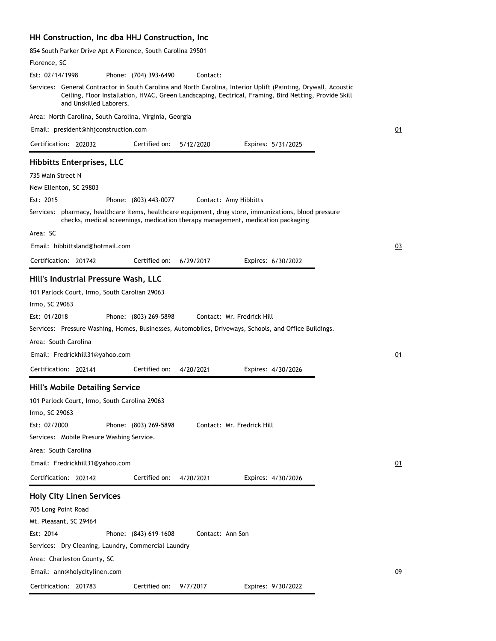#### **HH Construction, Inc dba HHJ Construction, Inc**

854 South Parker Drive Apt A Florence, South Carolina 29501

| Florence, SC                                                                                                                                                                                                                                        |    |
|-----------------------------------------------------------------------------------------------------------------------------------------------------------------------------------------------------------------------------------------------------|----|
| Est: 02/14/1998<br>Phone: (704) 393-6490<br>Contact:                                                                                                                                                                                                |    |
| Services: General Contractor in South Carolina and North Carolina, Interior Uplift (Painting, Drywall, Acoustic<br>Ceiling, Floor Installation, HVAC, Green Landscaping, Eectrical, Framing, Bird Netting, Provide Skill<br>and Unskilled Laborers. |    |
| Area: North Carolina, South Carolina, Virginia, Georgia                                                                                                                                                                                             |    |
| Email: president@hhjconstruction.com                                                                                                                                                                                                                | 01 |
| Certified on:<br>Certification: 202032<br>5/12/2020<br>Expires: 5/31/2025                                                                                                                                                                           |    |
| <b>Hibbitts Enterprises, LLC</b>                                                                                                                                                                                                                    |    |
| 735 Main Street N                                                                                                                                                                                                                                   |    |
| New Ellenton, SC 29803                                                                                                                                                                                                                              |    |
| Est: 2015<br>Phone: (803) 443-0077<br>Contact: Amy Hibbitts                                                                                                                                                                                         |    |
| Services: pharmacy, healthcare items, healthcare equipment, drug store, immunizations, blood pressure<br>checks, medical screenings, medication therapy management, medication packaging                                                            |    |
| Area: SC                                                                                                                                                                                                                                            |    |
| Email: hibbittsland@hotmail.com                                                                                                                                                                                                                     | 03 |
| Certification: 201742<br>Certified on:<br>6/29/2017<br>Expires: 6/30/2022                                                                                                                                                                           |    |
| Hill's Industrial Pressure Wash, LLC                                                                                                                                                                                                                |    |
| 101 Parlock Court, Irmo, South Carolian 29063<br>Irmo, SC 29063<br>Est: 01/2018<br>Phone: (803) 269-5898<br>Contact: Mr. Fredrick Hill<br>Services: Pressure Washing, Homes, Businesses, Automobiles, Driveways, Schools, and Office Buildings.     |    |
| Area: South Carolina                                                                                                                                                                                                                                |    |
| Email: Fredrickhill31@yahoo.com                                                                                                                                                                                                                     | 01 |
| Certification: 202141<br>Certified on:<br>4/20/2021<br>Expires: 4/30/2026                                                                                                                                                                           |    |
| <b>Hill's Mobile Detailing Service</b>                                                                                                                                                                                                              |    |
| 101 Parlock Court, Irmo, South Carolina 29063                                                                                                                                                                                                       |    |
| Irmo, SC 29063                                                                                                                                                                                                                                      |    |
| Est: 02/2000<br>Contact: Mr. Fredrick Hill<br>Phone: (803) 269-5898                                                                                                                                                                                 |    |
| Services: Mobile Presure Washing Service.                                                                                                                                                                                                           |    |
| Area: South Carolina                                                                                                                                                                                                                                |    |
| Email: Fredrickhill31@yahoo.com                                                                                                                                                                                                                     | 01 |
| Certified on:<br>Certification: 202142<br>4/20/2021<br>Expires: 4/30/2026                                                                                                                                                                           |    |
| <b>Holy City Linen Services</b>                                                                                                                                                                                                                     |    |
| 705 Long Point Road                                                                                                                                                                                                                                 |    |
| Mt. Pleasant, SC 29464                                                                                                                                                                                                                              |    |
| Est: 2014<br>Phone: (843) 619-1608<br>Contact: Ann Son                                                                                                                                                                                              |    |
| Services: Dry Cleaning, Laundry, Commercial Laundry                                                                                                                                                                                                 |    |
| Area: Charleston County, SC                                                                                                                                                                                                                         |    |
| Email: ann@holycitylinen.com                                                                                                                                                                                                                        | 09 |
| Certification: 201783<br>Certified on:<br>9/7/2017<br>Expires: 9/30/2022                                                                                                                                                                            |    |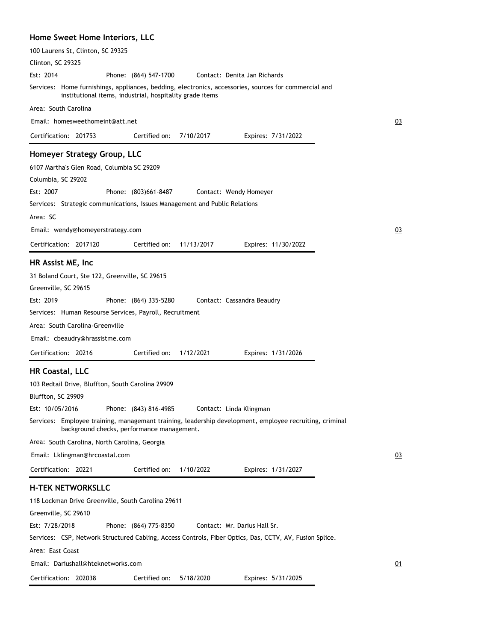#### **Home Sweet Home Interiors, LLC**

| 100 Laurens St, Clinton, SC 29325                                                                                                                                 |    |
|-------------------------------------------------------------------------------------------------------------------------------------------------------------------|----|
| Clinton, SC 29325                                                                                                                                                 |    |
| Est: 2014<br>Phone: (864) 547-1700<br>Contact: Denita Jan Richards                                                                                                |    |
| Services: Home furnishings, appliances, bedding, electronics, accessories, sources for commercial and<br>institutional items, industrial, hospitality grade items |    |
| Area: South Carolina                                                                                                                                              |    |
| Email: homesweethomeint@att.net                                                                                                                                   | 03 |
| Certification: 201753<br>Certified on:<br>7/10/2017<br>Expires: 7/31/2022                                                                                         |    |
| Homeyer Strategy Group, LLC                                                                                                                                       |    |
| 6107 Martha's Glen Road, Columbia SC 29209                                                                                                                        |    |
| Columbia, SC 29202                                                                                                                                                |    |
| Est: 2007<br>Phone: (803)661-8487<br>Contact: Wendy Homeyer                                                                                                       |    |
| Services: Strategic communications, Issues Management and Public Relations                                                                                        |    |
| Area: SC                                                                                                                                                          |    |
| Email: wendy@homeyerstrategy.com                                                                                                                                  | 03 |
| Certification: 2017120<br>Certified on:<br>11/13/2017<br>Expires: 11/30/2022                                                                                      |    |
| HR Assist ME, Inc                                                                                                                                                 |    |
| 31 Boland Court, Ste 122, Greenville, SC 29615                                                                                                                    |    |
| Greenville, SC 29615                                                                                                                                              |    |
| Est: 2019<br>Phone: (864) 335-5280<br>Contact: Cassandra Beaudry                                                                                                  |    |
| Services: Human Resourse Services, Payroll, Recruitment                                                                                                           |    |
| Area: South Carolina-Greenville                                                                                                                                   |    |
| Email: cbeaudry@hrassistme.com                                                                                                                                    |    |
| Certified on:<br>Certification: 20216<br>1/12/2021<br>Expires: 1/31/2026                                                                                          |    |
| <b>HR Coastal, LLC</b>                                                                                                                                            |    |
| 103 Redtail Drive, Bluffton, South Carolina 29909                                                                                                                 |    |
| Bluffton, SC 29909                                                                                                                                                |    |
| Phone: (843) 816-4985<br>Est: 10/05/2016<br>Contact: Linda Klingman                                                                                               |    |
| Services: Employee training, managemant training, leadership development, employee recruiting, criminal<br>background checks, performance management.             |    |
| Area: South Carolina, North Carolina, Georgia                                                                                                                     |    |
| Email: Lklingman@hrcoastal.com                                                                                                                                    | 03 |
| Certification: 20221<br>Certified on:<br>1/10/2022<br>Expires: 1/31/2027                                                                                          |    |
| <b>H-TEK NETWORKSLLC</b>                                                                                                                                          |    |
| 118 Lockman Drive Greenville, South Carolina 29611                                                                                                                |    |
| Greenville, SC 29610                                                                                                                                              |    |
| Est: 7/28/2018<br>Phone: (864) 775-8350<br>Contact: Mr. Darius Hall Sr.                                                                                           |    |
| Services: CSP, Network Structured Cabling, Access Controls, Fiber Optics, Das, CCTV, AV, Fusion Splice.                                                           |    |
| Area: East Coast                                                                                                                                                  |    |
| Email: Dariushall@hteknetworks.com                                                                                                                                | 01 |
| Certification: 202038<br>Certified on:<br>5/18/2020<br>Expires: 5/31/2025                                                                                         |    |
|                                                                                                                                                                   |    |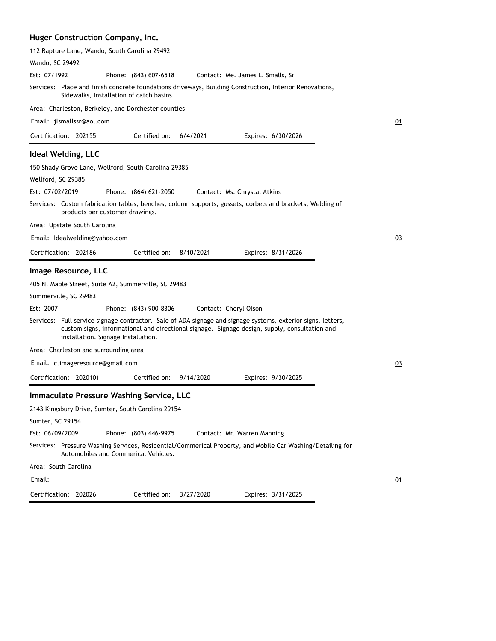#### **Huger Construction Company, Inc.**

| 112 Rapture Lane, Wando, South Carolina 29492        |                                          |           |                                                                                                                                                                                                               |       |
|------------------------------------------------------|------------------------------------------|-----------|---------------------------------------------------------------------------------------------------------------------------------------------------------------------------------------------------------------|-------|
| Wando, SC 29492                                      |                                          |           |                                                                                                                                                                                                               |       |
| Est: 07/1992                                         | Phone: (843) 607-6518                    |           | Contact: Me. James L. Smalls, Sr                                                                                                                                                                              |       |
|                                                      | Sidewalks, Installation of catch basins. |           | Services: Place and finish concrete foundations driveways, Building Construction, Interior Renovations,                                                                                                       |       |
| Area: Charleston, Berkeley, and Dorchester counties  |                                          |           |                                                                                                                                                                                                               |       |
| Email: jlsmallssr@aol.com                            |                                          |           |                                                                                                                                                                                                               | 01    |
| Certification: 202155                                | Certified on:                            | 6/4/2021  | Expires: 6/30/2026                                                                                                                                                                                            |       |
| <b>Ideal Welding, LLC</b>                            |                                          |           |                                                                                                                                                                                                               |       |
| 150 Shady Grove Lane, Wellford, South Carolina 29385 |                                          |           |                                                                                                                                                                                                               |       |
| Wellford, SC 29385                                   |                                          |           |                                                                                                                                                                                                               |       |
| Est: 07/02/2019                                      | Phone: (864) 621-2050                    |           | Contact: Ms. Chrystal Atkins                                                                                                                                                                                  |       |
| products per customer drawings.                      |                                          |           | Services: Custom fabrication tables, benches, column supports, gussets, corbels and brackets, Welding of                                                                                                      |       |
| Area: Upstate South Carolina                         |                                          |           |                                                                                                                                                                                                               |       |
| Email: Idealwelding@yahoo.com                        |                                          |           |                                                                                                                                                                                                               | 03    |
| Certification: 202186                                | Certified on:                            | 8/10/2021 | Expires: 8/31/2026                                                                                                                                                                                            |       |
|                                                      |                                          |           |                                                                                                                                                                                                               |       |
| Image Resource, LLC                                  |                                          |           |                                                                                                                                                                                                               |       |
| 405 N. Maple Street, Suite A2, Summerville, SC 29483 |                                          |           |                                                                                                                                                                                                               |       |
| Summerville, SC 29483                                |                                          |           |                                                                                                                                                                                                               |       |
| Est: 2007                                            | Phone: (843) 900-8306                    |           | Contact: Cheryl Olson                                                                                                                                                                                         |       |
| installation. Signage Installation.                  |                                          |           | Services: Full service signage contractor. Sale of ADA signage and signage systems, exterior signs, letters,<br>custom signs, informational and directional signage. Signage design, supply, consultation and |       |
| Area: Charleston and surrounding area                |                                          |           |                                                                                                                                                                                                               |       |
| Email: c.imageresource@gmail.com                     |                                          |           |                                                                                                                                                                                                               | 03    |
| Certification: 2020101                               | Certified on:                            | 9/14/2020 | Expires: 9/30/2025                                                                                                                                                                                            |       |
| Immaculate Pressure Washing Service, LLC             |                                          |           |                                                                                                                                                                                                               |       |
| 2143 Kingsbury Drive, Sumter, South Carolina 29154   |                                          |           |                                                                                                                                                                                                               |       |
| Sumter, SC 29154                                     |                                          |           |                                                                                                                                                                                                               |       |
| Est: 06/09/2009                                      | Phone: (803) 446-9975                    |           | Contact: Mr. Warren Manning                                                                                                                                                                                   |       |
|                                                      | Automobiles and Commerical Vehicles.     |           | Services: Pressure Washing Services, Residential/Commerical Property, and Mobile Car Washing/Detailing for                                                                                                    |       |
| Area: South Carolina                                 |                                          |           |                                                                                                                                                                                                               |       |
| Email:                                               |                                          |           |                                                                                                                                                                                                               | $Q_1$ |
| Certification: 202026                                | Certified on:                            | 3/27/2020 | Expires: 3/31/2025                                                                                                                                                                                            |       |
|                                                      |                                          |           |                                                                                                                                                                                                               |       |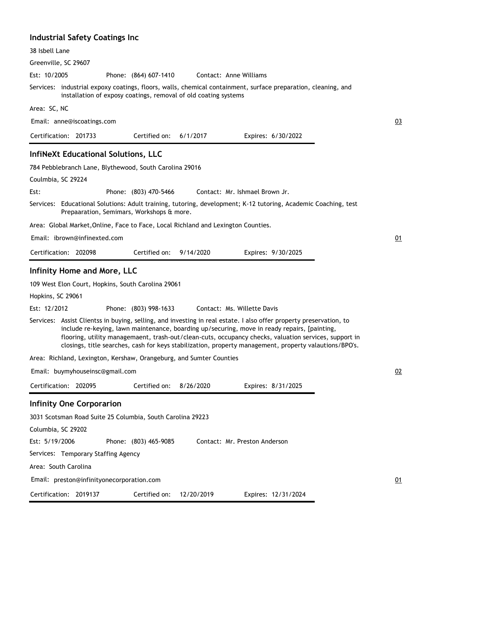#### **Industrial Safety Coatings Inc**

| 38 Isbell Lane                                                                                                                                                                                                                                                                                                                                                                                                                        |    |
|---------------------------------------------------------------------------------------------------------------------------------------------------------------------------------------------------------------------------------------------------------------------------------------------------------------------------------------------------------------------------------------------------------------------------------------|----|
| Greenville, SC 29607                                                                                                                                                                                                                                                                                                                                                                                                                  |    |
| Est: 10/2005<br>Phone: (864) 607-1410<br>Contact: Anne Williams                                                                                                                                                                                                                                                                                                                                                                       |    |
| Services: industrial expoxy coatings, floors, walls, chemical containment, surface preparation, cleaning, and<br>installation of exposy coatings, removal of old coating systems                                                                                                                                                                                                                                                      |    |
| Area: SC, NC                                                                                                                                                                                                                                                                                                                                                                                                                          |    |
| Email: anne@iscoatings.com                                                                                                                                                                                                                                                                                                                                                                                                            | 03 |
| Certification: 201733<br>Certified on: $6/1/2017$<br>Expires: 6/30/2022                                                                                                                                                                                                                                                                                                                                                               |    |
| <b>InfiNeXt Educational Solutions, LLC</b>                                                                                                                                                                                                                                                                                                                                                                                            |    |
| 784 Pebblebranch Lane, Blythewood, South Carolina 29016                                                                                                                                                                                                                                                                                                                                                                               |    |
| Coulmbia, SC 29224                                                                                                                                                                                                                                                                                                                                                                                                                    |    |
| Est:<br>Phone: (803) 470-5466<br>Contact: Mr. Ishmael Brown Jr.                                                                                                                                                                                                                                                                                                                                                                       |    |
| Services: Educational Solutions: Adult training, tutoring, development; K-12 tutoring, Academic Coaching, test<br>Prepaaration, Semimars, Workshops & more.                                                                                                                                                                                                                                                                           |    |
| Area: Global Market, Online, Face to Face, Local Richland and Lexington Counties.                                                                                                                                                                                                                                                                                                                                                     |    |
| Email: ibrown@infinexted.com                                                                                                                                                                                                                                                                                                                                                                                                          | 01 |
| Certification: 202098<br>Certified on: 9/14/2020<br>Expires: 9/30/2025                                                                                                                                                                                                                                                                                                                                                                |    |
| <b>Infinity Home and More, LLC</b>                                                                                                                                                                                                                                                                                                                                                                                                    |    |
| 109 West Elon Court, Hopkins, South Carolina 29061                                                                                                                                                                                                                                                                                                                                                                                    |    |
| Hopkins, SC 29061                                                                                                                                                                                                                                                                                                                                                                                                                     |    |
| Est: 12/2012<br>Phone: (803) 998-1633<br>Contact: Ms. Willette Davis                                                                                                                                                                                                                                                                                                                                                                  |    |
| Services: Assist Clientss in buying, selling, and investing in real estate. I also offer property preservation, to<br>include re-keying, lawn maintenance, boarding up/securing, move in ready repairs, [painting,<br>flooring, utility managemaent, trash-out/clean-cuts, occupancy checks, valuation services, support in<br>closings, title searches, cash for keys stabilization, property management, property valautions/BPO's. |    |
| Area: Richland, Lexington, Kershaw, Orangeburg, and Sumter Counties                                                                                                                                                                                                                                                                                                                                                                   |    |
| Email: buymyhouseinsc@gmail.com                                                                                                                                                                                                                                                                                                                                                                                                       | 02 |
| Certification: 202095<br>Certified on:<br>8/26/2020<br>Expires: 8/31/2025                                                                                                                                                                                                                                                                                                                                                             |    |
| <b>Infinity One Corporarion</b>                                                                                                                                                                                                                                                                                                                                                                                                       |    |
| 3031 Scotsman Road Suite 25 Columbia, South Carolina 29223                                                                                                                                                                                                                                                                                                                                                                            |    |
| Columbia, SC 29202                                                                                                                                                                                                                                                                                                                                                                                                                    |    |
| Est: 5/19/2006<br>Phone: (803) 465-9085<br>Contact: Mr. Preston Anderson                                                                                                                                                                                                                                                                                                                                                              |    |
| Services: Temporary Staffing Agency                                                                                                                                                                                                                                                                                                                                                                                                   |    |
| Area: South Carolina                                                                                                                                                                                                                                                                                                                                                                                                                  |    |
| Email: preston@infinityonecorporation.com                                                                                                                                                                                                                                                                                                                                                                                             | 01 |
| Certification:<br>2019137<br>Certified on:<br>12/20/2019<br>Expires: 12/31/2024                                                                                                                                                                                                                                                                                                                                                       |    |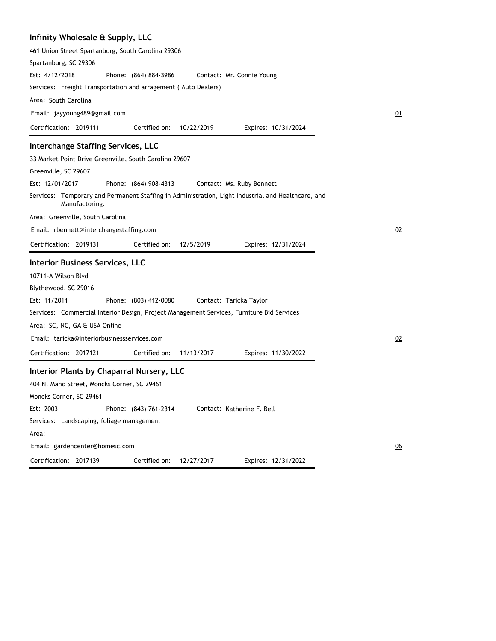# **Infinity Wholesale & Supply, LLC**

| 461 Union Street Spartanburg, South Carolina 29306                                                                   |                  |
|----------------------------------------------------------------------------------------------------------------------|------------------|
|                                                                                                                      |                  |
| Spartanburg, SC 29306                                                                                                |                  |
| Est: 4/12/2018<br>Phone: (864) 884-3986<br>Contact: Mr. Connie Young                                                 |                  |
| Services: Freight Transportation and arragement (Auto Dealers)                                                       |                  |
| Area: South Carolina                                                                                                 |                  |
| Email: jayyoung489@gmail.com                                                                                         | 01               |
| Certification: 2019111<br>Certified on:<br>10/22/2019<br>Expires: 10/31/2024                                         |                  |
| <b>Interchange Staffing Services, LLC</b>                                                                            |                  |
| 33 Market Point Drive Greenville, South Carolina 29607                                                               |                  |
| Greenville, SC 29607                                                                                                 |                  |
| Est: 12/01/2017<br>Phone: (864) 908-4313<br>Contact: Ms. Ruby Bennett                                                |                  |
| Services: Temporary and Permanent Staffing in Administration, Light Industrial and Healthcare, and<br>Manufactoring. |                  |
| Area: Greenville, South Carolina                                                                                     |                  |
| Email: rbennett@interchangestaffing.com                                                                              | 02               |
| Certification: 2019131<br>Certified on:<br>12/5/2019<br>Expires: 12/31/2024                                          |                  |
| <b>Interior Business Services, LLC</b>                                                                               |                  |
| 10711-A Wilson Blvd                                                                                                  |                  |
| Blythewood, SC 29016                                                                                                 |                  |
| Est: 11/2011<br>Phone: (803) 412-0080<br>Contact: Taricka Taylor                                                     |                  |
|                                                                                                                      |                  |
| Services: Commercial Interior Design, Project Management Services, Furniture Bid Services                            |                  |
| Area: SC, NC, GA & USA Online                                                                                        |                  |
| Email: taricka@interiorbusinessservices.com                                                                          | 02               |
| Certification: 2017121<br>Certified on:<br>11/13/2017<br>Expires: 11/30/2022                                         |                  |
| Interior Plants by Chaparral Nursery, LLC                                                                            |                  |
| 404 N. Mano Street, Moncks Corner, SC 29461                                                                          |                  |
| Moncks Corner, SC 29461                                                                                              |                  |
| Est: 2003<br>Phone: (843) 761-2314<br>Contact: Katherine F. Bell                                                     |                  |
| Services: Landscaping, foliage management                                                                            |                  |
| Area:                                                                                                                |                  |
| Email: gardencenter@homesc.com                                                                                       | $\underline{06}$ |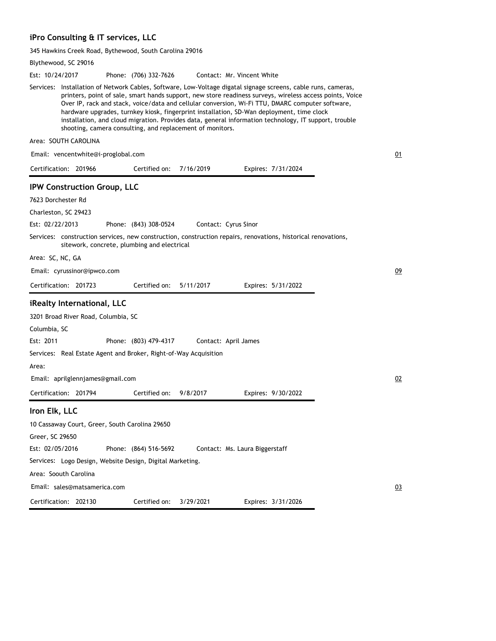## **iPro Consulting & IT services, LLC**

345 Hawkins Creek Road, Bythewood, South Carolina 29016

|                  | Blythewood, SC 29016                                             |                       |           |                                                                                                                                                                                                                                                                                                                                                                                                                                                                                                                                     |    |
|------------------|------------------------------------------------------------------|-----------------------|-----------|-------------------------------------------------------------------------------------------------------------------------------------------------------------------------------------------------------------------------------------------------------------------------------------------------------------------------------------------------------------------------------------------------------------------------------------------------------------------------------------------------------------------------------------|----|
| Est: 10/24/2017  |                                                                  | Phone: (706) 332-7626 |           | Contact: Mr. Vincent White                                                                                                                                                                                                                                                                                                                                                                                                                                                                                                          |    |
|                  | shooting, camera consulting, and replacement of monitors.        |                       |           | Services: Installation of Network Cables, Software, Low-Voltage digatal signage screens, cable runs, cameras,<br>printers, point of sale, smart hands support, new store readiness surveys, wireless access points, Voice<br>Over IP, rack and stack, voice/data and cellular conversion, Wi-Fi TTU, DMARC computer software,<br>hardware upgrades, turnkey kiosk, fingerprint installation, SD-Wan deployment, time clock<br>installation, and cloud migration. Provides data, general information technology, IT support, trouble |    |
|                  | Area: SOUTH CAROLINA                                             |                       |           |                                                                                                                                                                                                                                                                                                                                                                                                                                                                                                                                     |    |
|                  | Email: vencentwhite@i-proglobal.com                              |                       |           |                                                                                                                                                                                                                                                                                                                                                                                                                                                                                                                                     | 01 |
|                  | Certification: 201966                                            | Certified on:         | 7/16/2019 | Expires: 7/31/2024                                                                                                                                                                                                                                                                                                                                                                                                                                                                                                                  |    |
|                  | IPW Construction Group, LLC                                      |                       |           |                                                                                                                                                                                                                                                                                                                                                                                                                                                                                                                                     |    |
|                  | 7623 Dorchester Rd                                               |                       |           |                                                                                                                                                                                                                                                                                                                                                                                                                                                                                                                                     |    |
|                  | Charleston, SC 29423                                             |                       |           |                                                                                                                                                                                                                                                                                                                                                                                                                                                                                                                                     |    |
| Est: 02/22/2013  |                                                                  | Phone: (843) 308-0524 |           | Contact: Cyrus Sinor                                                                                                                                                                                                                                                                                                                                                                                                                                                                                                                |    |
|                  | sitework, concrete, plumbing and electrical                      |                       |           | Services: construction services, new construction, construction repairs, renovations, historical renovations,                                                                                                                                                                                                                                                                                                                                                                                                                       |    |
| Area: SC, NC, GA |                                                                  |                       |           |                                                                                                                                                                                                                                                                                                                                                                                                                                                                                                                                     |    |
|                  | Email: cyrussinor@ipwco.com                                      |                       |           |                                                                                                                                                                                                                                                                                                                                                                                                                                                                                                                                     | 09 |
|                  | Certification: 201723                                            | Certified on:         | 5/11/2017 | Expires: 5/31/2022                                                                                                                                                                                                                                                                                                                                                                                                                                                                                                                  |    |
|                  | iRealty International, LLC                                       |                       |           |                                                                                                                                                                                                                                                                                                                                                                                                                                                                                                                                     |    |
|                  | 3201 Broad River Road, Columbia, SC                              |                       |           |                                                                                                                                                                                                                                                                                                                                                                                                                                                                                                                                     |    |
| Columbia, SC     |                                                                  |                       |           |                                                                                                                                                                                                                                                                                                                                                                                                                                                                                                                                     |    |
| Est: 2011        |                                                                  | Phone: (803) 479-4317 |           | Contact: April James                                                                                                                                                                                                                                                                                                                                                                                                                                                                                                                |    |
|                  | Services: Real Estate Agent and Broker, Right-of-Way Acquisition |                       |           |                                                                                                                                                                                                                                                                                                                                                                                                                                                                                                                                     |    |
| Area:            |                                                                  |                       |           |                                                                                                                                                                                                                                                                                                                                                                                                                                                                                                                                     |    |
|                  | Email: aprilglennjames@gmail.com                                 |                       |           |                                                                                                                                                                                                                                                                                                                                                                                                                                                                                                                                     | 02 |
|                  | Certification: 201794                                            | Certified on:         | 9/8/2017  | Expires: 9/30/2022                                                                                                                                                                                                                                                                                                                                                                                                                                                                                                                  |    |
| Iron Elk, LLC    |                                                                  |                       |           |                                                                                                                                                                                                                                                                                                                                                                                                                                                                                                                                     |    |
|                  | 10 Cassaway Court, Greer, South Carolina 29650                   |                       |           |                                                                                                                                                                                                                                                                                                                                                                                                                                                                                                                                     |    |
| Greer, SC 29650  |                                                                  |                       |           |                                                                                                                                                                                                                                                                                                                                                                                                                                                                                                                                     |    |
| Est: 02/05/2016  |                                                                  | Phone: (864) 516-5692 |           | Contact: Ms. Laura Biggerstaff                                                                                                                                                                                                                                                                                                                                                                                                                                                                                                      |    |
|                  | Services: Logo Design, Website Design, Digital Marketing.        |                       |           |                                                                                                                                                                                                                                                                                                                                                                                                                                                                                                                                     |    |
|                  | Area: Soouth Carolina                                            |                       |           |                                                                                                                                                                                                                                                                                                                                                                                                                                                                                                                                     |    |
|                  | Email: sales@matsamerica.com                                     |                       |           |                                                                                                                                                                                                                                                                                                                                                                                                                                                                                                                                     | 03 |
|                  | Certification: 202130                                            | Certified on:         | 3/29/2021 | Expires: 3/31/2026                                                                                                                                                                                                                                                                                                                                                                                                                                                                                                                  |    |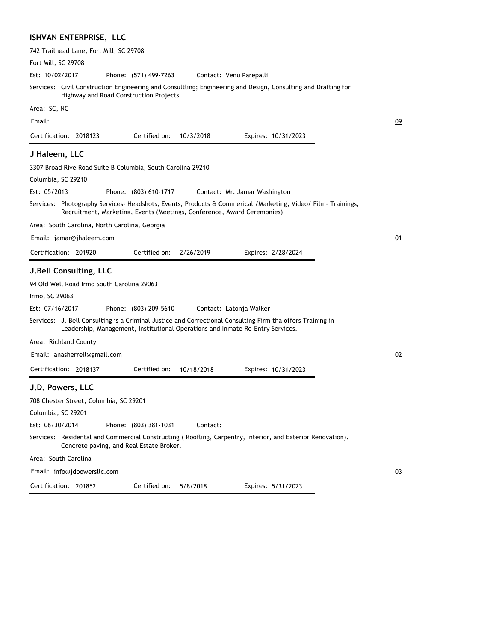#### **ISHVAN ENTERPRISE, LLC**

| 742 Trailhead Lane, Fort Mill, SC 29708                                                                                                                                                      |    |
|----------------------------------------------------------------------------------------------------------------------------------------------------------------------------------------------|----|
| Fort Mill, SC 29708                                                                                                                                                                          |    |
| Est: 10/02/2017<br>Phone: (571) 499-7263<br>Contact: Venu Parepalli                                                                                                                          |    |
| Services: Civil Construction Engineering and Consultling; Engineering and Design, Consulting and Drafting for<br>Highway and Road Construction Projects                                      |    |
| Area: SC, NC                                                                                                                                                                                 |    |
| Email:                                                                                                                                                                                       | 09 |
| Certification: 2018123<br>Certified on:<br>10/3/2018<br>Expires: 10/31/2023                                                                                                                  |    |
| J Haleem, LLC                                                                                                                                                                                |    |
| 3307 Broad Rive Road Suite B Columbia, South Carolina 29210                                                                                                                                  |    |
| Columbia, SC 29210                                                                                                                                                                           |    |
| Est: 05/2013<br>Phone: (803) 610-1717<br>Contact: Mr. Jamar Washington                                                                                                                       |    |
| Services: Photography Services-Headshots, Events, Products & Commerical / Marketing, Video/ Film-Trainings,<br>Recruitment, Marketing, Events (Meetings, Conference, Award Ceremonies)       |    |
| Area: South Carolina, North Carolina, Georgia                                                                                                                                                |    |
| Email: jamar@jhaleem.com                                                                                                                                                                     | 01 |
| Certification: 201920<br>Certified on:<br>2/26/2019<br>Expires: 2/28/2024                                                                                                                    |    |
| <b>J.Bell Consulting, LLC</b>                                                                                                                                                                |    |
| 94 Old Well Road Irmo South Carolina 29063                                                                                                                                                   |    |
| Irmo, SC 29063                                                                                                                                                                               |    |
| Est: 07/16/2017<br>Phone: (803) 209-5610<br>Contact: Latonja Walker                                                                                                                          |    |
| Services: J. Bell Consulting is a Criminal Justice and Correctional Consulting Firm tha offers Training in<br>Leadership, Management, Institutional Operations and Inmate Re-Entry Services. |    |
| Area: Richland County                                                                                                                                                                        |    |
| Email: anasherrell@gmail.com                                                                                                                                                                 | 02 |
| Certification: 2018137<br>Certified on:<br>10/18/2018<br>Expires: 10/31/2023                                                                                                                 |    |
| J.D. Powers, LLC                                                                                                                                                                             |    |
| 708 Chester Street, Columbia, SC 29201                                                                                                                                                       |    |
| Columbia, SC 29201                                                                                                                                                                           |    |
| Est: 06/30/2014<br>Phone: (803) 381-1031<br>Contact:                                                                                                                                         |    |
| Services: Residental and Commercial Constructing (Roofling, Carpentry, Interior, and Exterior Renovation).<br>Concrete paving, and Real Estate Broker.                                       |    |
| Area: South Carolina                                                                                                                                                                         |    |
| Email: info@jdpowersllc.com                                                                                                                                                                  | 03 |
| Certification: 201852<br>Certified on:<br>5/8/2018<br>Expires: 5/31/2023                                                                                                                     |    |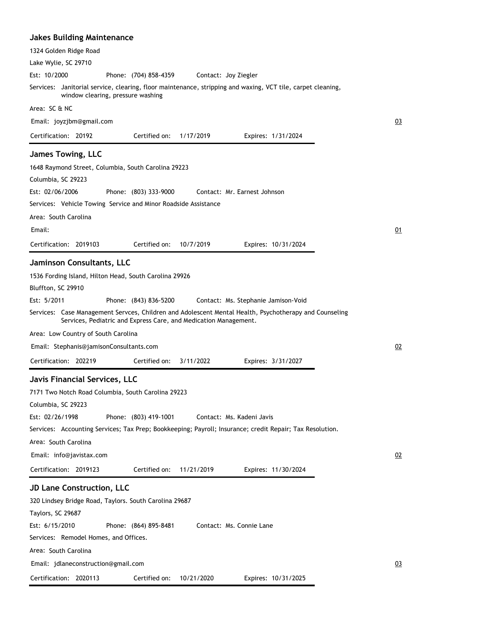| Jakes Building Maintenance                                                                                                                                                 |           |
|----------------------------------------------------------------------------------------------------------------------------------------------------------------------------|-----------|
| 1324 Golden Ridge Road                                                                                                                                                     |           |
| Lake Wylie, SC 29710                                                                                                                                                       |           |
| Est: 10/2000<br>Phone: (704) 858-4359<br>Contact: Joy Ziegler                                                                                                              |           |
| Services: Janitorial service, clearing, floor maintenance, stripping and waxing, VCT tile, carpet cleaning,<br>window clearing, pressure washing                           |           |
| Area: SC & NC                                                                                                                                                              |           |
| Email: joyzjbm@gmail.com                                                                                                                                                   | <u>03</u> |
| Certified on:<br>Certification: 20192<br>1/17/2019<br>Expires: 1/31/2024                                                                                                   |           |
| <b>James Towing, LLC</b>                                                                                                                                                   |           |
| 1648 Raymond Street, Columbia, South Carolina 29223<br>Columbia, SC 29223                                                                                                  |           |
| Est: 02/06/2006<br>Phone: (803) 333-9000<br>Contact: Mr. Earnest Johnson<br>Services: Vehicle Towing Service and Minor Roadside Assistance                                 |           |
| Area: South Carolina                                                                                                                                                       |           |
| Email:                                                                                                                                                                     | <u>01</u> |
| Certification: 2019103<br>Certified on:<br>10/7/2019<br>Expires: 10/31/2024                                                                                                |           |
| Jaminson Consultants, LLC                                                                                                                                                  |           |
| 1536 Fording Island, Hilton Head, South Carolina 29926<br>Bluffton, SC 29910<br>Est: 5/2011<br>Phone: (843) 836-5200<br>Contact: Ms. Stephanie Jamison-Void                |           |
| Services: Case Management Servces, Children and Adolescent Mental Health, Psychotherapy and Counseling<br>Services, Pediatric and Express Care, and Medication Management. |           |
| Area: Low Country of South Carolina                                                                                                                                        |           |
| Email: Stephanis@jamisonConsultants.com                                                                                                                                    | 02        |
| Certification: 202219<br>Certified on:<br>3/11/2022<br>Expires: 3/31/2027                                                                                                  |           |
| Javis Financial Services, LLC                                                                                                                                              |           |
| 7171 Two Notch Road Columbia, South Carolina 29223<br>Columbia, SC 29223<br>Est: 02/26/1998<br>Phone: (803) 419-1001<br>Contact: Ms. Kadeni Javis                          |           |
| Services: Accounting Services; Tax Prep; Bookkeeping; Payroll; Insurance; credit Repair; Tax Resolution.                                                                   |           |
| Area: South Carolina                                                                                                                                                       |           |
| Email: info@javistax.com                                                                                                                                                   | 02        |
| Certification: 2019123<br>Certified on:<br>11/21/2019<br>Expires: 11/30/2024                                                                                               |           |
|                                                                                                                                                                            |           |
| <b>JD Lane Construction, LLC</b>                                                                                                                                           |           |
| 320 Lindsey Bridge Road, Taylors. South Carolina 29687<br>Taylors, SC 29687                                                                                                |           |
| Est: 6/15/2010<br>Phone: (864) 895-8481<br>Contact: Ms. Connie Lane                                                                                                        |           |
| Services: Remodel Homes, and Offices.                                                                                                                                      |           |
| Area: South Carolina                                                                                                                                                       |           |
| Email: jdlaneconstruction@gmail.com                                                                                                                                        | 03        |
| Certification: 2020113<br>Certified on:<br>10/21/2020<br>Expires: 10/31/2025                                                                                               |           |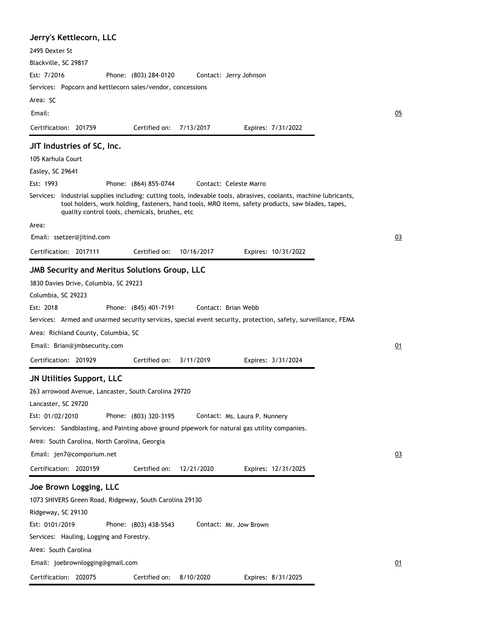| Jerry's Kettlecorn, LLC                                                                                                                                                                                                                                                                                                                                                                                                                                                                                                                                                                                                                     |    |
|---------------------------------------------------------------------------------------------------------------------------------------------------------------------------------------------------------------------------------------------------------------------------------------------------------------------------------------------------------------------------------------------------------------------------------------------------------------------------------------------------------------------------------------------------------------------------------------------------------------------------------------------|----|
| 2495 Dexter St                                                                                                                                                                                                                                                                                                                                                                                                                                                                                                                                                                                                                              |    |
| Blackville, SC 29817                                                                                                                                                                                                                                                                                                                                                                                                                                                                                                                                                                                                                        |    |
| Est: 7/2016<br>Phone: (803) 284-0120<br>Contact: Jerry Johnson                                                                                                                                                                                                                                                                                                                                                                                                                                                                                                                                                                              |    |
| Services: Popcorn and kettlecorn sales/vendor, concessions                                                                                                                                                                                                                                                                                                                                                                                                                                                                                                                                                                                  |    |
| Area: SC                                                                                                                                                                                                                                                                                                                                                                                                                                                                                                                                                                                                                                    |    |
| Email:                                                                                                                                                                                                                                                                                                                                                                                                                                                                                                                                                                                                                                      | 05 |
| Certification: 201759<br>Certified on:<br>7/13/2017<br>Expires: 7/31/2022                                                                                                                                                                                                                                                                                                                                                                                                                                                                                                                                                                   |    |
| JIT Industries of SC, Inc.                                                                                                                                                                                                                                                                                                                                                                                                                                                                                                                                                                                                                  |    |
| 105 Karhula Court                                                                                                                                                                                                                                                                                                                                                                                                                                                                                                                                                                                                                           |    |
| Easley, SC 29641                                                                                                                                                                                                                                                                                                                                                                                                                                                                                                                                                                                                                            |    |
| Est: 1993<br>Phone: (864) 855-0744<br>Contact: Celeste Marro                                                                                                                                                                                                                                                                                                                                                                                                                                                                                                                                                                                |    |
| Services: Industrial supplies including: cutting tools, indexable tools, abrasives, coolants, machine lubricants,<br>tool holders, work holding, fasteners, hand tools, MRO items, safety products, saw blades, tapes,<br>quality control tools, chemicals, brushes, etc                                                                                                                                                                                                                                                                                                                                                                    |    |
| Area:                                                                                                                                                                                                                                                                                                                                                                                                                                                                                                                                                                                                                                       |    |
| Email: ssetzer@jitind.com                                                                                                                                                                                                                                                                                                                                                                                                                                                                                                                                                                                                                   | 03 |
| Certified on:<br>Certification: 2017111<br>10/16/2017<br>Expires: 10/31/2022                                                                                                                                                                                                                                                                                                                                                                                                                                                                                                                                                                |    |
| JMB Security and Meritus Solutions Group, LLC<br>3830 Davies Drive, Columbia, SC 29223<br>Columbia, SC 29223<br>Est: 2018<br>Phone: (845) 401-7191<br>Contact: Brian Webb<br>Services: Armed and unarmed security services, special event security, protection, safety, surveillance, FEMA                                                                                                                                                                                                                                                                                                                                                  |    |
| Area: Richland County, Columbia, SC                                                                                                                                                                                                                                                                                                                                                                                                                                                                                                                                                                                                         |    |
| Email: Brian@jmbsecurity.com                                                                                                                                                                                                                                                                                                                                                                                                                                                                                                                                                                                                                | 01 |
| Certification: 201929<br>Certified on:<br>3/11/2019<br>Expires: 3/31/2024                                                                                                                                                                                                                                                                                                                                                                                                                                                                                                                                                                   |    |
| <b>JN Utilities Support, LLC</b><br>263 arrowood Avenue, Lancaster, South Carolina 29720<br>Lancaster, SC 29720<br>Est: 01/02/2010<br>Phone: (803) 320-3195<br>Contact: Ms. Laura P. Nunnery<br>Services: Sandblasting, and Painting above ground pipework for natural gas utility companies.<br>Area: South Carolina, North Carolina, Georgia<br>Email: jen7@comporium.net<br>Certification: 2020159<br>Certified on:<br>12/21/2020<br>Expires: 12/31/2025<br>Joe Brown Logging, LLC<br>1073 SHIVERS Green Road, Ridgeway, South Carolina 29130<br>Ridgeway, SC 29130<br>Est: 0101/2019<br>Phone: (803) 438-5543<br>Contact: Mr. Jow Brown | 03 |
| Services: Hauling, Logging and Forestry.<br>Area: South Carolina                                                                                                                                                                                                                                                                                                                                                                                                                                                                                                                                                                            |    |
| Email: joebrownlogging@gmail.com                                                                                                                                                                                                                                                                                                                                                                                                                                                                                                                                                                                                            | 01 |
|                                                                                                                                                                                                                                                                                                                                                                                                                                                                                                                                                                                                                                             |    |
| Certification: 202075<br>Certified on:<br>8/10/2020<br>Expires: 8/31/2025                                                                                                                                                                                                                                                                                                                                                                                                                                                                                                                                                                   |    |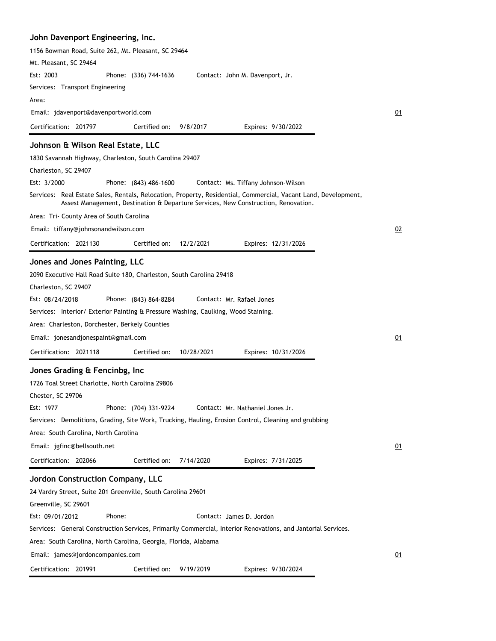### **John Davenport Engineering, Inc.**

| 1156 Bowman Road, Suite 262, Mt. Pleasant, SC 29464                                                                                                                                             |    |
|-------------------------------------------------------------------------------------------------------------------------------------------------------------------------------------------------|----|
| Mt. Pleasant, SC 29464                                                                                                                                                                          |    |
| Est: 2003<br>Phone: (336) 744-1636<br>Contact: John M. Davenport, Jr.                                                                                                                           |    |
| Services: Transport Engineering                                                                                                                                                                 |    |
| Area:<br>Email: jdavenport@davenportworld.com                                                                                                                                                   |    |
|                                                                                                                                                                                                 | 01 |
| Certification: 201797<br>Certified on:<br>Expires: 9/30/2022<br>9/8/2017                                                                                                                        |    |
| Johnson & Wilson Real Estate, LLC                                                                                                                                                               |    |
| 1830 Savannah Highway, Charleston, South Carolina 29407                                                                                                                                         |    |
| Charleston, SC 29407                                                                                                                                                                            |    |
| Est: 3/2000<br>Phone: (843) 486-1600<br>Contact: Ms. Tiffany Johnson-Wilson<br>Services:   Real Estate Sales, Rentals, Relocation, Property, Residential, Commercial, Vacant Land, Development, |    |
| Assest Management, Destination & Departure Services, New Construction, Renovation.                                                                                                              |    |
| Area: Tri- County Area of South Carolina                                                                                                                                                        |    |
| Email: tiffany@johnsonandwilson.com                                                                                                                                                             | 02 |
| Certification: 2021130<br>Certified on:<br>12/2/2021<br>Expires: 12/31/2026                                                                                                                     |    |
| Jones and Jones Painting, LLC                                                                                                                                                                   |    |
| 2090 Executive Hall Road Suite 180, Charleston, South Carolina 29418                                                                                                                            |    |
| Charleston, SC 29407                                                                                                                                                                            |    |
| Est: 08/24/2018<br>Phone: (843) 864-8284<br>Contact: Mr. Rafael Jones                                                                                                                           |    |
| Services: Interior/ Exterior Painting & Pressure Washing, Caulking, Wood Staining.                                                                                                              |    |
| Area: Charleston, Dorchester, Berkely Counties                                                                                                                                                  |    |
| Email: jonesandjonespaint@gmail.com                                                                                                                                                             | 01 |
| Certification: 2021118<br>Certified on:<br>10/28/2021<br>Expires: 10/31/2026                                                                                                                    |    |
| Jones Grading & Fencinbg, Inc                                                                                                                                                                   |    |
|                                                                                                                                                                                                 |    |
| 1726 Toal Street Charlotte, North Carolina 29806<br>Chester, SC 29706                                                                                                                           |    |
| Est: 1977<br>Phone: (704) 331-9224<br>Contact: Mr. Nathaniel Jones Jr.                                                                                                                          |    |
| Services: Demolitions, Grading, Site Work, Trucking, Hauling, Erosion Control, Cleaning and grubbing                                                                                            |    |
| Area: South Carolina, North Carolina                                                                                                                                                            |    |
| Email: jgfinc@bellsouth.net                                                                                                                                                                     | 01 |
| Certification: 202066<br>Certified on:<br>7/14/2020<br>Expires: 7/31/2025                                                                                                                       |    |
|                                                                                                                                                                                                 |    |
| Jordon Construction Company, LLC<br>24 Vardry Street, Suite 201 Greenville, South Carolina 29601                                                                                                |    |
| Greenville, SC 29601                                                                                                                                                                            |    |
| Est: 09/01/2012<br>Phone:<br>Contact: James D. Jordon                                                                                                                                           |    |
| Services: General Construction Services, Primarily Commercial, Interior Renovations, and Jantorial Services.                                                                                    |    |
| Area: South Carolina, North Carolina, Georgia, Florida, Alabama                                                                                                                                 |    |
| Email: james@jordoncompanies.com                                                                                                                                                                | 01 |
| Certification: 201991<br>Certified on:<br>9/19/2019<br>Expires: 9/30/2024                                                                                                                       |    |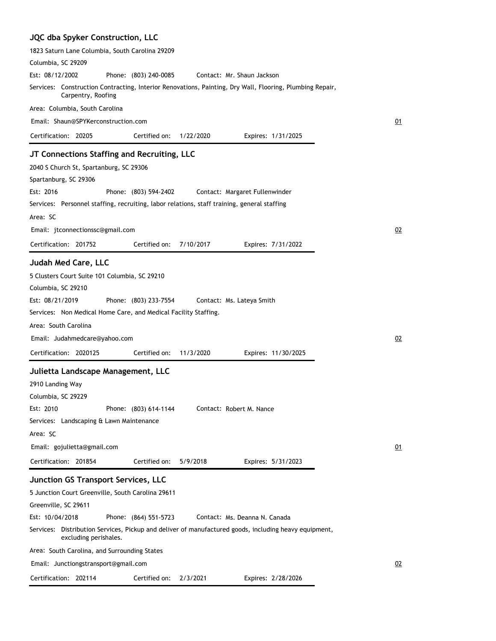# **JQC dba Spyker Construction, LLC**

| 1823 Saturn Lane Columbia, South Carolina 29209                                                                                |                                  |
|--------------------------------------------------------------------------------------------------------------------------------|----------------------------------|
| Columbia, SC 29209                                                                                                             |                                  |
| Est: 08/12/2002<br>Phone: (803) 240-0085                                                                                       | Contact: Mr. Shaun Jackson       |
| Services: Construction Contracting, Interior Renovations, Painting, Dry Wall, Flooring, Plumbing Repair,<br>Carpentry, Roofing |                                  |
| Area: Columbia, South Carolina                                                                                                 |                                  |
| Email: Shaun@SPYKerconstruction.com                                                                                            | 01                               |
| Certification: 20205<br>Certified on:                                                                                          | 1/22/2020<br>Expires: 1/31/2025  |
| JT Connections Staffing and Recruiting, LLC                                                                                    |                                  |
| 2040 S Church St, Spartanburg, SC 29306                                                                                        |                                  |
| Spartanburg, SC 29306                                                                                                          |                                  |
| Est: 2016<br>Phone: (803) 594-2402                                                                                             | Contact: Margaret Fullenwinder   |
| Services: Personnel staffing, recruiting, labor relations, staff training, general staffing                                    |                                  |
| Area: SC                                                                                                                       |                                  |
| Email: jtconnectionssc@gmail.com                                                                                               | 02                               |
| Certification: 201752<br>Certified on:                                                                                         | 7/10/2017<br>Expires: 7/31/2022  |
|                                                                                                                                |                                  |
| Judah Med Care, LLC                                                                                                            |                                  |
| 5 Clusters Court Suite 101 Columbia, SC 29210                                                                                  |                                  |
| Columbia, SC 29210                                                                                                             |                                  |
| Est: 08/21/2019<br>Phone: (803) 233-7554                                                                                       | Contact: Ms. Lateya Smith        |
| Services: Non Medical Home Care, and Medical Facility Staffing.                                                                |                                  |
| Area: South Carolina                                                                                                           |                                  |
| Email: Judahmedcare@yahoo.com                                                                                                  | 02                               |
|                                                                                                                                |                                  |
| Certification: 2020125<br>Certified on:                                                                                        | 11/3/2020<br>Expires: 11/30/2025 |
| Julietta Landscape Management, LLC                                                                                             |                                  |
| 2910 Landing Way                                                                                                               |                                  |
| Columbia, SC 29229                                                                                                             |                                  |
| Est: 2010<br>Phone: (803) 614-1144                                                                                             | Contact: Robert M. Nance         |
| Services: Landscaping & Lawn Maintenance                                                                                       |                                  |
| Area: SC                                                                                                                       |                                  |
| Email: gojulietta@gmail.com                                                                                                    | 01                               |
| Certification: 201854<br>Certified on:<br>5/9/2018                                                                             | Expires: 5/31/2023               |
| <b>Junction GS Transport Services, LLC</b>                                                                                     |                                  |
| 5 Junction Court Greenville, South Carolina 29611                                                                              |                                  |
| Greenville, SC 29611                                                                                                           |                                  |
| Est: 10/04/2018<br>Phone: (864) 551-5723                                                                                       | Contact: Ms. Deanna N. Canada    |
| Services: Distribution Services, Pickup and deliver of manufactured goods, including heavy equipment,<br>excluding perishales. |                                  |
| Area: South Carolina, and Surrounding States                                                                                   |                                  |
| Email: Junctiongstransport@gmail.com                                                                                           | 02                               |
| Certification: 202114<br>Certified on:<br>2/3/2021                                                                             | Expires: 2/28/2026               |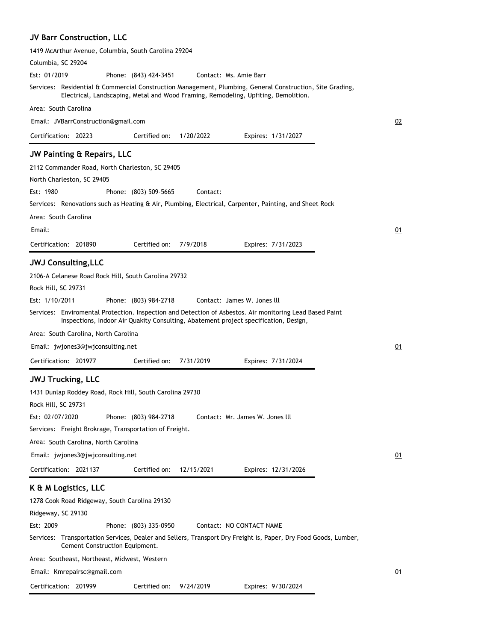## **JV Barr Construction, LLC**

| Columbia, SC 29204                                                                                                                                                                              |    |
|-------------------------------------------------------------------------------------------------------------------------------------------------------------------------------------------------|----|
| Est: 01/2019<br>Phone: (843) 424-3451<br>Contact: Ms. Amie Barr                                                                                                                                 |    |
| Services: Residential & Commercial Construction Management, Plumbing, General Construction, Site Grading,<br>Electrical, Landscaping, Metal and Wood Framing, Remodeling, Upfiting, Demolition. |    |
| Area: South Carolina                                                                                                                                                                            |    |
| Email: JVBarrConstruction@gmail.com                                                                                                                                                             | 02 |
| Certification: 20223<br>Certified on:<br>1/20/2022<br>Expires: 1/31/2027                                                                                                                        |    |
| <b>JW Painting &amp; Repairs, LLC</b>                                                                                                                                                           |    |
| 2112 Commander Road, North Charleston, SC 29405                                                                                                                                                 |    |
| North Charleston, SC 29405                                                                                                                                                                      |    |
| Est: 1980<br>Phone: (803) 509-5665<br>Contact:                                                                                                                                                  |    |
| Services: Renovations such as Heating & Air, Plumbing, Electrical, Carpenter, Painting, and Sheet Rock                                                                                          |    |
| Area: South Carolina                                                                                                                                                                            |    |
| Email:                                                                                                                                                                                          | 01 |
| Certification: 201890<br>Certified on:<br>7/9/2018<br>Expires: 7/31/2023                                                                                                                        |    |
| <b>JWJ Consulting, LLC</b>                                                                                                                                                                      |    |
| 2106-A Celanese Road Rock Hill, South Carolina 29732                                                                                                                                            |    |
| Rock Hill, SC 29731                                                                                                                                                                             |    |
| Est: 1/10/2011<br>Phone: (803) 984-2718<br>Contact: James W. Jones III                                                                                                                          |    |
| Services: Enviromental Protection. Inspection and Detection of Asbestos. Air monitoring Lead Based Paint                                                                                        |    |
| Inspections, Indoor Air Quakity Consulting, Abatement project specification, Design,                                                                                                            |    |
| Area: South Carolina, North Carolina                                                                                                                                                            |    |
|                                                                                                                                                                                                 |    |
| Email: jwjones3@jwjconsulting.net                                                                                                                                                               | 01 |
| Certification: 201977<br>Certified on:<br>7/31/2019<br>Expires: 7/31/2024                                                                                                                       |    |
| <b>JWJ Trucking, LLC</b>                                                                                                                                                                        |    |
| 1431 Dunlap Roddey Road, Rock Hill, South Carolina 29730                                                                                                                                        |    |
| Rock Hill, SC 29731                                                                                                                                                                             |    |
| Est: 02/07/2020<br>Phone: (803) 984-2718<br>Contact: Mr. James W. Jones III                                                                                                                     |    |
| Services: Freight Brokrage, Transportation of Freight.                                                                                                                                          |    |
| Area: South Carolina, North Carolina                                                                                                                                                            |    |
| Email: jwjones3@jwjconsulting.net                                                                                                                                                               | 01 |
| Certification: 2021137<br>Certified on:<br>12/15/2021<br>Expires: 12/31/2026                                                                                                                    |    |
| K & M Logistics, LLC                                                                                                                                                                            |    |
| 1278 Cook Road Ridgeway, South Carolina 29130                                                                                                                                                   |    |
| Ridgeway, SC 29130                                                                                                                                                                              |    |
| Est: 2009<br>Phone: (803) 335-0950<br>Contact: NO CONTACT NAME                                                                                                                                  |    |
| Services: Transportation Services, Dealer and Sellers, Transport Dry Freight is, Paper, Dry Food Goods, Lumber,<br>Cement Construction Equipment.                                               |    |
| Area: Southeast, Northeast, Midwest, Western                                                                                                                                                    |    |
| Email: Kmrepairsc@gmail.com                                                                                                                                                                     | 01 |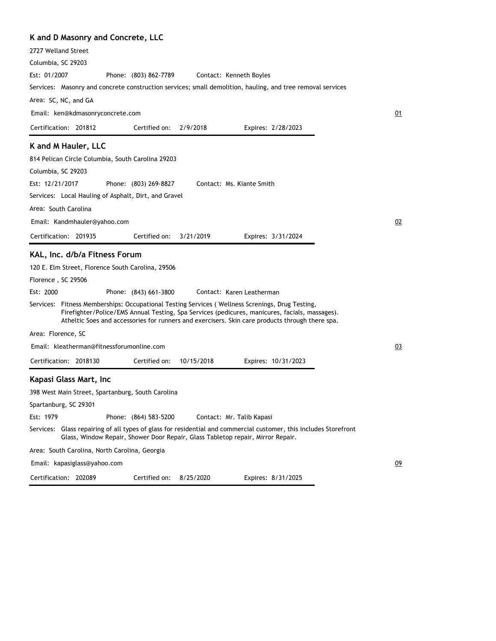## **K and D Masonry and Concrete, LLC**

| N and D Masoni y and Concrete, LLC                                                                                                                                                                                                                                                                   |    |
|------------------------------------------------------------------------------------------------------------------------------------------------------------------------------------------------------------------------------------------------------------------------------------------------------|----|
| 2727 Welland Street                                                                                                                                                                                                                                                                                  |    |
| Columbia, SC 29203                                                                                                                                                                                                                                                                                   |    |
| Est: 01/2007<br>Phone: (803) 862-7789<br>Contact: Kenneth Boyles                                                                                                                                                                                                                                     |    |
| Services: Masonry and concrete construction services; small demolition, hauling, and tree removal services                                                                                                                                                                                           |    |
| Area: SC, NC, and GA                                                                                                                                                                                                                                                                                 |    |
| Email: ken@kdmasonryconcrete.com                                                                                                                                                                                                                                                                     | 01 |
| Certification: 201812<br>2/9/2018<br>Certified on:<br>Expires: 2/28/2023                                                                                                                                                                                                                             |    |
| K and M Hauler, LLC                                                                                                                                                                                                                                                                                  |    |
| 814 Pelican Circle Columbia, South Carolina 29203                                                                                                                                                                                                                                                    |    |
| Columbia, SC 29203                                                                                                                                                                                                                                                                                   |    |
| Est: 12/21/2017<br>Phone: (803) 269-8827<br>Contact: Ms. Kiante Smith                                                                                                                                                                                                                                |    |
| Services: Local Hauling of Asphalt, Dirt, and Gravel                                                                                                                                                                                                                                                 |    |
| Area: South Carolina                                                                                                                                                                                                                                                                                 |    |
| Email: Kandmhauler@yahoo.com                                                                                                                                                                                                                                                                         | 02 |
| Certification: 201935<br>Certified on:<br>3/21/2019<br>Expires: 3/31/2024                                                                                                                                                                                                                            |    |
| KAL, Inc. d/b/a Fitness Forum                                                                                                                                                                                                                                                                        |    |
| 120 E. Elm Street, Florence South Carolina, 29506                                                                                                                                                                                                                                                    |    |
| Florence, SC 29506                                                                                                                                                                                                                                                                                   |    |
| Est: 2000<br>Contact: Karen Leatherman<br>Phone: (843) 661-3800                                                                                                                                                                                                                                      |    |
| Services: Fitness Memberships: Occupational Testing Services (Wellness Screnings, Drug Testing,<br>Firefighter/Police/EMS Annual Testing, Spa Services (pedicures, manicures, facials, massages).<br>Atheltic Soes and accessories for runners and exercisers. Skin care products through there spa. |    |
| Area: Florence, SC                                                                                                                                                                                                                                                                                   |    |
| Email: kleatherman@fitnessforumonline.com                                                                                                                                                                                                                                                            | 03 |
| Certification: 2018130<br>Certified on:<br>10/15/2018<br>Expires: 10/31/2023                                                                                                                                                                                                                         |    |
| Kapasi Glass Mart, Inc                                                                                                                                                                                                                                                                               |    |
| 398 West Main Street, Spartanburg, South Carolina                                                                                                                                                                                                                                                    |    |
| Spartanburg, SC 29301                                                                                                                                                                                                                                                                                |    |
| Est: 1979<br>Phone: (864) 583-5200<br>Contact: Mr. Talib Kapasi                                                                                                                                                                                                                                      |    |
| Services: Glass repairing of all types of glass for residential and commercial customer, this includes Storefront<br>Glass, Window Repair, Shower Door Repair, Glass Tabletop repair, Mirror Repair.                                                                                                 |    |
| Area: South Carolina, North Carolina, Georgia                                                                                                                                                                                                                                                        |    |
| Email: kapasiglass@yahoo.com                                                                                                                                                                                                                                                                         | 09 |
|                                                                                                                                                                                                                                                                                                      |    |

Certification: 202089 Expires: 8/31/2025 Certified on: 8/25/2020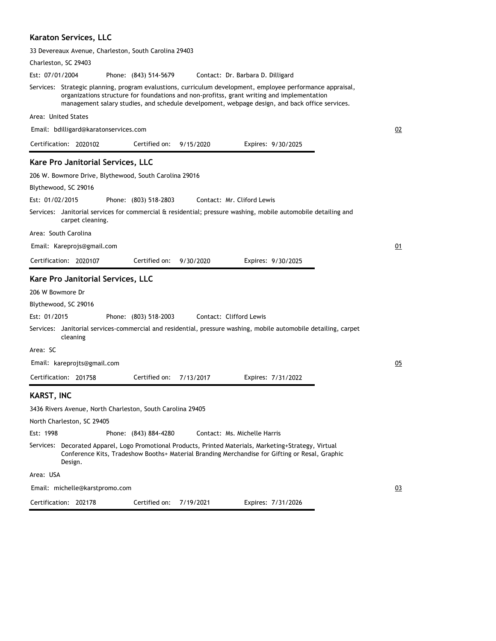### **Karaton Services, LLC**

| 33 Devereaux Avenue, Charleston, South Carolina 29403                                                                                                                                                                                                                                                      |    |
|------------------------------------------------------------------------------------------------------------------------------------------------------------------------------------------------------------------------------------------------------------------------------------------------------------|----|
| Charleston, SC 29403                                                                                                                                                                                                                                                                                       |    |
| Est: 07/01/2004<br>Phone: (843) 514-5679<br>Contact: Dr. Barbara D. Dilligard                                                                                                                                                                                                                              |    |
| Services: Strategic planning, program evalustions, curriculum development, employee performance appraisal,<br>organizations structure for foundations and non-profitss, grant writing and implementation<br>management salary studies, and schedule develpoment, webpage design, and back office services. |    |
| Area: United States                                                                                                                                                                                                                                                                                        |    |
| Email: bdilligard@karatonservices.com                                                                                                                                                                                                                                                                      | 02 |
| Certification: 2020102<br>Certified on:<br>9/15/2020<br>Expires: 9/30/2025                                                                                                                                                                                                                                 |    |
| Kare Pro Janitorial Services, LLC                                                                                                                                                                                                                                                                          |    |
| 206 W. Bowmore Drive, Blythewood, South Carolina 29016                                                                                                                                                                                                                                                     |    |
| Blythewood, SC 29016                                                                                                                                                                                                                                                                                       |    |
| Est: 01/02/2015<br>Phone: (803) 518-2803<br>Contact: Mr. Cliford Lewis                                                                                                                                                                                                                                     |    |
| Services: Janitorial services for commercial & residential; pressure washing, mobile automobile detailing and<br>carpet cleaning.                                                                                                                                                                          |    |
| Area: South Carolina                                                                                                                                                                                                                                                                                       |    |
| Email: Kareprojs@gmail.com                                                                                                                                                                                                                                                                                 | 01 |
| Certification: 2020107<br>Certified on:<br>9/30/2020<br>Expires: 9/30/2025                                                                                                                                                                                                                                 |    |
| Kare Pro Janitorial Services, LLC                                                                                                                                                                                                                                                                          |    |
| 206 W Bowmore Dr                                                                                                                                                                                                                                                                                           |    |
| Blythewood, SC 29016                                                                                                                                                                                                                                                                                       |    |
| Est: 01/2015<br>Phone: (803) 518-2003<br>Contact: Clifford Lewis                                                                                                                                                                                                                                           |    |
| Services: Janitorial services-commercial and residential, pressure washing, mobile automobile detailing, carpet<br>cleaning                                                                                                                                                                                |    |
| Area: SC                                                                                                                                                                                                                                                                                                   |    |
| Email: kareprojts@gmail.com                                                                                                                                                                                                                                                                                | 05 |
| Certification: 201758<br>Certified on:<br>7/13/2017<br>Expires: 7/31/2022                                                                                                                                                                                                                                  |    |
| <b>KARST, INC</b>                                                                                                                                                                                                                                                                                          |    |
| 3436 Rivers Avenue, North Charleston, South Carolina 29405                                                                                                                                                                                                                                                 |    |
| North Charleston, SC 29405                                                                                                                                                                                                                                                                                 |    |
| Est: 1998<br>Phone: (843) 884-4280<br>Contact: Ms. Michelle Harris                                                                                                                                                                                                                                         |    |
| Services: Decorated Apparel, Logo Promotional Products, Printed Materials, Marketing+Strategy, Virtual<br>Conference Kits, Tradeshow Booths+ Material Branding Merchandise for Gifting or Resal, Graphic<br>Design.                                                                                        |    |
| Area: USA                                                                                                                                                                                                                                                                                                  |    |
| Email: michelle@karstpromo.com                                                                                                                                                                                                                                                                             | 03 |
| Certification: 202178<br>7/19/2021<br>Certified on:<br>Expires: 7/31/2026                                                                                                                                                                                                                                  |    |
|                                                                                                                                                                                                                                                                                                            |    |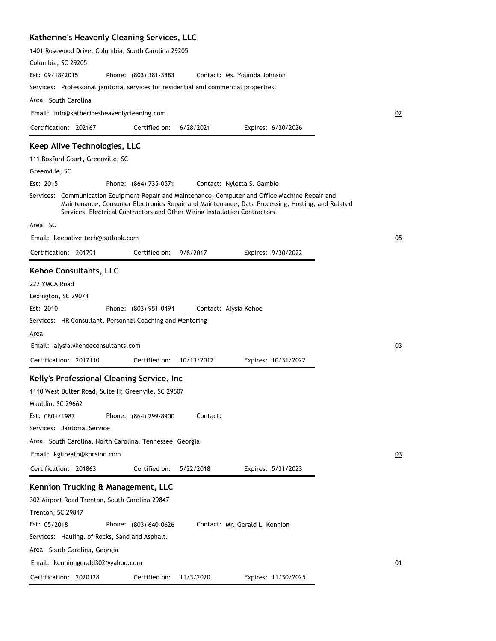## **Katherine's Heavenly Cleaning Services, LLC**

| 1401 Rosewood Drive, Columbia, South Carolina 29205                                                                                                                                                                                                                               |    |
|-----------------------------------------------------------------------------------------------------------------------------------------------------------------------------------------------------------------------------------------------------------------------------------|----|
| Columbia, SC 29205                                                                                                                                                                                                                                                                |    |
| Est: 09/18/2015<br>Phone: (803) 381-3883<br>Contact: Ms. Yolanda Johnson                                                                                                                                                                                                          |    |
| Services: Professoinal janitorial services for residential and commercial properties.                                                                                                                                                                                             |    |
| Area: South Carolina                                                                                                                                                                                                                                                              |    |
| Email: info@katherinesheavenlycleaning.com                                                                                                                                                                                                                                        | 02 |
| Certification: 202167<br>Certified on:<br>6/28/2021<br>Expires: 6/30/2026                                                                                                                                                                                                         |    |
| Keep Alive Technologies, LLC                                                                                                                                                                                                                                                      |    |
| 111 Boxford Court, Greenville, SC                                                                                                                                                                                                                                                 |    |
| Greenville, SC                                                                                                                                                                                                                                                                    |    |
| Est: 2015<br>Phone: (864) 735-0571<br>Contact: Nyletta S. Gamble                                                                                                                                                                                                                  |    |
| Services: Communication Equipment Repair and Maintenance, Computer and Office Machine Repair and<br>Maintenance, Consumer Electronics Repair and Maintenance, Data Processing, Hosting, and Related<br>Services, Electrical Contractors and Other Wiring Installation Contractors |    |
| Area: SC                                                                                                                                                                                                                                                                          |    |
| Email: keepalive.tech@outlook.com                                                                                                                                                                                                                                                 | 05 |
| Certification: 201791<br>Certified on:<br>9/8/2017<br>Expires: 9/30/2022                                                                                                                                                                                                          |    |
| Kehoe Consultants, LLC                                                                                                                                                                                                                                                            |    |
| 227 YMCA Road                                                                                                                                                                                                                                                                     |    |
| Lexington, SC 29073                                                                                                                                                                                                                                                               |    |
| Est: 2010<br>Phone: (803) 951-0494<br>Contact: Alysia Kehoe                                                                                                                                                                                                                       |    |
| Services: HR Consultant, Personnel Coaching and Mentoring                                                                                                                                                                                                                         |    |
| Area:                                                                                                                                                                                                                                                                             |    |
| Email: alysia@kehoeconsultants.com                                                                                                                                                                                                                                                | 03 |
| Certification: 2017110<br>Certified on:<br>10/13/2017<br>Expires: 10/31/2022                                                                                                                                                                                                      |    |
| Kelly's Professional Cleaning Service, Inc                                                                                                                                                                                                                                        |    |
| 1110 West Bulter Road, Suite H; Greenvile, SC 29607                                                                                                                                                                                                                               |    |
| Mauldin, SC 29662                                                                                                                                                                                                                                                                 |    |
| Est: 0801/1987<br>Phone: (864) 299-8900<br>Contact:                                                                                                                                                                                                                               |    |
| Services: Jantorial Service                                                                                                                                                                                                                                                       |    |
| Area: South Carolina, North Carolina, Tennessee, Georgia                                                                                                                                                                                                                          |    |
| Email: kgilreath@kpcsinc.com                                                                                                                                                                                                                                                      | 03 |
| Certification: 201863<br>Certified on:<br>5/22/2018<br>Expires: 5/31/2023                                                                                                                                                                                                         |    |
| Kennion Trucking & Management, LLC                                                                                                                                                                                                                                                |    |
| 302 Airport Road Trenton, South Carolina 29847                                                                                                                                                                                                                                    |    |
| Trenton, SC 29847                                                                                                                                                                                                                                                                 |    |
| Est: 05/2018<br>Phone: (803) 640-0626<br>Contact: Mr. Gerald L. Kennion                                                                                                                                                                                                           |    |
| Services: Hauling, of Rocks, Sand and Asphalt.                                                                                                                                                                                                                                    |    |
| Area: South Carolina, Georgia                                                                                                                                                                                                                                                     |    |
| Email: kenniongerald302@yahoo.com                                                                                                                                                                                                                                                 | 01 |
| Certification: 2020128<br>Certified on:<br>11/3/2020<br>Expires: 11/30/2025                                                                                                                                                                                                       |    |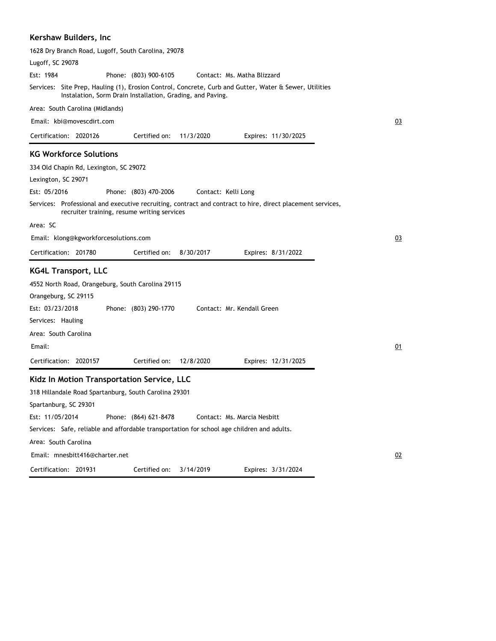### **Kershaw Builders, Inc**

| 1628 Dry Branch Road, Lugoff, South Carolina, 29078                                                                                                                  |    |
|----------------------------------------------------------------------------------------------------------------------------------------------------------------------|----|
| Lugoff, SC 29078                                                                                                                                                     |    |
| Est: 1984<br>Phone: (803) 900-6105<br>Contact: Ms. Matha Blizzard                                                                                                    |    |
| Services: Site Prep, Hauling (1), Erosion Control, Concrete, Curb and Gutter, Water & Sewer, Utilities<br>Instalation, Sorm Drain Installation, Grading, and Paving. |    |
| Area: South Carolina (Midlands)                                                                                                                                      |    |
| Email: kbi@movescdirt.com                                                                                                                                            | 03 |
| Certification: 2020126<br>Certified on:<br>11/3/2020<br>Expires: 11/30/2025                                                                                          |    |
| <b>KG Workforce Solutions</b>                                                                                                                                        |    |
| 334 Old Chapin Rd, Lexington, SC 29072                                                                                                                               |    |
| Lexington, SC 29071                                                                                                                                                  |    |
| Est: 05/2016<br>Phone: (803) 470-2006<br>Contact: Kelli Long                                                                                                         |    |
| Services: Professional and executive recruiting, contract and contract to hire, direct placement services,<br>recruiter training, resume writing services            |    |
| Area: SC                                                                                                                                                             |    |
| Email: klong@kgworkforcesolutions.com                                                                                                                                | 03 |
| Certification: 201780<br>Certified on:<br>8/30/2017<br>Expires: 8/31/2022                                                                                            |    |
| <b>KG4L Transport, LLC</b>                                                                                                                                           |    |
| 4552 North Road, Orangeburg, South Carolina 29115                                                                                                                    |    |
| Orangeburg, SC 29115                                                                                                                                                 |    |
| Est: 03/23/2018<br>Phone: (803) 290-1770<br>Contact: Mr. Kendall Green                                                                                               |    |
| Services: Hauling                                                                                                                                                    |    |
| Area: South Carolina                                                                                                                                                 |    |
| Email:                                                                                                                                                               | 01 |
| Certification: 2020157<br>Certified on:<br>12/8/2020<br>Expires: 12/31/2025                                                                                          |    |
| Kidz In Motion Transportation Service, LLC                                                                                                                           |    |
| 318 Hillandale Road Spartanburg, South Carolina 29301                                                                                                                |    |
| Spartanburg, SC 29301                                                                                                                                                |    |
| Est: 11/05/2014<br>Phone: (864) 621-8478<br>Contact: Ms. Marcia Nesbitt                                                                                              |    |
| Services: Safe, reliable and affordable transportation for school age children and adults.                                                                           |    |
| Area: South Carolina                                                                                                                                                 |    |
| Email: mnesbitt416@charter.net                                                                                                                                       | 02 |
| Certification: 201931<br>3/14/2019<br>Expires: 3/31/2024<br>Certified on:                                                                                            |    |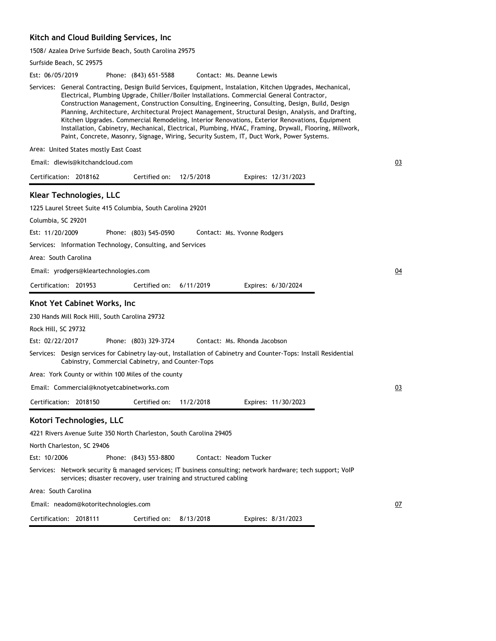#### **Kitch and Cloud Building Services, Inc**

1508/ Azalea Drive Surfside Beach, South Carolina 29575

Surfside Beach, SC 29575 Phone: (843) 651-5588 Services: General Contracting, Design Build Services, Equipment, Instalation, Kitchen Upgrades, Mechanical, Electrical, Plumbing Upgrade, Chiller/Boiler Installations. Commercial General Contractor, Construction Management, Construction Consulting, Engineering, Consulting, Design, Build, Design Planning, Architecture, Architectural Project Management, Structural Design, Analysis, and Drafting, Kitchen Upgrades. Commercial Remodeling, Interior Renovations, Exterior Renovations, Equipment Installation, Cabinetry, Mechanical, Electrical, Plumbing, HVAC, Framing, Drywall, Flooring, Millwork, Paint, Concrete, Masonry, Signage, Wiring, Security Sustem, IT, Duct Work, Power Systems. Area: United States mostly East Coast Est: 06/05/2019 Certification: 2018162 Contact: Ms. Deanne Lewis Email: dlewis@kitchandcloud.com Expires: 12/31/2023 03 Certified on: 12/5/2018 **Klear Technologies, LLC** 1225 Laurel Street Suite 415 Columbia, South Carolina 29201 Columbia, SC 29201 Phone: (803) 545-0590 Services: Information Technology, Consulting, and Services Area: South Carolina Est: 11/20/2009 Certification: 201953 Contact: Ms. Yvonne Rodgers Email: yrodgers@kleartechnologies.com Expires: 6/30/2024 04 Certified on: 6/11/2019 **Knot Yet Cabinet Works, Inc** 230 Hands Mill Rock Hill, South Carolina 29732 Rock Hill, SC 29732 Phone: (803) 329-3724 Services: Design services for Cabinetry lay-out, Installation of Cabinetry and Counter-Tops: Install Residential Cabinstry, Commercial Cabinetry, and Counter-Tops Area: York County or within 100 Miles of the county Est: 02/22/2017 Certification: 2018150 Contact: Ms. Rhonda Jacobson Email: Commercial@knotyetcabinetworks.com Expires: 11/30/2023 03 Certified on: 11/2/2018 **Kotori Technologies, LLC** 4221 Rivers Avenue Suite 350 North Charleston, South Carolina 29405 North Charleston, SC 29406 Phone: (843) 553-8800 Services: Network security & managed services; IT business consulting; network hardware; tech support; VoIP services; disaster recovery, user training and structured cabling Area: South Carolina Est: 10/2006 Certification: 2018111 Contact: Neadom Tucker Email: neadom@kotoritechnologies.com Expires: 8/31/2023 07 Certified on: 8/13/2018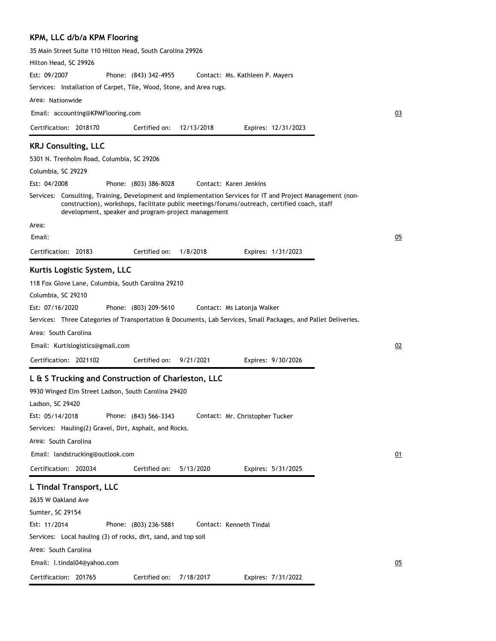### **KPM, LLC d/b/a KPM Flooring**

| Hilton Head, SC 29926                                                                                                                                                                                                                                              |    |
|--------------------------------------------------------------------------------------------------------------------------------------------------------------------------------------------------------------------------------------------------------------------|----|
| Est: 09/2007<br>Phone: (843) 342-4955<br>Contact: Ms. Kathleen P. Mayers                                                                                                                                                                                           |    |
| Services: Installation of Carpet, Tile, Wood, Stone, and Area rugs.                                                                                                                                                                                                |    |
| Area: Nationwide                                                                                                                                                                                                                                                   |    |
| Email: accounting@KPMFlooring.com                                                                                                                                                                                                                                  | 03 |
| Certified on:<br>Certification: 2018170<br>12/13/2018<br>Expires: 12/31/2023                                                                                                                                                                                       |    |
| <b>KRJ Consulting, LLC</b>                                                                                                                                                                                                                                         |    |
| 5301 N. Trenholm Road, Columbia, SC 29206                                                                                                                                                                                                                          |    |
| Columbia, SC 29229                                                                                                                                                                                                                                                 |    |
| Est: 04/2008<br>Contact: Karen Jenkins<br>Phone: (803) 386-8028                                                                                                                                                                                                    |    |
| Services: Consulting, Training, Development and Implementation Services for IT and Project Management (non-<br>construction), workshops, facilitate public meetings/forums/outreach, certified coach, staff<br>development, speaker and program-project management |    |
| Area:                                                                                                                                                                                                                                                              |    |
| Email:                                                                                                                                                                                                                                                             | 05 |
| 1/8/2018<br>Certification: 20183<br>Certified on:<br>Expires: 1/31/2023                                                                                                                                                                                            |    |
| Kurtis Logistic System, LLC                                                                                                                                                                                                                                        |    |
| 118 Fox Glove Lane, Columbia, South Carolina 29210<br>Columbia, SC 29210                                                                                                                                                                                           |    |
| Est: 07/16/2020<br>Phone: (803) 209-5610<br>Contact: Ms Latonja Walker                                                                                                                                                                                             |    |
| Services: Three Categories of Transportation & Documents, Lab Services, Small Packages, and Pallet Deliveries.                                                                                                                                                     |    |
| Area: South Carolina                                                                                                                                                                                                                                               |    |
|                                                                                                                                                                                                                                                                    |    |
| Email: Kurtislogistics@gmail.com                                                                                                                                                                                                                                   | 02 |
| Certification: 2021102<br>Certified on:<br>9/21/2021<br>Expires: 9/30/2026                                                                                                                                                                                         |    |
| L & S Trucking and Construction of Charleston, LLC                                                                                                                                                                                                                 |    |
| 9930 Winged Elm Street Ladson, South Carolina 29420                                                                                                                                                                                                                |    |
| Ladson, SC 29420                                                                                                                                                                                                                                                   |    |
| Est: 05/14/2018<br>Phone: (843) 566-3343<br>Contact: Mr. Christopher Tucker                                                                                                                                                                                        |    |
| Services: Hauling(2) Gravel, Dirt, Asphalt, and Rocks.                                                                                                                                                                                                             |    |
| Area: South Carolina                                                                                                                                                                                                                                               |    |
| Email: landstrucking@outlook.com                                                                                                                                                                                                                                   | 01 |
| Certification: 202034<br>Certified on:<br>5/13/2020<br>Expires: 5/31/2025                                                                                                                                                                                          |    |
| L Tindal Transport, LLC                                                                                                                                                                                                                                            |    |
| 2635 W Oakland Ave                                                                                                                                                                                                                                                 |    |
| Sumter, SC 29154                                                                                                                                                                                                                                                   |    |
| Est: 11/2014<br>Phone: (803) 236-5881<br>Contact: Kenneth Tindal                                                                                                                                                                                                   |    |
| Services: Local hauling (3) of rocks, dirt, sand, and top soil                                                                                                                                                                                                     |    |
| Area: South Carolina                                                                                                                                                                                                                                               |    |
| Email: l.tindal04@yahoo.com                                                                                                                                                                                                                                        | 05 |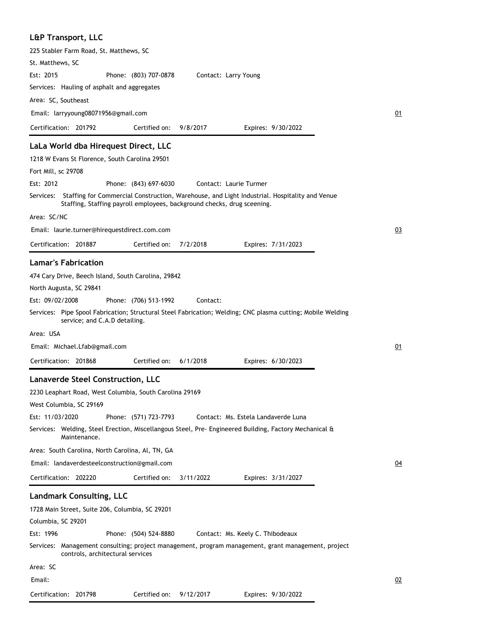# **L&P Transport, LLC**

| 225 Stabler Farm Road, St. Matthews, SC                                                                                                                                           |    |
|-----------------------------------------------------------------------------------------------------------------------------------------------------------------------------------|----|
| St. Matthews, SC                                                                                                                                                                  |    |
| Est: 2015<br>Phone: (803) 707-0878<br>Contact: Larry Young                                                                                                                        |    |
| Services: Hauling of asphalt and aggregates                                                                                                                                       |    |
| Area: SC, Southeast                                                                                                                                                               |    |
| Email: larryyoung08071956@gmail.com                                                                                                                                               | 01 |
| Certification: 201792<br>Certified on:<br>9/8/2017<br>Expires: 9/30/2022                                                                                                          |    |
| LaLa World dba Hirequest Direct, LLC                                                                                                                                              |    |
| 1218 W Evans St Florence, South Carolina 29501                                                                                                                                    |    |
| Fort Mill, sc 29708                                                                                                                                                               |    |
| Est: 2012<br>Phone: (843) 697-6030<br>Contact: Laurie Turmer                                                                                                                      |    |
| Services: Staffing for Commercial Construction, Warehouse, and Light Industrial. Hospitality and Venue<br>Staffing, Staffing payroll employees, background checks, drug sceening. |    |
| Area: SC/NC                                                                                                                                                                       |    |
| Email: laurie.turner@hirequestdirect.com.com                                                                                                                                      | 03 |
| 7/2/2018<br>Certification: 201887<br>Certified on:<br>Expires: 7/31/2023                                                                                                          |    |
| <b>Lamar's Fabrication</b>                                                                                                                                                        |    |
| 474 Cary Drive, Beech Island, South Carolina, 29842                                                                                                                               |    |
| North Augusta, SC 29841                                                                                                                                                           |    |
| Est: 09/02/2008<br>Phone: (706) 513-1992<br>Contact:                                                                                                                              |    |
| Services: Pipe Spool Fabrication; Structural Steel Fabrication; Welding; CNC plasma cutting; Mobile Welding<br>service; and C.A.D detailing.                                      |    |
| Area: USA                                                                                                                                                                         |    |
| Email: Michael.Lfab@gmail.com                                                                                                                                                     | 01 |
| Certification: 201868<br>Certified on:<br>6/1/2018<br>Expires: 6/30/2023                                                                                                          |    |
|                                                                                                                                                                                   |    |
| <b>Lanaverde Steel Construction, LLC</b>                                                                                                                                          |    |
| 2230 Leaphart Road, West Columbia, South Carolina 29169                                                                                                                           |    |
| West Columbia, SC 29169                                                                                                                                                           |    |
| Phone: (571) 723-7793<br>Est: 11/03/2020<br>Contact: Ms. Estela Landaverde Luna                                                                                                   |    |
| Services: Welding, Steel Erection, Miscellangous Steel, Pre- Engineered Building, Factory Mechanical &<br>Maintenance.                                                            |    |
| Area: South Carolina, North Carolina, Al, TN, GA                                                                                                                                  |    |
| Email: landaverdesteelconstruction@gmail.com                                                                                                                                      | 04 |
| Certification: 202220<br>Certified on:<br>3/11/2022<br>Expires: 3/31/2027                                                                                                         |    |
| <b>Landmark Consulting, LLC</b>                                                                                                                                                   |    |
| 1728 Main Street, Suite 206, Columbia, SC 29201                                                                                                                                   |    |
| Columbia, SC 29201                                                                                                                                                                |    |
| Est: 1996<br>Phone: (504) 524-8880<br>Contact: Ms. Keely C. Thibodeaux                                                                                                            |    |
| Services: Management consulting; project management, program management, grant management, project<br>controls, architectural services                                            |    |
| Area: SC                                                                                                                                                                          |    |
| Email:                                                                                                                                                                            | 02 |
| Certification: 201798<br>Certified on: 9/12/2017                                                                                                                                  |    |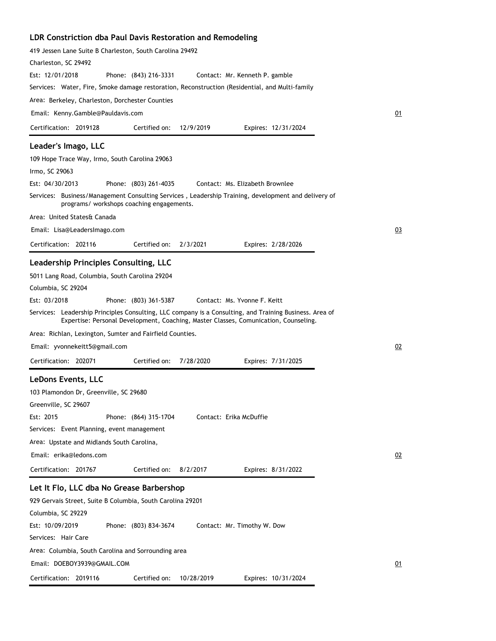## **LDR Constriction dba Paul Davis Restoration and Remodeling**

| 419 Jessen Lane Suite B Charleston, South Carolina 29492                                                                                                                                        |    |
|-------------------------------------------------------------------------------------------------------------------------------------------------------------------------------------------------|----|
| Charleston, SC 29492                                                                                                                                                                            |    |
| Est: 12/01/2018<br>Phone: (843) 216-3331<br>Contact: Mr. Kenneth P. gamble                                                                                                                      |    |
| Services: Water, Fire, Smoke damage restoration, Reconstruction (Residential, and Multi-family                                                                                                  |    |
| Area: Berkeley, Charleston, Dorchester Counties                                                                                                                                                 |    |
| Email: Kenny.Gamble@Pauldavis.com                                                                                                                                                               | 01 |
| Certified on:<br>Certification: 2019128<br>12/9/2019<br>Expires: 12/31/2024                                                                                                                     |    |
| Leader's Imago, LLC                                                                                                                                                                             |    |
| 109 Hope Trace Way, Irmo, South Carolina 29063                                                                                                                                                  |    |
| Irmo, SC 29063                                                                                                                                                                                  |    |
| Est: 04/30/2013<br>Phone: (803) 261-4035<br>Contact: Ms. Elizabeth Brownlee                                                                                                                     |    |
| Services: Business/Management Consulting Services, Leadership Training, development and delivery of<br>programs/ workshops coaching engagements.                                                |    |
| Area: United States& Canada                                                                                                                                                                     |    |
| Email: Lisa@LeadersImago.com                                                                                                                                                                    | 03 |
| Certification: 202116<br>Certified on:<br>2/3/2021<br>Expires: 2/28/2026                                                                                                                        |    |
| Leadership Principles Consulting, LLC                                                                                                                                                           |    |
| 5011 Lang Road, Columbia, South Carolina 29204                                                                                                                                                  |    |
| Columbia, SC 29204                                                                                                                                                                              |    |
| Est: 03/2018<br>Phone: (803) 361-5387<br>Contact: Ms. Yvonne F. Keitt                                                                                                                           |    |
| Services: Leadership Principles Consulting, LLC company is a Consulting, and Training Business. Area of<br>Expertise: Personal Development, Coaching, Master Classes, Comunication, Counseling. |    |
| Area: Richlan, Lexington, Sumter and Fairfield Counties.                                                                                                                                        |    |
| Email: yvonnekeitt5@gmail.com                                                                                                                                                                   | 02 |
| 7/28/2020<br>Certification: 202071<br>Certified on:<br>Expires: 7/31/2025                                                                                                                       |    |
| LeDons Events, LLC                                                                                                                                                                              |    |
| 103 Plamondon Dr, Greenville, SC 29680                                                                                                                                                          |    |
| Greenville, SC 29607                                                                                                                                                                            |    |
| Est: 2015<br>Phone: (864) 315-1704<br>Contact: Erika McDuffie                                                                                                                                   |    |
| Services: Event Planning, event management                                                                                                                                                      |    |
| Area: Upstate and Midlands South Carolina,                                                                                                                                                      |    |
| Email: erika@ledons.com                                                                                                                                                                         | 02 |
| Certification: 201767<br>Certified on:<br>8/2/2017<br>Expires: 8/31/2022                                                                                                                        |    |
|                                                                                                                                                                                                 |    |
| Let It Flo, LLC dba No Grease Barbershop                                                                                                                                                        |    |
| 929 Gervais Street, Suite B Columbia, South Carolina 29201                                                                                                                                      |    |
| Columbia, SC 29229                                                                                                                                                                              |    |
| Est: 10/09/2019<br>Phone: (803) 834-3674<br>Contact: Mr. Timothy W. Dow<br>Services: Hair Care                                                                                                  |    |
|                                                                                                                                                                                                 |    |
| Area: Columbia, South Carolina and Sorrounding area<br>Email: DOEBOY3939@GMAIL.COM                                                                                                              | 01 |
| Certification: 2019116<br>Certified on:<br>10/28/2019<br>Expires: 10/31/2024                                                                                                                    |    |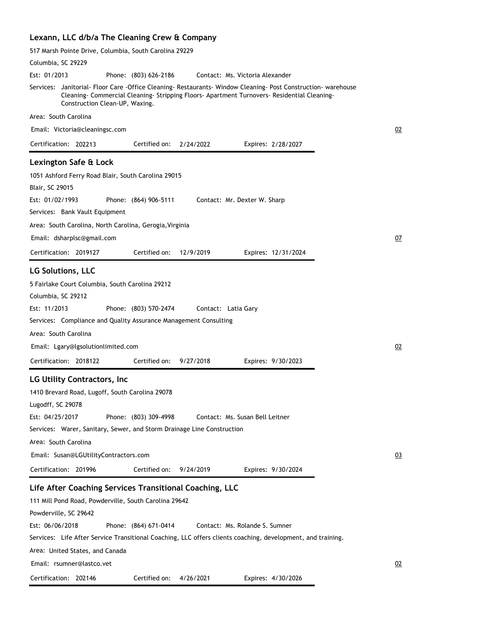|  |  |  |  | Lexann, LLC d/b/a The Cleaning Crew & Company |  |  |  |  |
|--|--|--|--|-----------------------------------------------|--|--|--|--|
|--|--|--|--|-----------------------------------------------|--|--|--|--|

| 517 Marsh Pointe Drive, Columbia, South Carolina 29229                                                                                                                                                                                                                                                                                                                                                                                                                        |    |
|-------------------------------------------------------------------------------------------------------------------------------------------------------------------------------------------------------------------------------------------------------------------------------------------------------------------------------------------------------------------------------------------------------------------------------------------------------------------------------|----|
| Columbia, SC 29229                                                                                                                                                                                                                                                                                                                                                                                                                                                            |    |
| Est: 01/2013<br>Phone: (803) 626-2186<br>Contact: Ms. Victoria Alexander                                                                                                                                                                                                                                                                                                                                                                                                      |    |
| Services: Janitorial- Floor Care -Office Cleaning- Restaurants- Window Cleaning- Post Construction- warehouse<br>Cleaning Commercial Cleaning - Stripping Floors - Apartment Turnovers - Residential Cleaning -<br>Construction Clean-UP, Waxing.                                                                                                                                                                                                                             |    |
| Area: South Carolina                                                                                                                                                                                                                                                                                                                                                                                                                                                          |    |
| Email: Victoria@cleaningsc.com                                                                                                                                                                                                                                                                                                                                                                                                                                                | 02 |
| Certification: 202213<br>Certified on:<br>2/24/2022<br>Expires: 2/28/2027                                                                                                                                                                                                                                                                                                                                                                                                     |    |
| Lexington Safe & Lock<br>1051 Ashford Ferry Road Blair, South Carolina 29015<br>Blair, SC 29015<br>Est: 01/02/1993<br>Phone: (864) 906-5111<br>Contact: Mr. Dexter W. Sharp                                                                                                                                                                                                                                                                                                   |    |
| Services: Bank Vault Equipment                                                                                                                                                                                                                                                                                                                                                                                                                                                |    |
| Area: South Carolina, North Carolina, Gerogia, Virginia<br>Email: dsharplsc@gmail.com<br>Certified on:<br>Certification: 2019127<br>12/9/2019<br>Expires: 12/31/2024                                                                                                                                                                                                                                                                                                          | 07 |
|                                                                                                                                                                                                                                                                                                                                                                                                                                                                               |    |
| <b>LG Solutions, LLC</b><br>5 Fairlake Court Columbia, South Carolina 29212<br>Columbia, SC 29212<br>Est: 11/2013<br>Phone: (803) 570-2474<br>Contact: Latia Gary<br>Services: Compliance and Quality Assurance Management Consulting<br>Area: South Carolina                                                                                                                                                                                                                 |    |
| Email: Lgary@lgsolutionlimited.com                                                                                                                                                                                                                                                                                                                                                                                                                                            | 02 |
| Certification: 2018122<br>Certified on:<br>9/27/2018<br>Expires: 9/30/2023                                                                                                                                                                                                                                                                                                                                                                                                    |    |
| <b>LG Utility Contractors, Inc.</b><br>1410 Brevard Road, Lugoff, South Carolina 29078<br>Lugodff, SC 29078<br>Phone: (803) 309-4998<br>Est: 04/25/2017<br>Contact: Ms. Susan Bell Leitner<br>Services: Warer, Sanitary, Sewer, and Storm Drainage Line Construction<br>Area: South Carolina<br>Email: Susan@LGUtilityContractors.com<br>Certification: 201996<br>Certified on:<br>9/24/2019<br>Expires: 9/30/2024<br>Life After Coaching Services Transitional Coaching, LLC | 03 |
| 111 Mill Pond Road, Powderville, South Carolina 29642<br>Powderville, SC 29642<br>Est: 06/06/2018<br>Phone: (864) 671-0414<br>Contact: Ms. Rolande S. Sumner<br>Services: Life After Service Transitional Coaching, LLC offers clients coaching, development, and training.<br>Area: United States, and Canada                                                                                                                                                                |    |
| Email: rsumner@lastco.vet                                                                                                                                                                                                                                                                                                                                                                                                                                                     | 02 |
| Certification: 202146<br>Certified on:<br>4/26/2021<br>Expires: 4/30/2026                                                                                                                                                                                                                                                                                                                                                                                                     |    |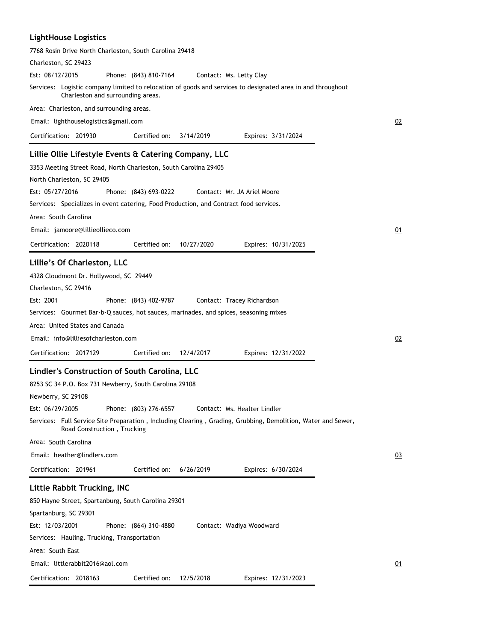## **LightHouse Logistics**

| 7768 Rosin Drive North Charleston, South Carolina 29418                                                                                          |    |
|--------------------------------------------------------------------------------------------------------------------------------------------------|----|
| Charleston, SC 29423                                                                                                                             |    |
| Est: 08/12/2015<br>Phone: (843) 810-7164<br>Contact: Ms. Letty Clay                                                                              |    |
| Services: Logistic company limited to relocation of goods and services to designated area in and throughout<br>Charleston and surrounding areas. |    |
| Area: Charleston, and surrounding areas.                                                                                                         |    |
| Email: lighthouselogistics@gmail.com                                                                                                             | 02 |
| Certification: 201930<br>Certified on:<br>3/14/2019<br>Expires: 3/31/2024                                                                        |    |
| Lillie Ollie Lifestyle Events & Catering Company, LLC                                                                                            |    |
| 3353 Meeting Street Road, North Charleston, South Carolina 29405                                                                                 |    |
| North Charleston, SC 29405                                                                                                                       |    |
| Est: 05/27/2016<br>Phone: (843) 693-0222<br>Contact: Mr. JA Ariel Moore                                                                          |    |
| Services: Specializes in event catering, Food Production, and Contract food services.                                                            |    |
| Area: South Carolina                                                                                                                             |    |
| Email: jamoore@lillieollieco.com                                                                                                                 | 01 |
| Certification: 2020118<br>Certified on:<br>10/27/2020<br>Expires: 10/31/2025                                                                     |    |
|                                                                                                                                                  |    |
| Lillie's Of Charleston, LLC                                                                                                                      |    |
| 4328 Cloudmont Dr. Hollywood, SC 29449                                                                                                           |    |
| Charleston, SC 29416                                                                                                                             |    |
| Est: 2001<br>Phone: (843) 402-9787<br>Contact: Tracey Richardson                                                                                 |    |
| Services: Gourmet Bar-b-Q sauces, hot sauces, marinades, and spices, seasoning mixes                                                             |    |
| Area: United States and Canada                                                                                                                   |    |
| Email: info@lilliesofcharleston.com                                                                                                              | 02 |
| Certification: 2017129<br>Certified on:<br>12/4/2017<br>Expires: 12/31/2022                                                                      |    |
| Lindler's Construction of South Carolina, LLC                                                                                                    |    |
| 8253 SC 34 P.O. Box 731 Newberry, South Carolina 29108                                                                                           |    |
| Newberry, SC 29108                                                                                                                               |    |
| Est: 06/29/2005<br>Phone: (803) 276-6557<br>Contact: Ms. Healter Lindler                                                                         |    |
| Services: Full Service Site Preparation, Including Clearing, Grading, Grubbing, Demolition, Water and Sewer,<br>Road Construction, Trucking      |    |
| Area: South Carolina                                                                                                                             |    |
| Email: heather@lindlers.com                                                                                                                      | 03 |
| Certified on:<br>Certification: 201961<br>6/26/2019<br>Expires: 6/30/2024                                                                        |    |
| Little Rabbit Trucking, INC                                                                                                                      |    |
| 850 Hayne Street, Spartanburg, South Carolina 29301                                                                                              |    |
| Spartanburg, SC 29301                                                                                                                            |    |
| Est: 12/03/2001<br>Phone: (864) 310-4880<br>Contact: Wadiya Woodward                                                                             |    |
| Services: Hauling, Trucking, Transportation                                                                                                      |    |
| Area: South East                                                                                                                                 |    |
| Email: littlerabbit2016@aol.com                                                                                                                  | 01 |
| Certification: 2018163<br>Certified on:<br>12/5/2018<br>Expires: 12/31/2023                                                                      |    |
|                                                                                                                                                  |    |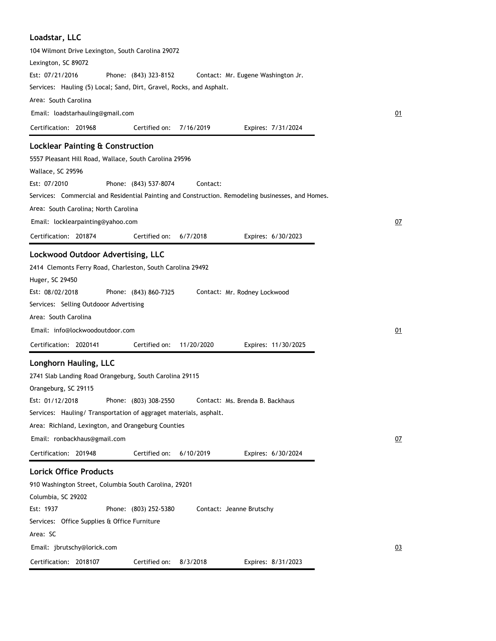| Loadstar, LLC                                                                                     |           |
|---------------------------------------------------------------------------------------------------|-----------|
| 104 Wilmont Drive Lexington, South Carolina 29072                                                 |           |
| Lexington, SC 89072                                                                               |           |
| Est: 07/21/2016<br>Phone: (843) 323-8152<br>Contact: Mr. Eugene Washington Jr.                    |           |
| Services: Hauling (5) Local; Sand, Dirt, Gravel, Rocks, and Asphalt.                              |           |
| Area: South Carolina                                                                              |           |
| Email: loadstarhauling@gmail.com                                                                  | 01        |
| Certification: 201968<br>Certified on:<br>7/16/2019<br>Expires: 7/31/2024                         |           |
| <b>Locklear Painting &amp; Construction</b>                                                       |           |
| 5557 Pleasant Hill Road, Wallace, South Carolina 29596                                            |           |
| Wallace, SC 29596                                                                                 |           |
| Est: 07/2010<br>Phone: (843) 537-8074<br>Contact:                                                 |           |
| Services: Commercial and Residential Painting and Construction. Remodeling businesses, and Homes. |           |
| Area: South Carolina; North Carolina                                                              |           |
| Email: locklearpainting@yahoo.com                                                                 | 07        |
| Certification: 201874<br>Certified on:<br>6/7/2018<br>Expires: 6/30/2023                          |           |
| Lockwood Outdoor Advertising, LLC                                                                 |           |
| 2414 Clemonts Ferry Road, Charleston, South Carolina 29492                                        |           |
| Huger, SC 29450                                                                                   |           |
| Est: 08/02/2018<br>Phone: (843) 860-7325<br>Contact: Mr. Rodney Lockwood                          |           |
| Services: Selling Outdooor Advertising                                                            |           |
| Area: South Carolina                                                                              |           |
| Email: info@lockwoodoutdoor.com                                                                   | 01        |
| Certified on:<br>Certification: 2020141<br>11/20/2020<br>Expires: 11/30/2025                      |           |
| Longhorn Hauling, LLC                                                                             |           |
| 2741 Slab Landing Road Orangeburg, South Carolina 29115                                           |           |
| Orangeburg, SC 29115                                                                              |           |
| Est: 01/12/2018<br>Phone: (803) 308-2550<br>Contact: Ms. Brenda B. Backhaus                       |           |
| Services: Hauling/Transportation of aggraget materials, asphalt.                                  |           |
| Area: Richland, Lexington, and Orangeburg Counties                                                |           |
| Email: ronbackhaus@gmail.com                                                                      | <u>07</u> |
| Certified on:<br>Certification: 201948<br>6/10/2019<br>Expires: 6/30/2024                         |           |
| <b>Lorick Office Products</b>                                                                     |           |
| 910 Washington Street, Columbia South Carolina, 29201                                             |           |
| Columbia, SC 29202                                                                                |           |
| Est: 1937<br>Phone: (803) 252-5380<br>Contact: Jeanne Brutschy                                    |           |
| Services: Office Supplies & Office Furniture                                                      |           |
| Area: SC                                                                                          |           |
| Email: jbrutschy@lorick.com                                                                       | 03        |
| Certification: 2018107<br>Certified on:<br>8/3/2018<br>Expires: 8/31/2023                         |           |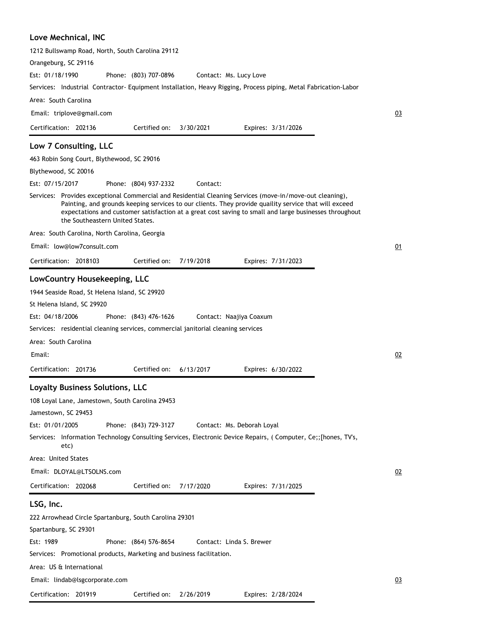### **Love Mechnical, INC**

| 1212 Bullswamp Road, North, South Carolina 29112                                                                                                                                                                                                                                                                                                               |    |
|----------------------------------------------------------------------------------------------------------------------------------------------------------------------------------------------------------------------------------------------------------------------------------------------------------------------------------------------------------------|----|
| Orangeburg, SC 29116                                                                                                                                                                                                                                                                                                                                           |    |
| Est: 01/18/1990<br>Phone: (803) 707-0896<br>Contact: Ms. Lucy Love                                                                                                                                                                                                                                                                                             |    |
| Services: Industrial Contractor- Equipment Installation, Heavy Rigging, Process piping, Metal Fabrication-Labor                                                                                                                                                                                                                                                |    |
| Area: South Carolina                                                                                                                                                                                                                                                                                                                                           |    |
| Email: triplove@gmail.com                                                                                                                                                                                                                                                                                                                                      | 03 |
| Certification: 202136<br>Certified on:<br>3/30/2021<br>Expires: 3/31/2026                                                                                                                                                                                                                                                                                      |    |
| Low 7 Consulting, LLC                                                                                                                                                                                                                                                                                                                                          |    |
| 463 Robin Song Court, Blythewood, SC 29016                                                                                                                                                                                                                                                                                                                     |    |
| Blythewood, SC 20016                                                                                                                                                                                                                                                                                                                                           |    |
| Est: 07/15/2017<br>Phone: (804) 937-2332<br>Contact:                                                                                                                                                                                                                                                                                                           |    |
| Services: Provides exceptional Commercial and Residential Cleaning Services (move-in/move-out cleaning),<br>Painting, and grounds keeping services to our clients. They provide quaility service that will exceed<br>expectations and customer satisfaction at a great cost saving to small and large businesses throughout<br>the Southeastern United States. |    |
| Area: South Carolina, North Carolina, Georgia                                                                                                                                                                                                                                                                                                                  |    |
| Email: low@low7consult.com                                                                                                                                                                                                                                                                                                                                     | 01 |
| Certification: 2018103<br>Certified on:<br>7/19/2018<br>Expires: 7/31/2023                                                                                                                                                                                                                                                                                     |    |
| LowCountry Housekeeping, LLC                                                                                                                                                                                                                                                                                                                                   |    |
| 1944 Seaside Road, St Helena Island, SC 29920                                                                                                                                                                                                                                                                                                                  |    |
| St Helena Island, SC 29920                                                                                                                                                                                                                                                                                                                                     |    |
| Est: 04/18/2006<br>Phone: (843) 476-1626<br>Contact: Naajiya Coaxum                                                                                                                                                                                                                                                                                            |    |
| Services: residential cleaning services, commercial janitorial cleaning services                                                                                                                                                                                                                                                                               |    |
| Area: South Carolina                                                                                                                                                                                                                                                                                                                                           |    |
| Email:                                                                                                                                                                                                                                                                                                                                                         | 02 |
| Certification: 201736<br>Certified on:<br>6/13/2017<br>Expires: 6/30/2022                                                                                                                                                                                                                                                                                      |    |
|                                                                                                                                                                                                                                                                                                                                                                |    |
| Loyalty Business Solutions, LLC                                                                                                                                                                                                                                                                                                                                |    |
| 108 Loyal Lane, Jamestown, South Carolina 29453                                                                                                                                                                                                                                                                                                                |    |
| Jamestown, SC 29453                                                                                                                                                                                                                                                                                                                                            |    |
| Est: 01/01/2005<br>Phone: (843) 729-3127<br>Contact: Ms. Deborah Loyal                                                                                                                                                                                                                                                                                         |    |
| Services: Information Technology Consulting Services, Electronic Device Repairs, (Computer, Ce;;[hones, TV's,<br>etc)                                                                                                                                                                                                                                          |    |
| Area: United States                                                                                                                                                                                                                                                                                                                                            |    |
| Email: DLOYAL@LTSOLNS.com                                                                                                                                                                                                                                                                                                                                      | 02 |
| Certification: 202068<br>Certified on:<br>7/17/2020<br>Expires: 7/31/2025                                                                                                                                                                                                                                                                                      |    |
| LSG, Inc.                                                                                                                                                                                                                                                                                                                                                      |    |
| 222 Arrowhead Circle Spartanburg, South Carolina 29301                                                                                                                                                                                                                                                                                                         |    |
| Spartanburg, SC 29301                                                                                                                                                                                                                                                                                                                                          |    |
| Est: 1989<br>Phone: (864) 576-8654<br>Contact: Linda S. Brewer                                                                                                                                                                                                                                                                                                 |    |
| Services: Promotional products, Marketing and business facilitation.                                                                                                                                                                                                                                                                                           |    |
| Area: US & International                                                                                                                                                                                                                                                                                                                                       |    |
| Email: lindab@lsgcorporate.com                                                                                                                                                                                                                                                                                                                                 | 03 |
| Certification: 201919<br>Certified on: 2/26/2019<br>Expires: 2/28/2024                                                                                                                                                                                                                                                                                         |    |
|                                                                                                                                                                                                                                                                                                                                                                |    |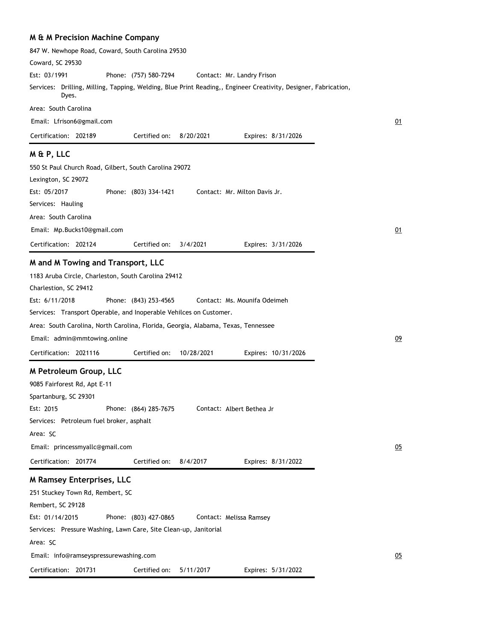|  |  | <b>M &amp; M Precision Machine Company</b> |  |  |
|--|--|--------------------------------------------|--|--|
|--|--|--------------------------------------------|--|--|

| 847 W. Newhope Road, Coward, South Carolina 29530                                                                        |                       |            |                               |    |
|--------------------------------------------------------------------------------------------------------------------------|-----------------------|------------|-------------------------------|----|
| Coward, SC 29530                                                                                                         |                       |            |                               |    |
| Est: 03/1991                                                                                                             | Phone: (757) 580-7294 |            | Contact: Mr. Landry Frison    |    |
| Services: Drilling, Milling, Tapping, Welding, Blue Print Reading,, Engineer Creativity, Designer, Fabrication,<br>Dyes. |                       |            |                               |    |
| Area: South Carolina                                                                                                     |                       |            |                               |    |
| Email: Lfrison6@gmail.com                                                                                                |                       |            |                               | 01 |
| Certification: 202189                                                                                                    | Certified on:         | 8/20/2021  | Expires: 8/31/2026            |    |
| M & P, LLC                                                                                                               |                       |            |                               |    |
| 550 St Paul Church Road, Gilbert, South Carolina 29072                                                                   |                       |            |                               |    |
| Lexington, SC 29072                                                                                                      |                       |            |                               |    |
| Est: 05/2017                                                                                                             | Phone: (803) 334-1421 |            | Contact: Mr. Milton Davis Jr. |    |
| Services: Hauling                                                                                                        |                       |            |                               |    |
| Area: South Carolina                                                                                                     |                       |            |                               |    |
| Email: Mp.Bucks10@gmail.com                                                                                              |                       |            |                               | 01 |
| Certification: 202124                                                                                                    | Certified on:         | 3/4/2021   | Expires: 3/31/2026            |    |
| M and M Towing and Transport, LLC                                                                                        |                       |            |                               |    |
| 1183 Aruba Circle, Charleston, South Carolina 29412                                                                      |                       |            |                               |    |
| Charlestion, SC 29412                                                                                                    |                       |            |                               |    |
| Est: 6/11/2018                                                                                                           | Phone: (843) 253-4565 |            | Contact: Ms. Mounifa Odeimeh  |    |
| Services: Transport Operable, and Inoperable Vehilces on Customer.                                                       |                       |            |                               |    |
| Area: South Carolina, North Carolina, Florida, Georgia, Alabama, Texas, Tennessee                                        |                       |            |                               |    |
| Email: admin@mmtowing.online                                                                                             |                       |            |                               | 09 |
| Certification: 2021116                                                                                                   | Certified on:         | 10/28/2021 | Expires: 10/31/2026           |    |
| M Petroleum Group, LLC                                                                                                   |                       |            |                               |    |
| 9085 Fairforest Rd, Apt E-11                                                                                             |                       |            |                               |    |
| Spartanburg, SC 29301                                                                                                    |                       |            |                               |    |
| Est: 2015                                                                                                                | Phone: (864) 285-7675 |            | Contact: Albert Bethea Jr     |    |
| Services: Petroleum fuel broker, asphalt                                                                                 |                       |            |                               |    |
| Area: SC                                                                                                                 |                       |            |                               |    |
| Email: princessmyallc@gmail.com                                                                                          |                       |            |                               | 05 |
| Certification: 201774                                                                                                    | Certified on:         | 8/4/2017   | Expires: 8/31/2022            |    |
| <b>M Ramsey Enterprises, LLC</b>                                                                                         |                       |            |                               |    |
| 251 Stuckey Town Rd, Rembert, SC                                                                                         |                       |            |                               |    |
| Rembert, SC 29128                                                                                                        |                       |            |                               |    |
| Est: 01/14/2015                                                                                                          | Phone: (803) 427-0865 |            | Contact: Melissa Ramsey       |    |
| Services: Pressure Washing, Lawn Care, Site Clean-up, Janitorial                                                         |                       |            |                               |    |
| Area: SC                                                                                                                 |                       |            |                               |    |
| Email: info@ramseyspressurewashing.com                                                                                   |                       |            |                               | 05 |
| Certification: 201731                                                                                                    | Certified on:         | 5/11/2017  | Expires: 5/31/2022            |    |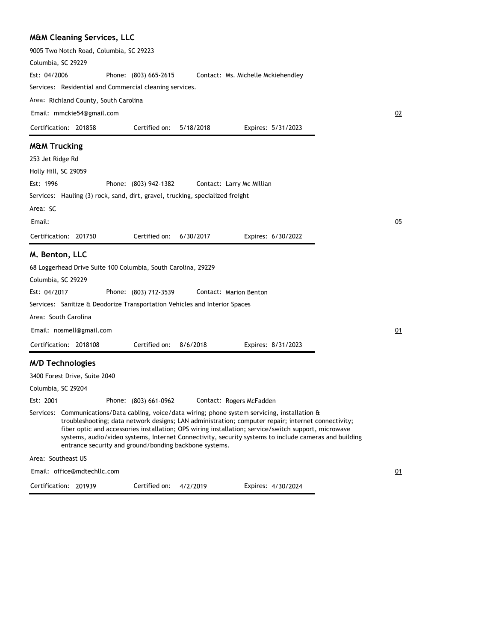| <b>M&amp;M Cleaning Services, LLC</b> |  |
|---------------------------------------|--|
|---------------------------------------|--|

|                         | 9005 Two Notch Road, Columbia, SC 29223 |                                                                                                                                                                                                                                                                                                                                                                          |           |                                    |                    |                                                                                                       |  |
|-------------------------|-----------------------------------------|--------------------------------------------------------------------------------------------------------------------------------------------------------------------------------------------------------------------------------------------------------------------------------------------------------------------------------------------------------------------------|-----------|------------------------------------|--------------------|-------------------------------------------------------------------------------------------------------|--|
| Columbia, SC 29229      |                                         |                                                                                                                                                                                                                                                                                                                                                                          |           |                                    |                    |                                                                                                       |  |
| Est: 04/2006            |                                         | Phone: (803) 665-2615                                                                                                                                                                                                                                                                                                                                                    |           | Contact: Ms. Michelle Mckiehendley |                    |                                                                                                       |  |
|                         |                                         | Services: Residential and Commercial cleaning services.                                                                                                                                                                                                                                                                                                                  |           |                                    |                    |                                                                                                       |  |
|                         | Area: Richland County, South Carolina   |                                                                                                                                                                                                                                                                                                                                                                          |           |                                    |                    |                                                                                                       |  |
|                         | Email: mmckie54@gmail.com               |                                                                                                                                                                                                                                                                                                                                                                          |           |                                    |                    | 02                                                                                                    |  |
|                         | Certification: 201858                   | Certified on:                                                                                                                                                                                                                                                                                                                                                            | 5/18/2018 |                                    | Expires: 5/31/2023 |                                                                                                       |  |
| <b>M&amp;M Trucking</b> |                                         |                                                                                                                                                                                                                                                                                                                                                                          |           |                                    |                    |                                                                                                       |  |
| 253 Jet Ridge Rd        |                                         |                                                                                                                                                                                                                                                                                                                                                                          |           |                                    |                    |                                                                                                       |  |
| Holly Hill, SC 29059    |                                         |                                                                                                                                                                                                                                                                                                                                                                          |           |                                    |                    |                                                                                                       |  |
| Est: 1996               |                                         | Phone: (803) 942-1382                                                                                                                                                                                                                                                                                                                                                    |           | Contact: Larry Mc Millian          |                    |                                                                                                       |  |
|                         |                                         | Services: Hauling (3) rock, sand, dirt, gravel, trucking, specialized freight                                                                                                                                                                                                                                                                                            |           |                                    |                    |                                                                                                       |  |
| Area: SC                |                                         |                                                                                                                                                                                                                                                                                                                                                                          |           |                                    |                    |                                                                                                       |  |
| Email:                  |                                         |                                                                                                                                                                                                                                                                                                                                                                          |           |                                    |                    | 05                                                                                                    |  |
|                         | Certification: 201750                   | Certified on:                                                                                                                                                                                                                                                                                                                                                            | 6/30/2017 |                                    | Expires: 6/30/2022 |                                                                                                       |  |
| M. Benton, LLC          |                                         |                                                                                                                                                                                                                                                                                                                                                                          |           |                                    |                    |                                                                                                       |  |
|                         |                                         | 68 Loggerhead Drive Suite 100 Columbia, South Carolina, 29229                                                                                                                                                                                                                                                                                                            |           |                                    |                    |                                                                                                       |  |
| Columbia, SC 29229      |                                         |                                                                                                                                                                                                                                                                                                                                                                          |           |                                    |                    |                                                                                                       |  |
| Est: 04/2017            |                                         | Phone: (803) 712-3539                                                                                                                                                                                                                                                                                                                                                    |           | Contact: Marion Benton             |                    |                                                                                                       |  |
|                         |                                         | Services: Sanitize & Deodorize Transportation Vehicles and Interior Spaces                                                                                                                                                                                                                                                                                               |           |                                    |                    |                                                                                                       |  |
|                         | Area: South Carolina                    |                                                                                                                                                                                                                                                                                                                                                                          |           |                                    |                    |                                                                                                       |  |
|                         | Email: nosmell@gmail.com                |                                                                                                                                                                                                                                                                                                                                                                          |           |                                    |                    | 01                                                                                                    |  |
|                         | Certification: 2018108                  | Certified on:                                                                                                                                                                                                                                                                                                                                                            | 8/6/2018  |                                    | Expires: 8/31/2023 |                                                                                                       |  |
|                         | <b>M/D Technologies</b>                 |                                                                                                                                                                                                                                                                                                                                                                          |           |                                    |                    |                                                                                                       |  |
|                         | 3400 Forest Drive, Suite 2040           |                                                                                                                                                                                                                                                                                                                                                                          |           |                                    |                    |                                                                                                       |  |
| Columbia, SC 29204      |                                         |                                                                                                                                                                                                                                                                                                                                                                          |           |                                    |                    |                                                                                                       |  |
| Est: 2001               |                                         | Phone: (803) 661-0962                                                                                                                                                                                                                                                                                                                                                    |           | Contact: Rogers McFadden           |                    |                                                                                                       |  |
|                         |                                         | Services: Communications/Data cabling, voice/data wiring; phone system servicing, installation &<br>troubleshooting; data network designs; LAN administration; computer repair; internet connectivity;<br>fiber optic and accessories installation; OPS wiring installation; service/switch support, microwave<br>entrance security and ground/bonding backbone systems. |           |                                    |                    | systems, audio/video systems, Internet Connectivity, security systems to include cameras and building |  |
| Area: Southeast US      |                                         |                                                                                                                                                                                                                                                                                                                                                                          |           |                                    |                    |                                                                                                       |  |
|                         | Email: office@mdtechllc.com             |                                                                                                                                                                                                                                                                                                                                                                          |           |                                    |                    | 01                                                                                                    |  |

Certification: 201939

Certified on: 4/2/2019

Expires: 4/30/2024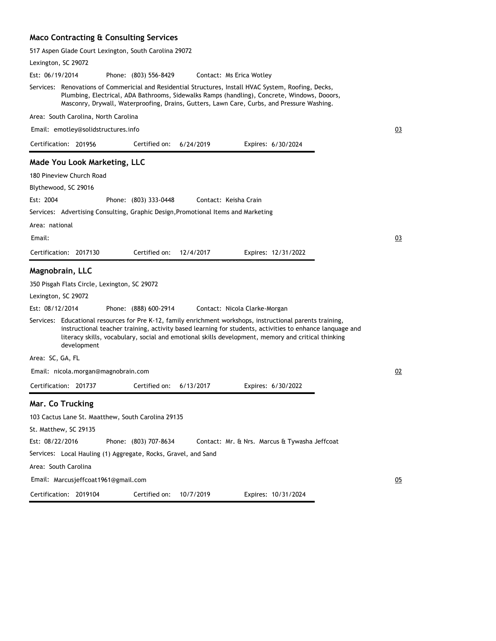## **Maco Contracting & Consulting Services**

| 517 Aspen Glade Court Lexington, South Carolina 29072                                                                                                                                                                                                                                                                                       |    |
|---------------------------------------------------------------------------------------------------------------------------------------------------------------------------------------------------------------------------------------------------------------------------------------------------------------------------------------------|----|
| Lexington, SC 29072                                                                                                                                                                                                                                                                                                                         |    |
| Est: 06/19/2014<br>Phone: (803) 556-8429<br>Contact: Ms Erica Wotley                                                                                                                                                                                                                                                                        |    |
| Services: Renovations of Commericial and Residential Structures, Install HVAC System, Roofing, Decks,<br>Plumbing, Electrical, ADA Bathrooms, Sidewalks Ramps (handling), Concrete, Windows, Dooors,<br>Masconry, Drywall, Waterproofing, Drains, Gutters, Lawn Care, Curbs, and Pressure Washing.                                          |    |
| Area: South Carolina, North Carolina                                                                                                                                                                                                                                                                                                        |    |
| Email: emotley@solidstructures.info                                                                                                                                                                                                                                                                                                         | 03 |
| Certification: 201956<br>Certified on:<br>6/24/2019<br>Expires: 6/30/2024                                                                                                                                                                                                                                                                   |    |
| <b>Made You Look Marketing, LLC</b>                                                                                                                                                                                                                                                                                                         |    |
| 180 Pineview Church Road                                                                                                                                                                                                                                                                                                                    |    |
| Blythewood, SC 29016                                                                                                                                                                                                                                                                                                                        |    |
| Est: 2004<br>Phone: (803) 333-0448<br>Contact: Keisha Crain                                                                                                                                                                                                                                                                                 |    |
| Services: Advertising Consulting, Graphic Design, Promotional Items and Marketing                                                                                                                                                                                                                                                           |    |
| Area: national                                                                                                                                                                                                                                                                                                                              |    |
| Email:                                                                                                                                                                                                                                                                                                                                      | 03 |
| Certification: 2017130<br>Certified on:<br>12/4/2017<br>Expires: 12/31/2022                                                                                                                                                                                                                                                                 |    |
| Magnobrain, LLC                                                                                                                                                                                                                                                                                                                             |    |
| 350 Pisgah Flats Circle, Lexington, SC 29072                                                                                                                                                                                                                                                                                                |    |
| Lexington, SC 29072                                                                                                                                                                                                                                                                                                                         |    |
| Est: 08/12/2014<br>Phone: (888) 600-2914<br>Contact: Nicola Clarke-Morgan                                                                                                                                                                                                                                                                   |    |
| Services: Educational resources for Pre K-12, family enrichment workshops, instructional parents training,<br>instructional teacher training, activity based learning for students, activities to enhance lanquage and<br>literacy skills, vocabulary, social and emotional skills development, memory and critical thinking<br>development |    |
| Area: SC, GA, FL                                                                                                                                                                                                                                                                                                                            |    |
| Email: nicola.morgan@magnobrain.com                                                                                                                                                                                                                                                                                                         | 02 |
| Certification: 201737<br>Certified on:<br>6/13/2017<br>Expires: 6/30/2022                                                                                                                                                                                                                                                                   |    |
| Mar. Co Trucking                                                                                                                                                                                                                                                                                                                            |    |
| 103 Cactus Lane St. Maatthew, South Carolina 29135                                                                                                                                                                                                                                                                                          |    |
| St. Matthew, SC 29135                                                                                                                                                                                                                                                                                                                       |    |
| Est: 08/22/2016<br>Phone: (803) 707-8634<br>Contact: Mr. & Nrs. Marcus & Tywasha Jeffcoat                                                                                                                                                                                                                                                   |    |
| Services: Local Hauling (1) Aggregate, Rocks, Gravel, and Sand                                                                                                                                                                                                                                                                              |    |
| Area: South Carolina                                                                                                                                                                                                                                                                                                                        |    |
| Email: Marcusjeffcoat1961@gmail.com                                                                                                                                                                                                                                                                                                         | 05 |
| Certification: 2019104<br>Certified on:<br>10/7/2019<br>Expires: 10/31/2024                                                                                                                                                                                                                                                                 |    |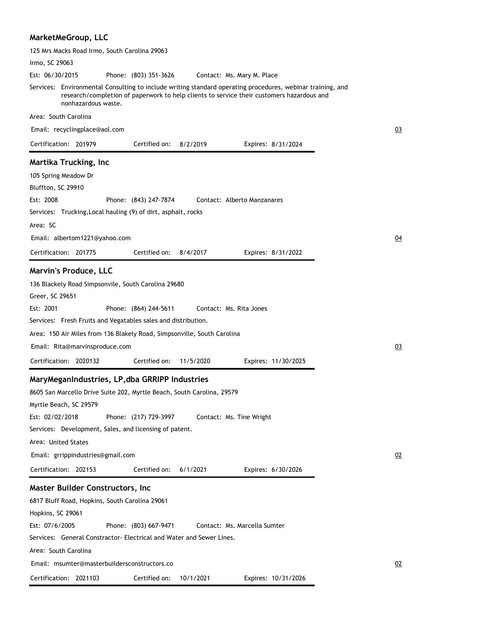## **MarketMeGroup, LLC**

| 125 Mrs Macks Road Irmo, South Carolina 29063                                                                                                                                                                                                                                                                                                                                                                                                                                                                                                                                                                              |    |
|----------------------------------------------------------------------------------------------------------------------------------------------------------------------------------------------------------------------------------------------------------------------------------------------------------------------------------------------------------------------------------------------------------------------------------------------------------------------------------------------------------------------------------------------------------------------------------------------------------------------------|----|
| Irmo, SC 29063                                                                                                                                                                                                                                                                                                                                                                                                                                                                                                                                                                                                             |    |
| Est: 06/30/2015<br>Phone: (803) 351-3626<br>Contact: Ms. Mary M. Place                                                                                                                                                                                                                                                                                                                                                                                                                                                                                                                                                     |    |
| Services: Environmental Consulting to include writing standard operating procedures, webinar training, and<br>research/completion of paperwork to help clients to service their customers hazardous and<br>nonhazardous waste.                                                                                                                                                                                                                                                                                                                                                                                             |    |
| Area: South Carolina                                                                                                                                                                                                                                                                                                                                                                                                                                                                                                                                                                                                       |    |
| Email: recyclingplace@aol.com                                                                                                                                                                                                                                                                                                                                                                                                                                                                                                                                                                                              | 03 |
| Certification: 201979<br>Certified on:<br>8/2/2019<br>Expires: 8/31/2024                                                                                                                                                                                                                                                                                                                                                                                                                                                                                                                                                   |    |
| Martika Trucking, Inc<br>105 Spring Meadow Dr<br>Bluffton, SC 29910<br>Est: 2008<br>Contact: Alberto Manzanares<br>Phone: (843) 247-7874                                                                                                                                                                                                                                                                                                                                                                                                                                                                                   |    |
| Services: Trucking, Local hauling (9) of dirt, asphalt, rocks                                                                                                                                                                                                                                                                                                                                                                                                                                                                                                                                                              |    |
| Area: SC                                                                                                                                                                                                                                                                                                                                                                                                                                                                                                                                                                                                                   |    |
| Email: albertom1221@yahoo.com                                                                                                                                                                                                                                                                                                                                                                                                                                                                                                                                                                                              | 04 |
| Certification: 201775<br>Certified on:<br>8/4/2017<br>Expires: 8/31/2022                                                                                                                                                                                                                                                                                                                                                                                                                                                                                                                                                   |    |
| Marvin's Produce, LLC                                                                                                                                                                                                                                                                                                                                                                                                                                                                                                                                                                                                      |    |
| 136 Blackely Road Simpsonvile, South Carolina 29680<br>Greer, SC 29651<br>Est: 2001<br>Contact: Ms. Rita Jones<br>Phone: (864) 244-5611                                                                                                                                                                                                                                                                                                                                                                                                                                                                                    |    |
| Services: Fresh Fruits and Vegatables sales and distribution.                                                                                                                                                                                                                                                                                                                                                                                                                                                                                                                                                              |    |
| Area: 150 Air Miles from 136 Blakely Road, Simpsonville, South Carolina                                                                                                                                                                                                                                                                                                                                                                                                                                                                                                                                                    |    |
| Email: Rita@marvinsproduce.com                                                                                                                                                                                                                                                                                                                                                                                                                                                                                                                                                                                             | 03 |
| Certification: 2020132<br>Certified on:<br>11/5/2020<br>Expires: 11/30/2025                                                                                                                                                                                                                                                                                                                                                                                                                                                                                                                                                |    |
| MaryMeganIndustries, LP, dba GRRIPP Industries<br>8605 San Marcello Drive Suite 202, Myrtle Beach, South Carolina, 29579<br>Myrtle Beach, SC 29579<br>Phone: (217) 729-3997<br>Est: 02/02/2018<br>Contact: Ms. Tine Wright<br>Services: Development, Sales, and licensing of patent.<br>Area: United States<br>Email: grrippindustries@gmail.com<br>Certification: 202153<br>Certified on:<br>Expires: 6/30/2026<br>6/1/2021<br><b>Master Builder Constructors, Inc.</b><br>6817 Bluff Road, Hopkins, South Carolina 29061<br>Hopkins, SC 29061<br>Est: 07/6/2005<br>Phone: (803) 667-9471<br>Contact: Ms. Marcella Sumter | 02 |
| Services: General Constractor- Electrical and Water and Sewer Lines.                                                                                                                                                                                                                                                                                                                                                                                                                                                                                                                                                       |    |
| Area: South Carolina                                                                                                                                                                                                                                                                                                                                                                                                                                                                                                                                                                                                       |    |
| Email: msumter@masterbuildersconstructors.co                                                                                                                                                                                                                                                                                                                                                                                                                                                                                                                                                                               | 02 |
| Certified on:<br>Certification: 2021103<br>10/1/2021<br>Expires: 10/31/2026                                                                                                                                                                                                                                                                                                                                                                                                                                                                                                                                                |    |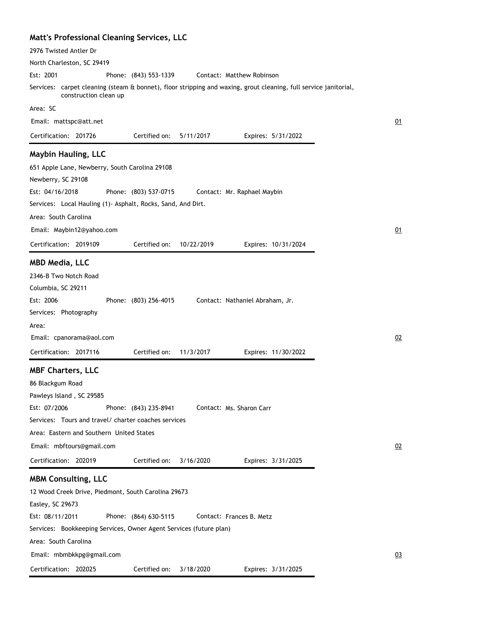| Matt's Professional Cleaning Services, LLC                                                                                                |                |
|-------------------------------------------------------------------------------------------------------------------------------------------|----------------|
| 2976 Twisted Antler Dr                                                                                                                    |                |
| North Charleston, SC 29419                                                                                                                |                |
| Est: 2001<br>Contact: Matthew Robinson<br>Phone: (843) 553-1339                                                                           |                |
| Services: carpet cleaning (steam & bonnet), floor stripping and waxing, grout cleaning, full service janitorial,<br>construction clean up |                |
| Area: SC                                                                                                                                  |                |
| Email: mattspc@att.net                                                                                                                    | 01             |
| Certification: 201726<br>Certified on:<br>5/11/2017<br>Expires: 5/31/2022                                                                 |                |
| <b>Maybin Hauling, LLC</b>                                                                                                                |                |
| 651 Apple Lane, Newberry, South Carolina 29108                                                                                            |                |
| Newberry, SC 29108                                                                                                                        |                |
| Est: 04/16/2018<br>Phone: (803) 537-0715<br>Contact: Mr. Raphael Maybin                                                                   |                |
| Services: Local Hauling (1) Asphalt, Rocks, Sand, And Dirt.                                                                               |                |
| Area: South Carolina                                                                                                                      |                |
| Email: Maybin12@yahoo.com                                                                                                                 | 01             |
| Certification: 2019109<br>Certified on:<br>10/22/2019<br>Expires: 10/31/2024                                                              |                |
| <b>MBD Media, LLC</b>                                                                                                                     |                |
| 2346-B Two Notch Road                                                                                                                     |                |
| Columbia, SC 29211                                                                                                                        |                |
| Est: 2006<br>Phone: (803) 256-4015<br>Contact: Nathaniel Abraham, Jr.                                                                     |                |
| Services: Photography                                                                                                                     |                |
| Area:                                                                                                                                     |                |
| Email: cpanorama@aol.com                                                                                                                  | 02             |
| Certification: 2017116<br>Certified on:<br>11/3/2017<br>Expires: 11/30/2022                                                               |                |
| <b>MBF Charters, LLC</b>                                                                                                                  |                |
| 86 Blackgum Road                                                                                                                          |                |
| Pawleys Island, SC 29585                                                                                                                  |                |
| Phone: (843) 235-8941<br>Contact: Ms. Sharon Carr<br>Est: 07/2006                                                                         |                |
| Services: Tours and travel/ charter coaches services                                                                                      |                |
| Area: Eastern and Southern United States                                                                                                  |                |
| Email: mbftours@gmail.com                                                                                                                 | 02             |
| Certification: 202019<br>Certified on:<br>3/16/2020<br>Expires: 3/31/2025                                                                 |                |
| <b>MBM Consulting, LLC</b>                                                                                                                |                |
| 12 Wood Creek Drive, Piedmont, South Carolina 29673                                                                                       |                |
| Easley, SC 29673                                                                                                                          |                |
| Est: 08/11/2011<br>Phone: (864) 630-5115<br>Contact: Frances B. Metz                                                                      |                |
| Services: Bookkeeping Services, Owner Agent Services (future plan)                                                                        |                |
| Area: South Carolina                                                                                                                      |                |
| Email: mbmbkkpg@gmail.com                                                                                                                 | Q <sub>3</sub> |
| Certification: 202025<br>Certified on:<br>3/18/2020<br>Expires: 3/31/2025                                                                 |                |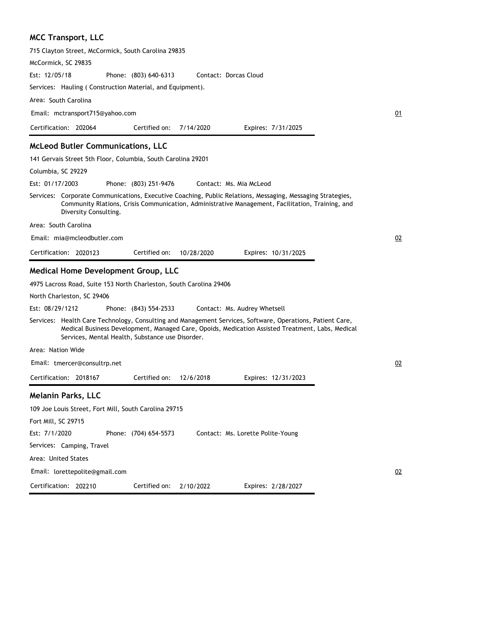**MCC Transport, LLC** 715 Clayton Street, McCormick, South Carolina 29835 McCormick, SC 29835 Phone: (803) 640-6313 Services: Hauling ( Construction Material, and Equipment). Area: South Carolina Est: 12/05/18 Certification: 202064 Contact: Dorcas Cloud Email: mctransport715@yahoo.com Expires: 7/31/2025 Certified on: 7/14/2020 **McLeod Butler Communications, LLC** 141 Gervais Street 5th Floor, Columbia, South Carolina 29201 Columbia, SC 29229 Phone: (803) 251-9476 Services: Corporate Communications, Executive Coaching, Public Relations, Messaging, Messaging Strategies, Community Rlations, Crisis Communication, Administrative Management, Facilitation, Training, and Diversity Consulting. Area: South Carolina Est: 01/17/2003 Certification: 2020123 Contact: Ms. Mia McLeod Email: mia@mcleodbutler.com Expires: 10/31/2025 Certified on: 10/28/2020 **Medical Home Development Group, LLC** 4975 Lacross Road, Suite 153 North Charleston, South Carolina 29406

North Charleston, SC 29406

Phone: (843) 554-2533 Est: 08/29/1212 Contact: Ms. Audrey Whetsell

Services: Health Care Technology, Consulting and Management Services, Software, Operations, Patient Care, Medical Business Development, Managed Care, Opoids, Medication Assisted Treatment, Labs, Medical Services, Mental Health, Substance use Disorder.

Area: Nation Wide

Email: tmercer@consultrp.net

Certification: 2018167 Expires: 12/31/2023 Certified on: 12/6/2018

#### **Melanin Parks, LLC**

| 109 Joe Louis Street, Fort Mill, South Carolina 29715 |                       |                                   |  |
|-------------------------------------------------------|-----------------------|-----------------------------------|--|
| Fort Mill, SC 29715                                   |                       |                                   |  |
| Est: 7/1/2020                                         | Phone: (704) 654-5573 | Contact: Ms. Lorette Polite-Young |  |
| Services: Camping, Travel                             |                       |                                   |  |
| Area: United States                                   |                       |                                   |  |
| Email: lorettepolite@gmail.com                        |                       |                                   |  |
| Certification: 202210                                 | Certified on:         | Expires: 2/28/2027<br>2/10/2022   |  |

01

02

02

02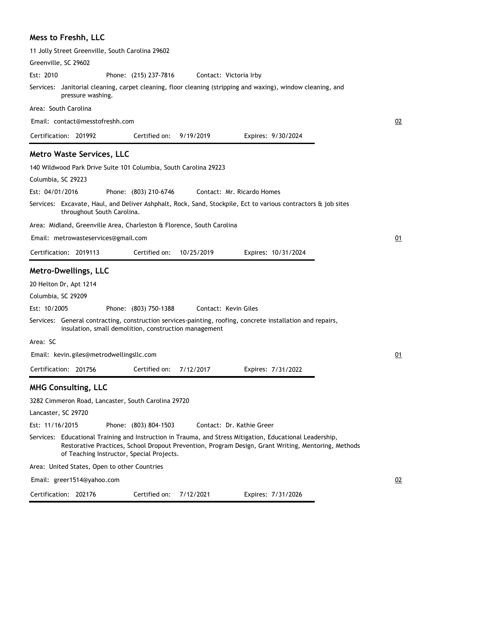## **Mess to Freshh, LLC**

| 11 Jolly Street Greenville, South Carolina 29602                      |                                                       |            |                                                                                                                                                                                                                 |    |
|-----------------------------------------------------------------------|-------------------------------------------------------|------------|-----------------------------------------------------------------------------------------------------------------------------------------------------------------------------------------------------------------|----|
| Greenville, SC 29602                                                  |                                                       |            |                                                                                                                                                                                                                 |    |
| Est: 2010                                                             | Phone: (215) 237-7816                                 |            | Contact: Victoria Irby                                                                                                                                                                                          |    |
| pressure washing.                                                     |                                                       |            | Services: Janitorial cleaning, carpet cleaning, floor cleaning (stripping and waxing), window cleaning, and                                                                                                     |    |
| Area: South Carolina                                                  |                                                       |            |                                                                                                                                                                                                                 |    |
| Email: contact@messtofreshh.com                                       |                                                       |            |                                                                                                                                                                                                                 | 02 |
| Certification: 201992                                                 | Certified on:                                         | 9/19/2019  | Expires: 9/30/2024                                                                                                                                                                                              |    |
| <b>Metro Waste Services, LLC</b>                                      |                                                       |            |                                                                                                                                                                                                                 |    |
| 140 Wildwood Park Drive Suite 101 Columbia, South Carolina 29223      |                                                       |            |                                                                                                                                                                                                                 |    |
| Columbia, SC 29223                                                    |                                                       |            |                                                                                                                                                                                                                 |    |
| Est: 04/01/2016                                                       | Phone: (803) 210-6746                                 |            | Contact: Mr. Ricardo Homes                                                                                                                                                                                      |    |
| throughout South Carolina.                                            |                                                       |            | Services: Excavate, Haul, and Deliver Ashphalt, Rock, Sand, Stockpile, Ect to various contractors & job sites                                                                                                   |    |
| Area: Midland, Greenville Area, Charleston & Florence, South Carolina |                                                       |            |                                                                                                                                                                                                                 |    |
| Email: metrowasteservices@gmail.com                                   |                                                       |            |                                                                                                                                                                                                                 | 01 |
| Certification: 2019113                                                | Certified on:                                         | 10/25/2019 | Expires: 10/31/2024                                                                                                                                                                                             |    |
| <b>Metro-Dwellings, LLC</b>                                           |                                                       |            |                                                                                                                                                                                                                 |    |
| 20 Helton Dr, Apt 1214                                                |                                                       |            |                                                                                                                                                                                                                 |    |
| Columbia, SC 29209                                                    |                                                       |            |                                                                                                                                                                                                                 |    |
| Est: 10/2005                                                          | Phone: (803) 750-1388                                 |            | Contact: Kevin Giles                                                                                                                                                                                            |    |
|                                                                       | insulation, small demolition, construction management |            | Services: General contracting, construction services-painting, roofing, concrete installation and repairs,                                                                                                      |    |
| Area: SC                                                              |                                                       |            |                                                                                                                                                                                                                 |    |
| Email: kevin.giles@metrodwellingsllc.com                              |                                                       |            |                                                                                                                                                                                                                 | 01 |
| Certification: 201756                                                 | Certified on:                                         | 7/12/2017  | Expires: 7/31/2022                                                                                                                                                                                              |    |
| <b>MHG Consulting, LLC</b>                                            |                                                       |            |                                                                                                                                                                                                                 |    |
| 3282 Cimmeron Road, Lancaster, South Carolina 29720                   |                                                       |            |                                                                                                                                                                                                                 |    |
| Lancaster, SC 29720                                                   |                                                       |            |                                                                                                                                                                                                                 |    |
| Est: 11/16/2015                                                       | Phone: (803) 804-1503                                 |            | Contact: Dr. Kathie Greer                                                                                                                                                                                       |    |
|                                                                       | of Teaching Instructor, Special Projects.             |            | Services: Educational Training and Instruction in Trauma, and Stress Mitigation, Educational Leadership,<br>Restorative Practices, School Dropout Prevention, Program Design, Grant Writing, Mentoring, Methods |    |
| Area: United States, Open to other Countries                          |                                                       |            |                                                                                                                                                                                                                 |    |
| Email: greer1514@yahoo.com                                            |                                                       |            |                                                                                                                                                                                                                 | 02 |
| Certification: 202176                                                 | Certified on:                                         | 7/12/2021  | Expires: 7/31/2026                                                                                                                                                                                              |    |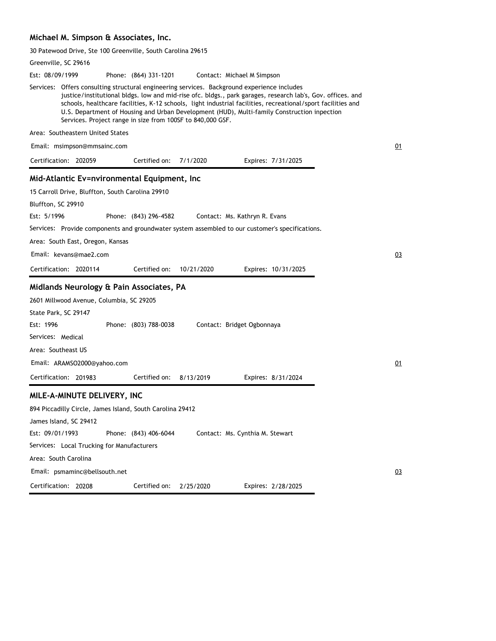#### **Michael M. Simpson & Associates, Inc.**

30 Patewood Drive, Ste 100 Greenville, South Carolina 29615

|                 | Greenville, SC 29616                             |                                                            |            |                                                                                                                                                                                            |                     |                                                                                                                                                                                                                            |    |
|-----------------|--------------------------------------------------|------------------------------------------------------------|------------|--------------------------------------------------------------------------------------------------------------------------------------------------------------------------------------------|---------------------|----------------------------------------------------------------------------------------------------------------------------------------------------------------------------------------------------------------------------|----|
| Est: 08/09/1999 |                                                  | Phone: (864) 331-1201                                      |            | Contact: Michael M Simpson                                                                                                                                                                 |                     |                                                                                                                                                                                                                            |    |
|                 |                                                  | Services. Project range in size from 100SF to 840,000 GSF. |            | Services: Offers consulting structural engineering services. Background experience includes<br>U.S. Department of Housing and Urban Development (HUD), Multi-family Construction inpection |                     | justice/institutional bldgs. low and mid-rise ofc. bldgs., park garages, research lab's, Gov. offices. and<br>schools, healthcare facilities, K-12 schools, light industrial facilities, recreational/sport facilities and |    |
|                 | Area: Southeastern United States                 |                                                            |            |                                                                                                                                                                                            |                     |                                                                                                                                                                                                                            |    |
|                 | Email: msimpson@mmsainc.com                      |                                                            |            |                                                                                                                                                                                            |                     |                                                                                                                                                                                                                            | 01 |
|                 | Certification: 202059                            | Certified on:                                              | 7/1/2020   |                                                                                                                                                                                            | Expires: 7/31/2025  |                                                                                                                                                                                                                            |    |
|                 |                                                  | Mid-Atlantic Ev=nvironmental Equipment, Inc                |            |                                                                                                                                                                                            |                     |                                                                                                                                                                                                                            |    |
|                 | 15 Carroll Drive, Bluffton, South Carolina 29910 |                                                            |            |                                                                                                                                                                                            |                     |                                                                                                                                                                                                                            |    |
|                 | Bluffton, SC 29910                               |                                                            |            |                                                                                                                                                                                            |                     |                                                                                                                                                                                                                            |    |
| Est: 5/1996     |                                                  | Phone: (843) 296-4582                                      |            | Contact: Ms. Kathryn R. Evans                                                                                                                                                              |                     |                                                                                                                                                                                                                            |    |
|                 |                                                  |                                                            |            | Services: Provide components and groundwater system assembled to our customer's specifications.                                                                                            |                     |                                                                                                                                                                                                                            |    |
|                 | Area: South East, Oregon, Kansas                 |                                                            |            |                                                                                                                                                                                            |                     |                                                                                                                                                                                                                            |    |
|                 | Email: kevans@mae2.com                           |                                                            |            |                                                                                                                                                                                            |                     |                                                                                                                                                                                                                            | 03 |
|                 | Certification: 2020114                           | Certified on:                                              | 10/21/2020 |                                                                                                                                                                                            | Expires: 10/31/2025 |                                                                                                                                                                                                                            |    |
|                 |                                                  | Midlands Neurology & Pain Associates, PA                   |            |                                                                                                                                                                                            |                     |                                                                                                                                                                                                                            |    |
|                 | 2601 Millwood Avenue, Columbia, SC 29205         |                                                            |            |                                                                                                                                                                                            |                     |                                                                                                                                                                                                                            |    |
|                 | State Park, SC 29147                             |                                                            |            |                                                                                                                                                                                            |                     |                                                                                                                                                                                                                            |    |
| Est: 1996       |                                                  | Phone: (803) 788-0038                                      |            | Contact: Bridget Ogbonnaya                                                                                                                                                                 |                     |                                                                                                                                                                                                                            |    |
|                 | Services: Medical                                |                                                            |            |                                                                                                                                                                                            |                     |                                                                                                                                                                                                                            |    |
|                 | Area: Southeast US                               |                                                            |            |                                                                                                                                                                                            |                     |                                                                                                                                                                                                                            |    |
|                 | Email: ARAMSO2000@yahoo.com                      |                                                            |            |                                                                                                                                                                                            |                     |                                                                                                                                                                                                                            | 01 |
|                 | Certification: 201983                            | Certified on:                                              | 8/13/2019  |                                                                                                                                                                                            | Expires: 8/31/2024  |                                                                                                                                                                                                                            |    |
|                 | MILE-A-MINUTE DELIVERY, INC                      |                                                            |            |                                                                                                                                                                                            |                     |                                                                                                                                                                                                                            |    |
|                 |                                                  | 894 Piccadilly Circle, James Island, South Carolina 29412  |            |                                                                                                                                                                                            |                     |                                                                                                                                                                                                                            |    |
|                 | James Island, SC 29412                           |                                                            |            |                                                                                                                                                                                            |                     |                                                                                                                                                                                                                            |    |
| Est: 09/01/1993 |                                                  | Phone: (843) 406-6044                                      |            | Contact: Ms. Cynthia M. Stewart                                                                                                                                                            |                     |                                                                                                                                                                                                                            |    |
|                 | Services: Local Trucking for Manufacturers       |                                                            |            |                                                                                                                                                                                            |                     |                                                                                                                                                                                                                            |    |
|                 | Area: South Carolina                             |                                                            |            |                                                                                                                                                                                            |                     |                                                                                                                                                                                                                            |    |
|                 | Email: psmaminc@bellsouth.net                    |                                                            |            |                                                                                                                                                                                            |                     |                                                                                                                                                                                                                            | 03 |
|                 | Certification: 20208                             | Certified on:                                              | 2/25/2020  |                                                                                                                                                                                            | Expires: 2/28/2025  |                                                                                                                                                                                                                            |    |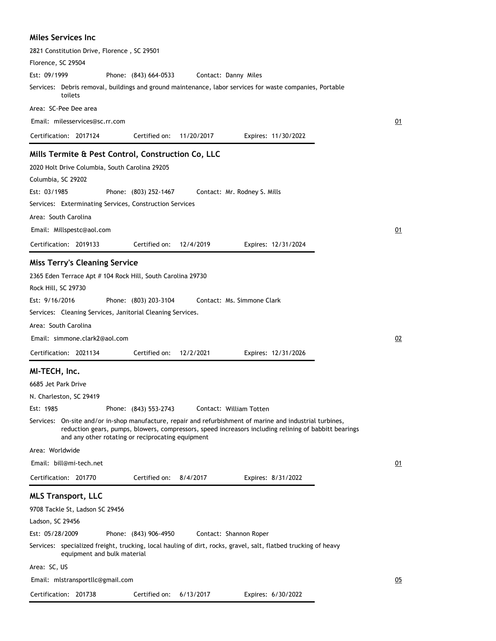#### **Miles Services Inc**

| 2821 Constitution Drive, Florence, SC 29501                                                                                                                |    |
|------------------------------------------------------------------------------------------------------------------------------------------------------------|----|
| Florence, SC 29504                                                                                                                                         |    |
| Est: 09/1999<br>Phone: (843) 664-0533<br>Contact: Danny Miles                                                                                              |    |
| Services: Debris removal, buildings and ground maintenance, labor services for waste companies, Portable<br>toilets                                        |    |
| Area: SC-Pee Dee area                                                                                                                                      |    |
| Email: milesservices@sc.rr.com                                                                                                                             | 01 |
| Certification: 2017124<br>Certified on:<br>11/20/2017<br>Expires: 11/30/2022                                                                               |    |
| Mills Termite & Pest Control, Construction Co, LLC                                                                                                         |    |
| 2020 Holt Drive Columbia, South Carolina 29205                                                                                                             |    |
| Columbia, SC 29202                                                                                                                                         |    |
| Est: 03/1985<br>Phone: (803) 252-1467<br>Contact: Mr. Rodney S. Mills                                                                                      |    |
| Services: Exterminating Services, Construction Services                                                                                                    |    |
| Area: South Carolina                                                                                                                                       |    |
| Email: Millspestc@aol.com                                                                                                                                  | 01 |
|                                                                                                                                                            |    |
| Certification: 2019133<br>Certified on:<br>12/4/2019<br>Expires: 12/31/2024                                                                                |    |
| <b>Miss Terry's Cleaning Service</b>                                                                                                                       |    |
| 2365 Eden Terrace Apt # 104 Rock Hill, South Carolina 29730                                                                                                |    |
| Rock Hill, SC 29730                                                                                                                                        |    |
| Est: 9/16/2016<br>Contact: Ms. Simmone Clark<br>Phone: (803) 203-3104                                                                                      |    |
| Services: Cleaning Services, Janitorial Cleaning Services.                                                                                                 |    |
| Area: South Carolina                                                                                                                                       |    |
| Email: simmone.clark2@aol.com                                                                                                                              | 02 |
| Certification: 2021134<br>Certified on:<br>12/2/2021<br>Expires: 12/31/2026                                                                                |    |
| MI-TECH, Inc.                                                                                                                                              |    |
| 6685 Jet Park Drive                                                                                                                                        |    |
| N. Charleston, SC 29419                                                                                                                                    |    |
| Est: 1985<br>Phone: (843) 553-2743<br>Contact: William Totten                                                                                              |    |
| Services: On-site and/or in-shop manufacture, repair and refurbishment of marine and industrial turbines,                                                  |    |
| reduction gears, pumps, blowers, compressors, speed increasors including relining of babbitt bearings<br>and any other rotating or reciprocating equipment |    |
| Area: Worldwide                                                                                                                                            |    |
| Email: bill@mi-tech.net                                                                                                                                    | 01 |
| Certification: 201770<br>Certified on:<br>8/4/2017<br>Expires: 8/31/2022                                                                                   |    |
| <b>MLS Transport, LLC</b>                                                                                                                                  |    |
| 9708 Tackle St, Ladson SC 29456                                                                                                                            |    |
| Ladson, SC 29456                                                                                                                                           |    |
| Est: 05/28/2009<br>Phone: (843) 906-4950<br>Contact: Shannon Roper                                                                                         |    |
| Services: specialized freight, trucking, local hauling of dirt, rocks, gravel, salt, flatbed trucking of heavy<br>equipment and bulk material              |    |
| Area: SC, US                                                                                                                                               |    |
| Email: mlstransportllc@gmail.com                                                                                                                           | 05 |
| Certification: 201738<br>Certified on:<br>6/13/2017<br>Expires: 6/30/2022                                                                                  |    |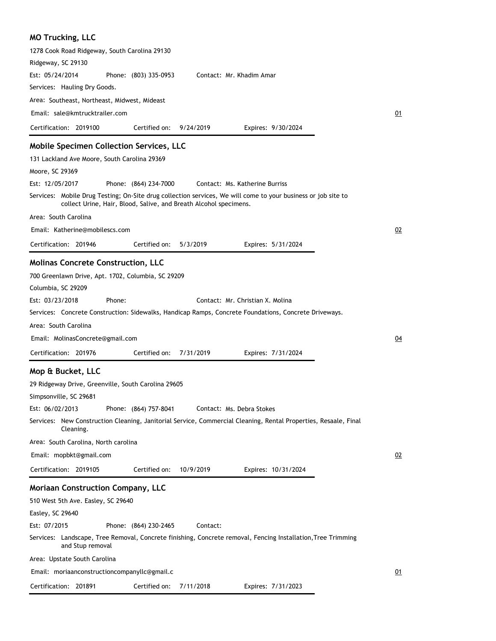| <b>MO Trucking, LLC</b>                                                                                                                                                            |    |
|------------------------------------------------------------------------------------------------------------------------------------------------------------------------------------|----|
| 1278 Cook Road Ridgeway, South Carolina 29130                                                                                                                                      |    |
| Ridgeway, SC 29130                                                                                                                                                                 |    |
| Est: 05/24/2014<br>Phone: (803) 335-0953<br>Contact: Mr. Khadim Amar                                                                                                               |    |
| Services: Hauling Dry Goods.                                                                                                                                                       |    |
| Area: Southeast, Northeast, Midwest, Mideast                                                                                                                                       |    |
| Email: sale@kmtrucktrailer.com                                                                                                                                                     | 01 |
| Certification: 2019100<br>Certified on:<br>9/24/2019<br>Expires: 9/30/2024                                                                                                         |    |
| Mobile Specimen Collection Services, LLC                                                                                                                                           |    |
| 131 Lackland Ave Moore, South Carolina 29369                                                                                                                                       |    |
| Moore, SC 29369                                                                                                                                                                    |    |
| Est: 12/05/2017<br>Phone: (864) 234-7000<br>Contact: Ms. Katherine Burriss                                                                                                         |    |
| Services: Mobile Drug Testing; On-Site drug collection services, We will come to your business or job site to<br>collect Urine, Hair, Blood, Salive, and Breath Alcohol specimens. |    |
| Area: South Carolina                                                                                                                                                               |    |
| Email: Katherine@mobilescs.com                                                                                                                                                     | 02 |
| Certified on:<br>Certification: 201946<br>5/3/2019<br>Expires: 5/31/2024                                                                                                           |    |
| <b>Molinas Concrete Construction, LLC</b>                                                                                                                                          |    |
| 700 Greenlawn Drive, Apt. 1702, Columbia, SC 29209                                                                                                                                 |    |
| Columbia, SC 29209                                                                                                                                                                 |    |
| Est: 03/23/2018<br>Phone:<br>Contact: Mr. Christian X. Molina                                                                                                                      |    |
| Services: Concrete Construction: Sidewalks, Handicap Ramps, Concrete Foundations, Concrete Driveways.                                                                              |    |
| Area: South Carolina                                                                                                                                                               |    |
| Email: MolinasConcrete@gmail.com                                                                                                                                                   | 04 |
| Certification: 201976<br>7/31/2019                                                                                                                                                 |    |
| Certified on:<br>Expires: 7/31/2024                                                                                                                                                |    |
| Mop & Bucket, LLC                                                                                                                                                                  |    |
| 29 Ridgeway Drive, Greenville, South Carolina 29605                                                                                                                                |    |
| Simpsonville, SC 29681                                                                                                                                                             |    |
| Est: 06/02/2013<br>Phone: (864) 757-8041<br>Contact: Ms. Debra Stokes                                                                                                              |    |
| Services: New Construction Cleaning, Janitorial Service, Commercial Cleaning, Rental Properties, Resaale, Final<br>Cleaning.                                                       |    |
| Area: South Carolina, North carolina                                                                                                                                               |    |
| Email: mopbkt@gmail.com                                                                                                                                                            | 02 |
| Certification: 2019105<br>Certified on:<br>10/9/2019<br>Expires: 10/31/2024                                                                                                        |    |
| <b>Moriaan Construction Company, LLC</b>                                                                                                                                           |    |
| 510 West 5th Ave. Easley, SC 29640                                                                                                                                                 |    |
| Easley, SC 29640                                                                                                                                                                   |    |
| Est: 07/2015<br>Phone: (864) 230-2465<br>Contact:                                                                                                                                  |    |
| Services: Landscape, Tree Removal, Concrete finishing, Concrete removal, Fencing Installation, Tree Trimming<br>and Stup removal                                                   |    |
| Area: Upstate South Carolina                                                                                                                                                       |    |
| Email: moriaanconstructioncompanyllc@gmail.c                                                                                                                                       | 01 |
| Certification: 201891<br>Certified on:<br>7/11/2018<br>Expires: 7/31/2023                                                                                                          |    |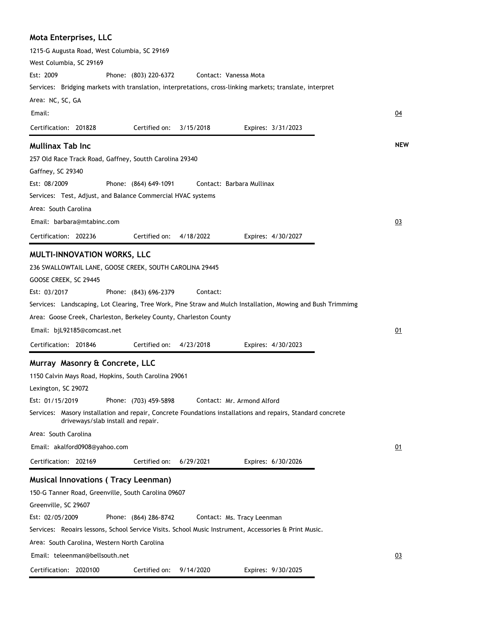| <b>Mota Enterprises, LLC</b>                                                                                                                      |            |
|---------------------------------------------------------------------------------------------------------------------------------------------------|------------|
| 1215-G Augusta Road, West Columbia, SC 29169                                                                                                      |            |
| West Columbia, SC 29169                                                                                                                           |            |
| Est: 2009<br>Phone: (803) 220-6372<br>Contact: Vanessa Mota                                                                                       |            |
| Services: Bridging markets with translation, interpretations, cross-linking markets; translate, interpret                                         |            |
| Area: NC, SC, GA                                                                                                                                  |            |
| Email:                                                                                                                                            | <u>04</u>  |
| Certification: 201828<br>Certified on:<br>3/15/2018<br>Expires: 3/31/2023                                                                         |            |
| <b>Mullinax Tab Inc</b>                                                                                                                           | <b>NEW</b> |
| 257 Old Race Track Road, Gaffney, Soutth Carolina 29340                                                                                           |            |
| Gaffney, SC 29340                                                                                                                                 |            |
| Est: 08/2009<br>Phone: (864) 649-1091<br>Contact: Barbara Mullinax                                                                                |            |
| Services: Test, Adjust, and Balance Commercial HVAC systems                                                                                       |            |
| Area: South Carolina                                                                                                                              |            |
| Email: barbara@mtabinc.com                                                                                                                        | 03         |
| 4/18/2022<br>Certification: 202236<br>Certified on:<br>Expires: 4/30/2027                                                                         |            |
|                                                                                                                                                   |            |
| MULTI-INNOVATION WORKS, LLC                                                                                                                       |            |
| 236 SWALLOWTAIL LANE, GOOSE CREEK, SOUTH CAROLINA 29445                                                                                           |            |
| GOOSE CREEK, SC 29445                                                                                                                             |            |
| Est: 03/2017<br>Contact:<br>Phone: (843) 696-2379                                                                                                 |            |
| Services: Landscaping, Lot Clearing, Tree Work, Pine Straw and Mulch Installation, Mowing and Bush Trimmimg                                       |            |
| Area: Goose Creek, Charleston, Berkeley County, Charleston County                                                                                 |            |
| Email: bjL92185@comcast.net                                                                                                                       | <u>01</u>  |
| Certified on:<br>Certification: 201846<br>4/23/2018<br>Expires: 4/30/2023                                                                         |            |
|                                                                                                                                                   |            |
| Murray Masonry & Concrete, LLC                                                                                                                    |            |
| 1150 Calvin Mays Road, Hopkins, South Carolina 29061                                                                                              |            |
| Lexington, SC 29072                                                                                                                               |            |
| Phone: (703) 459-5898<br>Est: 01/15/2019<br>Contact: Mr. Armond Alford                                                                            |            |
| Services: Masory installation and repair, Concrete Foundations installations and repairs, Standard concrete<br>driveways/slab install and repair. |            |
| Area: South Carolina                                                                                                                              |            |
| Email: akalford0908@yahoo.com                                                                                                                     | 01         |
| Certified on:<br>Certification: 202169<br>6/29/2021<br>Expires: 6/30/2026                                                                         |            |
| <b>Musical Innovations (Tracy Leenman)</b>                                                                                                        |            |
| 150-G Tanner Road, Greenville, South Carolina 09607                                                                                               |            |
| Greenville, SC 29607                                                                                                                              |            |
| Est: 02/05/2009<br>Phone: (864) 286-8742<br>Contact: Ms. Tracy Leenman                                                                            |            |
| Services: Reoairs lessons, School Service Visits. School Music Instrument, Accessories & Print Music.                                             |            |
| Area: South Carolina, Western North Carolina                                                                                                      |            |
| Email: teleenman@bellsouth.net                                                                                                                    | 03         |
| Certification: 2020100<br>Certified on:<br>9/14/2020<br>Expires: 9/30/2025                                                                        |            |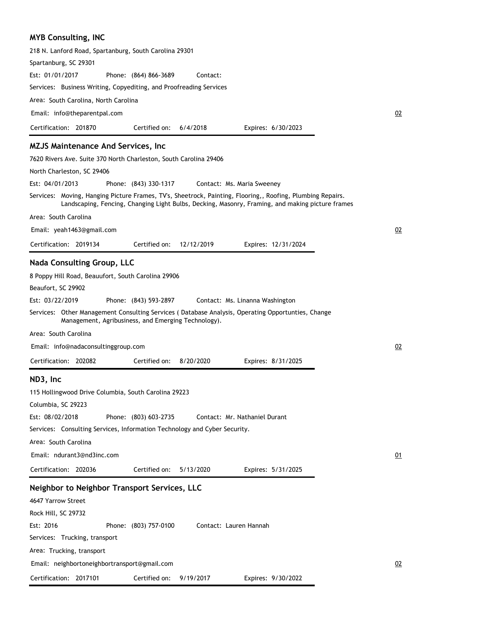# **MYB Consulting, INC**

| 218 N. Lanford Road, Spartanburg, South Carolina 29301                                                                                                                                                         |    |
|----------------------------------------------------------------------------------------------------------------------------------------------------------------------------------------------------------------|----|
| Spartanburg, SC 29301                                                                                                                                                                                          |    |
| Est: 01/01/2017<br>Contact:<br>Phone: (864) 866-3689                                                                                                                                                           |    |
| Services: Business Writing, Copyediting, and Proofreading Services                                                                                                                                             |    |
| Area: South Carolina, North Carolina                                                                                                                                                                           |    |
| Email: info@theparentpal.com                                                                                                                                                                                   | 02 |
| Certified on:<br>Certification: 201870<br>6/4/2018<br>Expires: 6/30/2023                                                                                                                                       |    |
| <b>MZJS Maintenance And Services, Inc.</b>                                                                                                                                                                     |    |
| 7620 Rivers Ave. Suite 370 North Charleston, South Carolina 29406                                                                                                                                              |    |
| North Charleston, SC 29406                                                                                                                                                                                     |    |
| Est: 04/01/2013<br>Phone: (843) 330-1317<br>Contact: Ms. Maria Sweeney                                                                                                                                         |    |
| Services: Moving, Hanging Picture Frames, TV's, Sheetrock, Painting, Flooring,, Roofing, Plumbing Repairs.<br>Landscaping, Fencing, Changing Light Bulbs, Decking, Masonry, Framing, and making picture frames |    |
| Area: South Carolina                                                                                                                                                                                           |    |
| Email: yeah1463@gmail.com                                                                                                                                                                                      | 02 |
| Certification: 2019134<br>Certified on:<br>12/12/2019<br>Expires: 12/31/2024                                                                                                                                   |    |
| <b>Nada Consulting Group, LLC</b>                                                                                                                                                                              |    |
| 8 Poppy Hill Road, Beauufort, South Carolina 29906                                                                                                                                                             |    |
| Beaufort, SC 29902                                                                                                                                                                                             |    |
| Est: 03/22/2019<br>Phone: (843) 593-2897<br>Contact: Ms. Linanna Washington                                                                                                                                    |    |
| Services: Other Management Consulting Services (Database Analysis, Operating Opportunties, Change<br>Management, Agribusiness, and Emerging Technology).                                                       |    |
| Area: South Carolina                                                                                                                                                                                           |    |
| Email: info@nadaconsultinggroup.com                                                                                                                                                                            | 02 |
| Certification: 202082<br>Certified on:<br>8/20/2020<br>Expires: 8/31/2025                                                                                                                                      |    |
| ND3, Inc                                                                                                                                                                                                       |    |
|                                                                                                                                                                                                                |    |
| 115 Hollingwood Drive Columbia, South Carolina 29223                                                                                                                                                           |    |
| Columbia, SC 29223<br>Phone: (803) 603-2735<br>Est: 08/02/2018<br>Contact: Mr. Nathaniel Durant                                                                                                                |    |
| Services: Consulting Services, Information Technology and Cyber Security.                                                                                                                                      |    |
| Area: South Carolina                                                                                                                                                                                           |    |
| Email: ndurant3@nd3inc.com                                                                                                                                                                                     |    |
|                                                                                                                                                                                                                | 01 |
| Certification: 202036<br>Certified on:<br>5/13/2020<br>Expires: 5/31/2025                                                                                                                                      |    |
| Neighbor to Neighbor Transport Services, LLC                                                                                                                                                                   |    |
| 4647 Yarrow Street                                                                                                                                                                                             |    |
| Rock Hill, SC 29732                                                                                                                                                                                            |    |
| Est: 2016<br>Phone: (803) 757-0100<br>Contact: Lauren Hannah                                                                                                                                                   |    |
| Services: Trucking, transport                                                                                                                                                                                  |    |
| Area: Trucking, transport                                                                                                                                                                                      |    |
| Email: neighbortoneighbortransport@gmail.com                                                                                                                                                                   | 02 |
| Certification: 2017101<br>Certified on:<br>9/19/2017<br>Expires: 9/30/2022                                                                                                                                     |    |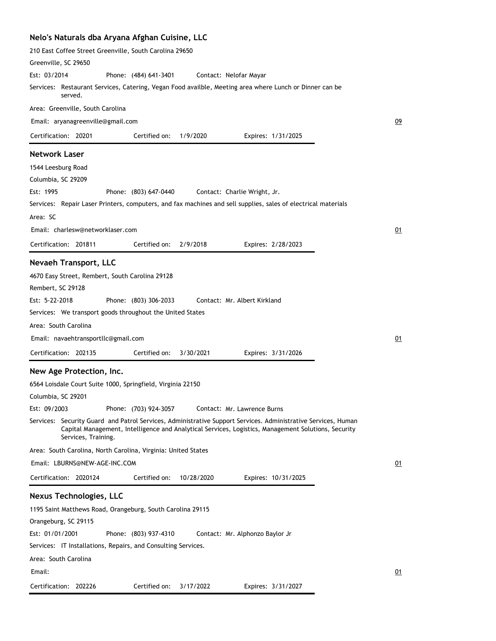|  | Nelo's Naturals dba Aryana Afghan Cuisine, LLC |  |  |  |  |  |
|--|------------------------------------------------|--|--|--|--|--|
|--|------------------------------------------------|--|--|--|--|--|

| 210 East Coffee Street Greenville, South Carolina 29650                                                                                                                                                                                     |    |
|---------------------------------------------------------------------------------------------------------------------------------------------------------------------------------------------------------------------------------------------|----|
| Greenville, SC 29650                                                                                                                                                                                                                        |    |
| Est: 03/2014<br>Phone: (484) 641-3401<br>Contact: Nelofar Mayar                                                                                                                                                                             |    |
| Services: Restaurant Services, Catering, Vegan Food availble, Meeting area where Lunch or Dinner can be<br>served.                                                                                                                          |    |
| Area: Greenville, South Carolina                                                                                                                                                                                                            |    |
| Email: aryanagreenville@gmail.com                                                                                                                                                                                                           | 09 |
| Certification: 20201<br>Certified on:<br>1/9/2020<br>Expires: 1/31/2025                                                                                                                                                                     |    |
| <b>Network Laser</b>                                                                                                                                                                                                                        |    |
| 1544 Leesburg Road                                                                                                                                                                                                                          |    |
| Columbia, SC 29209                                                                                                                                                                                                                          |    |
| Est: 1995<br>Phone: (803) 647-0440<br>Contact: Charlie Wright, Jr.                                                                                                                                                                          |    |
| Services: Repair Laser Printers, computers, and fax machines and sell supplies, sales of electrical materials                                                                                                                               |    |
| Area: SC                                                                                                                                                                                                                                    |    |
| Email: charlesw@networklaser.com                                                                                                                                                                                                            | 01 |
| Certified on:<br>2/9/2018<br>Certification: 201811<br>Expires: 2/28/2023                                                                                                                                                                    |    |
|                                                                                                                                                                                                                                             |    |
| <b>Nevaeh Transport, LLC</b>                                                                                                                                                                                                                |    |
| 4670 Easy Street, Rembert, South Carolina 29128                                                                                                                                                                                             |    |
| Rembert, SC 29128                                                                                                                                                                                                                           |    |
| Est: 5-22-2018<br>Phone: (803) 306-2033<br>Contact: Mr. Albert Kirkland                                                                                                                                                                     |    |
| Services: We transport goods throughout the United States                                                                                                                                                                                   |    |
| Area: South Carolina                                                                                                                                                                                                                        |    |
| Email: navaehtransportllc@gmail.com                                                                                                                                                                                                         | 01 |
| Certification: 202135<br>Certified on:<br>3/30/2021<br>Expires: 3/31/2026                                                                                                                                                                   |    |
| New Age Protection, Inc.                                                                                                                                                                                                                    |    |
| 6564 Loisdale Court Suite 1000, Springfield, Virginia 22150                                                                                                                                                                                 |    |
| Columbia, SC 29201                                                                                                                                                                                                                          |    |
| Est: 09/2003<br>Phone: (703) 924-3057<br>Contact: Mr. Lawrence Burns                                                                                                                                                                        |    |
| Services: Security Guard and Patrol Services, Administrative Support Services. Administrative Services, Human<br>Capital Management, Intelligence and Analytical Services, Logistics, Management Solutions, Security<br>Services, Training. |    |
| Area: South Carolina, North Carolina, Virginia: United States                                                                                                                                                                               |    |
| Email: LBURNS@NEW-AGE-INC.COM                                                                                                                                                                                                               | 01 |
| Certification: 2020124<br>Certified on:<br>10/28/2020<br>Expires: 10/31/2025                                                                                                                                                                |    |
| <b>Nexus Technologies, LLC</b>                                                                                                                                                                                                              |    |
| 1195 Saint Matthews Road, Orangeburg, South Carolina 29115                                                                                                                                                                                  |    |
| Orangeburg, SC 29115                                                                                                                                                                                                                        |    |
| Est: 01/01/2001<br>Phone: (803) 937-4310<br>Contact: Mr. Alphonzo Baylor Jr                                                                                                                                                                 |    |
| Services: IT Installations, Repairs, and Consulting Services.                                                                                                                                                                               |    |
| Area: South Carolina                                                                                                                                                                                                                        |    |
| Email:                                                                                                                                                                                                                                      | 01 |
|                                                                                                                                                                                                                                             |    |
| Certification: 202226<br>Certified on:<br>3/17/2022<br>Expires: 3/31/2027                                                                                                                                                                   |    |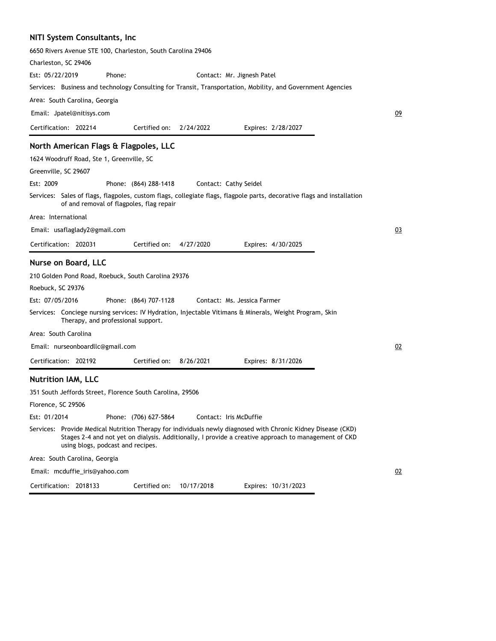### **NITI System Consultants, Inc**

| 6650 Rivers Avenue STE 100, Charleston, South Carolina 29406                                                           |                                          |                                                                                                      |                             |                     |    |
|------------------------------------------------------------------------------------------------------------------------|------------------------------------------|------------------------------------------------------------------------------------------------------|-----------------------------|---------------------|----|
| Charleston, SC 29406                                                                                                   |                                          |                                                                                                      |                             |                     |    |
| Est: 05/22/2019                                                                                                        | Phone:                                   |                                                                                                      | Contact: Mr. Jignesh Patel  |                     |    |
| Services: Business and technology Consulting for Transit, Transportation, Mobility, and Government Agencies            |                                          |                                                                                                      |                             |                     |    |
| Area: South Carolina, Georgia                                                                                          |                                          |                                                                                                      |                             |                     |    |
| Email: Jpatel@nitisys.com                                                                                              |                                          |                                                                                                      |                             |                     | 09 |
| Certification: 202214                                                                                                  |                                          | Certified on: 2/24/2022                                                                              | Expires: 2/28/2027          |                     |    |
| North American Flags & Flagpoles, LLC                                                                                  |                                          |                                                                                                      |                             |                     |    |
| 1624 Woodruff Road, Ste 1, Greenville, SC                                                                              |                                          |                                                                                                      |                             |                     |    |
| Greenville, SC 29607                                                                                                   |                                          |                                                                                                      |                             |                     |    |
| Est: 2009                                                                                                              | Phone: (864) 288-1418                    |                                                                                                      | Contact: Cathy Seidel       |                     |    |
| Services: Sales of flags, flagpoles, custom flags, collegiate flags, flagpole parts, decorative flags and installation | of and removal of flagpoles, flag repair |                                                                                                      |                             |                     |    |
| Area: International                                                                                                    |                                          |                                                                                                      |                             |                     |    |
| Email: usaflaglady2@gmail.com                                                                                          |                                          |                                                                                                      |                             |                     | 03 |
| Certification: 202031                                                                                                  |                                          | Certified on:<br>4/27/2020                                                                           | Expires: 4/30/2025          |                     |    |
| Nurse on Board, LLC                                                                                                    |                                          |                                                                                                      |                             |                     |    |
| 210 Golden Pond Road, Roebuck, South Carolina 29376                                                                    |                                          |                                                                                                      |                             |                     |    |
| Roebuck, SC 29376                                                                                                      |                                          |                                                                                                      |                             |                     |    |
| Est: 07/05/2016                                                                                                        | Phone: (864) 707-1128                    |                                                                                                      | Contact: Ms. Jessica Farmer |                     |    |
| Services: Conciege nursing services: IV Hydration, Injectable Vitimans & Minerals, Weight Program, Skin                | Therapy, and professional support.       |                                                                                                      |                             |                     |    |
| Area: South Carolina                                                                                                   |                                          |                                                                                                      |                             |                     |    |
| Email: nurseonboardllc@gmail.com                                                                                       |                                          |                                                                                                      |                             |                     | 02 |
| Certification: 202192                                                                                                  |                                          | Certified on:<br>8/26/2021                                                                           | Expires: 8/31/2026          |                     |    |
| <b>Nutrition IAM, LLC</b>                                                                                              |                                          |                                                                                                      |                             |                     |    |
| 351 South Jeffords Street, Florence South Carolina, 29506                                                              |                                          |                                                                                                      |                             |                     |    |
| Florence, SC 29506                                                                                                     |                                          |                                                                                                      |                             |                     |    |
| Est: 01/2014                                                                                                           | Phone: (706) 627-5864                    |                                                                                                      | Contact: Iris McDuffie      |                     |    |
| Services: Provide Medical Nutrition Therapy for individuals newly diagnosed with Chronic Kidney Disease (CKD)          | using blogs, podcast and recipes.        | Stages 2-4 and not yet on dialysis. Additionally, I provide a creative approach to management of CKD |                             |                     |    |
| Area: South Carolina, Georgia                                                                                          |                                          |                                                                                                      |                             |                     |    |
| Email: mcduffie_iris@yahoo.com                                                                                         |                                          |                                                                                                      |                             |                     | 02 |
| Certification: 2018133                                                                                                 |                                          | 10/17/2018<br>Certified on:                                                                          |                             | Expires: 10/31/2023 |    |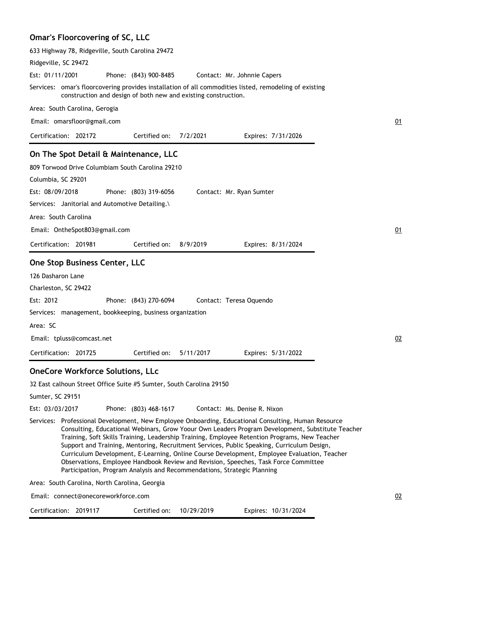# **Omar's Floorcovering of SC, LLC**

| 633 Highway 78, Ridgeville, South Carolina 29472                    |                       |                                                                |                                                                                                                                                                                                                                                                                                                                                                                                                                                                                                                                                                                              |    |
|---------------------------------------------------------------------|-----------------------|----------------------------------------------------------------|----------------------------------------------------------------------------------------------------------------------------------------------------------------------------------------------------------------------------------------------------------------------------------------------------------------------------------------------------------------------------------------------------------------------------------------------------------------------------------------------------------------------------------------------------------------------------------------------|----|
| Ridgeville, SC 29472                                                |                       |                                                                |                                                                                                                                                                                                                                                                                                                                                                                                                                                                                                                                                                                              |    |
| Est: 01/11/2001                                                     | Phone: (843) 900-8485 |                                                                | Contact: Mr. Johnnie Capers                                                                                                                                                                                                                                                                                                                                                                                                                                                                                                                                                                  |    |
|                                                                     |                       | construction and design of both new and existing construction. | Services: omar's floorcovering provides installation of all commodities listed, remodeling of existing                                                                                                                                                                                                                                                                                                                                                                                                                                                                                       |    |
| Area: South Carolina, Gerogia                                       |                       |                                                                |                                                                                                                                                                                                                                                                                                                                                                                                                                                                                                                                                                                              |    |
| Email: omarsfloor@gmail.com                                         |                       |                                                                |                                                                                                                                                                                                                                                                                                                                                                                                                                                                                                                                                                                              | 01 |
| Certification: 202172                                               | Certified on:         | 7/2/2021                                                       | Expires: 7/31/2026                                                                                                                                                                                                                                                                                                                                                                                                                                                                                                                                                                           |    |
| On The Spot Detail & Maintenance, LLC                               |                       |                                                                |                                                                                                                                                                                                                                                                                                                                                                                                                                                                                                                                                                                              |    |
| 809 Torwood Drive Columbiam South Carolina 29210                    |                       |                                                                |                                                                                                                                                                                                                                                                                                                                                                                                                                                                                                                                                                                              |    |
| Columbia, SC 29201                                                  |                       |                                                                |                                                                                                                                                                                                                                                                                                                                                                                                                                                                                                                                                                                              |    |
| Est: 08/09/2018                                                     | Phone: (803) 319-6056 |                                                                | Contact: Mr. Ryan Sumter                                                                                                                                                                                                                                                                                                                                                                                                                                                                                                                                                                     |    |
| Services: Janitorial and Automotive Detailing.\                     |                       |                                                                |                                                                                                                                                                                                                                                                                                                                                                                                                                                                                                                                                                                              |    |
| Area: South Carolina                                                |                       |                                                                |                                                                                                                                                                                                                                                                                                                                                                                                                                                                                                                                                                                              |    |
| Email: OntheSpot803@gmail.com                                       |                       |                                                                |                                                                                                                                                                                                                                                                                                                                                                                                                                                                                                                                                                                              | 01 |
| Certification: 201981                                               | Certified on:         | 8/9/2019                                                       | Expires: 8/31/2024                                                                                                                                                                                                                                                                                                                                                                                                                                                                                                                                                                           |    |
| One Stop Business Center, LLC                                       |                       |                                                                |                                                                                                                                                                                                                                                                                                                                                                                                                                                                                                                                                                                              |    |
| 126 Dasharon Lane                                                   |                       |                                                                |                                                                                                                                                                                                                                                                                                                                                                                                                                                                                                                                                                                              |    |
| Charleston, SC 29422                                                |                       |                                                                |                                                                                                                                                                                                                                                                                                                                                                                                                                                                                                                                                                                              |    |
| Est: 2012                                                           | Phone: (843) 270-6094 |                                                                | Contact: Teresa Oquendo                                                                                                                                                                                                                                                                                                                                                                                                                                                                                                                                                                      |    |
| Services: management, bookkeeping, business organization            |                       |                                                                |                                                                                                                                                                                                                                                                                                                                                                                                                                                                                                                                                                                              |    |
| Area: SC                                                            |                       |                                                                |                                                                                                                                                                                                                                                                                                                                                                                                                                                                                                                                                                                              |    |
| Email: tpluss@comcast.net                                           |                       |                                                                |                                                                                                                                                                                                                                                                                                                                                                                                                                                                                                                                                                                              | 02 |
| Certification: 201725                                               | Certified on:         | 5/11/2017                                                      | Expires: 5/31/2022                                                                                                                                                                                                                                                                                                                                                                                                                                                                                                                                                                           |    |
| <b>OneCore Workforce Solutions, LLc</b>                             |                       |                                                                |                                                                                                                                                                                                                                                                                                                                                                                                                                                                                                                                                                                              |    |
| 32 East calhoun Street Office Suite #5 Sumter, South Carolina 29150 |                       |                                                                |                                                                                                                                                                                                                                                                                                                                                                                                                                                                                                                                                                                              |    |
| Sumter, SC 29151                                                    |                       |                                                                |                                                                                                                                                                                                                                                                                                                                                                                                                                                                                                                                                                                              |    |
| Est: 03/03/2017                                                     | Phone: (803) 468-1617 |                                                                | Contact: Ms. Denise R. Nixon                                                                                                                                                                                                                                                                                                                                                                                                                                                                                                                                                                 |    |
|                                                                     |                       |                                                                | Services: Professional Development, New Employee Onboarding, Educational Consulting, Human Resource<br>Consulting, Educational Webinars, Grow Yoour Own Leaders Program Development, Substitute Teacher<br>Training, Soft Skills Training, Leadership Training, Employee Retention Programs, New Teacher<br>Support and Training, Mentoring, Recruitment Services, Public Speaking, Curriculum Design,<br>Curriculum Development, E-Learning, Online Course Development, Employee Evaluation, Teacher<br>Observations, Employee Handbook Review and Revision, Speeches, Task Force Committee |    |

Area: South Carolina, North Carolina, Georgia

Email: connect@onecoreworkforce.com

Certification: 2019117 Expires: 10/31/2024 Certified on: 10/29/2019

02

Participation, Program Analysis and Recommendations, Strategic Planning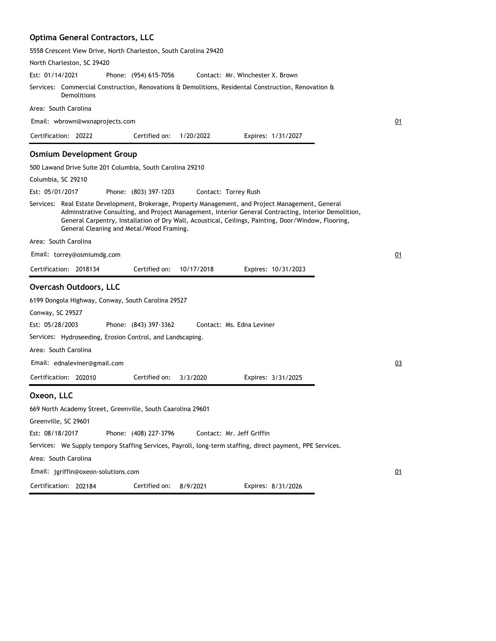# **Optima General Contractors, LLC**

5558 Crescent View Drive, North Charleston, South Carolina 29420

| North Charleston, SC 29420                                                                                                                                                                                                                                                                                                                                    |    |
|---------------------------------------------------------------------------------------------------------------------------------------------------------------------------------------------------------------------------------------------------------------------------------------------------------------------------------------------------------------|----|
| Est: 01/14/2021<br>Contact: Mr. Winchester X. Brown<br>Phone: (954) 615-7056                                                                                                                                                                                                                                                                                  |    |
| Services: Commercial Construction, Renovations & Demolitions, Residental Construction, Renovation &<br>Demolitions                                                                                                                                                                                                                                            |    |
| Area: South Carolina                                                                                                                                                                                                                                                                                                                                          |    |
| Email: wbrown@wxnaprojects.com                                                                                                                                                                                                                                                                                                                                | 01 |
| Certification: 20222<br>Certified on:<br>1/20/2022<br>Expires: 1/31/2027                                                                                                                                                                                                                                                                                      |    |
| <b>Osmium Development Group</b>                                                                                                                                                                                                                                                                                                                               |    |
| 500 Lawand Drive Suite 201 Columbia, South Carolina 29210                                                                                                                                                                                                                                                                                                     |    |
| Columbia, SC 29210                                                                                                                                                                                                                                                                                                                                            |    |
| Est: 05/01/2017<br>Phone: (803) 397-1203<br>Contact: Torrey Rush                                                                                                                                                                                                                                                                                              |    |
| Services: Real Estate Development, Brokerage, Property Management, and Project Management, General<br>Adminstrative Consulting, and Project Management, Interior General Contracting, Interior Demolition,<br>General Carpentry, Installation of Dry Wall, Acoustical, Ceilings, Painting, Door/Window, Flooring,<br>General Cleaning and Metal/Wood Framing. |    |
| Area: South Carolina                                                                                                                                                                                                                                                                                                                                          |    |
| Email: torrey@osmiumdg.com                                                                                                                                                                                                                                                                                                                                    | 01 |
| Certification: 2018134<br>Certified on:<br>10/17/2018<br>Expires: 10/31/2023                                                                                                                                                                                                                                                                                  |    |
| <b>Overcash Outdoors, LLC</b>                                                                                                                                                                                                                                                                                                                                 |    |
| 6199 Dongola Highway, Conway, South Carolina 29527                                                                                                                                                                                                                                                                                                            |    |
| Conway, SC 29527<br>Est: 05/28/2003<br>Phone: (843) 397-3362<br>Contact: Ms. Edna Leviner                                                                                                                                                                                                                                                                     |    |
| Services: Hydroseeding, Erosion Control, and Landscaping.                                                                                                                                                                                                                                                                                                     |    |
| Area: South Carolina                                                                                                                                                                                                                                                                                                                                          |    |
| Email: ednaleviner@gmail.com                                                                                                                                                                                                                                                                                                                                  | 03 |
|                                                                                                                                                                                                                                                                                                                                                               |    |
| Certification: 202010<br>Certified on:<br>3/3/2020<br>Expires: 3/31/2025                                                                                                                                                                                                                                                                                      |    |
| Oxeon, LLC                                                                                                                                                                                                                                                                                                                                                    |    |
| 669 North Academy Street, Greenville, South Caarolina 29601                                                                                                                                                                                                                                                                                                   |    |
| Greenville, SC 29601                                                                                                                                                                                                                                                                                                                                          |    |
| Phone: (408) 227-3796<br>Est: 08/18/2017<br>Contact: Mr. Jeff Griffin                                                                                                                                                                                                                                                                                         |    |
| Services: We Supply tempory Staffing Services, Payroll, long-term staffing, direct payment, PPE Services.                                                                                                                                                                                                                                                     |    |
| Area: South Carolina                                                                                                                                                                                                                                                                                                                                          |    |
| Email: jgriffin@oxeon-solutions.com                                                                                                                                                                                                                                                                                                                           | 01 |
| Certification: 202184<br>Certified on:<br>Expires: 8/31/2026<br>8/9/2021                                                                                                                                                                                                                                                                                      |    |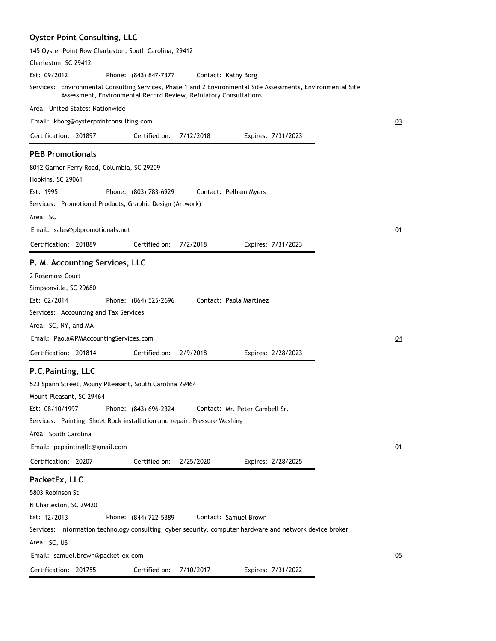# **Oyster Point Consulting, LLC**

| 145 Oyster Point Row Charleston, South Carolina, 29412                                                                                                                             |    |
|------------------------------------------------------------------------------------------------------------------------------------------------------------------------------------|----|
| Charleston, SC 29412                                                                                                                                                               |    |
| Est: 09/2012<br>Phone: (843) 847-7377<br>Contact: Kathy Borg                                                                                                                       |    |
| Services: Environmental Consulting Services, Phase 1 and 2 Environmental Site Assessments, Environmental Site<br>Assessment, Environmental Record Review, Refulatory Consultations |    |
| Area: United States: Nationwide                                                                                                                                                    |    |
| Email: kborg@oysterpointconsulting.com                                                                                                                                             | 03 |
| Certification: 201897<br>Certified on:<br>7/12/2018<br>Expires: 7/31/2023                                                                                                          |    |
| <b>P&amp;B Promotionals</b>                                                                                                                                                        |    |
| 8012 Garner Ferry Road, Columbia, SC 29209                                                                                                                                         |    |
| Hopkins, SC 29061                                                                                                                                                                  |    |
| Est: 1995<br>Phone: (803) 783-6929<br>Contact: Pelham Myers                                                                                                                        |    |
| Services: Promotional Products, Graphic Design (Artwork)                                                                                                                           |    |
| Area: SC                                                                                                                                                                           |    |
| Email: sales@pbpromotionals.net                                                                                                                                                    | 01 |
| Certified on:<br>Certification: 201889<br>7/2/2018<br>Expires: 7/31/2023                                                                                                           |    |
| P. M. Accounting Services, LLC                                                                                                                                                     |    |
| 2 Rosemoss Court                                                                                                                                                                   |    |
| Simpsonville, SC 29680                                                                                                                                                             |    |
| Est: 02/2014<br>Contact: Paola Martinez<br>Phone: (864) 525-2696                                                                                                                   |    |
| Services: Accounting and Tax Services                                                                                                                                              |    |
| Area: SC, NY, and MA                                                                                                                                                               |    |
| Email: Paola@PMAccountingServices.com                                                                                                                                              | 04 |
|                                                                                                                                                                                    |    |
| Certification: 201814<br>Certified on:<br>2/9/2018<br>Expires: 2/28/2023                                                                                                           |    |
| P.C.Painting, LLC                                                                                                                                                                  |    |
| 523 Spann Street, Mouny Plleasant, South Carolina 29464                                                                                                                            |    |
| Mount Pleasant, SC 29464                                                                                                                                                           |    |
| Est: 08/10/1997 Phone: (843) 696-2324<br>Contact: Mr. Peter Cambell Sr.                                                                                                            |    |
| Services: Painting, Sheet Rock installation and repair, Pressure Washing                                                                                                           |    |
| Area: South Carolina                                                                                                                                                               |    |
| Email: pcpaintingllc@gmail.com                                                                                                                                                     | 01 |
| Certification: 20207<br>Certified on:<br>2/25/2020<br>Expires: 2/28/2025                                                                                                           |    |
| PacketEx, LLC                                                                                                                                                                      |    |
| 5803 Robinson St                                                                                                                                                                   |    |
| N Charleston, SC 29420                                                                                                                                                             |    |
| Est: 12/2013<br>Phone: (844) 722-5389<br>Contact: Samuel Brown                                                                                                                     |    |
| Services: Information technology consulting, cyber security, computer hardware and network device broker                                                                           |    |
| Area: SC, US                                                                                                                                                                       |    |
| Email: samuel.brown@packet-ex.com                                                                                                                                                  | 05 |
| Certification: 201755<br>Certified on:<br>7/10/2017<br>Expires: 7/31/2022                                                                                                          |    |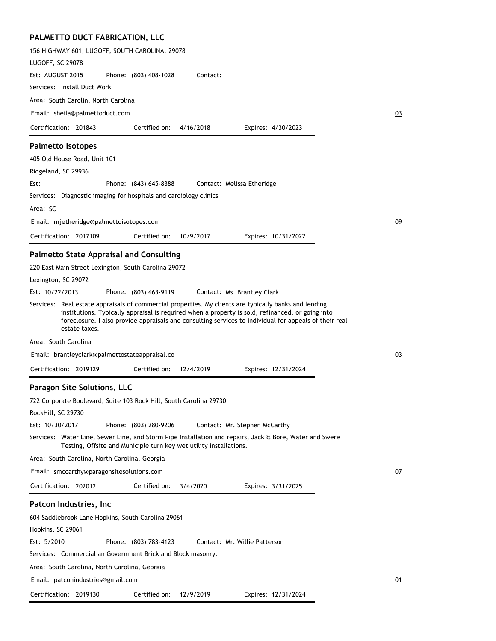# **PALMETTO DUCT FABRICATION, LLC**

| 156 HIGHWAY 601, LUGOFF, SOUTH CAROLINA, 29078                                                                                                                                                                                                                                                                                       |           |
|--------------------------------------------------------------------------------------------------------------------------------------------------------------------------------------------------------------------------------------------------------------------------------------------------------------------------------------|-----------|
| LUGOFF, SC 29078                                                                                                                                                                                                                                                                                                                     |           |
| Est: AUGUST 2015<br>Phone: (803) 408-1028<br>Contact:                                                                                                                                                                                                                                                                                |           |
| Services: Install Duct Work                                                                                                                                                                                                                                                                                                          |           |
| Area: South Carolin, North Carolina                                                                                                                                                                                                                                                                                                  |           |
| Email: sheila@palmettoduct.com                                                                                                                                                                                                                                                                                                       | 03        |
| Certification: 201843<br>Certified on:<br>4/16/2018<br>Expires: 4/30/2023                                                                                                                                                                                                                                                            |           |
| <b>Palmetto Isotopes</b>                                                                                                                                                                                                                                                                                                             |           |
| 405 Old House Road, Unit 101                                                                                                                                                                                                                                                                                                         |           |
| Ridgeland, SC 29936                                                                                                                                                                                                                                                                                                                  |           |
| Est:<br>Phone: (843) 645-8388<br>Contact: Melissa Etheridge                                                                                                                                                                                                                                                                          |           |
| Services: Diagnostic imaging for hospitals and cardiology clinics                                                                                                                                                                                                                                                                    |           |
| Area: SC                                                                                                                                                                                                                                                                                                                             |           |
| Email: mjetheridge@palmettoisotopes.com                                                                                                                                                                                                                                                                                              | 09        |
| Certification: 2017109<br>10/9/2017<br>Certified on:<br>Expires: 10/31/2022                                                                                                                                                                                                                                                          |           |
|                                                                                                                                                                                                                                                                                                                                      |           |
| <b>Palmetto State Appraisal and Consulting</b>                                                                                                                                                                                                                                                                                       |           |
| 220 East Main Street Lexington, South Carolina 29072                                                                                                                                                                                                                                                                                 |           |
| Lexington, SC 29072                                                                                                                                                                                                                                                                                                                  |           |
| Est: 10/22/2013<br>Phone: (803) 463-9119<br>Contact: Ms. Brantley Clark                                                                                                                                                                                                                                                              |           |
| Services: Real estate appraisals of commercial properties. My clients are typically banks and lending<br>institutions. Typically appraisal is required when a property is sold, refinanced, or going into<br>foreclosure. I also provide appraisals and consulting services to individual for appeals of their real<br>estate taxes. |           |
| Area: South Carolina                                                                                                                                                                                                                                                                                                                 |           |
| Email: brantleyclark@palmettostateappraisal.co                                                                                                                                                                                                                                                                                       | 03        |
| Certification: 2019129<br>Certified on:<br>12/4/2019<br>Expires: 12/31/2024                                                                                                                                                                                                                                                          |           |
| Paragon Site Solutions, LLC                                                                                                                                                                                                                                                                                                          |           |
| 722 Corporate Boulevard, Suite 103 Rock Hill, South Carolina 29730                                                                                                                                                                                                                                                                   |           |
| RockHill, SC 29730                                                                                                                                                                                                                                                                                                                   |           |
| Est: 10/30/2017<br>Phone: (803) 280-9206<br>Contact: Mr. Stephen McCarthy                                                                                                                                                                                                                                                            |           |
| Services: Water Line, Sewer Line, and Storm Pipe Installation and repairs, Jack & Bore, Water and Swere<br>Testing, Offsite and Municiple turn key wet utility installations.                                                                                                                                                        |           |
| Area: South Carolina, North Carolina, Georgia                                                                                                                                                                                                                                                                                        |           |
| Email: smccarthy@paragonsitesolutions.com                                                                                                                                                                                                                                                                                            | <u>07</u> |
| Certification: 202012<br>Certified on:<br>3/4/2020<br>Expires: 3/31/2025                                                                                                                                                                                                                                                             |           |
| Patcon Industries, Inc                                                                                                                                                                                                                                                                                                               |           |
| 604 Saddlebrook Lane Hopkins, South Carolina 29061                                                                                                                                                                                                                                                                                   |           |
| Hopkins, SC 29061                                                                                                                                                                                                                                                                                                                    |           |
| Est: 5/2010<br>Phone: (803) 783-4123<br>Contact: Mr. Willie Patterson                                                                                                                                                                                                                                                                |           |
| Services: Commercial an Government Brick and Block masonry.                                                                                                                                                                                                                                                                          |           |
| Area: South Carolina, North Carolina, Georgia                                                                                                                                                                                                                                                                                        |           |
| Email: patconindustries@gmail.com                                                                                                                                                                                                                                                                                                    | 01        |
| Certification: 2019130<br>Certified on:<br>12/9/2019<br>Expires: 12/31/2024                                                                                                                                                                                                                                                          |           |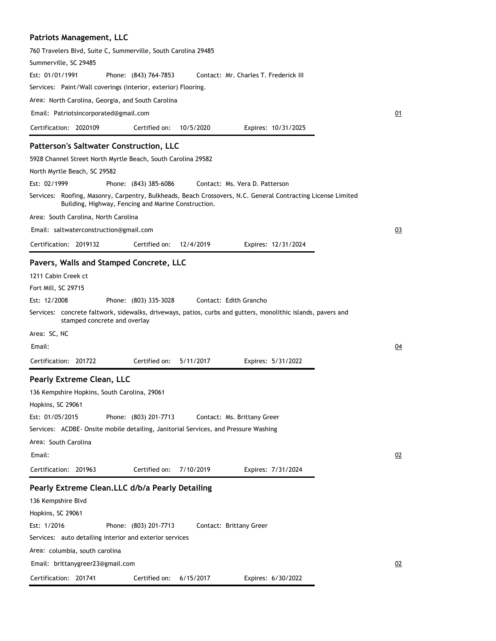| <b>Patriots Management, LLC</b>                                                    |                                                     |           |                                                                                                              |    |
|------------------------------------------------------------------------------------|-----------------------------------------------------|-----------|--------------------------------------------------------------------------------------------------------------|----|
| 760 Travelers Blvd, Suite C, Summerville, South Carolina 29485                     |                                                     |           |                                                                                                              |    |
| Summerville, SC 29485                                                              |                                                     |           |                                                                                                              |    |
| Est: 01/01/1991                                                                    | Phone: (843) 764-7853                               |           | Contact: Mr. Charles T. Frederick III                                                                        |    |
| Services: Paint/Wall coverings (interior, exterior) Flooring.                      |                                                     |           |                                                                                                              |    |
| Area: North Carolina, Georgia, and South Carolina                                  |                                                     |           |                                                                                                              |    |
| Email: Patriotsincorporated@gmail.com                                              |                                                     |           |                                                                                                              | 01 |
| Certification: 2020109                                                             | Certified on:                                       | 10/5/2020 | Expires: 10/31/2025                                                                                          |    |
| <b>Patterson's Saltwater Construction, LLC</b>                                     |                                                     |           |                                                                                                              |    |
| 5928 Channel Street North Myrtle Beach, South Carolina 29582                       |                                                     |           |                                                                                                              |    |
| North Myrtle Beach, SC 29582                                                       |                                                     |           |                                                                                                              |    |
| Est: 02/1999                                                                       | Phone: (843) 385-6086                               |           | Contact: Ms. Vera D. Patterson                                                                               |    |
|                                                                                    | Building, Highway, Fencing and Marine Construction. |           | Services: Roofing, Masonry, Carpentry, Bulkheads, Beach Crossovers, N.C. General Contracting License Limited |    |
| Area: South Carolina, North Carolina                                               |                                                     |           |                                                                                                              |    |
| Email: saltwaterconstruction@gmail.com                                             |                                                     |           |                                                                                                              | 03 |
| Certification: 2019132                                                             | Certified on:                                       | 12/4/2019 | Expires: 12/31/2024                                                                                          |    |
| Pavers, Walls and Stamped Concrete, LLC                                            |                                                     |           |                                                                                                              |    |
| 1211 Cabin Creek ct                                                                |                                                     |           |                                                                                                              |    |
| Fort Mill, SC 29715                                                                |                                                     |           |                                                                                                              |    |
| Est: 12/2008                                                                       | Phone: (803) 335-3028                               |           | Contact: Edith Grancho                                                                                       |    |
| stamped concrete and overlay                                                       |                                                     |           | Services: concrete faltwork, sidewalks, driveways, patios, curbs and gutters, monolithic islands, pavers and |    |
| Area: SC, NC                                                                       |                                                     |           |                                                                                                              |    |
| Email:                                                                             |                                                     |           |                                                                                                              | 04 |
| Certification: 201722                                                              | Certified on:                                       | 5/11/2017 | Expires: 5/31/2022                                                                                           |    |
| Pearly Extreme Clean, LLC                                                          |                                                     |           |                                                                                                              |    |
| 136 Kempshire Hopkins, South Carolina, 29061                                       |                                                     |           |                                                                                                              |    |
| Hopkins, SC 29061                                                                  |                                                     |           |                                                                                                              |    |
| Est: 01/05/2015                                                                    | Phone: (803) 201-7713                               |           | Contact: Ms. Brittany Greer                                                                                  |    |
| Services: ACDBE-Onsite mobile detailing, Janitorial Services, and Pressure Washing |                                                     |           |                                                                                                              |    |
| Area: South Carolina                                                               |                                                     |           |                                                                                                              |    |

Email:

Certification: 201963

Expires: 7/31/2024

# **Pearly Extreme Clean.LLC d/b/a Pearly Detailing**

| 136 Kempshire Blvd |                                                         |                       |           |                         |                    |  |
|--------------------|---------------------------------------------------------|-----------------------|-----------|-------------------------|--------------------|--|
| Hopkins, SC 29061  |                                                         |                       |           |                         |                    |  |
| Est: 1/2016        |                                                         | Phone: (803) 201-7713 |           | Contact: Brittany Greer |                    |  |
|                    | Services: auto detailing interior and exterior services |                       |           |                         |                    |  |
|                    | Area: columbia, south carolina                          |                       |           |                         |                    |  |
|                    | Email: brittanygreer23@gmail.com                        |                       |           |                         |                    |  |
| Certification:     | 201741                                                  | Certified on:         | 6/15/2017 |                         | Expires: 6/30/2022 |  |

Certified on: 7/10/2019

02

02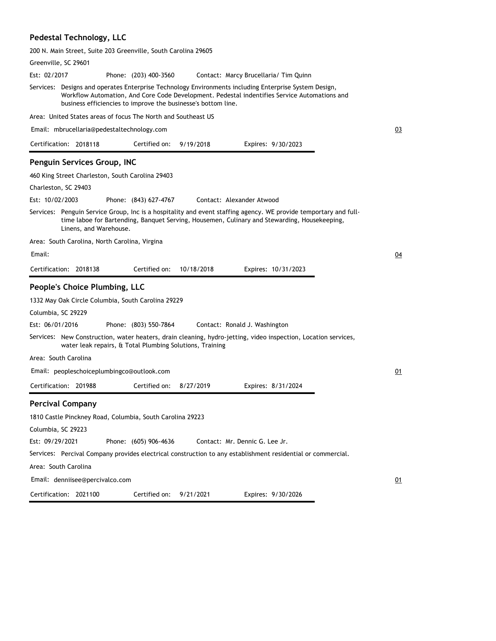### **Pedestal Technology, LLC**

200 N. Main Street, Suite 203 Greenville, South Carolina 29605

| Greenville, SC 29601                                                                                                                                                                                                                                                   |    |
|------------------------------------------------------------------------------------------------------------------------------------------------------------------------------------------------------------------------------------------------------------------------|----|
| Est: 02/2017<br>Phone: (203) 400-3560<br>Contact: Marcy Brucellaria/ Tim Quinn                                                                                                                                                                                         |    |
| Services: Designs and operates Enterprise Technology Environments including Enterprise System Design,<br>Workflow Automation, And Core Code Development. Pedestal indentifies Service Automations and<br>business efficiencies to improve the businesse's bottom line. |    |
| Area: United States areas of focus The North and Southeast US                                                                                                                                                                                                          |    |
| Email: mbrucellaria@pedestaltechnology.com                                                                                                                                                                                                                             | 03 |
| 9/19/2018<br>Certification: 2018118<br>Certified on:<br>Expires: 9/30/2023                                                                                                                                                                                             |    |
| Penguin Services Group, INC                                                                                                                                                                                                                                            |    |
| 460 King Street Charleston, South Carolina 29403                                                                                                                                                                                                                       |    |
| Charleston, SC 29403                                                                                                                                                                                                                                                   |    |
| Est: 10/02/2003<br>Phone: (843) 627-4767<br>Contact: Alexander Atwood                                                                                                                                                                                                  |    |
| Services: Penguin Service Group, Inc is a hospitality and event staffing agency. WE provide temportary and full-<br>time laboe for Bartending, Banquet Serving, Housemen, Culinary and Stewarding, Housekeeping,<br>Linens, and Warehouse.                             |    |
| Area: South Carolina, North Carolina, Virgina                                                                                                                                                                                                                          |    |
| Email:                                                                                                                                                                                                                                                                 | 04 |
| Certification: 2018138<br>Certified on:<br>10/18/2018<br>Expires: 10/31/2023                                                                                                                                                                                           |    |
|                                                                                                                                                                                                                                                                        |    |
| People's Choice Plumbing, LLC                                                                                                                                                                                                                                          |    |
| 1332 May Oak Circle Columbia, South Carolina 29229                                                                                                                                                                                                                     |    |
| Columbia, SC 29229                                                                                                                                                                                                                                                     |    |
| Est: 06/01/2016<br>Phone: (803) 550-7864<br>Contact: Ronald J. Washington                                                                                                                                                                                              |    |
| Services: New Construction, water heaters, drain cleaning, hydro-jetting, video inspection, Location services,<br>water leak repairs, & Total Plumbing Solutions, Training                                                                                             |    |
| Area: South Carolina                                                                                                                                                                                                                                                   |    |
| Email: peopleschoiceplumbingco@outlook.com                                                                                                                                                                                                                             | 01 |
| Certification: 201988<br>Certified on:<br>8/27/2019<br>Expires: 8/31/2024                                                                                                                                                                                              |    |
|                                                                                                                                                                                                                                                                        |    |
| <b>Percival Company</b>                                                                                                                                                                                                                                                |    |
| 1810 Castle Pinckney Road, Columbia, South Carolina 29223<br>Columbia, SC 29223                                                                                                                                                                                        |    |
| Est: 09/29/2021<br>Phone: (605) 906-4636<br>Contact: Mr. Dennic G. Lee Jr.                                                                                                                                                                                             |    |
| Services: Percival Company provides electrical construction to any establishment residential or commercial.                                                                                                                                                            |    |
| Area: South Carolina                                                                                                                                                                                                                                                   |    |
| Email: denniisee@percivalco.com                                                                                                                                                                                                                                        | 01 |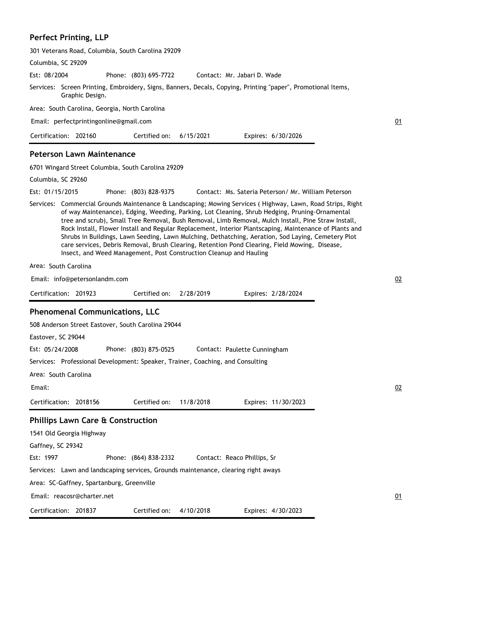## **Perfect Printing, LLP**

| 301 Veterans Road, Columbia, South Carolina 29209                                                                                                                                                                                                                                                                                                                                                                                                                                                                                                                                                                                                                                                           |           |
|-------------------------------------------------------------------------------------------------------------------------------------------------------------------------------------------------------------------------------------------------------------------------------------------------------------------------------------------------------------------------------------------------------------------------------------------------------------------------------------------------------------------------------------------------------------------------------------------------------------------------------------------------------------------------------------------------------------|-----------|
| Columbia, SC 29209                                                                                                                                                                                                                                                                                                                                                                                                                                                                                                                                                                                                                                                                                          |           |
| Est: 08/2004<br>Phone: (803) 695-7722<br>Contact: Mr. Jabari D. Wade                                                                                                                                                                                                                                                                                                                                                                                                                                                                                                                                                                                                                                        |           |
| Services: Screen Printing, Embroidery, Signs, Banners, Decals, Copying, Printing "paper", Promotional Items,<br>Graphic Design.                                                                                                                                                                                                                                                                                                                                                                                                                                                                                                                                                                             |           |
| Area: South Carolina, Georgia, North Carolina                                                                                                                                                                                                                                                                                                                                                                                                                                                                                                                                                                                                                                                               |           |
| Email: perfectprintingonline@gmail.com                                                                                                                                                                                                                                                                                                                                                                                                                                                                                                                                                                                                                                                                      | 01        |
| Certification: 202160<br>Certified on:<br>6/15/2021<br>Expires: 6/30/2026                                                                                                                                                                                                                                                                                                                                                                                                                                                                                                                                                                                                                                   |           |
| <b>Peterson Lawn Maintenance</b>                                                                                                                                                                                                                                                                                                                                                                                                                                                                                                                                                                                                                                                                            |           |
| 6701 Wingard Street Columbia, South Carolina 29209                                                                                                                                                                                                                                                                                                                                                                                                                                                                                                                                                                                                                                                          |           |
| Columbia, SC 29260                                                                                                                                                                                                                                                                                                                                                                                                                                                                                                                                                                                                                                                                                          |           |
| Est: 01/15/2015<br>Phone: (803) 828-9375<br>Contact: Ms. Sateria Peterson/ Mr. William Peterson                                                                                                                                                                                                                                                                                                                                                                                                                                                                                                                                                                                                             |           |
| Services: Commercial Grounds Maintenance & Landscaping; Mowing Services (Highway, Lawn, Road Strips, Right<br>of way Maintenance), Edging, Weeding, Parking, Lot Cleaning, Shrub Hedging, Pruning-Ornamental<br>tree and scrub), Small Tree Removal, Bush Removal, Limb Removal, Mulch Install, Pine Straw Install,<br>Rock Install, Flower Install and Regular Replacement, Interior Plantscaping, Maintenance of Plants and<br>Shrubs in Buildings, Lawn Seeding, Lawn Mulching, Dethatching, Aeration, Sod Laying, Cemetery Plot<br>care services, Debris Removal, Brush Clearing, Retention Pond Clearing, Field Mowing, Disease,<br>Insect, and Weed Management, Post Construction Cleanup and Hauling |           |
| Area: South Carolina                                                                                                                                                                                                                                                                                                                                                                                                                                                                                                                                                                                                                                                                                        |           |
| Email: info@petersonlandm.com                                                                                                                                                                                                                                                                                                                                                                                                                                                                                                                                                                                                                                                                               | 02        |
| Certification: 201923<br>2/28/2019<br>Certified on:<br>Expires: 2/28/2024                                                                                                                                                                                                                                                                                                                                                                                                                                                                                                                                                                                                                                   |           |
|                                                                                                                                                                                                                                                                                                                                                                                                                                                                                                                                                                                                                                                                                                             |           |
| <b>Phenomenal Communications, LLC</b>                                                                                                                                                                                                                                                                                                                                                                                                                                                                                                                                                                                                                                                                       |           |
| 508 Anderson Street Eastover, South Carolina 29044                                                                                                                                                                                                                                                                                                                                                                                                                                                                                                                                                                                                                                                          |           |
| Eastover, SC 29044                                                                                                                                                                                                                                                                                                                                                                                                                                                                                                                                                                                                                                                                                          |           |
| Est: 05/24/2008<br>Phone: (803) 875-0525<br>Contact: Paulette Cunningham                                                                                                                                                                                                                                                                                                                                                                                                                                                                                                                                                                                                                                    |           |
| Services: Professional Development: Speaker, Trainer, Coaching, and Consulting                                                                                                                                                                                                                                                                                                                                                                                                                                                                                                                                                                                                                              |           |
| Area: South Carolina                                                                                                                                                                                                                                                                                                                                                                                                                                                                                                                                                                                                                                                                                        |           |
| Email:                                                                                                                                                                                                                                                                                                                                                                                                                                                                                                                                                                                                                                                                                                      | <u>02</u> |
| Certification: 2018156<br>Certified on:<br>11/8/2018<br>Expires: 11/30/2023                                                                                                                                                                                                                                                                                                                                                                                                                                                                                                                                                                                                                                 |           |
| <b>Phillips Lawn Care &amp; Construction</b>                                                                                                                                                                                                                                                                                                                                                                                                                                                                                                                                                                                                                                                                |           |
| 1541 Old Georgia Highway                                                                                                                                                                                                                                                                                                                                                                                                                                                                                                                                                                                                                                                                                    |           |
| Gaffney, SC 29342                                                                                                                                                                                                                                                                                                                                                                                                                                                                                                                                                                                                                                                                                           |           |
| Est: 1997<br>Phone: (864) 838-2332<br>Contact: Reaco Phillips, Sr                                                                                                                                                                                                                                                                                                                                                                                                                                                                                                                                                                                                                                           |           |
| Services: Lawn and landscaping services, Grounds maintenance, clearing right aways                                                                                                                                                                                                                                                                                                                                                                                                                                                                                                                                                                                                                          |           |
| Area: SC-Gaffney, Spartanburg, Greenville                                                                                                                                                                                                                                                                                                                                                                                                                                                                                                                                                                                                                                                                   |           |
|                                                                                                                                                                                                                                                                                                                                                                                                                                                                                                                                                                                                                                                                                                             |           |
| Email: reacosr@charter.net                                                                                                                                                                                                                                                                                                                                                                                                                                                                                                                                                                                                                                                                                  | <u>01</u> |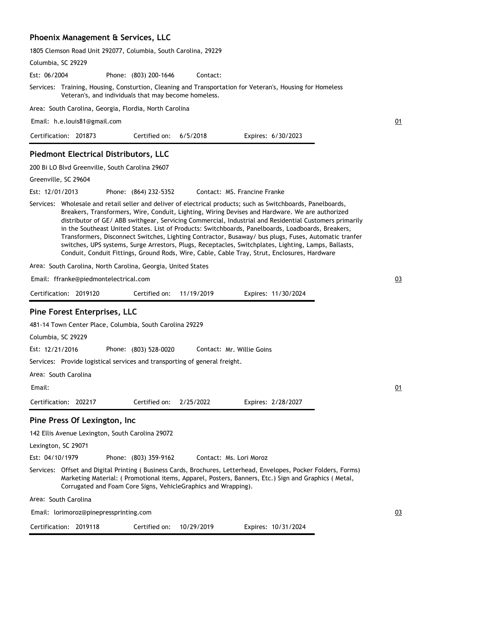### **Phoenix Management & Services, LLC**

| 1805 Clemson Road Unit 292077, Columbia, South Carolina, 29229 |  |  |  |
|----------------------------------------------------------------|--|--|--|
|----------------------------------------------------------------|--|--|--|

| Columbia, SC 29229                                                                                                                                                                                                                                                                                                                                                                                                                                                                                                                                                                                                                                                                                                                              |    |
|-------------------------------------------------------------------------------------------------------------------------------------------------------------------------------------------------------------------------------------------------------------------------------------------------------------------------------------------------------------------------------------------------------------------------------------------------------------------------------------------------------------------------------------------------------------------------------------------------------------------------------------------------------------------------------------------------------------------------------------------------|----|
| Est: 06/2004<br>Phone: (803) 200-1646<br>Contact:                                                                                                                                                                                                                                                                                                                                                                                                                                                                                                                                                                                                                                                                                               |    |
| Services: Training, Housing, Consturtion, Cleaning and Transportation for Veteran's, Housing for Homeless<br>Veteran's, and individuals that may become homeless.                                                                                                                                                                                                                                                                                                                                                                                                                                                                                                                                                                               |    |
| Area: South Carolina, Georgia, Flordia, North Carolina                                                                                                                                                                                                                                                                                                                                                                                                                                                                                                                                                                                                                                                                                          |    |
| Email: h.e.louis81@gmail.com                                                                                                                                                                                                                                                                                                                                                                                                                                                                                                                                                                                                                                                                                                                    | 01 |
| Certification: 201873<br>Certified on:<br>6/5/2018<br>Expires: 6/30/2023                                                                                                                                                                                                                                                                                                                                                                                                                                                                                                                                                                                                                                                                        |    |
| <b>Piedmont Electrical Distributors, LLC</b>                                                                                                                                                                                                                                                                                                                                                                                                                                                                                                                                                                                                                                                                                                    |    |
| 200 Bi LO Blvd Greenville, South Carolina 29607                                                                                                                                                                                                                                                                                                                                                                                                                                                                                                                                                                                                                                                                                                 |    |
| Greenville, SC 29604                                                                                                                                                                                                                                                                                                                                                                                                                                                                                                                                                                                                                                                                                                                            |    |
| Est: 12/01/2013<br>Phone: (864) 232-5352<br>Contact: MS. Francine Franke                                                                                                                                                                                                                                                                                                                                                                                                                                                                                                                                                                                                                                                                        |    |
| Services: Wholesale and retail seller and deliver of electrical products; such as Switchboards, Panelboards,<br>Breakers, Transformers, Wire, Conduit, Lighting, Wiring Devises and Hardware. We are authorized<br>distributor of GE/ ABB swithgear, Servicing Commercial, Industrial and Residential Customers primarily<br>in the Southeast United States. List of Products: Switchboards, Panelboards, Loadboards, Breakers,<br>Transformers, Disconnect Switches, Lighting Contractor, Busaway/ bus plugs, Fuses, Automatic tranfer<br>switches, UPS systems, Surge Arrestors, Plugs, Receptacles, Switchplates, Lighting, Lamps, Ballasts,<br>Conduit, Conduit Fittings, Ground Rods, Wire, Cable, Cable Tray, Strut, Enclosures, Hardware |    |
| Area: South Carolina, North Carolina, Georgia, United States                                                                                                                                                                                                                                                                                                                                                                                                                                                                                                                                                                                                                                                                                    |    |
| Email: ffranke@piedmontelectrical.com                                                                                                                                                                                                                                                                                                                                                                                                                                                                                                                                                                                                                                                                                                           | 03 |
| Certification: 2019120<br>Certified on:<br>11/19/2019<br>Expires: 11/30/2024                                                                                                                                                                                                                                                                                                                                                                                                                                                                                                                                                                                                                                                                    |    |
| Pine Forest Enterprises, LLC                                                                                                                                                                                                                                                                                                                                                                                                                                                                                                                                                                                                                                                                                                                    |    |
| 481-14 Town Center Place, Columbia, South Carolina 29229                                                                                                                                                                                                                                                                                                                                                                                                                                                                                                                                                                                                                                                                                        |    |
| Columbia, SC 29229                                                                                                                                                                                                                                                                                                                                                                                                                                                                                                                                                                                                                                                                                                                              |    |
| Est: 12/21/2016<br>Phone: (803) 528-0020<br>Contact: Mr. Willie Goins                                                                                                                                                                                                                                                                                                                                                                                                                                                                                                                                                                                                                                                                           |    |
| Services: Provide logistical services and transporting of general freight.                                                                                                                                                                                                                                                                                                                                                                                                                                                                                                                                                                                                                                                                      |    |
| Area: South Carolina                                                                                                                                                                                                                                                                                                                                                                                                                                                                                                                                                                                                                                                                                                                            |    |
| Email:                                                                                                                                                                                                                                                                                                                                                                                                                                                                                                                                                                                                                                                                                                                                          | 01 |
| Certification: 202217<br>Certified on:<br>2/25/2022<br>Expires: 2/28/2027                                                                                                                                                                                                                                                                                                                                                                                                                                                                                                                                                                                                                                                                       |    |
| Pine Press Of Lexington, Inc                                                                                                                                                                                                                                                                                                                                                                                                                                                                                                                                                                                                                                                                                                                    |    |
| 142 Ellis Avenue Lexington, South Carolina 29072                                                                                                                                                                                                                                                                                                                                                                                                                                                                                                                                                                                                                                                                                                |    |
| Lexington, SC 29071                                                                                                                                                                                                                                                                                                                                                                                                                                                                                                                                                                                                                                                                                                                             |    |
| Est: 04/10/1979<br>Phone: (803) 359-9162<br>Contact: Ms. Lori Moroz                                                                                                                                                                                                                                                                                                                                                                                                                                                                                                                                                                                                                                                                             |    |
| Services: Offset and Digital Printing (Business Cards, Brochures, Letterhead, Envelopes, Pocker Folders, Forms)<br>Marketing Material: (Promotional items, Apparel, Posters, Banners, Etc.) Sign and Graphics (Metal,<br>Corrugated and Foam Core Signs, VehicleGraphics and Wrapping).                                                                                                                                                                                                                                                                                                                                                                                                                                                         |    |
| Area: South Carolina                                                                                                                                                                                                                                                                                                                                                                                                                                                                                                                                                                                                                                                                                                                            |    |
| Email: lorimoroz@pinepressprinting.com                                                                                                                                                                                                                                                                                                                                                                                                                                                                                                                                                                                                                                                                                                          | 03 |
| Certification: 2019118<br>Certified on:<br>10/29/2019<br>Expires: 10/31/2024                                                                                                                                                                                                                                                                                                                                                                                                                                                                                                                                                                                                                                                                    |    |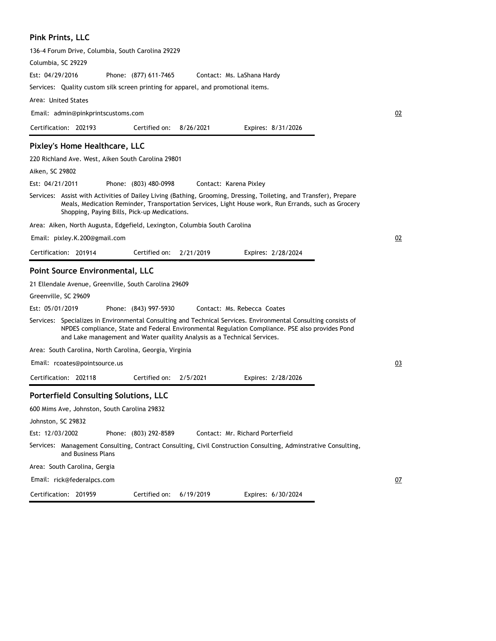#### **Pink Prints, LLC**

136-4 Forum Drive, Columbia, South Carolina 29229

Columbia, SC 29229

Phone: (877) 611-7465 Est: 04/29/2016 Contact: Ms. LaShana Hardy

Services: Quality custom silk screen printing for apparel, and promotional items.

Area: United States

Email: admin@pinkprintscustoms.com

| Certification: 202193 |  | Certified on: $8/26/2021$ |  | Expires: 8/31/2026 |
|-----------------------|--|---------------------------|--|--------------------|
|-----------------------|--|---------------------------|--|--------------------|

#### **Pixley's Home Healthcare, LLC**

220 Richland Ave. West, Aiken South Carolina 29801

Aiken, SC 29802

Phone: (803) 480-0998 Est: 04/21/2011 Contact: Karena Pixley

Services: Assist with Activities of Dailey Living (Bathing, Grooming, Dressing, Toileting, and Transfer), Prepare Meals, Medication Reminder, Transportation Services, Light House work, Run Errands, such as Grocery Shopping, Paying Bills, Pick-up Medications.

02

02

03

07

Area: Aiken, North Augusta, Edgefield, Lexington, Columbia South Carolina

Email: pixley.K.200@gmail.com

| Certification: 201914 |  | Certified on: 2/21/2019 |  | Expires: 2/28/2024 |
|-----------------------|--|-------------------------|--|--------------------|
|-----------------------|--|-------------------------|--|--------------------|

#### **Point Source Environmental, LLC**

21 Ellendale Avenue, Greenville, South Carolina 29609

Greenville, SC 29609

Phone: (843) 997-5930 Est: 05/01/2019 Contact: Ms. Rebecca Coates

Services: Specializes in Environmental Consulting and Technical Services. Environmental Consulting consists of NPDES compliance, State and Federal Environmental Regulation Compliance. PSE also provides Pond and Lake management and Water quaility Analysis as a Technical Services.

Area: South Carolina, North Carolina, Georgia, Virginia

Email: rcoates@pointsource.us

Certification: 201959

Certification: 202118 Expires: 2/28/2026 Certified on: 2/5/2021

#### **Porterfield Consulting Solutions, LLC**

600 Mims Ave, Johnston, South Carolina 29832 Johnston, SC 29832 Phone: (803) 292-8589 Services: Management Consulting, Contract Consulting, Civil Construction Consulting, Adminstrative Consulting, and Business Plans Area: South Carolina, Gergia Est: 12/03/2002 Contact: Mr. Richard Porterfield Email: rick@federalpcs.com

Certified on: 6/19/2019

Expires: 6/30/2024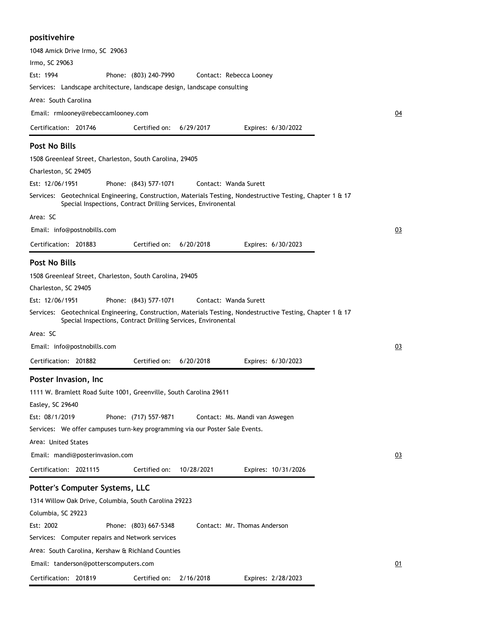### **positivehire**

| 1048 Amick Drive Irmo, SC 29063                                                                                                                                              |
|------------------------------------------------------------------------------------------------------------------------------------------------------------------------------|
| Irmo, SC 29063                                                                                                                                                               |
| Est: 1994<br>Phone: (803) 240-7990<br>Contact: Rebecca Looney                                                                                                                |
| Services: Landscape architecture, landscape design, landscape consulting                                                                                                     |
| Area: South Carolina                                                                                                                                                         |
| Email: rmlooney@rebeccamlooney.com                                                                                                                                           |
| Certification: 201746<br>Certified on:<br>6/29/2017<br>Expires: 6/30/2022                                                                                                    |
| <b>Post No Bills</b>                                                                                                                                                         |
| 1508 Greenleaf Street, Charleston, South Carolina, 29405                                                                                                                     |
| Charleston, SC 29405                                                                                                                                                         |
| Est: 12/06/1951<br>Phone: (843) 577-1071<br>Contact: Wanda Surett                                                                                                            |
| Services: Geotechnical Engineering, Construction, Materials Testing, Nondestructive Testing, Chapter 1 & 17<br>Special Inspections, Contract Drilling Services, Environental |
| Area: SC                                                                                                                                                                     |
| Email: info@postnobills.com                                                                                                                                                  |
| Certification: 201883<br>Certified on:<br>6/20/2018<br>Expires: 6/30/2023                                                                                                    |
|                                                                                                                                                                              |
| <b>Post No Bills</b>                                                                                                                                                         |
| 1508 Greenleaf Street, Charleston, South Carolina, 29405<br>Charleston, SC 29405                                                                                             |
| Est: 12/06/1951<br>Phone: (843) 577-1071<br>Contact: Wanda Surett                                                                                                            |
| Services: Geotechnical Engineering, Construction, Materials Testing, Nondestructive Testing, Chapter 1 & 17<br>Special Inspections, Contract Drilling Services, Environental |
| Area: SC                                                                                                                                                                     |
| Email: info@postnobills.com                                                                                                                                                  |
| Certified on:<br>Certification: 201882<br>6/20/2018<br>Expires: 6/30/2023                                                                                                    |
|                                                                                                                                                                              |
| Poster Invasion, Inc                                                                                                                                                         |
| 1111 W. Bramlett Road Suite 1001, Greenville, South Carolina 29611                                                                                                           |
| Easley, SC 29640<br>Est: 08/1/2019                                                                                                                                           |
| Phone: (717) 557-9871<br>Contact: Ms. Mandi van Aswegen<br>Services: We offer campuses turn-key programming via our Poster Sale Events.                                      |
| Area: United States                                                                                                                                                          |
| Email: mandi@posterinvasion.com                                                                                                                                              |
| Certification: 2021115                                                                                                                                                       |
| Certified on:<br>10/28/2021<br>Expires: 10/31/2026                                                                                                                           |
| Potter's Computer Systems, LLC                                                                                                                                               |
| 1314 Willow Oak Drive, Columbia, South Carolina 29223                                                                                                                        |
| Columbia, SC 29223                                                                                                                                                           |
| Est: 2002<br>Contact: Mr. Thomas Anderson<br>Phone: (803) 667-5348                                                                                                           |
| Services: Computer repairs and Network services                                                                                                                              |
| Area: South Carolina, Kershaw & Richland Counties                                                                                                                            |
| Email: tanderson@potterscomputers.com                                                                                                                                        |
| Certification: 201819<br>Certified on:<br>2/16/2018<br>Expires: 2/28/2023                                                                                                    |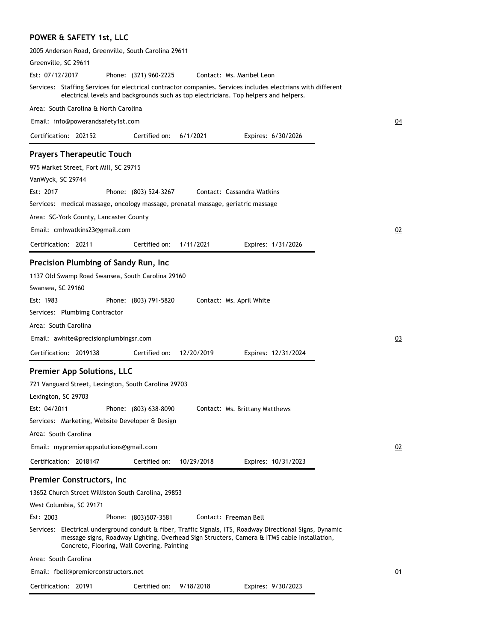# **POWER & SAFETY 1st, LLC**

| 2005 Anderson Road, Greenville, South Carolina 29611                                                                                                                                                                                                                                                                                                                                                                                                                 |    |
|----------------------------------------------------------------------------------------------------------------------------------------------------------------------------------------------------------------------------------------------------------------------------------------------------------------------------------------------------------------------------------------------------------------------------------------------------------------------|----|
| Greenville, SC 29611                                                                                                                                                                                                                                                                                                                                                                                                                                                 |    |
| Est: 07/12/2017<br>Phone: (321) 960-2225<br>Contact: Ms. Maribel Leon                                                                                                                                                                                                                                                                                                                                                                                                |    |
| Services: Staffing Services for electrical contractor companies. Services includes electrians with different<br>electrical levels and backgrounds such as top electricians. Top helpers and helpers.                                                                                                                                                                                                                                                                 |    |
| Area: South Carolina & North Carolina                                                                                                                                                                                                                                                                                                                                                                                                                                |    |
| Email: info@powerandsafety1st.com                                                                                                                                                                                                                                                                                                                                                                                                                                    | 04 |
| Certification: 202152<br>6/1/2021<br>Certified on:<br>Expires: 6/30/2026                                                                                                                                                                                                                                                                                                                                                                                             |    |
| <b>Prayers Therapeutic Touch</b>                                                                                                                                                                                                                                                                                                                                                                                                                                     |    |
| 975 Market Street, Fort Mill, SC 29715                                                                                                                                                                                                                                                                                                                                                                                                                               |    |
| VanWyck, SC 29744                                                                                                                                                                                                                                                                                                                                                                                                                                                    |    |
| Est: 2017<br>Phone: (803) 524-3267<br>Contact: Cassandra Watkins                                                                                                                                                                                                                                                                                                                                                                                                     |    |
| Services: medical massage, oncology massage, prenatal massage, geriatric massage                                                                                                                                                                                                                                                                                                                                                                                     |    |
| Area: SC-York County, Lancaster County                                                                                                                                                                                                                                                                                                                                                                                                                               |    |
| Email: cmhwatkins23@gmail.com                                                                                                                                                                                                                                                                                                                                                                                                                                        | 02 |
| Certification: 20211<br>Certified on:<br>1/11/2021<br>Expires: 1/31/2026                                                                                                                                                                                                                                                                                                                                                                                             |    |
|                                                                                                                                                                                                                                                                                                                                                                                                                                                                      |    |
| Precision Plumbing of Sandy Run, Inc<br>1137 Old Swamp Road Swansea, South Carolina 29160<br>Swansea, SC 29160<br>Est: 1983<br>Phone: (803) 791-5820<br>Contact: Ms. April White<br>Services: Plumbimg Contractor                                                                                                                                                                                                                                                    |    |
| Area: South Carolina                                                                                                                                                                                                                                                                                                                                                                                                                                                 |    |
| Email: awhite@precisionplumbingsr.com                                                                                                                                                                                                                                                                                                                                                                                                                                | 03 |
| Certification: 2019138<br>Certified on:<br>12/20/2019<br>Expires: 12/31/2024                                                                                                                                                                                                                                                                                                                                                                                         |    |
| <b>Premier App Solutions, LLC</b><br>721 Vanguard Street, Lexington, South Carolina 29703<br>Lexington, SC 29703<br>Est: 04/2011<br>Phone: (803) 638-8090<br>Contact: Ms. Brittany Matthews<br>Services: Marketing, Website Developer & Design<br>Area: South Carolina                                                                                                                                                                                               |    |
| Email: mypremierappsolutions@gmail.com                                                                                                                                                                                                                                                                                                                                                                                                                               | 02 |
| Certification: 2018147<br>Certified on:<br>10/29/2018<br>Expires: 10/31/2023                                                                                                                                                                                                                                                                                                                                                                                         |    |
| <b>Premier Constructors, Inc</b><br>13652 Church Street Williston South Carolina, 29853<br>West Columbia, SC 29171<br>Est: 2003<br>Contact: Freeman Bell<br>Phone: (803)507-3581<br>Services: Electrical underground conduit & fiber, Traffic Signals, ITS, Roadway Directional Signs, Dynamic<br>message signs, Roadway Lighting, Overhead Sign Structers, Camera & ITMS cable Installation,<br>Concrete, Flooring, Wall Covering, Painting<br>Area: South Carolina |    |
| Email: fbell@premierconstructors.net                                                                                                                                                                                                                                                                                                                                                                                                                                 | 01 |
|                                                                                                                                                                                                                                                                                                                                                                                                                                                                      |    |
| Certification: 20191<br>Expires: 9/30/2023<br>Certified on: 9/18/2018                                                                                                                                                                                                                                                                                                                                                                                                |    |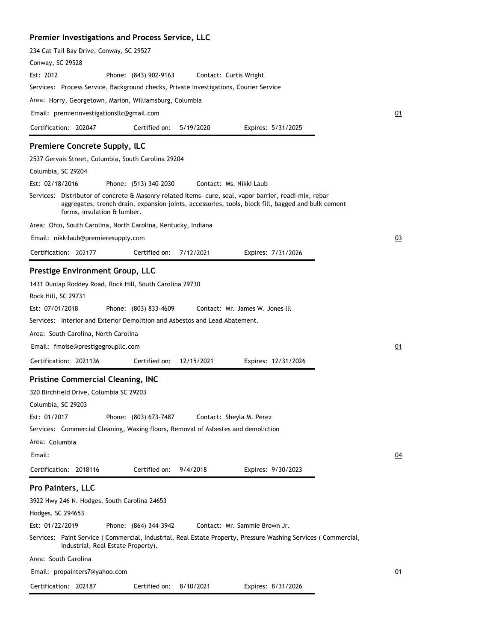### **Premier Investigations and Process Service, LLC**

| 234 Cat Tail Bay Drive, Conway, SC 29527                                                                                                                                                                                                                                                                                          |
|-----------------------------------------------------------------------------------------------------------------------------------------------------------------------------------------------------------------------------------------------------------------------------------------------------------------------------------|
| Conway, SC 29528                                                                                                                                                                                                                                                                                                                  |
| Est: 2012<br>Phone: (843) 902-9163<br>Contact: Curtis Wright                                                                                                                                                                                                                                                                      |
| Services: Process Service, Background checks, Private Investigations, Courier Service                                                                                                                                                                                                                                             |
| Area: Horry, Georgetown, Marion, Williamsburg, Columbia                                                                                                                                                                                                                                                                           |
| Email: premierinvestigationsllc@gmail.com                                                                                                                                                                                                                                                                                         |
| Certification: 202047<br>Certified on:<br>5/19/2020<br>Expires: 5/31/2025                                                                                                                                                                                                                                                         |
| <b>Premiere Concrete Supply, ILC</b>                                                                                                                                                                                                                                                                                              |
| 2537 Gervais Street, Columbia, South Carolina 29204                                                                                                                                                                                                                                                                               |
| Columbia, SC 29204                                                                                                                                                                                                                                                                                                                |
| Est: 02/18/2016<br>Phone: (513) 340-2030<br>Contact: Ms. Nikki Laub                                                                                                                                                                                                                                                               |
| Services: Distributor of concrete & Masonry related items- cure, seal, vapor barrier, readi-mix, rebar<br>aggregates, trench drain, expansion joints, accessories, tools, block fill, bagged and bulk cement<br>forms, insulation & lumber.                                                                                       |
| Area: Ohio, South Carolina, North Carolina, Kentucky, Indiana                                                                                                                                                                                                                                                                     |
| Email: nikkilaub@premieresupply.com                                                                                                                                                                                                                                                                                               |
| 7/12/2021<br>Certification: 202177<br>Certified on:<br>Expires: 7/31/2026                                                                                                                                                                                                                                                         |
| Prestige Environment Group, LLC                                                                                                                                                                                                                                                                                                   |
| 1431 Dunlap Roddey Road, Rock Hill, South Carolina 29730<br>Rock Hill, SC 29731<br>Est: 07/01/2018<br>Phone: (803) 833-4609<br>Contact: Mr. James W. Jones III<br>Services: Interior and Exterior Demolition and Asbestos and Lead Abatement.                                                                                     |
| Area: South Carolina, North Carolina                                                                                                                                                                                                                                                                                              |
| Email: fmoise@prestigegroupllc.com                                                                                                                                                                                                                                                                                                |
| Certification: 2021136<br>Certified on:<br>12/15/2021<br>Expires: 12/31/2026                                                                                                                                                                                                                                                      |
| <b>Pristine Commercial Cleaning, INC</b><br>320 Birchfield Drive, Columbia SC 29203<br>Columbia, SC 29203<br>Est: 01/2017<br>Phone: (803) 673-7487<br>Contact: Sheyla M. Perez<br>Services: Commercial Cleaning, Waxing floors, Removal of Asbestes and demoliction                                                               |
| Area: Columbia                                                                                                                                                                                                                                                                                                                    |
| Email:                                                                                                                                                                                                                                                                                                                            |
| Certification: 2018116<br>Certified on:<br>9/4/2018<br>Expires: 9/30/2023                                                                                                                                                                                                                                                         |
| <b>Pro Painters, LLC</b><br>3922 Hwy 246 N. Hodges, South Carolina 24653<br>Hodges, SC 294653<br>Est: 01/22/2019<br>Phone: (864) 344-3942<br>Contact: Mr. Sammie Brown Jr.<br>Services: Paint Service (Commercial, Industrial, Real Estate Property, Pressure Washing Services (Commercial,<br>Industrial, Real Estate Property). |
| Area: South Carolina                                                                                                                                                                                                                                                                                                              |

Email: propainters7@yahoo.com

Certification: 202187 Expires: 8/31/2026 Certified on: 8/10/2021

01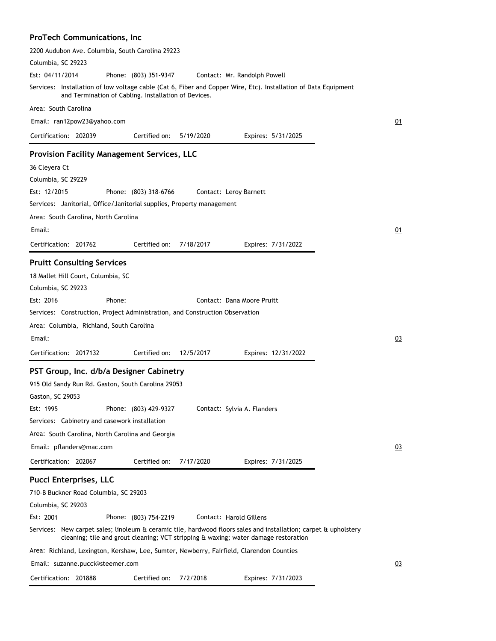# **ProTech Communications, Inc**

| 2200 Audubon Ave. Columbia, South Carolina 29223                                                                                                                                                        |    |
|---------------------------------------------------------------------------------------------------------------------------------------------------------------------------------------------------------|----|
| Columbia, SC 29223                                                                                                                                                                                      |    |
| Est: 04/11/2014<br>Phone: (803) 351-9347<br>Contact: Mr. Randolph Powell                                                                                                                                |    |
| Services: Installation of low voltage cable (Cat 6, Fiber and Copper Wire, Etc). Installation of Data Equipment<br>and Termination of Cabling. Installation of Devices.                                 |    |
| Area: South Carolina                                                                                                                                                                                    |    |
| Email: ran12pow23@yahoo.com                                                                                                                                                                             | 01 |
| Certification: 202039<br>Certified on:<br>5/19/2020<br>Expires: 5/31/2025                                                                                                                               |    |
| <b>Provision Facility Management Services, LLC</b>                                                                                                                                                      |    |
| 36 Cleyera Ct                                                                                                                                                                                           |    |
| Columbia, SC 29229                                                                                                                                                                                      |    |
| Est: 12/2015<br>Phone: (803) 318-6766<br>Contact: Leroy Barnett                                                                                                                                         |    |
| Services: Janitorial, Office/Janitorial supplies, Property management                                                                                                                                   |    |
| Area: South Carolina, North Carolina                                                                                                                                                                    |    |
| Email:                                                                                                                                                                                                  | 01 |
| Certification: 201762<br>Certified on:<br>7/18/2017<br>Expires: 7/31/2022                                                                                                                               |    |
|                                                                                                                                                                                                         |    |
| <b>Pruitt Consulting Services</b>                                                                                                                                                                       |    |
| 18 Mallet Hill Court, Columbia, SC                                                                                                                                                                      |    |
| Columbia, SC 29223                                                                                                                                                                                      |    |
| Est: 2016<br>Phone:<br>Contact: Dana Moore Pruitt                                                                                                                                                       |    |
| Services: Construction, Project Administration, and Construction Observation                                                                                                                            |    |
| Area: Columbia, Richland, South Carolina                                                                                                                                                                |    |
| Email:                                                                                                                                                                                                  | 03 |
| Certification: 2017132<br>Certified on:<br>12/5/2017<br>Expires: 12/31/2022                                                                                                                             |    |
| PST Group, Inc. d/b/a Designer Cabinetry                                                                                                                                                                |    |
| 915 Old Sandy Run Rd. Gaston, South Carolina 29053                                                                                                                                                      |    |
| Gaston, SC 29053                                                                                                                                                                                        |    |
| Est: 1995<br>Phone: (803) 429-9327<br>Contact: Sylvia A. Flanders                                                                                                                                       |    |
| Services: Cabinetry and casework installation                                                                                                                                                           |    |
| Area: South Carolina, North Carolina and Georgia                                                                                                                                                        |    |
| Email: pflanders@mac.com                                                                                                                                                                                | 03 |
| Certified on:<br>7/17/2020<br>Certification: 202067<br>Expires: 7/31/2025                                                                                                                               |    |
| <b>Pucci Enterprises, LLC</b>                                                                                                                                                                           |    |
| 710-B Buckner Road Columbia, SC 29203                                                                                                                                                                   |    |
| Columbia, SC 29203                                                                                                                                                                                      |    |
| Est: 2001<br>Phone: (803) 754-2219<br>Contact: Harold Gillens                                                                                                                                           |    |
| Services: New carpet sales; linoleum & ceramic tile, hardwood floors sales and installation; carpet & upholstery<br>cleaning; tile and grout cleaning; VCT stripping & waxing; water damage restoration |    |
| Area: Richland, Lexington, Kershaw, Lee, Sumter, Newberry, Fairfield, Clarendon Counties                                                                                                                |    |
| Email: suzanne.pucci@steemer.com                                                                                                                                                                        | 03 |
| Certification: 201888<br>Certified on: 7/2/2018<br>Expires: 7/31/2023                                                                                                                                   |    |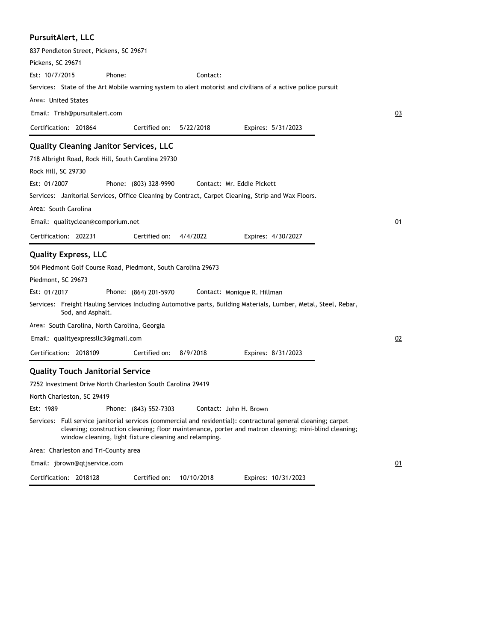| PursuitAlert, LLC                                                                                                                                                                                                                                                                |    |
|----------------------------------------------------------------------------------------------------------------------------------------------------------------------------------------------------------------------------------------------------------------------------------|----|
| 837 Pendleton Street, Pickens, SC 29671                                                                                                                                                                                                                                          |    |
| Pickens, SC 29671                                                                                                                                                                                                                                                                |    |
| Est: 10/7/2015<br>Phone:<br>Contact:                                                                                                                                                                                                                                             |    |
| Services: State of the Art Mobile warning system to alert motorist and civilians of a active police pursuit                                                                                                                                                                      |    |
| Area: United States                                                                                                                                                                                                                                                              |    |
| Email: Trish@pursuitalert.com                                                                                                                                                                                                                                                    | 03 |
| Certification: 201864<br>Certified on:<br>5/22/2018<br>Expires: 5/31/2023                                                                                                                                                                                                        |    |
| <b>Quality Cleaning Janitor Services, LLC</b>                                                                                                                                                                                                                                    |    |
| 718 Albright Road, Rock Hill, South Carolina 29730                                                                                                                                                                                                                               |    |
| Rock Hill, SC 29730                                                                                                                                                                                                                                                              |    |
| Est: 01/2007<br>Phone: (803) 328-9990<br>Contact: Mr. Eddie Pickett                                                                                                                                                                                                              |    |
| Services: Janitorial Services, Office Cleaning by Contract, Carpet Cleaning, Strip and Wax Floors.                                                                                                                                                                               |    |
| Area: South Carolina                                                                                                                                                                                                                                                             |    |
| Email: qualityclean@comporium.net                                                                                                                                                                                                                                                | 01 |
| Certification: 202231<br>Certified on:<br>4/4/2022<br>Expires: 4/30/2027                                                                                                                                                                                                         |    |
| <b>Quality Express, LLC</b>                                                                                                                                                                                                                                                      |    |
| 504 Piedmont Golf Course Road, Piedmont, South Carolina 29673                                                                                                                                                                                                                    |    |
| Piedmont, SC 29673                                                                                                                                                                                                                                                               |    |
| Est: 01/2017<br>Phone: (864) 201-5970<br>Contact: Monique R. Hillman                                                                                                                                                                                                             |    |
| Services: Freight Hauling Services Including Automotive parts, Building Materials, Lumber, Metal, Steel, Rebar,<br>Sod, and Asphalt.                                                                                                                                             |    |
| Area: South Carolina, North Carolina, Georgia                                                                                                                                                                                                                                    |    |
| Email: qualityexpressllc3@gmail.com                                                                                                                                                                                                                                              | 02 |
| Certification: 2018109<br>Certified on:<br>8/9/2018<br>Expires: 8/31/2023                                                                                                                                                                                                        |    |
| <b>Quality Touch Janitorial Service</b>                                                                                                                                                                                                                                          |    |
| 7252 Investment Drive North Charleston South Carolina 29419                                                                                                                                                                                                                      |    |
| North Charleston, SC 29419                                                                                                                                                                                                                                                       |    |
| Est: 1989<br>Phone: (843) 552-7303<br>Contact: John H. Brown                                                                                                                                                                                                                     |    |
| Services: Full service janitorial services (commercial and residential): contractural general cleaning; carpet<br>cleaning; construction cleaning; floor maintenance, porter and matron cleaning; mini-blind cleaning;<br>window cleaning, light fixture cleaning and relamping. |    |
| Area: Charleston and Tri-County area                                                                                                                                                                                                                                             |    |
| Email: jbrown@qtjservice.com                                                                                                                                                                                                                                                     | 01 |

Certification: 2018128 Expires: 10/31/2023 Certified on: 10/10/2018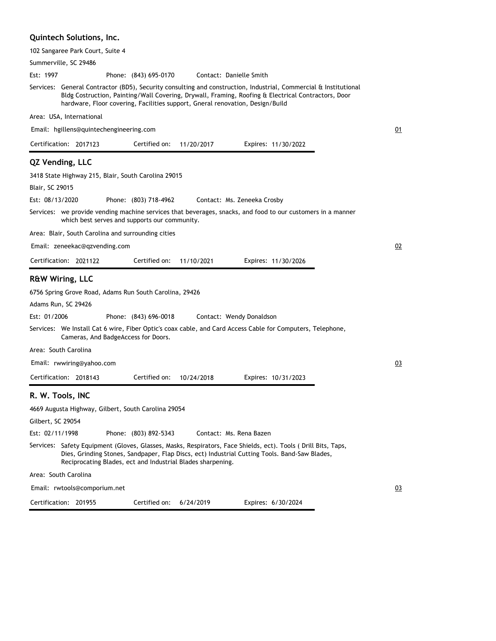### **Quintech Solutions, Inc.**

| 102 Sangaree Park Court, Suite 4                                                                                                                                                                                                                                                                        |    |
|---------------------------------------------------------------------------------------------------------------------------------------------------------------------------------------------------------------------------------------------------------------------------------------------------------|----|
| Summerville, SC 29486                                                                                                                                                                                                                                                                                   |    |
| Est: 1997<br>Phone: (843) 695-0170<br>Contact: Danielle Smith                                                                                                                                                                                                                                           |    |
| Services: General Contractor (BD5), Security consulting and construction, Industrial, Commercial & Institutional<br>Bldg Costruction, Painting/Wall Covering, Drywall, Framing, Roofing & Electrical Contractors, Door<br>hardware, Floor covering, Facilities support, Gneral renovation, Design/Build |    |
| Area: USA, International                                                                                                                                                                                                                                                                                |    |
| Email: hgillens@quintechengineering.com                                                                                                                                                                                                                                                                 | 01 |
| Certification: 2017123<br>Certified on:<br>11/20/2017<br>Expires: 11/30/2022                                                                                                                                                                                                                            |    |
| QZ Vending, LLC                                                                                                                                                                                                                                                                                         |    |
| 3418 State Highway 215, Blair, South Carolina 29015                                                                                                                                                                                                                                                     |    |
| Blair, SC 29015                                                                                                                                                                                                                                                                                         |    |
| Est: 08/13/2020<br>Phone: (803) 718-4962<br>Contact: Ms. Zeneeka Crosby                                                                                                                                                                                                                                 |    |
| Services: we provide vending machine services that beverages, snacks, and food to our customers in a manner                                                                                                                                                                                             |    |
| which best serves and supports our community.                                                                                                                                                                                                                                                           |    |
| Area: Blair, South Carolina and surrounding cities                                                                                                                                                                                                                                                      |    |
| Email: zeneekac@qzvending.com                                                                                                                                                                                                                                                                           | 02 |
| Certification: 2021122<br>Certified on:<br>11/10/2021<br>Expires: 11/30/2026                                                                                                                                                                                                                            |    |
| <b>R&amp;W Wiring, LLC</b>                                                                                                                                                                                                                                                                              |    |
|                                                                                                                                                                                                                                                                                                         |    |
| 6756 Spring Grove Road, Adams Run South Carolina, 29426<br>Adams Run, SC 29426                                                                                                                                                                                                                          |    |
| Est: 01/2006<br>Phone: (843) 696-0018<br>Contact: Wendy Donaldson                                                                                                                                                                                                                                       |    |
| Services: We Install Cat 6 wire, Fiber Optic's coax cable, and Card Access Cable for Computers, Telephone,                                                                                                                                                                                              |    |
| Cameras, And BadgeAccess for Doors.                                                                                                                                                                                                                                                                     |    |
| Area: South Carolina                                                                                                                                                                                                                                                                                    |    |
| Email: rwwiring@yahoo.com                                                                                                                                                                                                                                                                               | 03 |
| Certified on:<br>Certification: 2018143<br>10/24/2018<br>Expires: 10/31/2023                                                                                                                                                                                                                            |    |
| R. W. Tools, INC                                                                                                                                                                                                                                                                                        |    |
| 4669 Augusta Highway, Gilbert, South Carolina 29054                                                                                                                                                                                                                                                     |    |
| Gilbert, SC 29054                                                                                                                                                                                                                                                                                       |    |
| Est: 02/11/1998<br>Phone: (803) 892-5343<br>Contact: Ms. Rena Bazen                                                                                                                                                                                                                                     |    |
| Services: Safety Equipment (Gloves, Glasses, Masks, Respirators, Face Shields, ect). Tools (Drill Bits, Taps,<br>Dies, Grinding Stones, Sandpaper, Flap Discs, ect) Industrial Cutting Tools. Band-Saw Blades,<br>Reciprocating Blades, ect and Industrial Blades sharpening.                           |    |
| Area: South Carolina                                                                                                                                                                                                                                                                                    |    |
| Email: rwtools@comporium.net                                                                                                                                                                                                                                                                            | 03 |
| Certification: 201955<br>Certified on:<br>6/24/2019<br>Expires: 6/30/2024                                                                                                                                                                                                                               |    |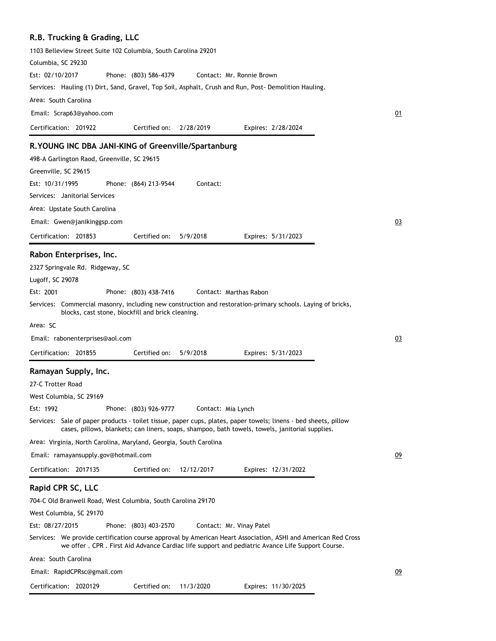### **R.B. Trucking & Grading, LLC**

| 1103 Belleview Street Suite 102 Columbia, South Carolina 29201                                                                                                                                                     |    |
|--------------------------------------------------------------------------------------------------------------------------------------------------------------------------------------------------------------------|----|
| Columbia, SC 29230                                                                                                                                                                                                 |    |
| Est: 02/10/2017<br>Phone: (803) 586-4379<br>Contact: Mr. Ronnie Brown                                                                                                                                              |    |
| Services: Hauling (1) Dirt, Sand, Gravel, Top Soil, Asphalt, Crush and Run, Post-Demolition Hauling.                                                                                                               |    |
| Area: South Carolina                                                                                                                                                                                               |    |
| Email: Scrap63@yahoo.com                                                                                                                                                                                           | 01 |
| Certified on:<br>Certification: 201922<br>2/28/2019<br>Expires: 2/28/2024                                                                                                                                          |    |
| R. YOUNG INC DBA JANI-KING of Greenville/Spartanburg                                                                                                                                                               |    |
| 498-A Garlington Raod, Greenville, SC 29615                                                                                                                                                                        |    |
| Greenville, SC 29615                                                                                                                                                                                               |    |
| Est: 10/31/1995<br>Phone: (864) 213-9544<br>Contact:                                                                                                                                                               |    |
| Services: Janitorial Services                                                                                                                                                                                      |    |
| Area: Upstate South Carolina                                                                                                                                                                                       |    |
| Email: Gwen@janikinggsp.com                                                                                                                                                                                        | 03 |
| Certification: 201853<br>Certified on:<br>5/9/2018<br>Expires: 5/31/2023                                                                                                                                           |    |
| Rabon Enterprises, Inc.                                                                                                                                                                                            |    |
| 2327 Springvale Rd. Ridgeway, SC                                                                                                                                                                                   |    |
| Lugoff, SC 29078                                                                                                                                                                                                   |    |
| Est: 2001<br>Phone: (803) 438-7416<br>Contact: Marthas Rabon                                                                                                                                                       |    |
| Services: Commercial masonry, including new construction and restoration-primary schools. Laying of bricks,                                                                                                        |    |
| blocks, cast stone, blockfill and brick cleaning.                                                                                                                                                                  |    |
| Area: SC                                                                                                                                                                                                           |    |
| Email: rabonenterprises@aol.com                                                                                                                                                                                    | 03 |
| Certification: 201855<br>Certified on:<br>5/9/2018<br>Expires: 5/31/2023                                                                                                                                           |    |
| Ramayan Supply, Inc.                                                                                                                                                                                               |    |
| 27-C Trotter Road                                                                                                                                                                                                  |    |
| West Columbia, SC 29169                                                                                                                                                                                            |    |
| Est: 1992<br>Phone: (803) 926-9777<br>Contact: Mia Lynch                                                                                                                                                           |    |
| Services: Sale of paper products - toilet tissue, paper cups, plates, paper towels; linens - bed sheets, pillow<br>cases, pillows, blankets; can liners, soaps, shampoo, bath towels, towels, janitorial supplies. |    |
| Area: Virginia, North Carolina, Maryland, Georgia, South Carolina                                                                                                                                                  |    |
| Email: ramayansupply.gov@hotmail.com                                                                                                                                                                               | 09 |
| Certification: 2017135<br>Certified on:<br>12/12/2017<br>Expires: 12/31/2022                                                                                                                                       |    |
| Rapid CPR SC, LLC                                                                                                                                                                                                  |    |
| 704-C Old Branwell Road, West Columbia, South Carolina 29170                                                                                                                                                       |    |
| West Columbia, SC 29170                                                                                                                                                                                            |    |
| Est: 08/27/2015<br>Phone: (803) 403-2570<br>Contact: Mr. Vinay Patel                                                                                                                                               |    |
| Services: We provide certification course approval by American Heart Association, ASHI and American Red Cross<br>we offer . CPR . First Aid Advance Cardiac life support and pediatric Avance Life Support Course. |    |
| Area: South Carolina                                                                                                                                                                                               |    |
| Email: RapidCPRsc@gmail.com                                                                                                                                                                                        | 09 |
| Certification: 2020129<br>Certified on:<br>11/3/2020<br>Expires: 11/30/2025                                                                                                                                        |    |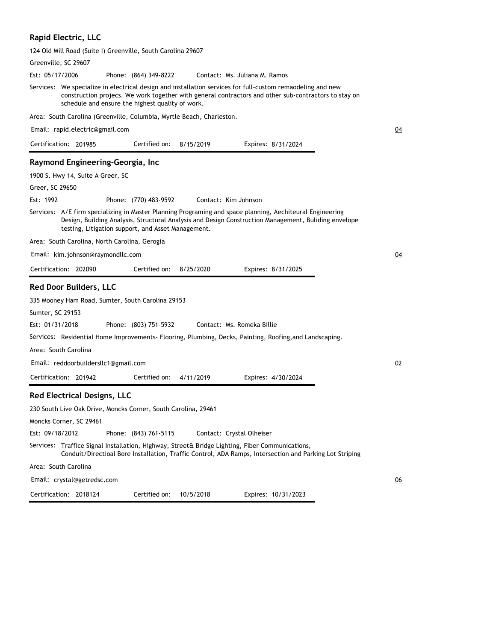# **Rapid Electric, LLC**

124 Old Mill Road (Suite I) Greenville, South Carolina 29607

| Greenville, SC 29607                                                                                                                                                                                                                                                    |                  |
|-------------------------------------------------------------------------------------------------------------------------------------------------------------------------------------------------------------------------------------------------------------------------|------------------|
| Est: 05/17/2006<br>Phone: (864) 349-8222<br>Contact: Ms. Juliana M. Ramos                                                                                                                                                                                               |                  |
| Services: We specialize in electrical design and installation services for full-custom remaodeling and new<br>construction projecs. We work together with general contractors and other sub-contractors to stay on<br>schedule and ensure the highest quality of work.  |                  |
| Area: South Carolina (Greenville, Columbia, Myrtle Beach, Charleston.                                                                                                                                                                                                   |                  |
| Email: rapid.electric@gmail.com                                                                                                                                                                                                                                         | $\underline{04}$ |
| Certification: 201985<br>Certified on:<br>8/15/2019<br>Expires: 8/31/2024                                                                                                                                                                                               |                  |
| Raymond Engineering-Georgia, Inc                                                                                                                                                                                                                                        |                  |
| 1900 S. Hwy 14, Suite A Greer, SC                                                                                                                                                                                                                                       |                  |
| Greer, SC 29650                                                                                                                                                                                                                                                         |                  |
| Est: 1992<br>Phone: (770) 483-9592<br>Contact: Kim Johnson                                                                                                                                                                                                              |                  |
| Services: A/E firm specializing in Master Planning Programing and space planning, Aechiteural Engineering<br>Design, Building Analysis, Structural Analysis and Design Construction Management, Buliding envelope<br>testing, Litigation support, and Asset Management. |                  |
| Area: South Carolina, North Carolina, Gerogia                                                                                                                                                                                                                           |                  |
| Email: kim.johnson@raymondllc.com                                                                                                                                                                                                                                       | 04               |
| Certification: 202090<br>Certified on:<br>8/25/2020<br>Expires: 8/31/2025                                                                                                                                                                                               |                  |
| <b>Red Door Builders, LLC</b>                                                                                                                                                                                                                                           |                  |
| 335 Mooney Ham Road, Sumter, South Carolina 29153                                                                                                                                                                                                                       |                  |
| Sumter, SC 29153                                                                                                                                                                                                                                                        |                  |
| Est: 01/31/2018<br>Phone: (803) 751-5932<br>Contact: Ms. Romeka Billie                                                                                                                                                                                                  |                  |
| Services: Residential Home Improvements- Flooring, Plumbing, Decks, Painting, Roofing, and Landscaping.                                                                                                                                                                 |                  |
| Area: South Carolina                                                                                                                                                                                                                                                    |                  |
| Email: reddoorbuildersllc1@gmail.com                                                                                                                                                                                                                                    | 02               |
| Certification: 201942<br>Certified on:<br>4/11/2019<br>Expires: 4/30/2024                                                                                                                                                                                               |                  |
| <b>Red Electrical Designs, LLC</b>                                                                                                                                                                                                                                      |                  |
| 230 South Live Oak Drive, Moncks Corner, South Carolina, 29461                                                                                                                                                                                                          |                  |
| Moncks Corner, SC 29461                                                                                                                                                                                                                                                 |                  |
| Est: 09/18/2012<br>Phone: (843) 761-5115<br>Contact: Crystal Olheiser                                                                                                                                                                                                   |                  |
| Services: Traffice Signal Installation, Highway, Street& Bridge Lighting, Fiber Communications,<br>Conduit/Directioal Bore Installation, Traffic Control, ADA Ramps, Intersection and Parking Lot Striping                                                              |                  |
| Area: South Carolina                                                                                                                                                                                                                                                    |                  |
| Email: crystal@getredsc.com                                                                                                                                                                                                                                             | $\underline{06}$ |
| Certification: 2018124<br>Certified on:<br>Expires: 10/31/2023<br>10/5/2018                                                                                                                                                                                             |                  |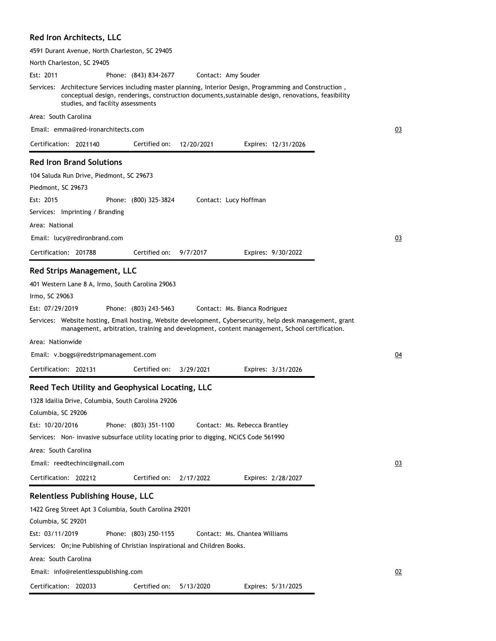# **Red Iron Architects, LLC**

Certification: 202033

| 4591 Durant Avenue, North Charleston, SC 29405                                                                                                                                                                                                        |  |
|-------------------------------------------------------------------------------------------------------------------------------------------------------------------------------------------------------------------------------------------------------|--|
| North Charleston, SC 29405                                                                                                                                                                                                                            |  |
| Est: 2011<br>Phone: (843) 834-2677<br>Contact: Amy Souder                                                                                                                                                                                             |  |
| Services: Architecture Services including master planning, Interior Design, Programming and Construction,<br>conceptual design, renderings, construction documents, sustainable design, renovations, feasibility<br>studies, and facility assessments |  |
| Area: South Carolina                                                                                                                                                                                                                                  |  |
| Email: emma@red-ironarchitects.com                                                                                                                                                                                                                    |  |
| Certification: 2021140<br>Certified on:<br>12/20/2021<br>Expires: 12/31/2026                                                                                                                                                                          |  |
| <b>Red Iron Brand Solutions</b>                                                                                                                                                                                                                       |  |
| 104 Saluda Run Drive, Piedmont, SC 29673                                                                                                                                                                                                              |  |
| Piedmont, SC 29673                                                                                                                                                                                                                                    |  |
| Est: 2015<br>Phone: (800) 325-3824<br>Contact: Lucy Hoffman                                                                                                                                                                                           |  |
| Services: Imprinting / Branding                                                                                                                                                                                                                       |  |
| Area: National                                                                                                                                                                                                                                        |  |
| Email: lucy@redironbrand.com                                                                                                                                                                                                                          |  |
| Certified on:<br>Certification: 201788<br>9/7/2017<br>Expires: 9/30/2022                                                                                                                                                                              |  |
| <b>Red Strips Management, LLC</b>                                                                                                                                                                                                                     |  |
| 401 Western Lane 8 A, Irmo, South Carolina 29063                                                                                                                                                                                                      |  |
| Irmo, SC 29063                                                                                                                                                                                                                                        |  |
| Est: 07/29/2019<br>Phone: (803) 243-5463<br>Contact: Ms. Bianca Rodriguez                                                                                                                                                                             |  |
| Services: Website hosting, Email hosting, Website development, Cybersecurity, help desk management, grant<br>management, arbitration, training and development, content management, School certification.                                             |  |
| Area: Nationwide                                                                                                                                                                                                                                      |  |
| Email: v.boggs@redstripmanagement.com                                                                                                                                                                                                                 |  |
| Certification: 202131<br>Certified on:<br>3/29/2021<br>Expires: 3/31/2026                                                                                                                                                                             |  |
| Reed Tech Utility and Geophysical Locating, LLC                                                                                                                                                                                                       |  |
| 1328 Idailia Drive, Columbia, South Carolina 29206                                                                                                                                                                                                    |  |
| Columbia, SC 29206                                                                                                                                                                                                                                    |  |
| Est: 10/20/2016<br>Phone: (803) 351-1100<br>Contact: Ms. Rebecca Brantley                                                                                                                                                                             |  |
| Services: Non-invasive subsurface utility locating prior to digging, NCICS Code 561990                                                                                                                                                                |  |
| Area: South Carolina                                                                                                                                                                                                                                  |  |
| Email: reedtechinc@gmail.com                                                                                                                                                                                                                          |  |
| Certification: 202212<br>Certified on:<br>2/17/2022<br>Expires: 2/28/2027                                                                                                                                                                             |  |
| <b>Relentless Publishing House, LLC</b>                                                                                                                                                                                                               |  |
| 1422 Greg Street Apt 3 Columbia, South Carolina 29201                                                                                                                                                                                                 |  |
| Columbia, SC 29201                                                                                                                                                                                                                                    |  |
| Est: 03/11/2019<br>Phone: (803) 250-1155<br>Contact: Ms. Chantea Williams                                                                                                                                                                             |  |
| Services: On; ine Publishing of Christian Inspirational and Children Books.                                                                                                                                                                           |  |
| Area: South Carolina                                                                                                                                                                                                                                  |  |
| Email: info@relentlesspublishing.com                                                                                                                                                                                                                  |  |

Certified on: 5/13/2020

Expires: 5/31/2025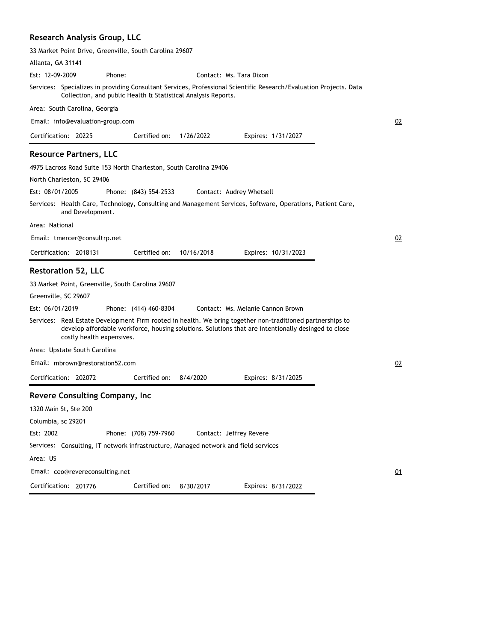## **Research Analysis Group, LLC**

|                                                                    | 33 Market Point Drive, Greenville, South Carolina 29607       |                                                                                     |                                                                                                                                                                                                                   |    |
|--------------------------------------------------------------------|---------------------------------------------------------------|-------------------------------------------------------------------------------------|-------------------------------------------------------------------------------------------------------------------------------------------------------------------------------------------------------------------|----|
| Allanta, GA 31141                                                  |                                                               |                                                                                     |                                                                                                                                                                                                                   |    |
| Est: 12-09-2009                                                    | Phone:                                                        | Contact: Ms. Tara Dixon                                                             |                                                                                                                                                                                                                   |    |
|                                                                    | Collection, and public Health & Statistical Analysis Reports. |                                                                                     | Services: Specializes in providing Consultant Services, Professional Scientific Research/Evaluation Projects. Data                                                                                                |    |
| Area: South Carolina, Georgia                                      |                                                               |                                                                                     |                                                                                                                                                                                                                   |    |
| Email: info@evaluation-group.com                                   |                                                               |                                                                                     |                                                                                                                                                                                                                   | 02 |
| Certification: 20225                                               | Certified on:                                                 | 1/26/2022                                                                           | Expires: 1/31/2027                                                                                                                                                                                                |    |
| <b>Resource Partners, LLC</b>                                      |                                                               |                                                                                     |                                                                                                                                                                                                                   |    |
| 4975 Lacross Road Suite 153 North Charleston, South Carolina 29406 |                                                               |                                                                                     |                                                                                                                                                                                                                   |    |
| North Charleston, SC 29406                                         |                                                               |                                                                                     |                                                                                                                                                                                                                   |    |
| Est: 08/01/2005                                                    | Phone: (843) 554-2533                                         | Contact: Audrey Whetsell                                                            |                                                                                                                                                                                                                   |    |
| and Development.                                                   |                                                               |                                                                                     | Services: Health Care, Technology, Consulting and Management Services, Software, Operations, Patient Care,                                                                                                        |    |
| Area: National                                                     |                                                               |                                                                                     |                                                                                                                                                                                                                   |    |
| Email: tmercer@consultrp.net                                       |                                                               |                                                                                     |                                                                                                                                                                                                                   | 02 |
| Certification: 2018131                                             | Certified on:                                                 | 10/16/2018                                                                          | Expires: 10/31/2023                                                                                                                                                                                               |    |
|                                                                    |                                                               |                                                                                     |                                                                                                                                                                                                                   |    |
| <b>Restoration 52, LLC</b>                                         |                                                               |                                                                                     |                                                                                                                                                                                                                   |    |
| 33 Market Point, Greenville, South Carolina 29607                  |                                                               |                                                                                     |                                                                                                                                                                                                                   |    |
| Greenville, SC 29607                                               |                                                               |                                                                                     |                                                                                                                                                                                                                   |    |
| Est: 06/01/2019                                                    | Phone: (414) 460-8304                                         | Contact: Ms. Melanie Cannon Brown                                                   |                                                                                                                                                                                                                   |    |
| costly health expensives.                                          |                                                               |                                                                                     | Services: Real Estate Development Firm rooted in health. We bring together non-traditioned partnerships to<br>develop affordable workforce, housing solutions. Solutions that are intentionally desinged to close |    |
| Area: Upstate South Carolina                                       |                                                               |                                                                                     |                                                                                                                                                                                                                   |    |
| Email: mbrown@restoration52.com                                    |                                                               |                                                                                     |                                                                                                                                                                                                                   | 02 |
| Certification: 202072                                              | Certified on:                                                 | 8/4/2020                                                                            | Expires: 8/31/2025                                                                                                                                                                                                |    |
| Revere Consulting Company, Inc.                                    |                                                               |                                                                                     |                                                                                                                                                                                                                   |    |
| 1320 Main St, Ste 200                                              |                                                               |                                                                                     |                                                                                                                                                                                                                   |    |
| Columbia, sc 29201                                                 |                                                               |                                                                                     |                                                                                                                                                                                                                   |    |
| Est: 2002                                                          | Phone: (708) 759-7960                                         | Contact: Jeffrey Revere                                                             |                                                                                                                                                                                                                   |    |
|                                                                    |                                                               | Services: Consulting, IT network infrastructure, Managed network and field services |                                                                                                                                                                                                                   |    |
| Area: US                                                           |                                                               |                                                                                     |                                                                                                                                                                                                                   |    |

Certification: 201776 Expires: 8/31/2022 Certified on: 8/30/2017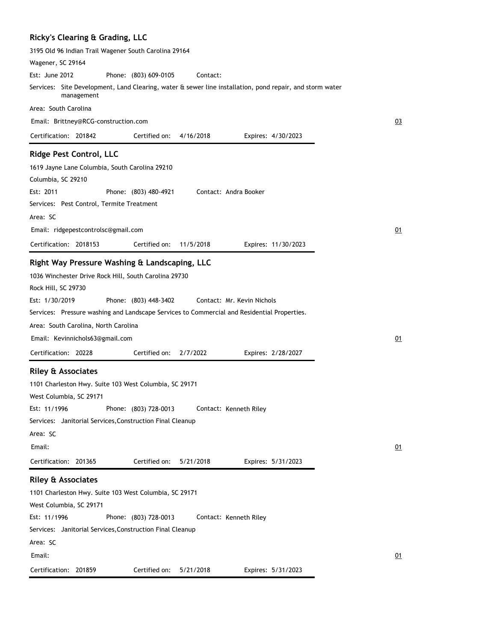|  |  | Ricky's Clearing & Grading, LLC |  |
|--|--|---------------------------------|--|
|--|--|---------------------------------|--|

| 3195 Old 96 Indian Trail Wagener South Carolina 29164                                                                  |    |
|------------------------------------------------------------------------------------------------------------------------|----|
| Wagener, SC 29164                                                                                                      |    |
| Est: June 2012<br>Phone: (803) 609-0105<br>Contact:                                                                    |    |
| Services: Site Development, Land Clearing, water & sewer line installation, pond repair, and storm water<br>management |    |
| Area: South Carolina                                                                                                   |    |
| Email: Brittney@RCG-construction.com                                                                                   | 03 |
| Certification: 201842<br>Certified on:<br>4/16/2018<br>Expires: 4/30/2023                                              |    |
| <b>Ridge Pest Control, LLC</b>                                                                                         |    |
| 1619 Jayne Lane Columbia, South Carolina 29210                                                                         |    |
| Columbia, SC 29210                                                                                                     |    |
| Est: 2011<br>Contact: Andra Booker<br>Phone: (803) 480-4921                                                            |    |
| Services: Pest Control, Termite Treatment                                                                              |    |
| Area: SC                                                                                                               |    |
| Email: ridgepestcontrolsc@gmail.com                                                                                    | 01 |
| Certification: 2018153<br>Certified on:<br>11/5/2018<br>Expires: 11/30/2023                                            |    |
| Right Way Pressure Washing & Landscaping, LLC                                                                          |    |
| 1036 Winchester Drive Rock Hill, South Carolina 29730                                                                  |    |
| Rock Hill, SC 29730                                                                                                    |    |
| Est: 1/30/2019<br>Phone: (803) 448-3402<br>Contact: Mr. Kevin Nichols                                                  |    |
| Services: Pressure washing and Landscape Services to Commercial and Residential Properties.                            |    |
| Area: South Carolina, North Carolina                                                                                   |    |
| Email: Kevinnichols63@gmail.com                                                                                        | 01 |
| Certification: 20228<br>Certified on:<br>2/7/2022<br>Expires: 2/28/2027                                                |    |
| <b>Riley &amp; Associates</b>                                                                                          |    |
| 1101 Charleston Hwy. Suite 103 West Columbia, SC 29171                                                                 |    |
| West Columbia, SC 29171                                                                                                |    |
| Phone: (803) 728-0013<br>Est: 11/1996<br>Contact: Kenneth Riley                                                        |    |
| Services: Janitorial Services, Construction Final Cleanup                                                              |    |
| Area: SC                                                                                                               |    |
| Email:                                                                                                                 | 01 |
| Certification: 201365<br>Certified on:<br>5/21/2018<br>Expires: 5/31/2023                                              |    |
|                                                                                                                        |    |
| <b>Riley &amp; Associates</b>                                                                                          |    |
| 1101 Charleston Hwy. Suite 103 West Columbia, SC 29171                                                                 |    |
| West Columbia, SC 29171                                                                                                |    |
| Est: 11/1996<br>Phone: (803) 728-0013<br>Contact: Kenneth Riley                                                        |    |
| Services: Janitorial Services, Construction Final Cleanup                                                              |    |
| Area: SC                                                                                                               |    |
| Email:                                                                                                                 | 01 |
| Certification: 201859<br>Certified on:<br>5/21/2018<br>Expires: 5/31/2023                                              |    |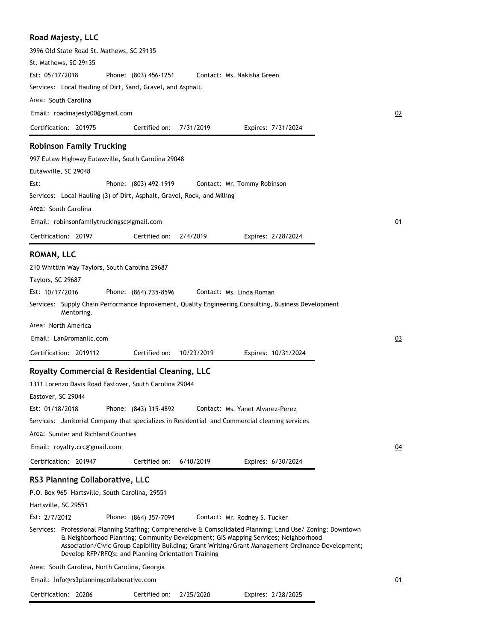|  | Road Majesty, LLC |  |
|--|-------------------|--|
|--|-------------------|--|

| 3996 Old State Road St. Mathews, SC 29135                                                                                                                                                                                                        |    |
|--------------------------------------------------------------------------------------------------------------------------------------------------------------------------------------------------------------------------------------------------|----|
| St. Mathews, SC 29135                                                                                                                                                                                                                            |    |
| Est: 05/17/2018<br>Phone: (803) 456-1251<br>Contact: Ms. Nakisha Green                                                                                                                                                                           |    |
| Services: Local Hauling of Dirt, Sand, Gravel, and Asphalt.                                                                                                                                                                                      |    |
| Area: South Carolina                                                                                                                                                                                                                             |    |
| Email: roadmajesty00@gmail.com                                                                                                                                                                                                                   | 02 |
| Certification: 201975<br>Certified on:<br>7/31/2019<br>Expires: 7/31/2024                                                                                                                                                                        |    |
| <b>Robinson Family Trucking</b>                                                                                                                                                                                                                  |    |
| 997 Eutaw Highway Eutawville, South Carolina 29048                                                                                                                                                                                               |    |
| Eutawville, SC 29048                                                                                                                                                                                                                             |    |
| Est:<br>Phone: (803) 492-1919<br>Contact: Mr. Tommy Robinson                                                                                                                                                                                     |    |
| Services: Local Hauling (3) of Dirt, Asphalt, Gravel, Rock, and Milling                                                                                                                                                                          |    |
| Area: South Carolina                                                                                                                                                                                                                             |    |
| Email: robinsonfamilytruckingsc@gmail.com                                                                                                                                                                                                        | 01 |
| 2/4/2019<br>Certification: 20197<br>Certified on:<br>Expires: 2/28/2024                                                                                                                                                                          |    |
| ROMAN, LLC                                                                                                                                                                                                                                       |    |
| 210 Whittlin Way Taylors, South Carolina 29687                                                                                                                                                                                                   |    |
| Taylors, SC 29687                                                                                                                                                                                                                                |    |
| Est: 10/17/2016<br>Phone: (864) 735-8596<br>Contact: Ms. Linda Roman                                                                                                                                                                             |    |
| Services: Supply Chain Performance Inprovement, Quality Engineering Consulting, Business Development<br>Mentoring.                                                                                                                               |    |
| Area: North America                                                                                                                                                                                                                              |    |
| Email: Lar@romanllc.com                                                                                                                                                                                                                          | 03 |
| Certification: 2019112<br>Certified on:<br>10/23/2019<br>Expires: 10/31/2024                                                                                                                                                                     |    |
| Royalty Commercial & Residential Cleaning, LLC                                                                                                                                                                                                   |    |
| 1311 Lorenzo Davis Road Eastover, South Carolina 29044                                                                                                                                                                                           |    |
| Eastover, SC 29044                                                                                                                                                                                                                               |    |
| Est: 01/18/2018<br>Phone: (843) 315-4892<br>Contact: Ms. Yanet Alvarez-Perez                                                                                                                                                                     |    |
| Services: Janitorial Company that specializes in Residential and Commercial cleaning services                                                                                                                                                    |    |
| Area: Sumter and Richland Counties                                                                                                                                                                                                               |    |
| Email: royalty.crc@gmail.com                                                                                                                                                                                                                     | 04 |
| Certified on:<br>Certification: 201947<br>6/10/2019<br>Expires: 6/30/2024                                                                                                                                                                        |    |
| RS3 Planning Collaborative, LLC                                                                                                                                                                                                                  |    |
| P.O. Box 965 Hartsville, South Carolina, 29551                                                                                                                                                                                                   |    |
| Hartsville, SC 29551                                                                                                                                                                                                                             |    |
| Est: 2/7/2012<br>Phone: (864) 357-7094<br>Contact: Mr. Rodney S. Tucker                                                                                                                                                                          |    |
| Services: Professional Planning Staffing; Comprehensive & Comsolidated Planning; Land Use/ Zoning; Downtown                                                                                                                                      |    |
| & Neighborhood Planning; Community Development; GIS Mapping Services; Neighborhood<br>Association/Civic Group Capibility Building; Grant Writing/Grant Management Ordinance Development;<br>Develop RFP/RFQ's; and Planning Orientation Training |    |
| Area: South Carolina, North Carolina, Georgia                                                                                                                                                                                                    |    |
| Email: Info@rs3planningcollaborative.com                                                                                                                                                                                                         | 01 |

| Certification: 20206 | Certified on: 2/25/2020 | Expires: 2/28/2025 |
|----------------------|-------------------------|--------------------|
|                      |                         |                    |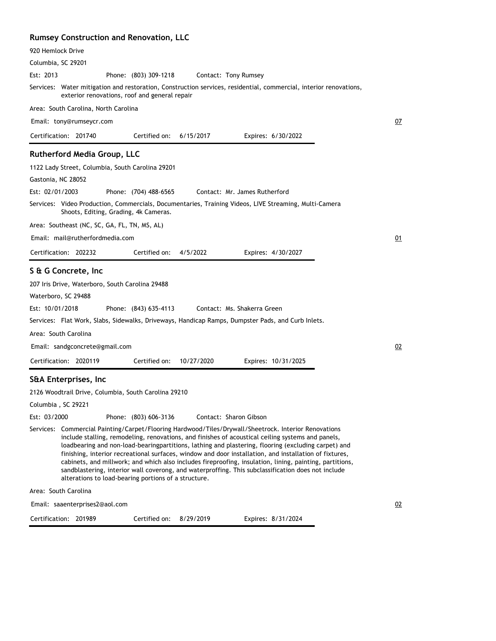### **Rumsey Construction and Renovation, LLC**

| 920 Hemlock Drive                                                                                                                                                                                                                                                                                                                                                                                                                                                                                                                                                                                                                                                                                   |    |
|-----------------------------------------------------------------------------------------------------------------------------------------------------------------------------------------------------------------------------------------------------------------------------------------------------------------------------------------------------------------------------------------------------------------------------------------------------------------------------------------------------------------------------------------------------------------------------------------------------------------------------------------------------------------------------------------------------|----|
| Columbia, SC 29201                                                                                                                                                                                                                                                                                                                                                                                                                                                                                                                                                                                                                                                                                  |    |
| Est: 2013<br>Phone: (803) 309-1218<br>Contact: Tony Rumsey                                                                                                                                                                                                                                                                                                                                                                                                                                                                                                                                                                                                                                          |    |
| Services: Water mitigation and restoration, Construction services, residential, commercial, interior renovations,<br>exterior renovations, roof and general repair                                                                                                                                                                                                                                                                                                                                                                                                                                                                                                                                  |    |
| Area: South Carolina, North Carolina                                                                                                                                                                                                                                                                                                                                                                                                                                                                                                                                                                                                                                                                |    |
| Email: tony@rumseycr.com                                                                                                                                                                                                                                                                                                                                                                                                                                                                                                                                                                                                                                                                            | 07 |
| Certification: 201740<br>Certified on:<br>6/15/2017<br>Expires: 6/30/2022                                                                                                                                                                                                                                                                                                                                                                                                                                                                                                                                                                                                                           |    |
| <b>Rutherford Media Group, LLC</b>                                                                                                                                                                                                                                                                                                                                                                                                                                                                                                                                                                                                                                                                  |    |
| 1122 Lady Street, Columbia, South Carolina 29201                                                                                                                                                                                                                                                                                                                                                                                                                                                                                                                                                                                                                                                    |    |
| Gastonia, NC 28052                                                                                                                                                                                                                                                                                                                                                                                                                                                                                                                                                                                                                                                                                  |    |
| Est: 02/01/2003<br>Contact: Mr. James Rutherford<br>Phone: (704) 488-6565                                                                                                                                                                                                                                                                                                                                                                                                                                                                                                                                                                                                                           |    |
| Services: Video Production, Commercials, Documentaries, Training Videos, LIVE Streaming, Multi-Camera<br>Shoots, Editing, Grading, 4k Cameras.                                                                                                                                                                                                                                                                                                                                                                                                                                                                                                                                                      |    |
| Area: Southeast (NC, SC, GA, FL, TN, MS, AL)                                                                                                                                                                                                                                                                                                                                                                                                                                                                                                                                                                                                                                                        |    |
| Email: mail@rutherfordmedia.com                                                                                                                                                                                                                                                                                                                                                                                                                                                                                                                                                                                                                                                                     | 01 |
| Certification: 202232<br>Certified on:<br>4/5/2022<br>Expires: 4/30/2027                                                                                                                                                                                                                                                                                                                                                                                                                                                                                                                                                                                                                            |    |
| S & G Concrete, Inc.                                                                                                                                                                                                                                                                                                                                                                                                                                                                                                                                                                                                                                                                                |    |
| 207 Iris Drive, Waterboro, South Carolina 29488                                                                                                                                                                                                                                                                                                                                                                                                                                                                                                                                                                                                                                                     |    |
| Waterboro, SC 29488                                                                                                                                                                                                                                                                                                                                                                                                                                                                                                                                                                                                                                                                                 |    |
| Est: 10/01/2018<br>Phone: (843) 635-4113<br>Contact: Ms. Shakerra Green                                                                                                                                                                                                                                                                                                                                                                                                                                                                                                                                                                                                                             |    |
| Services: Flat Work, Slabs, Sidewalks, Driveways, Handicap Ramps, Dumpster Pads, and Curb Inlets.                                                                                                                                                                                                                                                                                                                                                                                                                                                                                                                                                                                                   |    |
| Area: South Carolina                                                                                                                                                                                                                                                                                                                                                                                                                                                                                                                                                                                                                                                                                |    |
| Email: sandgconcrete@gmail.com                                                                                                                                                                                                                                                                                                                                                                                                                                                                                                                                                                                                                                                                      | 02 |
| Certification: 2020119<br>Certified on:<br>10/27/2020<br>Expires: 10/31/2025                                                                                                                                                                                                                                                                                                                                                                                                                                                                                                                                                                                                                        |    |
| S&A Enterprises, Inc                                                                                                                                                                                                                                                                                                                                                                                                                                                                                                                                                                                                                                                                                |    |
| 2126 Woodtrail Drive, Columbia, South Carolina 29210                                                                                                                                                                                                                                                                                                                                                                                                                                                                                                                                                                                                                                                |    |
| Columbia, SC 29221                                                                                                                                                                                                                                                                                                                                                                                                                                                                                                                                                                                                                                                                                  |    |
| Est: 03/2000<br>Phone: (803) 606-3136<br>Contact: Sharon Gibson                                                                                                                                                                                                                                                                                                                                                                                                                                                                                                                                                                                                                                     |    |
| Services: Commercial Painting/Carpet/Flooring Hardwood/Tiles/Drywall/Sheetrock. Interior Renovations<br>include stalling, remodeling, renovations, and finishes of acoustical ceiling systems and panels,<br>loadbearing and non-load-bearingpartitions, lathing and plastering, flooring (excluding carpet) and<br>finishing, interior recreational surfaces, window and door installation, and installation of fixtures,<br>cabinets, and millwork; and which also includes fireproofing, insulation, lining, painting, partitions,<br>sandblastering, interior wall coverong, and waterproffing. This subclassification does not include<br>alterations to load-bearing portions of a structure. |    |
| Area: South Carolina                                                                                                                                                                                                                                                                                                                                                                                                                                                                                                                                                                                                                                                                                |    |
| Email: saaenterprises2@aol.com                                                                                                                                                                                                                                                                                                                                                                                                                                                                                                                                                                                                                                                                      | 02 |
| Certification: 201989<br>Certified on: 8/29/2019<br>Expires: 8/31/2024                                                                                                                                                                                                                                                                                                                                                                                                                                                                                                                                                                                                                              |    |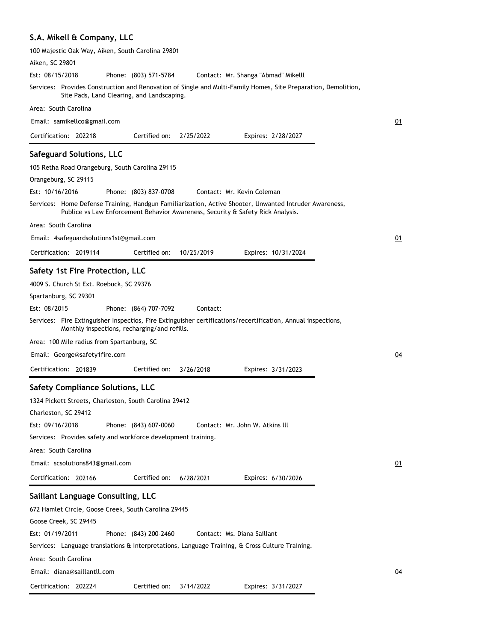# **S.A. Mikell & Company, LLC**

| 100 Majestic Oak Way, Aiken, South Carolina 29801                                                                                                                                         |    |
|-------------------------------------------------------------------------------------------------------------------------------------------------------------------------------------------|----|
| Aiken, SC 29801                                                                                                                                                                           |    |
| Est: 08/15/2018<br>Phone: (803) 571-5784<br>Contact: Mr. Shanga "Abmad" Mikelll                                                                                                           |    |
| Services: Provides Construction and Renovation of Single and Multi-Family Homes, Site Preparation, Demolition,<br>Site Pads, Land Clearing, and Landscaping.                              |    |
| Area: South Carolina                                                                                                                                                                      |    |
| Email: samikellco@gmail.com                                                                                                                                                               | 01 |
| Certification: 202218<br>Certified on:<br>2/25/2022<br>Expires: 2/28/2027                                                                                                                 |    |
| <b>Safeguard Solutions, LLC</b>                                                                                                                                                           |    |
| 105 Retha Road Orangeburg, South Carolina 29115                                                                                                                                           |    |
| Orangeburg, SC 29115                                                                                                                                                                      |    |
| Est: 10/16/2016<br>Phone: (803) 837-0708<br>Contact: Mr. Kevin Coleman                                                                                                                    |    |
| Services: Home Defense Training, Handgun Familiarization, Active Shooter, Unwanted Intruder Awareness,<br>Publice vs Law Enforcement Behavior Awareness, Security & Safety Rick Analysis. |    |
| Area: South Carolina                                                                                                                                                                      |    |
| Email: 4safeguardsolutions1st@gmail.com                                                                                                                                                   | 01 |
| Certification: 2019114<br>Certified on:<br>10/25/2019<br>Expires: 10/31/2024                                                                                                              |    |
|                                                                                                                                                                                           |    |
| Safety 1st Fire Protection, LLC                                                                                                                                                           |    |
| 4009 S. Church St Ext. Roebuck, SC 29376                                                                                                                                                  |    |
| Spartanburg, SC 29301                                                                                                                                                                     |    |
| Est: 08/2015<br>Contact:<br>Phone: (864) 707-7092                                                                                                                                         |    |
| Services: Fire Extinguisher Inspectios, Fire Extinguisher certifications/recertification, Annual inspections,<br>Monthly inspections, recharging/and refills.                             |    |
| Area: 100 Mile radius from Spartanburg, SC                                                                                                                                                |    |
| Email: George@safety1fire.com                                                                                                                                                             | 04 |
| Certification: 201839<br>Certified on:<br>3/26/2018<br>Expires: 3/31/2023                                                                                                                 |    |
| <b>Safety Compliance Solutions, LLC</b>                                                                                                                                                   |    |
| 1324 Pickett Streets, Charleston, South Carolina 29412                                                                                                                                    |    |
| Charleston, SC 29412                                                                                                                                                                      |    |
| Est: 09/16/2018<br>Phone: (843) 607-0060<br>Contact: Mr. John W. Atkins III                                                                                                               |    |
| Services: Provides safety and workforce development training.                                                                                                                             |    |
| Area: South Carolina                                                                                                                                                                      |    |
| Email: scsolutions843@gmail.com                                                                                                                                                           | 01 |
| Certification: 202166<br>Certified on:<br>6/28/2021<br>Expires: 6/30/2026                                                                                                                 |    |
|                                                                                                                                                                                           |    |
| Saillant Language Consulting, LLC                                                                                                                                                         |    |
| 672 Hamlet Circle, Goose Creek, South Carolina 29445                                                                                                                                      |    |
| Goose Creek, SC 29445                                                                                                                                                                     |    |
| Est: 01/19/2011<br>Phone: (843) 200-2460<br>Contact: Ms. Diana Saillant                                                                                                                   |    |
| Services: Language translations & Interpretations, Language Training, & Cross Culture Training.                                                                                           |    |
| Area: South Carolina                                                                                                                                                                      |    |
| Email: diana@saillantll.com                                                                                                                                                               | 04 |
| Certified on:<br>Certification: 202224<br>3/14/2022<br>Expires: 3/31/2027                                                                                                                 |    |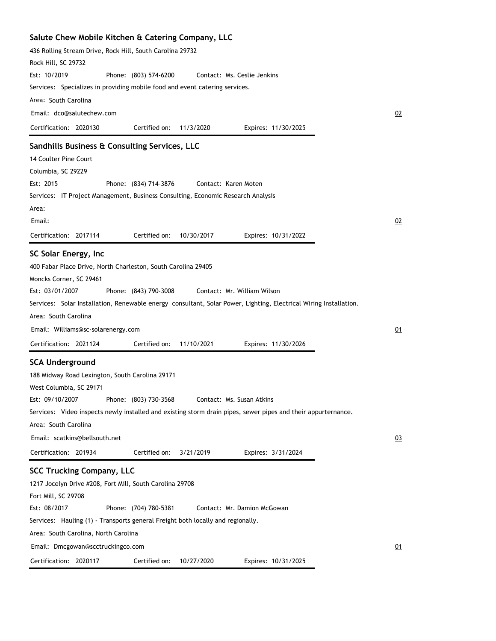| Salute Chew Mobile Kitchen & Catering Company, LLC                                                                |           |
|-------------------------------------------------------------------------------------------------------------------|-----------|
| 436 Rolling Stream Drive, Rock Hill, South Carolina 29732                                                         |           |
| Rock Hill, SC 29732                                                                                               |           |
| Est: 10/2019<br>Phone: (803) 574-6200<br>Contact: Ms. Ceslie Jenkins                                              |           |
| Services: Specializes in providing mobile food and event catering services.                                       |           |
| Area: South Carolina                                                                                              |           |
| Email: dco@salutechew.com                                                                                         | 02        |
| Certification: 2020130<br>11/3/2020<br>Certified on:<br>Expires: 11/30/2025                                       |           |
| Sandhills Business & Consulting Services, LLC                                                                     |           |
| 14 Coulter Pine Court                                                                                             |           |
| Columbia, SC 29229                                                                                                |           |
| Est: 2015<br>Phone: (834) 714-3876<br>Contact: Karen Moten                                                        |           |
| Services: IT Project Management, Business Consulting, Economic Research Analysis                                  |           |
| Area:                                                                                                             |           |
| Email:                                                                                                            | 02        |
|                                                                                                                   |           |
| Certified on:<br>Expires: 10/31/2022<br>Certification: 2017114<br>10/30/2017                                      |           |
| SC Solar Energy, Inc                                                                                              |           |
| 400 Fabar Place Drive, North Charleston, South Carolina 29405                                                     |           |
| Moncks Corner, SC 29461                                                                                           |           |
| Est: 03/01/2007<br>Phone: (843) 790-3008<br>Contact: Mr. William Wilson                                           |           |
| Services: Solar Installation, Renewable energy consultant, Solar Power, Lighting, Electrical Wiring Installation. |           |
| Area: South Carolina                                                                                              |           |
| Email: Williams@sc-solarenergy.com                                                                                | 01        |
| Certification: 2021124<br>Certified on:<br>11/10/2021<br>Expires: 11/30/2026                                      |           |
| <b>SCA Underground</b>                                                                                            |           |
| 188 Midway Road Lexington, South Carolina 29171                                                                   |           |
| West Columbia, SC 29171                                                                                           |           |
| Est: 09/10/2007<br>Phone: (803) 730-3568<br>Contact: Ms. Susan Atkins                                             |           |
| Services: Video inspects newly installed and existing storm drain pipes, sewer pipes and their appurternance.     |           |
| Area: South Carolina                                                                                              |           |
| Email: scatkins@bellsouth.net                                                                                     | 03        |
| Certification: 201934<br>Certified on:<br>3/21/2019<br>Expires: 3/31/2024                                         |           |
|                                                                                                                   |           |
| <b>SCC Trucking Company, LLC</b>                                                                                  |           |
| 1217 Jocelyn Drive #208, Fort Mill, South Carolina 29708                                                          |           |
| Fort Mill, SC 29708                                                                                               |           |
| Est: 08/2017<br>Phone: (704) 780-5381<br>Contact: Mr. Damion McGowan                                              |           |
| Services: Hauling (1) - Transports general Freight both locally and regionally.                                   |           |
| Area: South Carolina, North Carolina                                                                              |           |
| Email: Dmcgowan@scctruckingco.com                                                                                 | <u>01</u> |
| Certification: 2020117<br>Certified on:<br>10/27/2020<br>Expires: 10/31/2025                                      |           |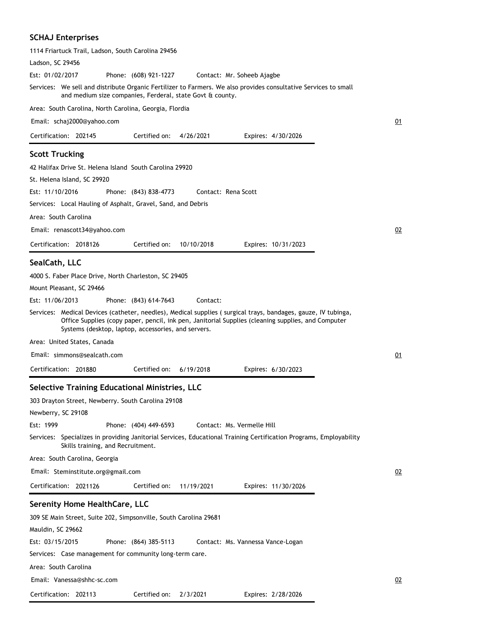#### **SCHAJ Enterprises**

| 1114 Friartuck Trail, Ladson, South Carolina 29456                                                                                                                                                                                                                         |    |
|----------------------------------------------------------------------------------------------------------------------------------------------------------------------------------------------------------------------------------------------------------------------------|----|
| Ladson, SC 29456                                                                                                                                                                                                                                                           |    |
| Est: 01/02/2017<br>Phone: (608) 921-1227<br>Contact: Mr. Soheeb Ajagbe                                                                                                                                                                                                     |    |
| Services: We sell and distribute Organic Fertilizer to Farmers. We also provides consultative Services to small<br>and medium size companies, Ferderal, state Govt & county.                                                                                               |    |
| Area: South Carolina, North Carolina, Georgia, Flordia                                                                                                                                                                                                                     |    |
| Email: schaj2000@yahoo.com                                                                                                                                                                                                                                                 | 01 |
| Certified on:<br>Certification: 202145<br>4/26/2021<br>Expires: 4/30/2026                                                                                                                                                                                                  |    |
| <b>Scott Trucking</b>                                                                                                                                                                                                                                                      |    |
| 42 Halifax Drive St. Helena Island South Carolina 29920                                                                                                                                                                                                                    |    |
| St. Helena Island, SC 29920                                                                                                                                                                                                                                                |    |
| Est: 11/10/2016<br>Contact: Rena Scott<br>Phone: (843) 838-4773                                                                                                                                                                                                            |    |
| Services: Local Hauling of Asphalt, Gravel, Sand, and Debris                                                                                                                                                                                                               |    |
| Area: South Carolina                                                                                                                                                                                                                                                       |    |
| Email: renascott34@yahoo.com                                                                                                                                                                                                                                               | 02 |
| Certification: 2018126<br>Certified on:<br>10/10/2018<br>Expires: 10/31/2023                                                                                                                                                                                               |    |
| SealCath, LLC                                                                                                                                                                                                                                                              |    |
| 4000 S. Faber Place Drive, North Charleston, SC 29405                                                                                                                                                                                                                      |    |
| Mount Pleasant, SC 29466                                                                                                                                                                                                                                                   |    |
| Est: 11/06/2013<br>Phone: (843) 614-7643<br>Contact:                                                                                                                                                                                                                       |    |
| Services: Medical Devices (catheter, needles), Medical supplies (surgical trays, bandages, gauze, IV tubinga,<br>Office Supplies (copy paper, pencil, ink pen, Janitorial Supplies (cleaning supplies, and Computer<br>Systems (desktop, laptop, accessories, and servers. |    |
| Area: United States, Canada                                                                                                                                                                                                                                                |    |
| Email: simmons@sealcath.com                                                                                                                                                                                                                                                | 01 |
| Certified on:<br>Certification: 201880<br>6/19/2018<br>Expires: 6/30/2023                                                                                                                                                                                                  |    |
| Selective Training Educational Ministries, LLC                                                                                                                                                                                                                             |    |
| 303 Drayton Street, Newberry. South Carolina 29108                                                                                                                                                                                                                         |    |
| Newberry, SC 29108                                                                                                                                                                                                                                                         |    |
| Est: 1999<br>Phone: (404) 449-6593<br>Contact: Ms. Vermelle Hill                                                                                                                                                                                                           |    |
| Services: Specializes in providing Janitorial Services, Educational Training Certification Programs, Employability<br>Skills training, and Recruitment.                                                                                                                    |    |
| Area: South Carolina, Georgia                                                                                                                                                                                                                                              |    |
| Email: Steminstitute.org@gmail.com                                                                                                                                                                                                                                         | 02 |
| Certification: 2021126<br>Certified on:<br>11/19/2021<br>Expires: 11/30/2026                                                                                                                                                                                               |    |
| Serenity Home HealthCare, LLC                                                                                                                                                                                                                                              |    |
| 309 SE Main Street, Suite 202, Simpsonville, South Carolina 29681                                                                                                                                                                                                          |    |
| Mauldin, SC 29662                                                                                                                                                                                                                                                          |    |
| Est: 03/15/2015<br>Phone: (864) 385-5113<br>Contact: Ms. Vannessa Vance-Logan                                                                                                                                                                                              |    |
| Services: Case management for community long-term care.                                                                                                                                                                                                                    |    |
| Area: South Carolina                                                                                                                                                                                                                                                       |    |
| Email: Vanessa@shhc-sc.com                                                                                                                                                                                                                                                 | 02 |

Certification: 202113 Expires: 2/28/2026 Certified on: 2/3/2021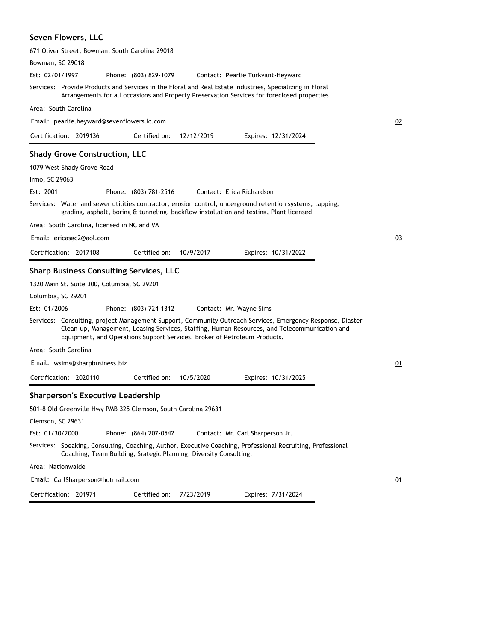### **Seven Flowers, LLC**

| 671 Oliver Street, Bowman, South Carolina 29018                                                                                                                                                                                                                                         |    |
|-----------------------------------------------------------------------------------------------------------------------------------------------------------------------------------------------------------------------------------------------------------------------------------------|----|
| Bowman, SC 29018                                                                                                                                                                                                                                                                        |    |
| Est: 02/01/1997<br>Phone: (803) 829-1079<br>Contact: Pearlie Turkvant-Heyward                                                                                                                                                                                                           |    |
| Services: Provide Products and Services in the Floral and Real Estate Industries, Specializing in Floral<br>Arrangements for all occasions and Property Preservation Services for foreclosed properties.                                                                                |    |
| Area: South Carolina                                                                                                                                                                                                                                                                    |    |
| Email: pearlie.heyward@sevenflowersllc.com                                                                                                                                                                                                                                              | 02 |
| Certification: 2019136<br>Certified on:<br>12/12/2019<br>Expires: 12/31/2024                                                                                                                                                                                                            |    |
| <b>Shady Grove Construction, LLC</b>                                                                                                                                                                                                                                                    |    |
| 1079 West Shady Grove Road                                                                                                                                                                                                                                                              |    |
| Irmo, SC 29063                                                                                                                                                                                                                                                                          |    |
| Est: 2001<br>Phone: (803) 781-2516<br>Contact: Erica Richardson                                                                                                                                                                                                                         |    |
| Services: Water and sewer utilities contractor, erosion control, underground retention systems, tapping,<br>grading, asphalt, boring & tunneling, backflow installation and testing, Plant licensed                                                                                     |    |
| Area: South Carolina, licensed in NC and VA                                                                                                                                                                                                                                             |    |
| Email: ericasgc2@aol.com                                                                                                                                                                                                                                                                | 03 |
| Certification: 2017108<br>Certified on:<br>10/9/2017<br>Expires: 10/31/2022                                                                                                                                                                                                             |    |
| <b>Sharp Business Consulting Services, LLC</b>                                                                                                                                                                                                                                          |    |
| 1320 Main St. Suite 300, Columbia, SC 29201                                                                                                                                                                                                                                             |    |
| Columbia, SC 29201                                                                                                                                                                                                                                                                      |    |
| Est: 01/2006<br>Phone: (803) 724-1312<br>Contact: Mr. Wayne Sims                                                                                                                                                                                                                        |    |
| Services: Consulting, project Management Support, Community Outreach Services, Emergency Response, Diaster<br>Clean-up, Management, Leasing Services, Staffing, Human Resources, and Telecommunication and<br>Equipment, and Operations Support Services. Broker of Petroleum Products. |    |
| Area: South Carolina                                                                                                                                                                                                                                                                    |    |
| Email: wsims@sharpbusiness.biz                                                                                                                                                                                                                                                          | 01 |
| Certification: 2020110<br>Certified on:<br>10/5/2020<br>Expires: 10/31/2025                                                                                                                                                                                                             |    |
| <b>Sharperson's Executive Leadership</b>                                                                                                                                                                                                                                                |    |
| 501-8 Old Greenville Hwy PMB 325 Clemson, South Carolina 29631                                                                                                                                                                                                                          |    |
| Clemson, SC 29631                                                                                                                                                                                                                                                                       |    |
| Est: 01/30/2000<br>Phone: (864) 207-0542<br>Contact: Mr. Carl Sharperson Jr.                                                                                                                                                                                                            |    |
| Services: Speaking, Consulting, Coaching, Author, Executive Coaching, Professional Recruiting, Professional<br>Coaching, Team Building, Srategic Planning, Diversity Consulting.                                                                                                        |    |
| Area: Nationwaide                                                                                                                                                                                                                                                                       |    |
| Email: CarlSharperson@hotmail.com                                                                                                                                                                                                                                                       | 01 |
| Certification: 201971<br>Certified on:<br>7/23/2019<br>Expires: 7/31/2024                                                                                                                                                                                                               |    |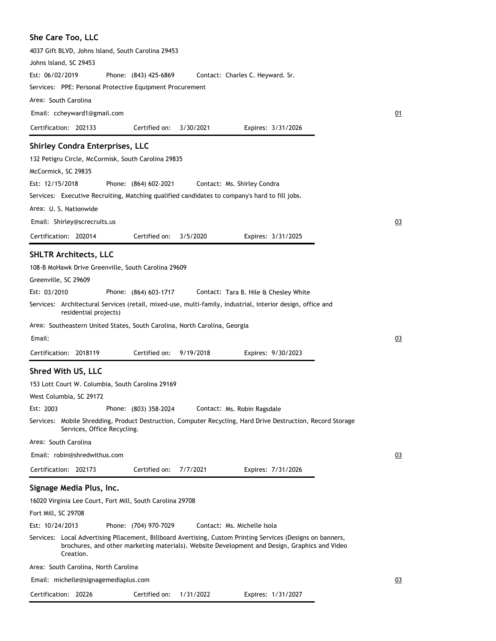| She Care Too, LLC                                                                                                                                                                                                         |    |
|---------------------------------------------------------------------------------------------------------------------------------------------------------------------------------------------------------------------------|----|
| 4037 Gift BLVD, Johns Island, South Carolina 29453                                                                                                                                                                        |    |
| Johns Island, SC 29453                                                                                                                                                                                                    |    |
| Est: 06/02/2019<br>Phone: (843) 425-6869<br>Contact: Charles C. Heyward. Sr.                                                                                                                                              |    |
| Services: PPE: Personal Protective Equipment Procurement                                                                                                                                                                  |    |
| Area: South Carolina                                                                                                                                                                                                      |    |
| Email: ccheyward1@gmail.com                                                                                                                                                                                               | 01 |
| Certified on:<br>Certification: 202133<br>3/30/2021<br>Expires: 3/31/2026                                                                                                                                                 |    |
| <b>Shirley Condra Enterprises, LLC</b>                                                                                                                                                                                    |    |
|                                                                                                                                                                                                                           |    |
| 132 Petigru Circle, McCormisk, South Carolina 29835<br>McCormick, SC 29835                                                                                                                                                |    |
| Est: 12/15/2018<br>Phone: (864) 602-2021<br>Contact: Ms. Shirley Condra                                                                                                                                                   |    |
| Services: Executive Recruiting, Matching qualified candidates to company's hard to fill jobs.                                                                                                                             |    |
| Area: U. S. Nationwide                                                                                                                                                                                                    |    |
| Email: Shirley@screcruits.us                                                                                                                                                                                              | 03 |
|                                                                                                                                                                                                                           |    |
| Certification: 202014<br>Certified on:<br>3/5/2020<br>Expires: 3/31/2025                                                                                                                                                  |    |
| <b>SHLTR Architects, LLC</b>                                                                                                                                                                                              |    |
| 108-B MoHawk Drive Greenville, South Carolina 29609                                                                                                                                                                       |    |
| Greenville, SC 29609                                                                                                                                                                                                      |    |
| Est: 03/2010<br>Phone: (864) 603-1717<br>Contact: Tara B. Hile & Chesley White                                                                                                                                            |    |
| Services: Architectural Services (retail, mixed-use, multi-family, industrial, interior design, office and<br>residential projects)                                                                                       |    |
| Area: Southeastern United States, South Carolina, North Carolina, Georgia                                                                                                                                                 |    |
| Email:                                                                                                                                                                                                                    | 03 |
| Certified on:<br>Certification: 2018119<br>9/19/2018<br>Expires: 9/30/2023                                                                                                                                                |    |
| Shred With US, LLC                                                                                                                                                                                                        |    |
| 153 Lott Court W. Columbia, South Carolina 29169                                                                                                                                                                          |    |
| West Columbia, SC 29172                                                                                                                                                                                                   |    |
| Est: 2003<br>Phone: (803) 358-2024<br>Contact: Ms. Robin Ragsdale                                                                                                                                                         |    |
| Services: Mobile Shredding, Product Destruction, Computer Recycling, Hard Drive Destruction, Record Storage<br>Services, Office Recycling.                                                                                |    |
| Area: South Carolina                                                                                                                                                                                                      |    |
| Email: robin@shredwithus.com                                                                                                                                                                                              | 03 |
| Certified on:<br>Certification: 202173<br>7/7/2021<br>Expires: 7/31/2026                                                                                                                                                  |    |
| Signage Media Plus, Inc.                                                                                                                                                                                                  |    |
| 16020 Virginia Lee Court, Fort Mill, South Carolina 29708                                                                                                                                                                 |    |
| Fort Mill, SC 29708                                                                                                                                                                                                       |    |
| Est: 10/24/2013<br>Phone: (704) 970-7029<br>Contact: Ms. Michelle Isola                                                                                                                                                   |    |
| Services: Local Advertising Pllacement, Billboard Avertising, Custom Printing Services (Designs on banners,<br>brochures, and other marketing materials). Website Development and Design, Graphics and Video<br>Creation. |    |
| Area: South Carolina, North Carolina                                                                                                                                                                                      |    |
| Email: michelle@signagemediaplus.com                                                                                                                                                                                      | 03 |
| Certified on:<br>Certification: 20226<br>1/31/2022<br>Expires: 1/31/2027                                                                                                                                                  |    |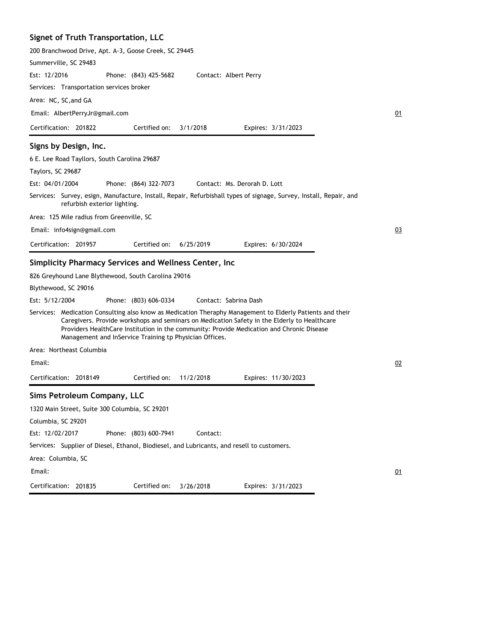# **Signet of Truth Transportation, LLC**

| 200 Branchwood Drive, Apt. A-3, Goose Creek, SC 29445 |                              |                       |                                                         |                                                                                                                                                                                                                                                                                                        |    |
|-------------------------------------------------------|------------------------------|-----------------------|---------------------------------------------------------|--------------------------------------------------------------------------------------------------------------------------------------------------------------------------------------------------------------------------------------------------------------------------------------------------------|----|
| Summerville, SC 29483                                 |                              |                       |                                                         |                                                                                                                                                                                                                                                                                                        |    |
| Est: 12/2016                                          |                              | Phone: (843) 425-5682 |                                                         | Contact: Albert Perry                                                                                                                                                                                                                                                                                  |    |
| Services: Transportation services broker              |                              |                       |                                                         |                                                                                                                                                                                                                                                                                                        |    |
| Area: NC, SC, and GA                                  |                              |                       |                                                         |                                                                                                                                                                                                                                                                                                        |    |
| Email: AlbertPerryJr@gmail.com                        |                              |                       |                                                         |                                                                                                                                                                                                                                                                                                        | 01 |
| Certification: 201822                                 |                              | Certified on:         | 3/1/2018                                                | Expires: 3/31/2023                                                                                                                                                                                                                                                                                     |    |
| Signs by Design, Inc.                                 |                              |                       |                                                         |                                                                                                                                                                                                                                                                                                        |    |
| 6 E. Lee Road Tayllors, South Carolina 29687          |                              |                       |                                                         |                                                                                                                                                                                                                                                                                                        |    |
| Taylors, SC 29687                                     |                              |                       |                                                         |                                                                                                                                                                                                                                                                                                        |    |
| Est: 04/01/2004                                       |                              | Phone: (864) 322-7073 |                                                         | Contact: Ms. Derorah D. Lott                                                                                                                                                                                                                                                                           |    |
|                                                       | refurbish exterior lighting. |                       |                                                         | Services: Survey, esign, Manufacture, Install, Repair, Refurbishall types of signage, Survey, Install, Repair, and                                                                                                                                                                                     |    |
| Area: 125 Mile radius from Greenville, SC             |                              |                       |                                                         |                                                                                                                                                                                                                                                                                                        |    |
| Email: info4sign@gmail.com                            |                              |                       |                                                         |                                                                                                                                                                                                                                                                                                        | 03 |
| Certification: 201957                                 |                              | Certified on:         | 6/25/2019                                               | Expires: 6/30/2024                                                                                                                                                                                                                                                                                     |    |
| Simplicity Pharmacy Services and Wellness Center, Inc |                              |                       |                                                         |                                                                                                                                                                                                                                                                                                        |    |
| 826 Greyhound Lane Blythewood, South Carolina 29016   |                              |                       |                                                         |                                                                                                                                                                                                                                                                                                        |    |
| Blythewood, SC 29016                                  |                              |                       |                                                         |                                                                                                                                                                                                                                                                                                        |    |
| Est: 5/12/2004                                        |                              | Phone: (803) 606-0334 |                                                         | Contact: Sabrina Dash                                                                                                                                                                                                                                                                                  |    |
|                                                       |                              |                       | Management and InService Training tp Physician Offices. | Services: Medication Consulting also know as Medication Theraphy Management to Elderly Patients and their<br>Caregivers. Provide workshops and seminars on Medication Safety in the Elderly to Healthcare<br>Providers HealthCare Institution in the community: Provide Medication and Chronic Disease |    |
| Area: Northeast Columbia                              |                              |                       |                                                         |                                                                                                                                                                                                                                                                                                        |    |
| Email:                                                |                              |                       |                                                         |                                                                                                                                                                                                                                                                                                        | 02 |
| Certification: 2018149                                |                              | Certified on:         | 11/2/2018                                               | Expires: 11/30/2023                                                                                                                                                                                                                                                                                    |    |
| Sims Petroleum Company, LLC                           |                              |                       |                                                         |                                                                                                                                                                                                                                                                                                        |    |
| 1320 Main Street, Suite 300 Columbia, SC 29201        |                              |                       |                                                         |                                                                                                                                                                                                                                                                                                        |    |
| Columbia, SC 29201                                    |                              |                       |                                                         |                                                                                                                                                                                                                                                                                                        |    |
| Est: 12/02/2017                                       |                              | Phone: (803) 600-7941 | Contact:                                                |                                                                                                                                                                                                                                                                                                        |    |
|                                                       |                              |                       |                                                         | Services: Supplier of Diesel, Ethanol, Biodiesel, and Lubricants, and resell to customers.                                                                                                                                                                                                             |    |
| Area: Columbia, SC                                    |                              |                       |                                                         |                                                                                                                                                                                                                                                                                                        |    |
| Email:                                                |                              |                       |                                                         |                                                                                                                                                                                                                                                                                                        | 01 |
| Certification: 201835                                 |                              | Certified on:         | 3/26/2018                                               | Expires: 3/31/2023                                                                                                                                                                                                                                                                                     |    |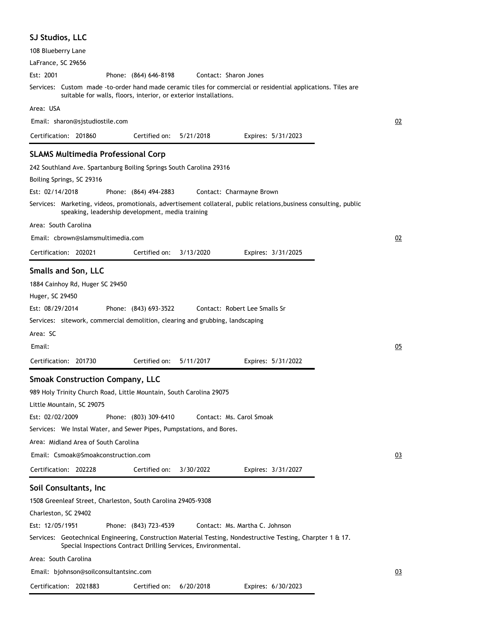| <b>SJ Studios, LLC</b>                                                                                                                                                                                                                                                                                                                                                                                                                                 |    |
|--------------------------------------------------------------------------------------------------------------------------------------------------------------------------------------------------------------------------------------------------------------------------------------------------------------------------------------------------------------------------------------------------------------------------------------------------------|----|
| 108 Blueberry Lane                                                                                                                                                                                                                                                                                                                                                                                                                                     |    |
| LaFrance, SC 29656                                                                                                                                                                                                                                                                                                                                                                                                                                     |    |
| Est: 2001<br>Phone: (864) 646-8198<br>Contact: Sharon Jones                                                                                                                                                                                                                                                                                                                                                                                            |    |
| Services: Custom made -to-order hand made ceramic tiles for commercial or residential applications. Tiles are<br>suitable for walls, floors, interior, or exterior installations.                                                                                                                                                                                                                                                                      |    |
| Area: USA                                                                                                                                                                                                                                                                                                                                                                                                                                              |    |
| Email: sharon@sjstudiostile.com                                                                                                                                                                                                                                                                                                                                                                                                                        | 02 |
| Certification: 201860<br>Certified on:<br>5/21/2018<br>Expires: 5/31/2023                                                                                                                                                                                                                                                                                                                                                                              |    |
| <b>SLAMS Multimedia Professional Corp</b>                                                                                                                                                                                                                                                                                                                                                                                                              |    |
| 242 Southland Ave. Spartanburg Boiling Springs South Carolina 29316                                                                                                                                                                                                                                                                                                                                                                                    |    |
| Boiling Springs, SC 29316                                                                                                                                                                                                                                                                                                                                                                                                                              |    |
| Est: 02/14/2018<br>Phone: (864) 494-2883<br>Contact: Charmayne Brown                                                                                                                                                                                                                                                                                                                                                                                   |    |
| Services: Marketing, videos, promotionals, advertisement collateral, public relations,business consulting, public<br>speaking, leadership development, media training                                                                                                                                                                                                                                                                                  |    |
| Area: South Carolina                                                                                                                                                                                                                                                                                                                                                                                                                                   |    |
| Email: cbrown@slamsmultimedia.com                                                                                                                                                                                                                                                                                                                                                                                                                      | 02 |
| Certification: 202021<br>Certified on:<br>3/13/2020<br>Expires: 3/31/2025                                                                                                                                                                                                                                                                                                                                                                              |    |
| <b>Smalls and Son, LLC</b><br>1884 Cainhoy Rd, Huger SC 29450<br>Huger, SC 29450<br>Est: 08/29/2014<br>Phone: (843) 693-3522<br>Contact: Robert Lee Smalls Sr<br>Services: sitework, commercial demolition, clearing and grubbing, landscaping<br>Area: SC<br>Email:                                                                                                                                                                                   | 05 |
| Certification: 201730<br>Certified on:<br>5/11/2017<br>Expires: 5/31/2022                                                                                                                                                                                                                                                                                                                                                                              |    |
| <b>Smoak Construction Company, LLC</b><br>989 Holy Trinity Church Road, Little Mountain, South Carolina 29075<br>Little Mountain, SC 29075<br>Est: 02/02/2009<br>Phone: (803) 309-6410<br>Contact: Ms. Carol Smoak<br>Services: We Instal Water, and Sewer Pipes, Pumpstations, and Bores.<br>Area: Midland Area of South Carolina<br>Email: Csmoak@Smoakconstruction.com<br>Certification: 202228<br>Certified on:<br>3/30/2022<br>Expires: 3/31/2027 | 03 |
| Soil Consultants, Inc                                                                                                                                                                                                                                                                                                                                                                                                                                  |    |
| 1508 Greenleaf Street, Charleston, South Carolina 29405-9308<br>Charleston, SC 29402<br>Est: 12/05/1951<br>Phone: (843) 723-4539<br>Contact: Ms. Martha C. Johnson<br>Services: Geotechnical Engineering, Construction Material Testing, Nondestructive Testing, Charpter 1 & 17.<br>Special Inspections Contract Drilling Services, Environmental.<br>Area: South Carolina                                                                            |    |
| Email: bjohnson@soilconsultantsinc.com                                                                                                                                                                                                                                                                                                                                                                                                                 | 03 |
|                                                                                                                                                                                                                                                                                                                                                                                                                                                        |    |
| 6/20/2018<br>Certification: 2021883<br>Certified on:<br>Expires: 6/30/2023                                                                                                                                                                                                                                                                                                                                                                             |    |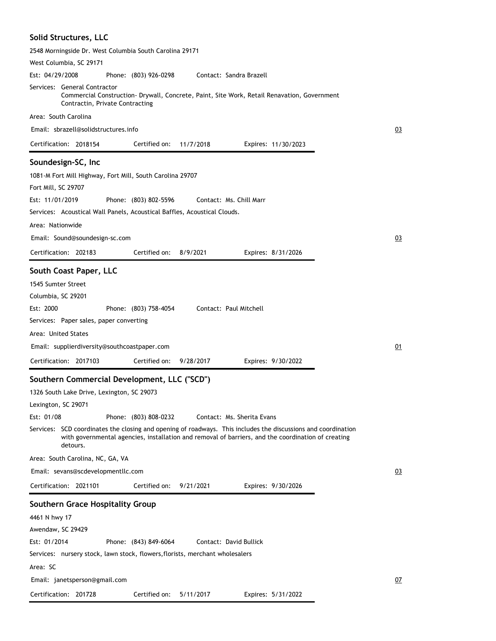| Solid Structures, LLC                                                                                                                                                                                                           |    |
|---------------------------------------------------------------------------------------------------------------------------------------------------------------------------------------------------------------------------------|----|
| 2548 Morningside Dr. West Columbia South Carolina 29171                                                                                                                                                                         |    |
| West Columbia, SC 29171                                                                                                                                                                                                         |    |
| Est: 04/29/2008<br>Phone: (803) 926-0298<br>Contact: Sandra Brazell                                                                                                                                                             |    |
| Services: General Contractor<br>Commercial Construction- Drywall, Concrete, Paint, Site Work, Retail Renavation, Government<br>Contractin, Private Contracting                                                                  |    |
| Area: South Carolina                                                                                                                                                                                                            |    |
| Email: sbrazell@solidstructures.info                                                                                                                                                                                            | 03 |
| Certification: 2018154<br>Certified on:<br>Expires: 11/30/2023<br>11/7/2018                                                                                                                                                     |    |
| Soundesign-SC, Inc.<br>1081-M Fort Mill Highway, Fort Mill, South Carolina 29707<br>Fort Mill, SC 29707<br>Est: 11/01/2019<br>Phone: (803) 802-5596<br>Contact: Ms. Chill Marr                                                  |    |
| Services: Acoustical Wall Panels, Acoustical Baffles, Acoustical Clouds.                                                                                                                                                        |    |
| Area: Nationwide                                                                                                                                                                                                                |    |
| Email: Sound@soundesign-sc.com                                                                                                                                                                                                  | 03 |
| Certification: 202183<br>Certified on:<br>8/9/2021<br>Expires: 8/31/2026                                                                                                                                                        |    |
| South Coast Paper, LLC                                                                                                                                                                                                          |    |
| 1545 Sumter Street<br>Columbia, SC 29201                                                                                                                                                                                        |    |
| Est: 2000<br>Phone: (803) 758-4054<br>Contact: Paul Mitchell                                                                                                                                                                    |    |
| Services: Paper sales, paper converting                                                                                                                                                                                         |    |
| Area: United States                                                                                                                                                                                                             |    |
| Email: supplierdiversity@southcoastpaper.com                                                                                                                                                                                    | 01 |
| Certification: 2017103<br>Certified on:<br>9/28/2017<br>Expires: 9/30/2022                                                                                                                                                      |    |
| Southern Commercial Development, LLC ("SCD")                                                                                                                                                                                    |    |
| 1326 South Lake Drive, Lexington, SC 29073                                                                                                                                                                                      |    |
| Lexington, SC 29071                                                                                                                                                                                                             |    |
| Est: 01/08<br>Phone: (803) 808-0232<br>Contact: Ms. Sherita Evans                                                                                                                                                               |    |
| Services: SCD coordinates the closing and opening of roadways. This includes the discussions and coordination<br>with governmental agencies, installation and removal of barriers, and the coordination of creating<br>detours. |    |
| Area: South Carolina, NC, GA, VA                                                                                                                                                                                                |    |
| Email: sevans@scdevelopmentllc.com                                                                                                                                                                                              | 03 |
| Certification: 2021101<br>9/21/2021<br>Certified on:<br>Expires: 9/30/2026                                                                                                                                                      |    |
| Southern Grace Hospitality Group                                                                                                                                                                                                |    |
| 4461 N hwy 17                                                                                                                                                                                                                   |    |
| Awendaw, SC 29429                                                                                                                                                                                                               |    |
| Est: 01/2014<br>Contact: David Bullick<br>Phone: (843) 849-6064                                                                                                                                                                 |    |
| Services: nursery stock, lawn stock, flowers, florists, merchant wholesalers                                                                                                                                                    |    |
| Area: SC                                                                                                                                                                                                                        |    |
| Email: janetsperson@gmail.com                                                                                                                                                                                                   | 07 |
| Certification: 201728<br>Certified on:<br>5/11/2017<br>Expires: 5/31/2022                                                                                                                                                       |    |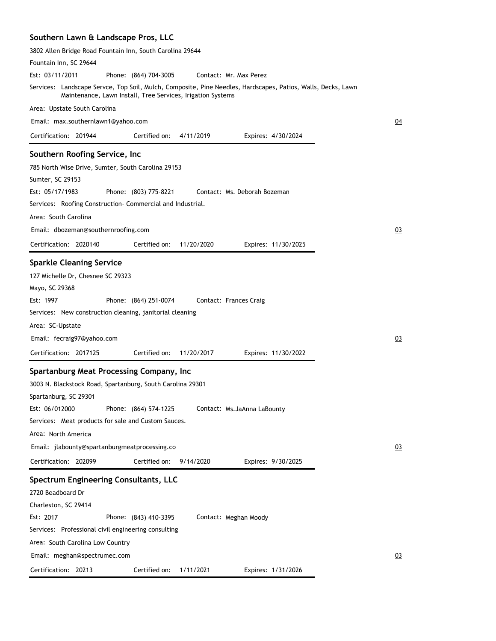# **Southern Lawn & Landscape Pros, LLC**

| Fountain Inn, SC 29644                                                                                                                                                      |    |
|-----------------------------------------------------------------------------------------------------------------------------------------------------------------------------|----|
|                                                                                                                                                                             |    |
| Est: 03/11/2011<br>Phone: (864) 704-3005<br>Contact: Mr. Max Perez                                                                                                          |    |
| Services: Landscape Servce, Top Soil, Mulch, Composite, Pine Needles, Hardscapes, Patios, Walls, Decks, Lawn<br>Maintenance, Lawn Install, Tree Services, Irigation Systems |    |
| Area: Upstate South Carolina                                                                                                                                                |    |
| Email: max.southernlawn1@yahoo.com                                                                                                                                          | 04 |
| Certification: 201944<br>Certified on:<br>4/11/2019<br>Expires: 4/30/2024                                                                                                   |    |
| Southern Roofing Service, Inc                                                                                                                                               |    |
| 785 North Wise Drive, Sumter, South Carolina 29153                                                                                                                          |    |
| Sumter, SC 29153                                                                                                                                                            |    |
| Est: 05/17/1983<br>Contact: Ms. Deborah Bozeman<br>Phone: (803) 775-8221                                                                                                    |    |
| Services: Roofing Construction Commercial and Industrial.                                                                                                                   |    |
| Area: South Carolina                                                                                                                                                        |    |
| Email: dbozeman@southernroofing.com                                                                                                                                         | 03 |
| Certification: 2020140<br>Certified on:<br>11/20/2020<br>Expires: 11/30/2025                                                                                                |    |
|                                                                                                                                                                             |    |
| <b>Sparkle Cleaning Service</b>                                                                                                                                             |    |
| 127 Michelle Dr, Chesnee SC 29323                                                                                                                                           |    |
| Mayo, SC 29368                                                                                                                                                              |    |
| Est: 1997<br>Phone: (864) 251-0074<br>Contact: Frances Craig                                                                                                                |    |
| Services: New construction cleaning, janitorial cleaning                                                                                                                    |    |
| Area: SC-Upstate                                                                                                                                                            |    |
| Email: fecraig97@yahoo.com                                                                                                                                                  | 03 |
| Certification: 2017125<br>Certified on:<br>11/20/2017<br>Expires: 11/30/2022                                                                                                |    |
|                                                                                                                                                                             |    |
|                                                                                                                                                                             |    |
| Spartanburg Meat Processing Company, Inc                                                                                                                                    |    |
| 3003 N. Blackstock Road, Spartanburg, South Carolina 29301                                                                                                                  |    |
| Spartanburg, SC 29301                                                                                                                                                       |    |
| Est: 06/012000<br>Phone: (864) 574-1225<br>Contact: Ms.JaAnna LaBounty                                                                                                      |    |
| Services: Meat products for sale and Custom Sauces.<br>Area: North America                                                                                                  |    |
|                                                                                                                                                                             |    |
| Email: jlabounty@spartanburgmeatprocessing.co                                                                                                                               | 03 |
| Certified on:<br>Certification: 202099<br>9/14/2020<br>Expires: 9/30/2025                                                                                                   |    |
| Spectrum Engineering Consultants, LLC                                                                                                                                       |    |
| 2720 Beadboard Dr                                                                                                                                                           |    |
| Charleston, SC 29414                                                                                                                                                        |    |
| Est: 2017<br>Phone: (843) 410-3395<br>Contact: Meghan Moody                                                                                                                 |    |
| Services: Professional civil engineering consulting                                                                                                                         |    |
| Area: South Carolina Low Country                                                                                                                                            |    |
| Email: meghan@spectrumec.com                                                                                                                                                | 03 |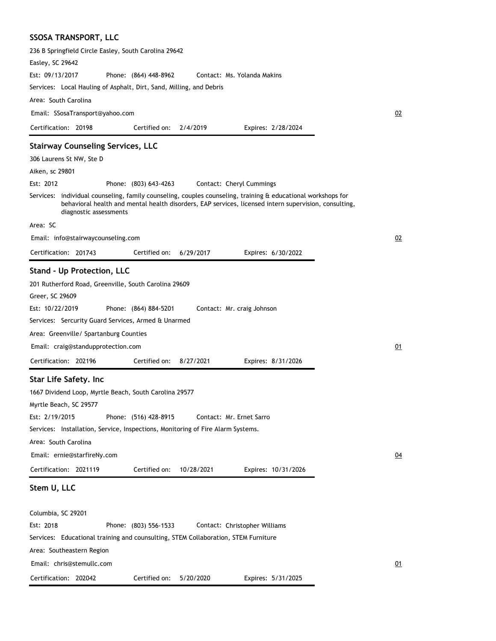# **SSOSA TRANSPORT, LLC**

Certification: 202042

| 236 B Springfield Circle Easley, South Carolina 29642                                                                                                                                                                                                                                                                                                                                                      |    |
|------------------------------------------------------------------------------------------------------------------------------------------------------------------------------------------------------------------------------------------------------------------------------------------------------------------------------------------------------------------------------------------------------------|----|
| Easley, SC 29642                                                                                                                                                                                                                                                                                                                                                                                           |    |
| Est: 09/13/2017<br>Phone: (864) 448-8962<br>Contact: Ms. Yolanda Makins                                                                                                                                                                                                                                                                                                                                    |    |
| Services: Local Hauling of Asphalt, Dirt, Sand, Milling, and Debris                                                                                                                                                                                                                                                                                                                                        |    |
| Area: South Carolina                                                                                                                                                                                                                                                                                                                                                                                       |    |
| Email: SSosaTransport@yahoo.com                                                                                                                                                                                                                                                                                                                                                                            | 02 |
| Certification: 20198<br>Certified on:<br>2/4/2019<br>Expires: 2/28/2024                                                                                                                                                                                                                                                                                                                                    |    |
| <b>Stairway Counseling Services, LLC</b>                                                                                                                                                                                                                                                                                                                                                                   |    |
| 306 Laurens St NW, Ste D                                                                                                                                                                                                                                                                                                                                                                                   |    |
| Aiken, sc 29801                                                                                                                                                                                                                                                                                                                                                                                            |    |
| Est: 2012<br>Phone: (803) 643-4263<br>Contact: Cheryl Cummings                                                                                                                                                                                                                                                                                                                                             |    |
| Services: individual counseling, family counseling, couples counseling, training & educational workshops for<br>behavioral health and mental health disorders, EAP services, licensed intern supervision, consulting,<br>diagnostic assessments                                                                                                                                                            |    |
| Area: SC                                                                                                                                                                                                                                                                                                                                                                                                   |    |
| Email: info@stairwaycounseling.com                                                                                                                                                                                                                                                                                                                                                                         | 02 |
| Certification: 201743<br>Certified on:<br>6/29/2017<br>Expires: 6/30/2022                                                                                                                                                                                                                                                                                                                                  |    |
| <b>Stand - Up Protection, LLC</b><br>201 Rutherford Road, Greenville, South Carolina 29609<br>Greer, SC 29609<br>Est: 10/22/2019<br>Phone: (864) 884-5201<br>Contact: Mr. craig Johnson<br>Services: Sercurity Guard Services, Armed & Unarmed<br>Area: Greenville/ Spartanburg Counties                                                                                                                   |    |
| Email: craig@standupprotection.com                                                                                                                                                                                                                                                                                                                                                                         | 01 |
| Certification: 202196<br>Certified on:<br>8/27/2021<br>Expires: 8/31/2026                                                                                                                                                                                                                                                                                                                                  |    |
| Star Life Safety. Inc<br>1667 Dividend Loop, Myrtle Beach, South Carolina 29577<br>Myrtle Beach, SC 29577<br>Est: 2/19/2015<br>Phone: (516) 428-8915<br>Contact: Mr. Ernet Sarro<br>Services: Installation, Service, Inspections, Monitoring of Fire Alarm Systems.<br>Area: South Carolina<br>Email: ernie@starfireNy.com<br>Certification: 2021119<br>Certified on:<br>10/28/2021<br>Expires: 10/31/2026 | 04 |
| Stem U, LLC                                                                                                                                                                                                                                                                                                                                                                                                |    |
| Columbia, SC 29201<br>Est: 2018<br>Phone: (803) 556-1533<br>Contact: Christopher Williams<br>Services: Educational training and counsulting, STEM Collaboration, STEM Furniture<br>Area: Southeastern Region                                                                                                                                                                                               |    |
| Email: chris@stemullc.com                                                                                                                                                                                                                                                                                                                                                                                  | 01 |
|                                                                                                                                                                                                                                                                                                                                                                                                            |    |

Certified on: 5/20/2020

Expires: 5/31/2025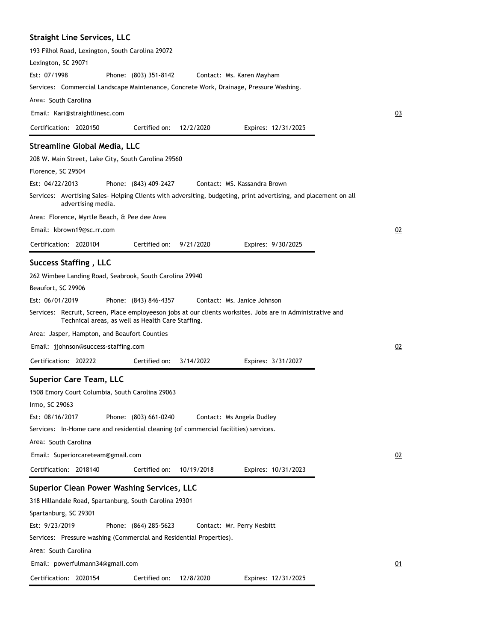### **Straight Line Services, LLC**

| 193 Filhol Road, Lexington, South Carolina 29072                                                                                             |
|----------------------------------------------------------------------------------------------------------------------------------------------|
| Lexington, SC 29071                                                                                                                          |
| Est: 07/1998<br>Phone: (803) 351-8142<br>Contact: Ms. Karen Mayham                                                                           |
| Services: Commercial Landscape Maintenance, Concrete Work, Drainage, Pressure Washing.                                                       |
| Area: South Carolina                                                                                                                         |
| Email: Kari@straightlinesc.com                                                                                                               |
| Certification: 2020150<br>Certified on:<br>12/2/2020<br>Expires: 12/31/2025                                                                  |
| <b>Streamline Global Media, LLC</b>                                                                                                          |
| 208 W. Main Street, Lake City, South Carolina 29560                                                                                          |
| Florence, SC 29504                                                                                                                           |
| Est: 04/22/2013<br>Phone: (843) 409-2427<br>Contact: MS. Kassandra Brown                                                                     |
| Services: Avertising Sales-Helping Clients with adversiting, budgeting, print advertising, and placement on all<br>advertising media.        |
| Area: Florence, Myrtle Beach, & Pee dee Area                                                                                                 |
| Email: kbrown19@sc.rr.com                                                                                                                    |
| Certified on:<br>Certification: 2020104<br>9/21/2020<br>Expires: 9/30/2025                                                                   |
|                                                                                                                                              |
| <b>Success Staffing, LLC</b>                                                                                                                 |
| 262 Wimbee Landing Road, Seabrook, South Carolina 29940                                                                                      |
| Beaufort, SC 29906<br>Est: 06/01/2019<br>Phone: (843) 846-4357<br>Contact: Ms. Janice Johnson                                                |
| Services: Recruit, Screen, Place employeeson jobs at our clients worksites. Jobs are in Administrative and                                   |
| Technical areas, as well as Health Care Staffing.                                                                                            |
| Area: Jasper, Hampton, and Beaufort Counties                                                                                                 |
| Email: jjohnson@success-staffing.com                                                                                                         |
| Certification: 202222<br>Certified on:<br>3/14/2022<br>Expires: 3/31/2027                                                                    |
| <b>Superior Care Team, LLC</b>                                                                                                               |
| 1508 Emory Court Columbia, South Carolina 29063                                                                                              |
| Irmo, SC 29063                                                                                                                               |
| Est: 08/16/2017<br>Phone: (803) 661-0240<br>Contact: Ms Angela Dudley                                                                        |
| Services: In-Home care and residential cleaning (of commercial facilities) services.                                                         |
| Area: South Carolina                                                                                                                         |
| Email: Superiorcareteam@gmail.com                                                                                                            |
| Certification: 2018140<br>10/19/2018<br>Certified on:<br>Expires: 10/31/2023                                                                 |
|                                                                                                                                              |
| <b>Superior Clean Power Washing Services, LLC</b>                                                                                            |
| 318 Hillandale Road, Spartanburg, South Carolina 29301                                                                                       |
| Spartanburg, SC 29301                                                                                                                        |
| Est: 9/23/2019<br>Phone: (864) 285-5623<br>Contact: Mr. Perry Nesbitt<br>Services: Pressure washing (Commercial and Residential Properties). |
|                                                                                                                                              |
| Area: South Carolina                                                                                                                         |
| Email: powerfulmann34@gmail.com                                                                                                              |
| Certification: 2020154<br>Certified on:<br>12/8/2020<br>Expires: 12/31/2025                                                                  |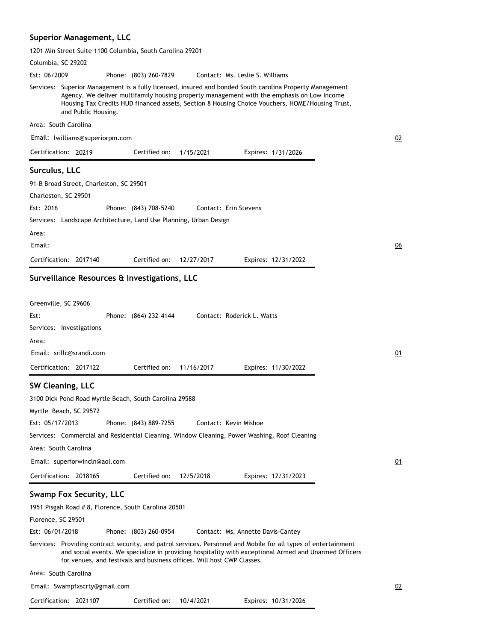#### **Superior Management, LLC**

1201 Min Street Suite 1100 Columbia, South Carolina 29201

Columbia, SC 29202 Phone: (803) 260-7829 Services: Superior Management is a fully licensed, insured and bonded South carolina Property Management Agency. We deliver multifamily housing property management with the emphasis on Low Income Housing Tax Credits HUD financed assets, Section 8 Housing Choice Vouchers, HOME/Housing Trust, and Public Housing. Area: South Carolina Est: 06/2009 Certification: 20219 Contact: Ms. Leslie S. Williams Email: lwilliams@superiorpm.com Expires: 1/31/2026 02 Certified on: 1/15/2021 **Surculus, LLC** 91-B Broad Street, Charleston, SC 29501 Charleston, SC 29501 Phone: (843) 708-5240 Services: Landscape Architecture, Land Use Planning, Urban Design Area: Est: 2016 Certification: 2017140 Contact: Erin Stevens Email: Expires: 12/31/2022 06 Certified on: 12/27/2017 **Surveillance Resources & Investigations, LLC** Greenville, SC 29606 Phone: (864) 232-4144 Services: Investigations Area: Est: Certification: 2017122 Contact: Roderick L. Watts Email: srillc@srandi.com Expires: 11/30/2022 01 Certified on: 11/16/2017 **SW Cleaning, LLC** 3100 Dick Pond Road Myrtle Beach, South Carolina 29588 Myrtle Beach, SC 29572 Phone: (843) 889-7255 Services: Commercial and Residential Cleaning. Window Cleaning, Power Washing, Roof Cleaning Area: South Carolina Est: 05/17/2013 Certification: 2018165 Contact: Kevin Mishoe Email: superiorwincln@aol.com Expires: 12/31/2023 01 Certified on: 12/5/2018 **Swamp Fox Security, LLC** 1951 Pisgah Road # 8, Florence, South Carolina 20501 Florence, SC 29501 Phone: (803) 260-0954 Services: Providing contract security, and patrol services. Personnel and Mobile for all types of entertainment and social events. We specialize in providing hospitality with exceptional Armed and Unarmed Officers for venues, and festivals and business offices. Will host CWP Classes. Area: South Carolina Est: 06/01/2018 Certification: 2021107 Contact: Ms. Annette Davis-Cantey Email: Swampfxscrty@gmail.com Expires: 10/31/2026 02 Certified on: 10/4/2021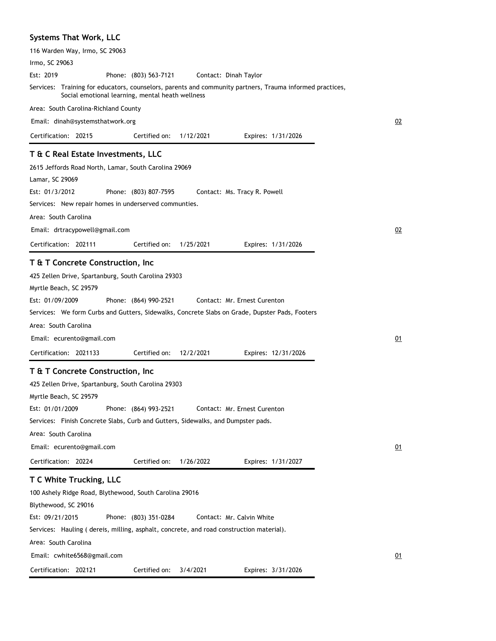# **Systems That Work, LLC**

| 116 Warden Way, Irmo, SC 29063                                                          |                                                  |           |                                                                                                          |    |
|-----------------------------------------------------------------------------------------|--------------------------------------------------|-----------|----------------------------------------------------------------------------------------------------------|----|
| Irmo, SC 29063                                                                          |                                                  |           |                                                                                                          |    |
| Est: 2019                                                                               | Phone: (803) 563-7121                            |           | Contact: Dinah Taylor                                                                                    |    |
|                                                                                         | Social emotional learning, mental heath wellness |           | Services: Training for educators, counselors, parents and community partners, Trauma informed practices, |    |
| Area: South Carolina-Richland County                                                    |                                                  |           |                                                                                                          |    |
| Email: dinah@systemsthatwork.org                                                        |                                                  |           |                                                                                                          | 02 |
| Certification: 20215                                                                    | Certified on:                                    | 1/12/2021 | Expires: 1/31/2026                                                                                       |    |
| T & C Real Estate Investments, LLC                                                      |                                                  |           |                                                                                                          |    |
| 2615 Jeffords Road North, Lamar, South Carolina 29069                                   |                                                  |           |                                                                                                          |    |
| Lamar, SC 29069                                                                         |                                                  |           |                                                                                                          |    |
| Est: 01/3/2012                                                                          | Phone: (803) 807-7595                            |           | Contact: Ms. Tracy R. Powell                                                                             |    |
| Services: New repair homes in underserved communties.                                   |                                                  |           |                                                                                                          |    |
| Area: South Carolina                                                                    |                                                  |           |                                                                                                          |    |
| Email: drtracypowell@gmail.com                                                          |                                                  |           |                                                                                                          | 02 |
|                                                                                         | Certified on:                                    |           |                                                                                                          |    |
| Certification: 202111                                                                   |                                                  | 1/25/2021 | Expires: 1/31/2026                                                                                       |    |
| T & T Concrete Construction, Inc                                                        |                                                  |           |                                                                                                          |    |
| 425 Zellen Drive, Spartanburg, South Carolina 29303                                     |                                                  |           |                                                                                                          |    |
| Myrtle Beach, SC 29579                                                                  |                                                  |           |                                                                                                          |    |
| Est: 01/09/2009                                                                         | Phone: (864) 990-2521                            |           | Contact: Mr. Ernest Curenton                                                                             |    |
|                                                                                         |                                                  |           | Services: We form Curbs and Gutters, Sidewalks, Concrete Slabs on Grade, Dupster Pads, Footers           |    |
| Area: South Carolina                                                                    |                                                  |           |                                                                                                          |    |
| Email: ecurento@gmail.com                                                               |                                                  |           |                                                                                                          | 01 |
| Certification: 2021133                                                                  | Certified on:                                    | 12/2/2021 | Expires: 12/31/2026                                                                                      |    |
| T & T Concrete Construction, Inc                                                        |                                                  |           |                                                                                                          |    |
| 425 Zellen Drive, Spartanburg, South Carolina 29303                                     |                                                  |           |                                                                                                          |    |
| Myrtle Beach, SC 29579                                                                  |                                                  |           |                                                                                                          |    |
| Est: 01/01/2009                                                                         | Phone: (864) 993-2521                            |           | Contact: Mr. Ernest Curenton                                                                             |    |
| Services: Finish Concrete Slabs, Curb and Gutters, Sidewalks, and Dumpster pads.        |                                                  |           |                                                                                                          |    |
| Area: South Carolina                                                                    |                                                  |           |                                                                                                          |    |
| Email: ecurento@gmail.com                                                               |                                                  |           |                                                                                                          | 01 |
| Certification: 20224                                                                    | Certified on:                                    |           |                                                                                                          |    |
|                                                                                         |                                                  | 1/26/2022 | Expires: 1/31/2027                                                                                       |    |
| T C White Trucking, LLC                                                                 |                                                  |           |                                                                                                          |    |
| 100 Ashely Ridge Road, Blythewood, South Carolina 29016                                 |                                                  |           |                                                                                                          |    |
| Blythewood, SC 29016                                                                    |                                                  |           |                                                                                                          |    |
| Est: 09/21/2015                                                                         | Phone: (803) 351-0284                            |           | Contact: Mr. Calvin White                                                                                |    |
| Services: Hauling (dereis, milling, asphalt, concrete, and road construction material). |                                                  |           |                                                                                                          |    |
| Area: South Carolina                                                                    |                                                  |           |                                                                                                          |    |
| Email: cwhite6568@gmail.com                                                             |                                                  |           |                                                                                                          | 01 |
| Certification: 202121                                                                   | Certified on:                                    | 3/4/2021  | Expires: 3/31/2026                                                                                       |    |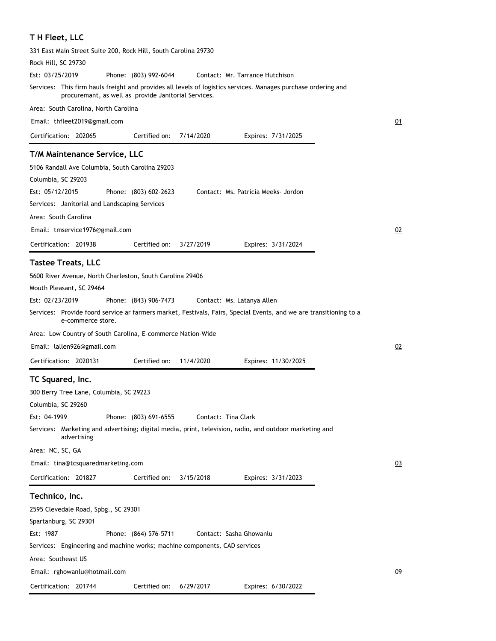### **T H Fleet, LLC**

| 331 East Main Street Suite 200, Rock Hill, South Carolina 29730                                                                                                        |    |
|------------------------------------------------------------------------------------------------------------------------------------------------------------------------|----|
| Rock Hill, SC 29730                                                                                                                                                    |    |
| Est: 03/25/2019<br>Phone: (803) 992-6044<br>Contact: Mr. Tarrance Hutchison                                                                                            |    |
| Services: This firm hauls freight and provides all levels of logistics services. Manages purchase ordering and<br>procuremant, as well as provide Janitorial Services. |    |
| Area: South Carolina, North Carolina                                                                                                                                   |    |
| Email: thfleet2019@gmail.com                                                                                                                                           | 01 |
| Certified on:<br>Certification: 202065<br>7/14/2020<br>Expires: 7/31/2025                                                                                              |    |
| T/M Maintenance Service, LLC                                                                                                                                           |    |
| 5106 Randall Ave Columbia, South Carolina 29203                                                                                                                        |    |
| Columbia, SC 29203                                                                                                                                                     |    |
| Est: 05/12/2015<br>Phone: (803) 602-2623<br>Contact: Ms. Patricia Meeks- Jordon                                                                                        |    |
| Services: Janitorial and Landscaping Services                                                                                                                          |    |
| Area: South Carolina                                                                                                                                                   |    |
| Email: tmservice1976@gmail.com                                                                                                                                         | 02 |
| Certification: 201938<br>Certified on:<br>3/27/2019<br>Expires: 3/31/2024                                                                                              |    |
|                                                                                                                                                                        |    |
| <b>Tastee Treats, LLC</b>                                                                                                                                              |    |
| 5600 River Avenue, North Charleston, South Carolina 29406                                                                                                              |    |
| Mouth Pleasant, SC 29464                                                                                                                                               |    |
| Est: 02/23/2019<br>Phone: (843) 906-7473<br>Contact: Ms. Latanya Allen                                                                                                 |    |
| Services: Provide foord service ar farmers market, Festivals, Fairs, Special Events, and we are transitioning to a<br>e-commerce store.                                |    |
|                                                                                                                                                                        |    |
| Area: Low Country of South Carolina, E-commerce Nation-Wide                                                                                                            |    |
| Email: lallen926@gmail.com                                                                                                                                             | 02 |
| Certification: 2020131<br>Certified on:<br>11/4/2020<br>Expires: 11/30/2025                                                                                            |    |
| TC Squared, Inc.                                                                                                                                                       |    |
| 300 Berry Tree Lane, Columbia, SC 29223                                                                                                                                |    |
| Columbia, SC 29260                                                                                                                                                     |    |
| Phone: (803) 691-6555<br>Est: 04-1999<br>Contact: Tina Clark                                                                                                           |    |
| Services: Marketing and advertising; digital media, print, television, radio, and outdoor marketing and<br>advertising                                                 |    |
| Area: NC, SC, GA                                                                                                                                                       |    |
| Email: tina@tcsquaredmarketing.com                                                                                                                                     | 03 |
| Certification: 201827<br>Certified on:<br>3/15/2018<br>Expires: 3/31/2023                                                                                              |    |
| Technico, Inc.                                                                                                                                                         |    |
| 2595 Clevedale Road, Spbg., SC 29301                                                                                                                                   |    |
| Spartanburg, SC 29301                                                                                                                                                  |    |
| Est: 1987<br>Phone: (864) 576-5711<br>Contact: Sasha Ghowanlu                                                                                                          |    |
| Services: Engineering and machine works; machine components, CAD services                                                                                              |    |
| Area: Southeast US                                                                                                                                                     |    |
| Email: rghowanlu@hotmail.com                                                                                                                                           | 09 |
|                                                                                                                                                                        |    |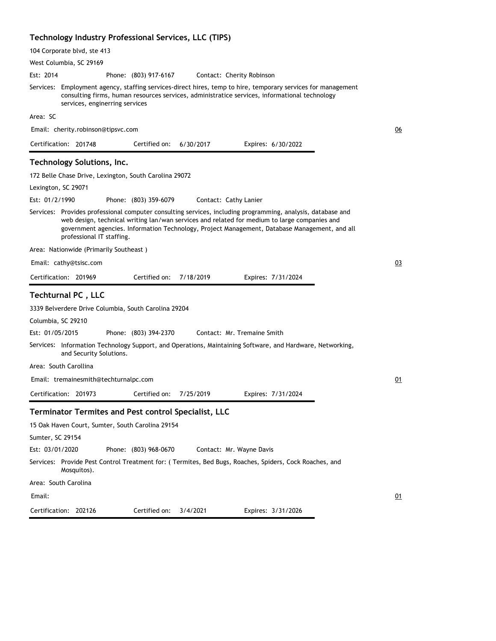#### **Technology Industry Professional Services, LLC (TIPS)**

| 104 Corporate blvd, ste 413                                                                                                                                                                                                                                                                                                               |    |
|-------------------------------------------------------------------------------------------------------------------------------------------------------------------------------------------------------------------------------------------------------------------------------------------------------------------------------------------|----|
| West Columbia, SC 29169                                                                                                                                                                                                                                                                                                                   |    |
| Est: 2014<br>Phone: (803) 917-6167<br>Contact: Cherity Robinson                                                                                                                                                                                                                                                                           |    |
| Services: Employment agency, staffing services-direct hires, temp to hire, temporary services for management<br>consulting firms, human resources services, administratice services, informational technology<br>services, enginerring services                                                                                           |    |
| Area: SC                                                                                                                                                                                                                                                                                                                                  |    |
| Email: cherity.robinson@tipsvc.com                                                                                                                                                                                                                                                                                                        | 06 |
| Certification: 201748<br>Certified on:<br>6/30/2017<br>Expires: 6/30/2022                                                                                                                                                                                                                                                                 |    |
| Technology Solutions, Inc.                                                                                                                                                                                                                                                                                                                |    |
| 172 Belle Chase Drive, Lexington, South Carolina 29072                                                                                                                                                                                                                                                                                    |    |
| Lexington, SC 29071                                                                                                                                                                                                                                                                                                                       |    |
| Est: 01/2/1990<br>Phone: (803) 359-6079<br>Contact: Cathy Lanier                                                                                                                                                                                                                                                                          |    |
| Services: Provides professional computer consulting services, including programming, analysis, database and<br>web design, technical writing lan/wan services and related for medium to large companies and<br>government agencies. Information Technology, Project Management, Database Management, and all<br>professional IT staffing. |    |
| Area: Nationwide (Primarily Southeast)                                                                                                                                                                                                                                                                                                    |    |
| Email: cathy@tsisc.com                                                                                                                                                                                                                                                                                                                    | 03 |
| Certified on:<br>Certification: 201969<br>7/18/2019<br>Expires: 7/31/2024                                                                                                                                                                                                                                                                 |    |
| Techturnal PC, LLC                                                                                                                                                                                                                                                                                                                        |    |
| 3339 Belverdere Drive Columbia, South Carolina 29204                                                                                                                                                                                                                                                                                      |    |
| Columbia, SC 29210                                                                                                                                                                                                                                                                                                                        |    |
| Est: 01/05/2015<br>Contact: Mr. Tremaine Smith<br>Phone: (803) 394-2370                                                                                                                                                                                                                                                                   |    |
| Services: Information Technology Support, and Operations, Maintaining Software, and Hardware, Networking,<br>and Security Solutions.                                                                                                                                                                                                      |    |
| Area:   South Carollina                                                                                                                                                                                                                                                                                                                   |    |
| Email: tremainesmith@techturnalpc.com                                                                                                                                                                                                                                                                                                     | 01 |
| Certification: 201973<br>Certified on:<br>7/25/2019<br>Expires: 7/31/2024                                                                                                                                                                                                                                                                 |    |
| <b>Terminator Termites and Pest control Specialist, LLC</b>                                                                                                                                                                                                                                                                               |    |
| 15 Oak Haven Court, Sumter, South Carolina 29154                                                                                                                                                                                                                                                                                          |    |
| Sumter, SC 29154                                                                                                                                                                                                                                                                                                                          |    |
| Est: 03/01/2020<br>Phone: (803) 968-0670<br>Contact: Mr. Wayne Davis                                                                                                                                                                                                                                                                      |    |
| Services:    Provide Pest Control Treatment for: ( Termites, Bed Bugs, Roaches, Spiders, Cock Roaches, and<br>Mosquitos).                                                                                                                                                                                                                 |    |
| Area: South Carolina                                                                                                                                                                                                                                                                                                                      |    |
| Email:                                                                                                                                                                                                                                                                                                                                    | 01 |
| Certified on:<br>Certification: 202126<br>3/4/2021<br>Expires: 3/31/2026                                                                                                                                                                                                                                                                  |    |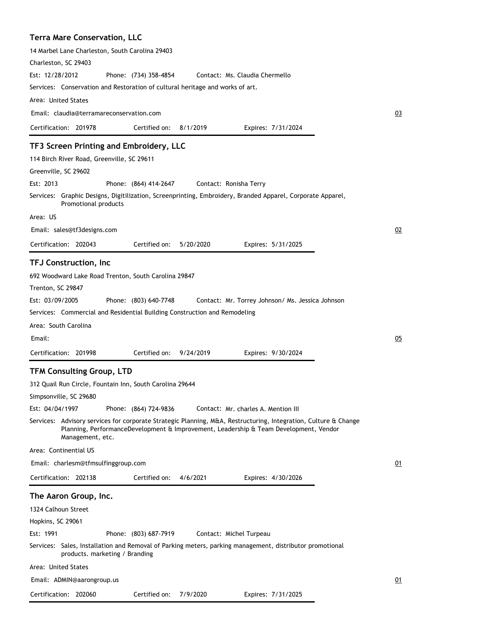## **Terra Mare Conservation, LLC**

| Charleston, SC 29403                                                   | 14 Marbel Lane Charleston, South Carolina 29403                                                                                   |                       |           |                                                                                                                                                        |    |
|------------------------------------------------------------------------|-----------------------------------------------------------------------------------------------------------------------------------|-----------------------|-----------|--------------------------------------------------------------------------------------------------------------------------------------------------------|----|
| Est: 12/28/2012                                                        |                                                                                                                                   | Phone: (734) 358-4854 |           | Contact: Ms. Claudia Chermello                                                                                                                         |    |
|                                                                        | Services: Conservation and Restoration of cultural heritage and works of art.                                                     |                       |           |                                                                                                                                                        |    |
| Area: United States                                                    |                                                                                                                                   |                       |           |                                                                                                                                                        |    |
|                                                                        | Email: claudia@terramareconservation.com                                                                                          |                       |           |                                                                                                                                                        | 03 |
| Certification: 201978                                                  |                                                                                                                                   | Certified on:         | 8/1/2019  | Expires: 7/31/2024                                                                                                                                     |    |
|                                                                        | TF3 Screen Printing and Embroidery, LLC                                                                                           |                       |           |                                                                                                                                                        |    |
|                                                                        | 114 Birch River Road, Greenville, SC 29611                                                                                        |                       |           |                                                                                                                                                        |    |
| Greenville, SC 29602                                                   |                                                                                                                                   |                       |           |                                                                                                                                                        |    |
| Est: 2013                                                              |                                                                                                                                   | Phone: (864) 414-2647 |           | Contact: Ronisha Terry                                                                                                                                 |    |
|                                                                        | Promotional products                                                                                                              |                       |           | Services: Graphic Designs, Digitilization, Screenprinting, Embroidery, Branded Apparel, Corporate Apparel,                                             |    |
| Area: US                                                               |                                                                                                                                   |                       |           |                                                                                                                                                        |    |
| Email: sales@tf3designs.com                                            |                                                                                                                                   |                       |           |                                                                                                                                                        | 02 |
| Certification: 202043                                                  |                                                                                                                                   | Certified on:         | 5/20/2020 | Expires: 5/31/2025                                                                                                                                     |    |
| <b>TFJ Construction, Inc</b>                                           |                                                                                                                                   |                       |           |                                                                                                                                                        |    |
| Trenton, SC 29847<br>Est: 03/09/2005<br>Area: South Carolina<br>Email: | 692 Woodward Lake Road Trenton, South Carolina 29847<br>Services: Commercial and Residential Building Construction and Remodeling | Phone: (803) 640-7748 |           | Contact: Mr. Torrey Johnson/ Ms. Jessica Johnson                                                                                                       | 05 |
| Certification: 201998                                                  |                                                                                                                                   | Certified on:         | 9/24/2019 | Expires: 9/30/2024                                                                                                                                     |    |
| Simpsonville, SC 29680<br>Est: 04/04/1997                              | <b>TFM Consulting Group, LTD</b><br>312 Quail Run Circle, Fountain Inn, South Carolina 29644                                      | Phone: (864) 724-9836 |           | Contact: Mr. charles A. Mention III<br>Services: Advisory services for corporate Strategic Planning, M&A, Restructuring, Integration, Culture & Change |    |
|                                                                        | Management, etc.                                                                                                                  |                       |           | Planning, PerformanceDevelopment & Improvement, Leadership & Team Development, Vendor                                                                  |    |
| Area: Continential US                                                  |                                                                                                                                   |                       |           |                                                                                                                                                        |    |
|                                                                        | Email: charlesm@tfmsulfinggroup.com                                                                                               |                       |           |                                                                                                                                                        | 01 |
| Certification: 202138                                                  |                                                                                                                                   | Certified on:         | 4/6/2021  | Expires: 4/30/2026                                                                                                                                     |    |
| The Aaron Group, Inc.                                                  |                                                                                                                                   |                       |           |                                                                                                                                                        |    |
| 1324 Calhoun Street                                                    |                                                                                                                                   |                       |           |                                                                                                                                                        |    |
| Hopkins, SC 29061                                                      |                                                                                                                                   |                       |           |                                                                                                                                                        |    |
| Est: 1991                                                              |                                                                                                                                   | Phone: (803) 687-7919 |           | Contact: Michel Turpeau                                                                                                                                |    |
|                                                                        | products. marketing / Branding                                                                                                    |                       |           | Services: Sales, Installation and Removal of Parking meters, parking management, distributor promotional                                               |    |
| Area: United States                                                    |                                                                                                                                   |                       |           |                                                                                                                                                        |    |
| Email: ADMIN@aarongroup.us                                             |                                                                                                                                   |                       |           |                                                                                                                                                        | 01 |
| Certification: 202060                                                  |                                                                                                                                   | Certified on:         | 7/9/2020  | Expires: 7/31/2025                                                                                                                                     |    |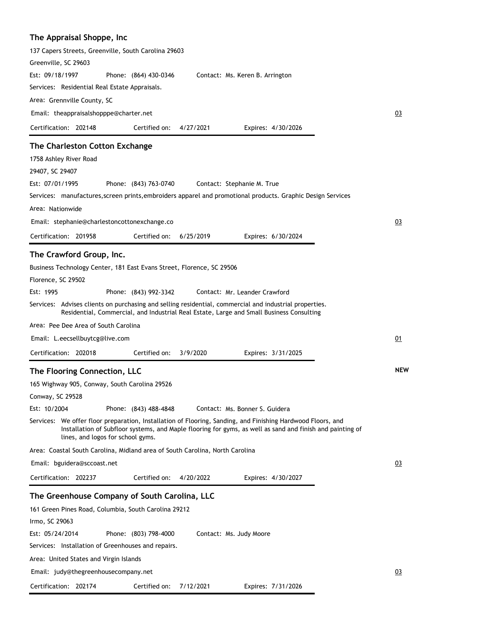### **The Appraisal Shoppe, Inc**

| 137 Capers Streets, Greenville, South Carolina 29603                                                                                                                                                                                                          |            |
|---------------------------------------------------------------------------------------------------------------------------------------------------------------------------------------------------------------------------------------------------------------|------------|
| Greenville, SC 29603                                                                                                                                                                                                                                          |            |
| Est: 09/18/1997<br>Phone: (864) 430-0346<br>Contact: Ms. Keren B. Arrington                                                                                                                                                                                   |            |
| Services: Residential Real Estate Appraisals.                                                                                                                                                                                                                 |            |
| Area: Grennville County, SC                                                                                                                                                                                                                                   |            |
| Email: theappraisalshopppe@charter.net                                                                                                                                                                                                                        | 03         |
| Certification: 202148<br>Certified on:<br>4/27/2021<br>Expires: 4/30/2026                                                                                                                                                                                     |            |
| The Charleston Cotton Exchange                                                                                                                                                                                                                                |            |
| 1758 Ashley River Road                                                                                                                                                                                                                                        |            |
| 29407, SC 29407                                                                                                                                                                                                                                               |            |
| Est: 07/01/1995<br>Phone: (843) 763-0740<br>Contact: Stephanie M. True                                                                                                                                                                                        |            |
| Services: manufactures, screen prints, embroiders apparel and promotional products. Graphic Design Services                                                                                                                                                   |            |
| Area: Nationwide                                                                                                                                                                                                                                              |            |
| Email: stephanie@charlestoncottonexchange.co                                                                                                                                                                                                                  | 03         |
| Certification: 201958<br>Certified on:<br>6/25/2019<br>Expires: 6/30/2024                                                                                                                                                                                     |            |
| The Crawford Group, Inc.                                                                                                                                                                                                                                      |            |
| Business Technology Center, 181 East Evans Street, Florence, SC 29506                                                                                                                                                                                         |            |
| Florence, SC 29502                                                                                                                                                                                                                                            |            |
| Est: 1995<br>Contact: Mr. Leander Crawford<br>Phone: (843) 992-3342                                                                                                                                                                                           |            |
| Services: Advises clients on purchasing and selling residential, commercial and industrial properties.<br>Residential, Commercial, and Industrial Real Estate, Large and Small Business Consulting                                                            |            |
| Area: Pee Dee Area of South Carolina                                                                                                                                                                                                                          |            |
| Email: L.eecsellbuytcg@live.com                                                                                                                                                                                                                               | 01         |
| Certification: 202018<br>Certified on:<br>3/9/2020<br>Expires: 3/31/2025                                                                                                                                                                                      |            |
| The Flooring Connection, LLC                                                                                                                                                                                                                                  | <b>NEW</b> |
| 165 Wighway 905, Conway, South Carolina 29526                                                                                                                                                                                                                 |            |
| Conway, SC 29528                                                                                                                                                                                                                                              |            |
| Est: 10/2004<br>Phone: (843) 488-4848<br>Contact: Ms. Bonner S. Guidera                                                                                                                                                                                       |            |
| Services: We offer floor preparation, Installation of Flooring, Sanding, and Finishing Hardwood Floors, and<br>Installation of Subfloor systems, and Maple flooring for gyms, as well as sand and finish and painting of<br>lines, and logos for school gyms. |            |
| Area: Coastal South Carolina, Midland area of South Carolina, North Carolina                                                                                                                                                                                  |            |
| Email: bguidera@sccoast.net                                                                                                                                                                                                                                   | 03         |
| Certification: 202237<br>Certified on:<br>4/20/2022<br>Expires: 4/30/2027                                                                                                                                                                                     |            |
| The Greenhouse Company of South Carolina, LLC                                                                                                                                                                                                                 |            |
| 161 Green Pines Road, Columbia, South Carolina 29212                                                                                                                                                                                                          |            |
| Irmo, SC 29063                                                                                                                                                                                                                                                |            |
| Phone: (803) 798-4000<br>Est: 05/24/2014<br>Contact: Ms. Judy Moore                                                                                                                                                                                           |            |
| Services: Installation of Greenhouses and repairs.                                                                                                                                                                                                            |            |
| Area: United States and Virgin Islands                                                                                                                                                                                                                        |            |
| Email: judy@thegreenhousecompany.net                                                                                                                                                                                                                          | 03         |
| Certification: 202174<br>Certified on:<br>7/12/2021<br>Expires: 7/31/2026                                                                                                                                                                                     |            |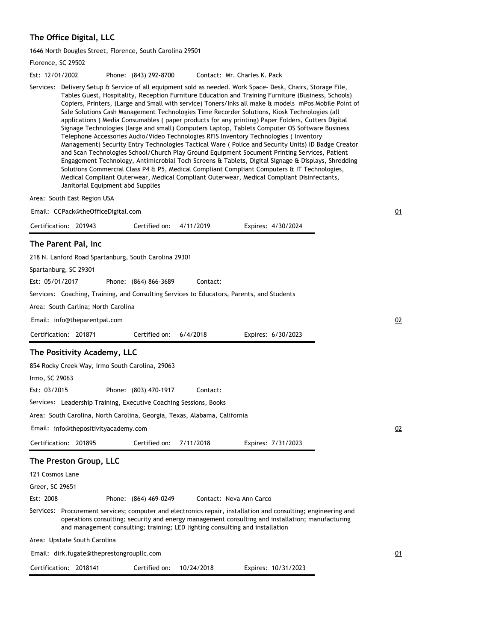# **The Office Digital, LLC**

1646 North Dougles Street, Florence, South Carolina 29501

| Florence, SC 29502                                                                                                                                                                                                                                                                                                                                                                                                                                                                                                                                                                                                                                                                                                                                                                                                                                                                                                                                                                                                                                                                                                                                                                                                                                                        |    |
|---------------------------------------------------------------------------------------------------------------------------------------------------------------------------------------------------------------------------------------------------------------------------------------------------------------------------------------------------------------------------------------------------------------------------------------------------------------------------------------------------------------------------------------------------------------------------------------------------------------------------------------------------------------------------------------------------------------------------------------------------------------------------------------------------------------------------------------------------------------------------------------------------------------------------------------------------------------------------------------------------------------------------------------------------------------------------------------------------------------------------------------------------------------------------------------------------------------------------------------------------------------------------|----|
| Est: 12/01/2002<br>Phone: (843) 292-8700<br>Contact: Mr. Charles K. Pack                                                                                                                                                                                                                                                                                                                                                                                                                                                                                                                                                                                                                                                                                                                                                                                                                                                                                                                                                                                                                                                                                                                                                                                                  |    |
| Services: Delivery Setup & Service of all equipment sold as needed. Work Space- Desk, Chairs, Storage File,<br>Tables Guest, Hospitality, Reception Furniture Education and Training Furniture (Business, Schools)<br>Copiers, Printers, (Large and Small with service) Toners/Inks all make & models mPos Mobile Point of<br>Sale Solutions Cash Management Technologies Time Recorder Solutions, Kiosk Technologies (all<br>applications) Media Consumables (paper products for any printing) Paper Folders, Cutters Digital<br>Signage Technologies (large and small) Computers Laptop, Tablets Computer OS Software Business<br>Telephone Accessories Audio/Video Technologies RFIS Inventory Technologies (Inventory<br>Management) Security Entry Technologies Tactical Ware (Police and Security Units) ID Badge Creator<br>and Scan Technologies School/Church Play Ground Equipment Socument Printing Services, Patient<br>Engagement Technology, Antimicrobial Toch Screens & Tablets, Digital Signage & Displays, Shredding<br>Solutions Commercial Class P4 & P5, Medical Compliant Compliant Computers & IT Technologies,<br>Medical Compliant Outerwear, Medical Compliant Outerwear, Medical Compliant Disinfectants,<br>Janitorial Equipment abd Supplies |    |
| Area: South East Region USA                                                                                                                                                                                                                                                                                                                                                                                                                                                                                                                                                                                                                                                                                                                                                                                                                                                                                                                                                                                                                                                                                                                                                                                                                                               |    |
| Email: CCPack@theOfficeDigital.com                                                                                                                                                                                                                                                                                                                                                                                                                                                                                                                                                                                                                                                                                                                                                                                                                                                                                                                                                                                                                                                                                                                                                                                                                                        | 01 |
| Certification: 201943<br>Certified on:<br>4/11/2019<br>Expires: 4/30/2024                                                                                                                                                                                                                                                                                                                                                                                                                                                                                                                                                                                                                                                                                                                                                                                                                                                                                                                                                                                                                                                                                                                                                                                                 |    |
| The Parent Pal, Inc                                                                                                                                                                                                                                                                                                                                                                                                                                                                                                                                                                                                                                                                                                                                                                                                                                                                                                                                                                                                                                                                                                                                                                                                                                                       |    |
| 218 N. Lanford Road Spartanburg, South Carolina 29301                                                                                                                                                                                                                                                                                                                                                                                                                                                                                                                                                                                                                                                                                                                                                                                                                                                                                                                                                                                                                                                                                                                                                                                                                     |    |
| Spartanburg, SC 29301                                                                                                                                                                                                                                                                                                                                                                                                                                                                                                                                                                                                                                                                                                                                                                                                                                                                                                                                                                                                                                                                                                                                                                                                                                                     |    |
| Est: 05/01/2017<br>Contact:<br>Phone: (864) 866-3689                                                                                                                                                                                                                                                                                                                                                                                                                                                                                                                                                                                                                                                                                                                                                                                                                                                                                                                                                                                                                                                                                                                                                                                                                      |    |
| Services: Coaching, Training, and Consulting Services to Educators, Parents, and Students                                                                                                                                                                                                                                                                                                                                                                                                                                                                                                                                                                                                                                                                                                                                                                                                                                                                                                                                                                                                                                                                                                                                                                                 |    |
| Area: South Carlina; North Carolina                                                                                                                                                                                                                                                                                                                                                                                                                                                                                                                                                                                                                                                                                                                                                                                                                                                                                                                                                                                                                                                                                                                                                                                                                                       |    |
| Email: info@theparentpal.com                                                                                                                                                                                                                                                                                                                                                                                                                                                                                                                                                                                                                                                                                                                                                                                                                                                                                                                                                                                                                                                                                                                                                                                                                                              | 02 |
| Certification: 201871<br>Certified on:<br>6/4/2018<br>Expires: 6/30/2023                                                                                                                                                                                                                                                                                                                                                                                                                                                                                                                                                                                                                                                                                                                                                                                                                                                                                                                                                                                                                                                                                                                                                                                                  |    |
| The Positivity Academy, LLC                                                                                                                                                                                                                                                                                                                                                                                                                                                                                                                                                                                                                                                                                                                                                                                                                                                                                                                                                                                                                                                                                                                                                                                                                                               |    |
| 854 Rocky Creek Way, Irmo South Carolina, 29063                                                                                                                                                                                                                                                                                                                                                                                                                                                                                                                                                                                                                                                                                                                                                                                                                                                                                                                                                                                                                                                                                                                                                                                                                           |    |
| Irmo, SC 29063                                                                                                                                                                                                                                                                                                                                                                                                                                                                                                                                                                                                                                                                                                                                                                                                                                                                                                                                                                                                                                                                                                                                                                                                                                                            |    |
| Est: 03/2015<br>Phone: (803) 470-1917<br>Contact:                                                                                                                                                                                                                                                                                                                                                                                                                                                                                                                                                                                                                                                                                                                                                                                                                                                                                                                                                                                                                                                                                                                                                                                                                         |    |
| Services: Leadership Training, Executive Coaching Sessions, Books                                                                                                                                                                                                                                                                                                                                                                                                                                                                                                                                                                                                                                                                                                                                                                                                                                                                                                                                                                                                                                                                                                                                                                                                         |    |
| Area: South Carolina, North Carolina, Georgia, Texas, Alabama, California                                                                                                                                                                                                                                                                                                                                                                                                                                                                                                                                                                                                                                                                                                                                                                                                                                                                                                                                                                                                                                                                                                                                                                                                 |    |
| Email: info@thepositivityacademy.com                                                                                                                                                                                                                                                                                                                                                                                                                                                                                                                                                                                                                                                                                                                                                                                                                                                                                                                                                                                                                                                                                                                                                                                                                                      | 02 |
| Certified on:<br>Certification: 201895<br>7/11/2018<br>Expires: 7/31/2023                                                                                                                                                                                                                                                                                                                                                                                                                                                                                                                                                                                                                                                                                                                                                                                                                                                                                                                                                                                                                                                                                                                                                                                                 |    |
| The Preston Group, LLC                                                                                                                                                                                                                                                                                                                                                                                                                                                                                                                                                                                                                                                                                                                                                                                                                                                                                                                                                                                                                                                                                                                                                                                                                                                    |    |
| 121 Cosmos Lane                                                                                                                                                                                                                                                                                                                                                                                                                                                                                                                                                                                                                                                                                                                                                                                                                                                                                                                                                                                                                                                                                                                                                                                                                                                           |    |
| Greer, SC 29651                                                                                                                                                                                                                                                                                                                                                                                                                                                                                                                                                                                                                                                                                                                                                                                                                                                                                                                                                                                                                                                                                                                                                                                                                                                           |    |
| Est: 2008<br>Phone: (864) 469-0249<br>Contact: Neva Ann Carco                                                                                                                                                                                                                                                                                                                                                                                                                                                                                                                                                                                                                                                                                                                                                                                                                                                                                                                                                                                                                                                                                                                                                                                                             |    |
| Services: Procurement services; computer and electronics repair, installation and consulting; engineering and                                                                                                                                                                                                                                                                                                                                                                                                                                                                                                                                                                                                                                                                                                                                                                                                                                                                                                                                                                                                                                                                                                                                                             |    |
| operations consulting; security and energy management consulting and installation; manufacturing<br>and management consulting; training; LED lighting consulting and installation                                                                                                                                                                                                                                                                                                                                                                                                                                                                                                                                                                                                                                                                                                                                                                                                                                                                                                                                                                                                                                                                                         |    |
| Area: Upstate South Carolina                                                                                                                                                                                                                                                                                                                                                                                                                                                                                                                                                                                                                                                                                                                                                                                                                                                                                                                                                                                                                                                                                                                                                                                                                                              |    |
| Email: dirk.fugate@theprestongroupllc.com                                                                                                                                                                                                                                                                                                                                                                                                                                                                                                                                                                                                                                                                                                                                                                                                                                                                                                                                                                                                                                                                                                                                                                                                                                 | 01 |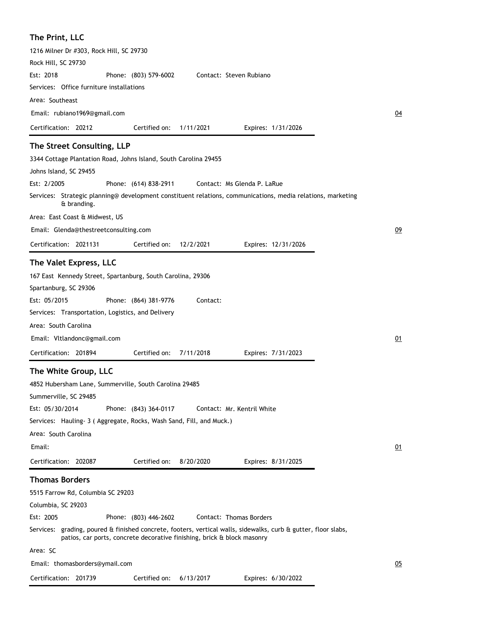| The Print, LLC                                                                                                                                                                            |                       |           |                             |    |
|-------------------------------------------------------------------------------------------------------------------------------------------------------------------------------------------|-----------------------|-----------|-----------------------------|----|
| 1216 Milner Dr #303, Rock Hill, SC 29730                                                                                                                                                  |                       |           |                             |    |
| Rock Hill, SC 29730                                                                                                                                                                       |                       |           |                             |    |
| Est: 2018                                                                                                                                                                                 | Phone: (803) 579-6002 |           | Contact: Steven Rubiano     |    |
| Services: Office furniture installations                                                                                                                                                  |                       |           |                             |    |
| Area: Southeast                                                                                                                                                                           |                       |           |                             |    |
| Email: rubiano1969@gmail.com                                                                                                                                                              |                       |           |                             | 04 |
| Certification: 20212                                                                                                                                                                      | Certified on:         | 1/11/2021 | Expires: 1/31/2026          |    |
| The Street Consulting, LLP                                                                                                                                                                |                       |           |                             |    |
| 3344 Cottage Plantation Road, Johns Island, South Carolina 29455                                                                                                                          |                       |           |                             |    |
| Johns Island, SC 29455                                                                                                                                                                    |                       |           |                             |    |
| Est: 2/2005                                                                                                                                                                               | Phone: (614) 838-2911 |           | Contact: Ms Glenda P. LaRue |    |
| Services: Strategic planning@ development constituent relations, communications, media relations, marketing<br>& branding.                                                                |                       |           |                             |    |
| Area: East Coast & Midwest, US                                                                                                                                                            |                       |           |                             |    |
| Email: Glenda@thestreetconsulting.com                                                                                                                                                     |                       |           |                             | 09 |
| Certification: 2021131                                                                                                                                                                    | Certified on:         | 12/2/2021 | Expires: 12/31/2026         |    |
|                                                                                                                                                                                           |                       |           |                             |    |
| The Valet Express, LLC                                                                                                                                                                    |                       |           |                             |    |
| 167 East Kennedy Street, Spartanburg, South Carolina, 29306                                                                                                                               |                       |           |                             |    |
| Spartanburg, SC 29306                                                                                                                                                                     |                       |           |                             |    |
| Est: 05/2015                                                                                                                                                                              | Phone: (864) 381-9776 | Contact:  |                             |    |
| Services: Transportation, Logistics, and Delivery                                                                                                                                         |                       |           |                             |    |
| Area: South Carolina                                                                                                                                                                      |                       |           |                             |    |
| Email: Vitlandonc@gmail.com                                                                                                                                                               |                       |           |                             | 01 |
| Certification: 201894                                                                                                                                                                     | Certified on:         | 7/11/2018 | Expires: 7/31/2023          |    |
| The White Group, LLC                                                                                                                                                                      |                       |           |                             |    |
| 4852 Hubersham Lane, Summerville, South Carolina 29485                                                                                                                                    |                       |           |                             |    |
| Summerville, SC 29485                                                                                                                                                                     |                       |           |                             |    |
| Est: 05/30/2014                                                                                                                                                                           | Phone: (843) 364-0117 |           | Contact: Mr. Kentril White  |    |
| Services: Hauling- 3 (Aggregate, Rocks, Wash Sand, Fill, and Muck.)                                                                                                                       |                       |           |                             |    |
| Area: South Carolina                                                                                                                                                                      |                       |           |                             |    |
| Email:                                                                                                                                                                                    |                       |           |                             | 01 |
| Certification: 202087                                                                                                                                                                     | Certified on:         | 8/20/2020 | Expires: 8/31/2025          |    |
| <b>Thomas Borders</b>                                                                                                                                                                     |                       |           |                             |    |
| 5515 Farrow Rd, Columbia SC 29203                                                                                                                                                         |                       |           |                             |    |
| Columbia, SC 29203                                                                                                                                                                        |                       |           |                             |    |
| Est: 2005                                                                                                                                                                                 | Phone: (803) 446-2602 |           | Contact: Thomas Borders     |    |
| Services: grading, poured & finished concrete, footers, vertical walls, sidewalks, curb & gutter, floor slabs,<br>patios, car ports, concrete decorative finishing, brick & block masonry |                       |           |                             |    |
| Area: SC                                                                                                                                                                                  |                       |           |                             |    |
| Email: thomasborders@ymail.com                                                                                                                                                            |                       |           |                             | 05 |
| Certification: 201739                                                                                                                                                                     | Certified on:         | 6/13/2017 | Expires: 6/30/2022          |    |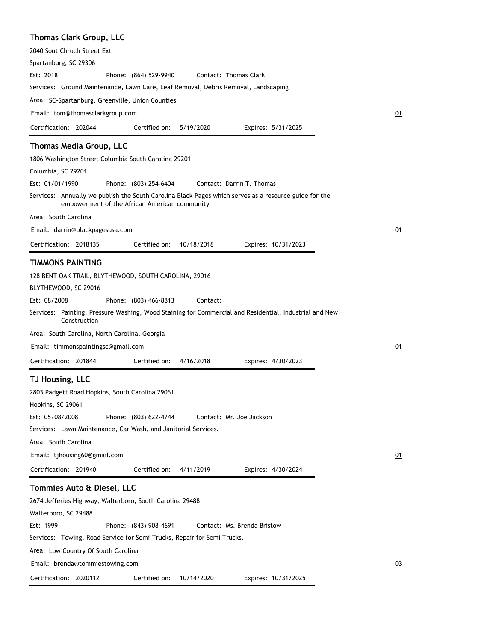#### **Thomas Clark Group, LLC**

Certification: 2020112

| $\frac{1}{2}$                                                                                                                                          |    |
|--------------------------------------------------------------------------------------------------------------------------------------------------------|----|
| 2040 Sout Chruch Street Ext                                                                                                                            |    |
| Spartanburg, SC 29306                                                                                                                                  |    |
| Est: 2018<br>Phone: (864) 529-9940<br>Contact: Thomas Clark                                                                                            |    |
| Services: Ground Maintenance, Lawn Care, Leaf Removal, Debris Removal, Landscaping                                                                     |    |
| Area: SC-Spartanburg, Greenville, Union Counties                                                                                                       |    |
| Email: tom@thomasclarkgroup.com                                                                                                                        | 01 |
| Certification: 202044<br>Certified on:<br>5/19/2020<br>Expires: 5/31/2025                                                                              |    |
| <b>Thomas Media Group, LLC</b>                                                                                                                         |    |
| 1806 Washington Street Columbia South Carolina 29201                                                                                                   |    |
|                                                                                                                                                        |    |
| Columbia, SC 29201<br>Est: 01/01/1990                                                                                                                  |    |
| Phone: (803) 254-6404<br>Contact: Darrin T. Thomas                                                                                                     |    |
| Services: Annually we publish the South Carolina Black Pages which serves as a resource guide for the<br>empowerment of the African American community |    |
| Area: South Carolina                                                                                                                                   |    |
| Email: darrin@blackpagesusa.com                                                                                                                        | 01 |
| Certification: 2018135<br>Certified on:<br>10/18/2018<br>Expires: 10/31/2023                                                                           |    |
| <b>TIMMONS PAINTING</b>                                                                                                                                |    |
| 128 BENT OAK TRAIL, BLYTHEWOOD, SOUTH CAROLINA, 29016                                                                                                  |    |
| BLYTHEWOOD, SC 29016                                                                                                                                   |    |
| Est: 08/2008<br>Phone: (803) 466-8813<br>Contact:                                                                                                      |    |
| Services: Painting, Pressure Washing, Wood Staining for Commercial and Residential, Industrial and New<br>Construction                                 |    |
| Area: South Carolina, North Carolina, Georgia                                                                                                          |    |
| Email: timmonspaintingsc@gmail.com                                                                                                                     | 01 |
| Certification: 201844<br>Certified on:<br>4/16/2018<br>Expires: 4/30/2023                                                                              |    |
| TJ Housing, LLC                                                                                                                                        |    |
| 2803 Padgett Road Hopkins, South Carolina 29061                                                                                                        |    |
| Hopkins, SC 29061                                                                                                                                      |    |
| Est: 05/08/2008<br>Phone: (803) 622-4744<br>Contact: Mr. Joe Jackson                                                                                   |    |
| Services: Lawn Maintenance, Car Wash, and Janitorial Services.                                                                                         |    |
| Area: South Carolina                                                                                                                                   |    |
| Email: tjhousing60@gmail.com                                                                                                                           | 01 |
| Certification: 201940<br>Certified on:<br>4/11/2019<br>Expires: 4/30/2024                                                                              |    |
|                                                                                                                                                        |    |
| Tommies Auto & Diesel, LLC                                                                                                                             |    |
| 2674 Jefferies Highway, Walterboro, South Carolina 29488                                                                                               |    |
| Walterboro, SC 29488                                                                                                                                   |    |
| Est: 1999<br>Phone: (843) 908-4691<br>Contact: Ms. Brenda Bristow                                                                                      |    |
| Services: Towing, Road Service for Semi-Trucks, Repair for Semi Trucks.                                                                                |    |
| Area: Low Country Of South Carolina                                                                                                                    |    |
| Email: brenda@tommiestowing.com                                                                                                                        | 03 |

Certified on: 10/14/2020

Expires: 10/31/2025

03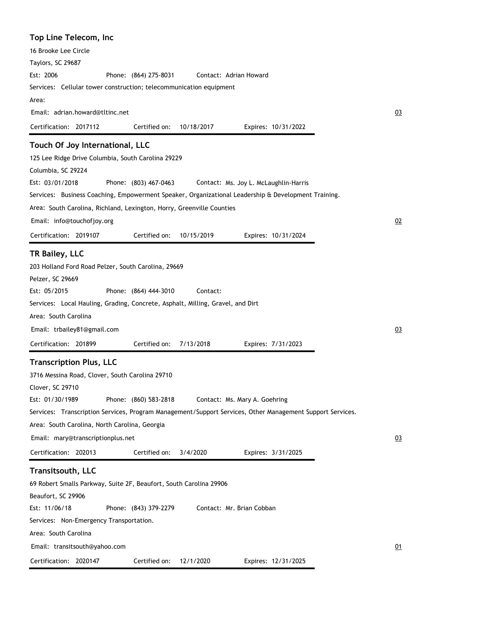| Top Line Telecom, Inc                                                                                     |    |
|-----------------------------------------------------------------------------------------------------------|----|
| 16 Brooke Lee Circle                                                                                      |    |
| Taylors, SC 29687                                                                                         |    |
| Est: 2006<br>Phone: (864) 275-8031<br>Contact: Adrian Howard                                              |    |
| Services: Cellular tower construction; telecommunication equipment                                        |    |
| Area:                                                                                                     |    |
| Email: adrian.howard@tltinc.net                                                                           | 03 |
| Certification: 2017112<br>Certified on:<br>10/18/2017<br>Expires: 10/31/2022                              |    |
| Touch Of Joy International, LLC                                                                           |    |
| 125 Lee Ridge Drive Columbia, South Carolina 29229                                                        |    |
| Columbia, SC 29224                                                                                        |    |
| Est: 03/01/2018<br>Phone: (803) 467-0463<br>Contact: Ms. Joy L. McLaughlin-Harris                         |    |
| Services: Business Coaching, Empowerment Speaker, Organizational Leadership & Development Training.       |    |
| Area: South Carolina, Richland, Lexington, Horry, Greenville Counties                                     |    |
| Email: info@touchofjoy.org                                                                                | 02 |
| Certification: 2019107<br>Certified on:<br>10/15/2019<br>Expires: 10/31/2024                              |    |
| TR Bailey, LLC                                                                                            |    |
| 203 Holland Ford Road Pelzer, South Carolina, 29669                                                       |    |
| Pelzer, SC 29669                                                                                          |    |
| Est: 05/2015<br>Phone: (864) 444-3010<br>Contact:                                                         |    |
| Services: Local Hauling, Grading, Concrete, Asphalt, Milling, Gravel, and Dirt                            |    |
| Area: South Carolina                                                                                      |    |
| Email: trbailey81@gmail.com                                                                               | 03 |
| Certification: 201899<br>Certified on:<br>7/13/2018<br>Expires: 7/31/2023                                 |    |
| <b>Transcription Plus, LLC</b>                                                                            |    |
| 3716 Messina Road, Clover, South Carolina 29710                                                           |    |
| Clover, SC 29710                                                                                          |    |
| Est: 01/30/1989<br>Phone: (860) 583-2818<br>Contact: Ms. Mary A. Goehring                                 |    |
| Services: Transcription Services, Program Management/Support Services, Other Management Support Services. |    |
| Area: South Carolina, North Carolina, Georgia                                                             |    |
| Email: mary@transcriptionplus.net                                                                         | 03 |
| Certification: 202013<br>Certified on:<br>3/4/2020<br>Expires: 3/31/2025                                  |    |
| Transitsouth, LLC                                                                                         |    |
| 69 Robert Smalls Parkway, Suite 2F, Beaufort, South Carolina 29906                                        |    |
| Beaufort, SC 29906                                                                                        |    |
| Est: 11/06/18<br>Phone: (843) 379-2279<br>Contact: Mr. Brian Cobban                                       |    |
| Services: Non-Emergency Transportation.                                                                   |    |
| Area: South Carolina                                                                                      |    |
| Email: transitsouth@yahoo.com                                                                             | 01 |
| 12/1/2020<br>Certification: 2020147<br>Certified on:<br>Expires: 12/31/2025                               |    |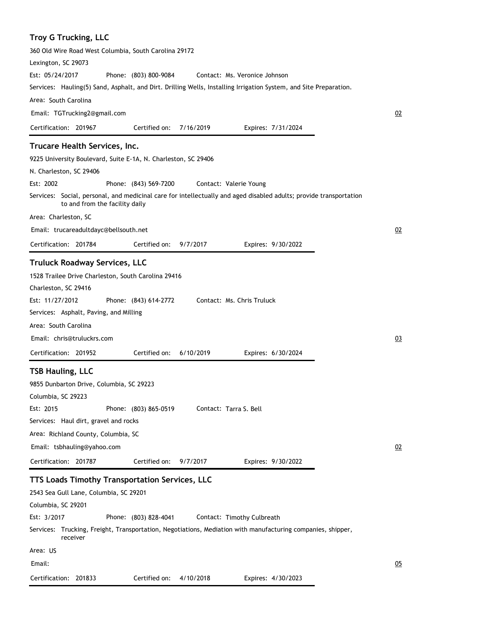# **Troy G Trucking, LLC**

| 360 Old Wire Road West Columbia, South Carolina 29172                                                                                                |    |
|------------------------------------------------------------------------------------------------------------------------------------------------------|----|
| Lexington, SC 29073                                                                                                                                  |    |
| Est: 05/24/2017<br>Phone: (803) 800-9084<br>Contact: Ms. Veronice Johnson                                                                            |    |
| Services: Hauling(5) Sand, Asphalt, and Dirt. Drilling Wells, Installing Irrigation System, and Site Preparation.                                    |    |
| Area: South Carolina                                                                                                                                 |    |
| Email: TGTrucking2@gmail.com                                                                                                                         | 02 |
| Certification: 201967<br>Certified on:<br>7/16/2019<br>Expires: 7/31/2024                                                                            |    |
| Trucare Health Services, Inc.                                                                                                                        |    |
| 9225 University Boulevard, Suite E-1A, N. Charleston, SC 29406                                                                                       |    |
| N. Charleston, SC 29406                                                                                                                              |    |
| Est: 2002<br>Phone: (843) 569-7200<br>Contact: Valerie Young                                                                                         |    |
| Services: Social, personal, and medicinal care for intellectually and aged disabled adults; provide transportation<br>to and from the facility daily |    |
| Area: Charleston, SC                                                                                                                                 |    |
| Email: trucareadultdayc@bellsouth.net                                                                                                                | 02 |
| Certification: 201784<br>9/7/2017<br>Certified on:<br>Expires: 9/30/2022                                                                             |    |
| <b>Truluck Roadway Services, LLC</b>                                                                                                                 |    |
| 1528 Trailee Drive Charleston, South Carolina 29416                                                                                                  |    |
| Charleston, SC 29416                                                                                                                                 |    |
| Est: 11/27/2012<br>Contact: Ms. Chris Truluck<br>Phone: (843) 614-2772                                                                               |    |
| Services: Asphalt, Paving, and Milling                                                                                                               |    |
| Area: South Carolina                                                                                                                                 |    |
| Email: chris@truluckrs.com                                                                                                                           | 03 |
| 6/10/2019<br>Certification: 201952<br>Certified on:<br>Expires: 6/30/2024                                                                            |    |
|                                                                                                                                                      |    |
| <b>TSB Hauling, LLC</b>                                                                                                                              |    |
| 9855 Dunbarton Drive, Columbia, SC 29223<br>Columbia, SC 29223                                                                                       |    |
| Est: 2015<br>Phone: (803) 865-0519<br>Contact: Tarra S. Bell                                                                                         |    |
| Services: Haul dirt, gravel and rocks                                                                                                                |    |
| Area: Richland County, Columbia, SC                                                                                                                  |    |
| Email: tsbhauling@yahoo.com                                                                                                                          | 02 |
| Certification: 201787<br>Certified on:<br>9/7/2017<br>Expires: 9/30/2022                                                                             |    |
|                                                                                                                                                      |    |
| TTS Loads Timothy Transportation Services, LLC<br>2543 Sea Gull Lane, Columbia, SC 29201                                                             |    |
| Columbia, SC 29201                                                                                                                                   |    |
| Est: 3/2017<br>Phone: (803) 828-4041<br>Contact: Timothy Culbreath                                                                                   |    |
| Services: Trucking, Freight, Transportation, Negotiations, Mediation with manufacturing companies, shipper,<br>receiver                              |    |
| Area: US                                                                                                                                             |    |
| Email:                                                                                                                                               | 05 |
| Certification: 201833<br>Certified on:<br>4/10/2018<br>Expires: 4/30/2023                                                                            |    |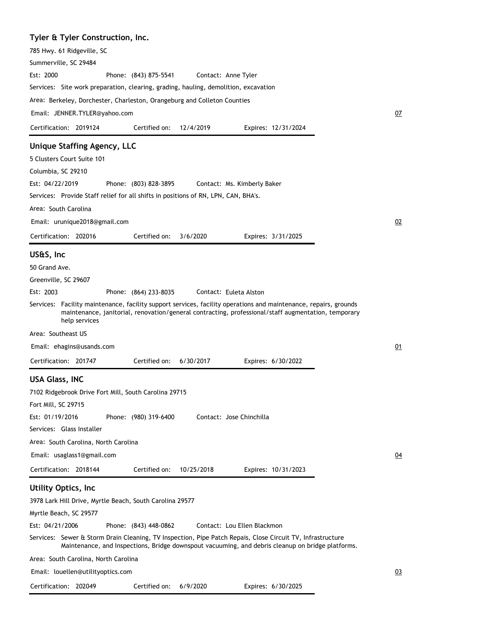# **Tyler & Tyler Construction, Inc.**

| 785 Hwy. 61 Ridgeville, SC<br>Summerville, SC 29484                                                                                                                                                                                      |           |
|------------------------------------------------------------------------------------------------------------------------------------------------------------------------------------------------------------------------------------------|-----------|
| Est: 2000<br>Phone: (843) 875-5541<br>Contact: Anne Tyler                                                                                                                                                                                |           |
| Services: Site work preparation, clearing, grading, hauling, demolition, excavation                                                                                                                                                      |           |
| Area: Berkeley, Dorchester, Charleston, Orangeburg and Colleton Counties                                                                                                                                                                 |           |
| Email: JENNER.TYLER@yahoo.com                                                                                                                                                                                                            | <u>07</u> |
| 12/4/2019<br>Certification: 2019124<br>Certified on:<br>Expires: 12/31/2024                                                                                                                                                              |           |
| Unique Staffing Agency, LLC<br>5 Clusters Court Suite 101<br>Columbia, SC 29210                                                                                                                                                          |           |
| Est: 04/22/2019<br>Phone: (803) 828-3895<br>Contact: Ms. Kimberly Baker                                                                                                                                                                  |           |
| Services: Provide Staff relief for all shifts in positions of RN, LPN, CAN, BHA's.                                                                                                                                                       |           |
| Area: South Carolina                                                                                                                                                                                                                     |           |
| Email: urunique2018@gmail.com                                                                                                                                                                                                            | 02        |
| Certified on:<br>Certification: 202016<br>3/6/2020<br>Expires: 3/31/2025                                                                                                                                                                 |           |
|                                                                                                                                                                                                                                          |           |
| US&S, Inc                                                                                                                                                                                                                                |           |
| 50 Grand Ave.                                                                                                                                                                                                                            |           |
| Greenville, SC 29607                                                                                                                                                                                                                     |           |
| Phone: (864) 233-8035<br>Contact: Euleta Alston<br>Est: 2003                                                                                                                                                                             |           |
| Services: Facility maintenance, facility support services, facility operations and maintenance, repairs, grounds<br>maintenance, janitorial, renovation/general contracting, professional/staff augmentation, temporary<br>help services |           |
| Area: Southeast US                                                                                                                                                                                                                       |           |
| Email: ehagins@usands.com                                                                                                                                                                                                                | 01        |
| Certification: 201747<br>Certified on:<br>Expires: 6/30/2022<br>6/30/2017                                                                                                                                                                |           |
| USA Glass, INC                                                                                                                                                                                                                           |           |
| 7102 Ridgebrook Drive Fort Mill, South Carolina 29715                                                                                                                                                                                    |           |
| Fort Mill, SC 29715                                                                                                                                                                                                                      |           |
| Est: 01/19/2016<br>Phone: (980) 319-6400<br>Contact: Jose Chinchilla                                                                                                                                                                     |           |
| Services:   Glass Installer                                                                                                                                                                                                              |           |
| Area: South Carolina, North Carolina                                                                                                                                                                                                     |           |
| Email: usaglass1@gmail.com                                                                                                                                                                                                               | 04        |
| Certification: 2018144<br>Certified on:<br>10/25/2018<br>Expires: 10/31/2023                                                                                                                                                             |           |
| Utility Optics, Inc                                                                                                                                                                                                                      |           |
| 3978 Lark Hill Drive, Myrtle Beach, South Carolina 29577                                                                                                                                                                                 |           |
| Myrtle Beach, SC 29577                                                                                                                                                                                                                   |           |
| Est: 04/21/2006<br>Contact: Lou Ellen Blackmon<br>Phone: (843) 448-0862                                                                                                                                                                  |           |
| Services: Sewer & Storm Drain Cleaning, TV Inspection, Pipe Patch Repais, Close Circuit TV, Infrastructure<br>Maintenance, and Inspections, Bridge downspout vacuuming, and debris cleanup on bridge platforms.                          |           |
| Area:  South Carolina, North Carolina                                                                                                                                                                                                    |           |
| Email: louellen@utilityoptics.com                                                                                                                                                                                                        | 03        |
| Certification: 202049<br>Certified on:<br>6/9/2020<br>Expires: 6/30/2025                                                                                                                                                                 |           |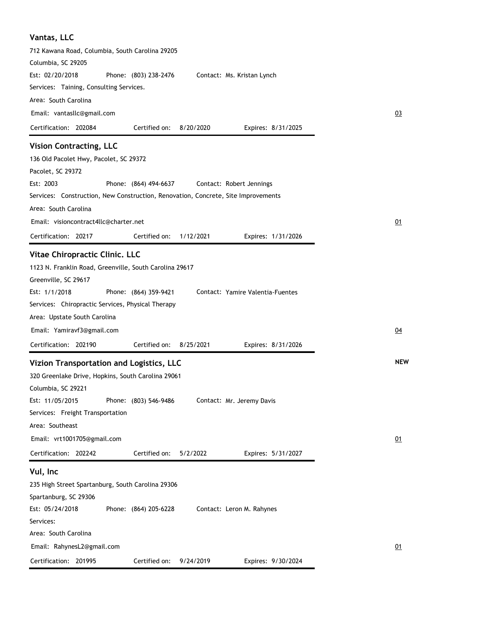| Vantas, LLC                                                                       |
|-----------------------------------------------------------------------------------|
| 712 Kawana Road, Columbia, South Carolina 29205                                   |
| Columbia, SC 29205                                                                |
| Est: 02/20/2018<br>Phone: (803) 238-2476<br>Contact: Ms. Kristan Lynch            |
| Services: Taining, Consulting Services.                                           |
| Area: South Carolina                                                              |
| Email: vantasllc@gmail.com                                                        |
| Certified on:<br>Certification: 202084<br>8/20/2020<br>Expires: 8/31/2025         |
| <b>Vision Contracting, LLC</b>                                                    |
| 136 Old Pacolet Hwy, Pacolet, SC 29372                                            |
| Pacolet, SC 29372                                                                 |
| Est: 2003<br>Phone: (864) 494-6637<br>Contact: Robert Jennings                    |
| Services: Construction, New Construction, Renovation, Concrete, Site Improvements |
| Area: South Carolina                                                              |
| Email: visioncontract4llc@charter.net                                             |
| Certification: 20217<br>Certified on:<br>1/12/2021<br>Expires: 1/31/2026          |
| Vitae Chiropractic Clinic. LLC                                                    |
| 1123 N. Franklin Road, Greenville, South Carolina 29617                           |
| Greenville, SC 29617                                                              |
| Est: 1/1/2018<br>Phone: (864) 359-9421<br>Contact: Yamire Valentia-Fuentes        |
| Services: Chiropractic Services, Physical Therapy                                 |
| Area: Upstate South Carolina                                                      |
| Email: Yamiravf3@gmail.com                                                        |
| Certified on:<br>Certification: 202190<br>8/25/2021<br>Expires: 8/31/2026         |
| Vizion Transportation and Logistics, LLC                                          |
| 320 Greenlake Drive, Hopkins, South Carolina 29061                                |
| Columbia, SC 29221                                                                |
| Est: 11/05/2015<br>Phone: (803) 546-9486<br>Contact: Mr. Jeremy Davis             |
| Services: Freight Transportation                                                  |
| Area: Southeast                                                                   |
| Email: vrt1001705@gmail.com                                                       |
| Certification: 202242<br>Certified on:<br>5/2/2022<br>Expires: 5/31/2027          |
| Vul, Inc                                                                          |
| 235 High Street Spartanburg, South Carolina 29306                                 |
| Spartanburg, SC 29306                                                             |
| Est: 05/24/2018<br>Phone: (864) 205-6228<br>Contact: Leron M. Rahynes             |
| Services:                                                                         |
| Area: South Carolina                                                              |
| Email: RahynesL2@gmail.com                                                        |
| Certification: 201995<br>Certified on:<br>9/24/2019<br>Expires: 9/30/2024         |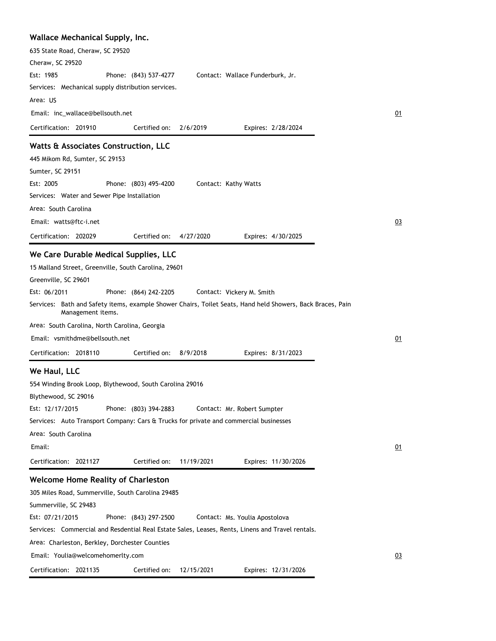| Wallace Mechanical Supply, Inc.                                                                                                 |                     |
|---------------------------------------------------------------------------------------------------------------------------------|---------------------|
| 635 State Road, Cheraw, SC 29520                                                                                                |                     |
| Cheraw, SC 29520                                                                                                                |                     |
| Est: 1985<br>Phone: (843) 537-4277<br>Contact: Wallace Funderburk, Jr.                                                          |                     |
| Services: Mechanical supply distribution services.                                                                              |                     |
| Area: US                                                                                                                        |                     |
| Email: inc_wallace@bellsouth.net                                                                                                | 01                  |
| Certification: 201910<br>Certified on:<br>2/6/2019                                                                              | Expires: 2/28/2024  |
| Watts & Associates Construction, LLC                                                                                            |                     |
| 445 Mikom Rd, Sumter, SC 29153                                                                                                  |                     |
| Sumter, SC 29151                                                                                                                |                     |
| Est: 2005<br>Phone: (803) 495-4200<br>Contact: Kathy Watts                                                                      |                     |
| Services: Water and Sewer Pipe Installation                                                                                     |                     |
| Area: South Carolina                                                                                                            |                     |
| Email: watts@ftc-i.net                                                                                                          | 03                  |
| Certification: 202029<br>Certified on:<br>4/27/2020                                                                             | Expires: 4/30/2025  |
| We Care Durable Medical Supplies, LLC                                                                                           |                     |
| 15 Malland Street, Greenville, South Carolina, 29601                                                                            |                     |
| Greenville, SC 29601                                                                                                            |                     |
| Est: 06/2011<br>Phone: (864) 242-2205<br>Contact: Vickery M. Smith                                                              |                     |
| Services: Bath and Safety items, example Shower Chairs, Toilet Seats, Hand held Showers, Back Braces, Pain<br>Management items. |                     |
| Area: South Carolina, North Carolina, Georgia                                                                                   |                     |
| Email: vsmithdme@bellsouth.net                                                                                                  | 01                  |
| Certified on:<br>Certification: 2018110<br>8/9/2018                                                                             | Expires: 8/31/2023  |
| We Haul, LLC                                                                                                                    |                     |
| 554 Winding Brook Loop, Blythewood, South Carolina 29016                                                                        |                     |
| Blythewood, SC 29016                                                                                                            |                     |
| Est: 12/17/2015<br>Phone: (803) 394-2883<br>Contact: Mr. Robert Sumpter                                                         |                     |
| Services: Auto Transport Company: Cars & Trucks for private and commercial businesses                                           |                     |
| Area: South Carolina                                                                                                            |                     |
| Email:                                                                                                                          | 01                  |
| 11/19/2021<br>Certification: 2021127<br>Certified on:                                                                           | Expires: 11/30/2026 |
| <b>Welcome Home Reality of Charleston</b>                                                                                       |                     |
| 305 Miles Road, Summerville, South Carolina 29485                                                                               |                     |
| Summerville, SC 29483                                                                                                           |                     |
| Est: 07/21/2015<br>Phone: (843) 297-2500<br>Contact: Ms. Youlia Apostolova                                                      |                     |
| Services: Commercial and Resdential Real Estate Sales, Leases, Rents, Linens and Travel rentals.                                |                     |
| Area: Charleston, Berkley, Dorchester Counties                                                                                  |                     |
| Email: Youlia@welcomehomerlty.com                                                                                               |                     |
|                                                                                                                                 | 03                  |
| Certification: 2021135<br>Certified on:<br>12/15/2021                                                                           | Expires: 12/31/2026 |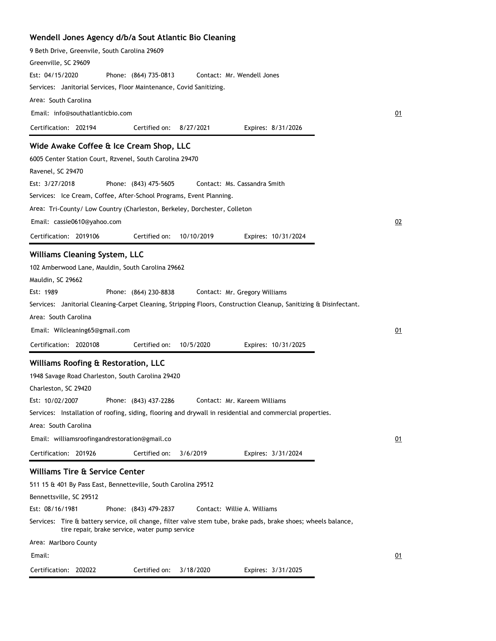| Wendell Jones Agency d/b/a Sout Atlantic Bio Cleaning                                                                                                            |    |
|------------------------------------------------------------------------------------------------------------------------------------------------------------------|----|
| 9 Beth Drive, Greenvile, South Carolina 29609                                                                                                                    |    |
| Greenville, SC 29609                                                                                                                                             |    |
| Est: 04/15/2020<br>Phone: (864) 735-0813<br>Contact: Mr. Wendell Jones                                                                                           |    |
| Services: Janitorial Services, Floor Maintenance, Covid Sanitizing.                                                                                              |    |
| Area: South Carolina                                                                                                                                             |    |
| Email: info@southatlanticbio.com                                                                                                                                 | 01 |
| Certification: 202194<br>Certified on:<br>8/27/2021<br>Expires: 8/31/2026                                                                                        |    |
| Wide Awake Coffee & Ice Cream Shop, LLC                                                                                                                          |    |
| 6005 Center Station Court, Rzvenel, South Carolina 29470                                                                                                         |    |
| Ravenel, SC 29470                                                                                                                                                |    |
| Est: 3/27/2018<br>Phone: (843) 475-5605<br>Contact: Ms. Cassandra Smith                                                                                          |    |
| Services: Ice Cream, Coffee, After-School Programs, Event Planning.                                                                                              |    |
| Area: Tri-County/ Low Country (Charleston, Berkeley, Dorchester, Colleton                                                                                        |    |
| Email: cassie0610@yahoo.com                                                                                                                                      | 02 |
|                                                                                                                                                                  |    |
| Certification: 2019106<br>Certified on:<br>10/10/2019<br>Expires: 10/31/2024                                                                                     |    |
| <b>Williams Cleaning System, LLC</b>                                                                                                                             |    |
| 102 Amberwood Lane, Mauldin, South Carolina 29662                                                                                                                |    |
| Mauldin, SC 29662                                                                                                                                                |    |
| Est: 1989<br>Phone: (864) 230-8838<br>Contact: Mr. Gregory Williams                                                                                              |    |
| Services: Janitorial Cleaning-Carpet Cleaning, Stripping Floors, Construction Cleanup, Sanitizing & Disinfectant.                                                |    |
| Area: South Carolina                                                                                                                                             |    |
| Email: Wilcleaning65@gmail.com                                                                                                                                   | 01 |
| Certification: 2020108<br>Certified on:<br>10/5/2020<br>Expires: 10/31/2025                                                                                      |    |
|                                                                                                                                                                  |    |
| Williams Roofing & Restoration, LLC                                                                                                                              |    |
| 1948 Savage Road Charleston, South Carolina 29420                                                                                                                |    |
| Charleston, SC 29420                                                                                                                                             |    |
| Est: 10/02/2007<br>Phone: (843) 437-2286<br>Contact: Mr. Kareem Williams                                                                                         |    |
| Services: Installation of roofing, siding, flooring and drywall in residential and commercial properties.                                                        |    |
| Area: South Carolina                                                                                                                                             |    |
| Email: williamsroofingandrestoration@gmail.co                                                                                                                    | 01 |
| Certification: 201926<br>Certified on:<br>3/6/2019<br>Expires: 3/31/2024                                                                                         |    |
| <b>Williams Tire &amp; Service Center</b>                                                                                                                        |    |
| 511 15 & 401 By Pass East, Bennetteville, South Carolina 29512                                                                                                   |    |
| Bennettsville, SC 29512                                                                                                                                          |    |
| Est: 08/16/1981<br>Phone: (843) 479-2837<br>Contact: Willie A. Williams                                                                                          |    |
| Services: Tire & battery service, oil change, filter valve stem tube, brake pads, brake shoes; wheels balance,<br>tire repair, brake service, water pump service |    |
| Area: Marlboro County                                                                                                                                            |    |
| Email:                                                                                                                                                           | 01 |
| Certification: 202022<br>Certified on:<br>3/18/2020<br>Expires: 3/31/2025                                                                                        |    |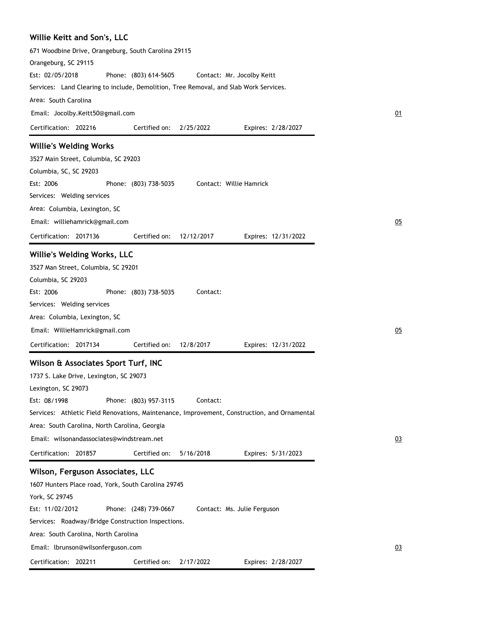| Willie Keitt and Son's, LLC                                                                  |    |
|----------------------------------------------------------------------------------------------|----|
| 671 Woodbine Drive, Orangeburg, South Carolina 29115                                         |    |
| Orangeburg, SC 29115                                                                         |    |
| Est: 02/05/2018<br>Phone: (803) 614-5605<br>Contact: Mr. Jocolby Keitt                       |    |
| Services: Land Clearing to include, Demolition, Tree Removal, and Slab Work Services.        |    |
| Area: South Carolina                                                                         |    |
| Email: Jocolby.Keitt50@gmail.com                                                             | 01 |
| Certification: 202216<br>Certified on:<br>2/25/2022<br>Expires: 2/28/2027                    |    |
| <b>Willie's Welding Works</b>                                                                |    |
| 3527 Main Street, Columbia, SC 29203                                                         |    |
| Columbia, SC, SC 29203                                                                       |    |
| Est: 2006<br>Phone: (803) 738-5035<br>Contact: Willie Hamrick                                |    |
| Services: Welding services                                                                   |    |
| Area: Columbia, Lexington, SC                                                                |    |
| Email: williehamrick@gmail.com                                                               | 05 |
| Certification: 2017136<br>Certified on:<br>12/12/2017<br>Expires: 12/31/2022                 |    |
| Willie's Welding Works, LLC                                                                  |    |
| 3527 Man Street, Columbia, SC 29201                                                          |    |
| Columbia, SC 29203                                                                           |    |
| Est: 2006<br>Phone: (803) 738-5035<br>Contact:                                               |    |
| Services: Welding services                                                                   |    |
| Area: Columbia, Lexington, SC                                                                |    |
| Email: WillieHamrick@gmail.com                                                               | 05 |
| Certification: 2017134<br>Certified on:<br>12/8/2017<br>Expires: 12/31/2022                  |    |
| Wilson & Associates Sport Turf, INC                                                          |    |
| 1737 S. Lake Drive, Lexington, SC 29073                                                      |    |
| Lexington, SC 29073                                                                          |    |
| Est: 08/1998<br>Phone: (803) 957-3115<br>Contact:                                            |    |
| Services: Athletic Field Renovations, Maintenance, Improvement, Construction, and Ornamental |    |
| Area: South Carolina, North Carolina, Georgia                                                |    |
| Email: wilsonandassociates@windstream.net                                                    | 03 |
| Certification: 201857<br>Certified on:<br>5/16/2018<br>Expires: 5/31/2023                    |    |
| Wilson, Ferguson Associates, LLC                                                             |    |
| 1607 Hunters Place road, York, South Carolina 29745                                          |    |
| York, SC 29745                                                                               |    |
| Est: 11/02/2012<br>Phone: (248) 739-0667<br>Contact: Ms. Julie Ferguson                      |    |
| Services: Roadway/Bridge Construction Inspections.                                           |    |
| Area: South Carolina, North Carolina                                                         |    |
| Email: lbrunson@wilsonferguson.com                                                           | 03 |
| Certification: 202211<br>Certified on:<br>2/17/2022<br>Expires: 2/28/2027                    |    |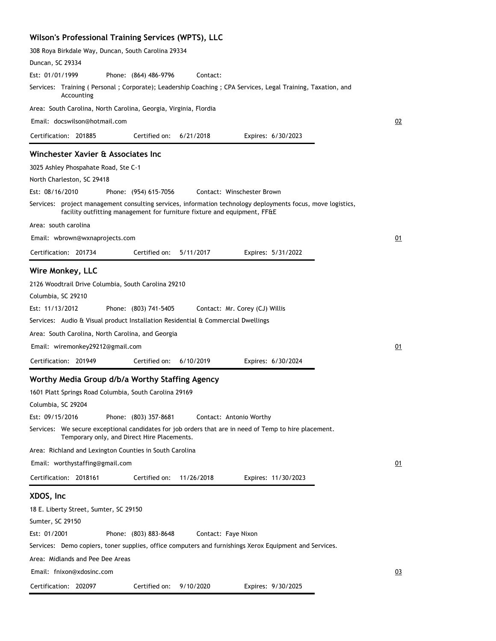#### **Wilson's Professional Training Services (WPTS), LLC**

308 Roya Birkdale Way, Duncan, South Carolina 29334

| Duncan, SC 29334                                                                                                                                                                                       |    |
|--------------------------------------------------------------------------------------------------------------------------------------------------------------------------------------------------------|----|
| Est: 01/01/1999<br>Phone: (864) 486-9796<br>Contact:                                                                                                                                                   |    |
| Services: Training (Personal; Corporate); Leadership Coaching; CPA Services, Legal Training, Taxation, and<br>Accounting                                                                               |    |
| Area: South Carolina, North Carolina, Georgia, Virginia, Flordia                                                                                                                                       |    |
| Email: docswilson@hotmail.com                                                                                                                                                                          | 02 |
| Certified on:<br>6/21/2018<br>Certification: 201885<br>Expires: 6/30/2023                                                                                                                              |    |
| Winchester Xavier & Associates Inc                                                                                                                                                                     |    |
| 3025 Ashley Phospahate Road, Ste C-1                                                                                                                                                                   |    |
| North Charleston, SC 29418                                                                                                                                                                             |    |
| Est: 08/16/2010<br>Phone: (954) 615-7056<br>Contact: Winschester Brown                                                                                                                                 |    |
| Services: project management consulting services, information technology deployments focus, move logistics,<br>facility outfitting management for furniture fixture and equipment, FF&E                |    |
| Area: south carolina                                                                                                                                                                                   |    |
| Email: wbrown@wxnaprojects.com                                                                                                                                                                         | 01 |
| Certification: 201734<br>Certified on:<br>5/11/2017<br>Expires: 5/31/2022                                                                                                                              |    |
|                                                                                                                                                                                                        |    |
| Wire Monkey, LLC<br>2126 Woodtrail Drive Columbia, South Carolina 29210<br>Columbia, SC 29210<br>Phone: (803) 741-5405<br>Est: 11/13/2012<br>Contact: Mr. Corey (CJ) Willis                            |    |
| Services: Audio & Visual product Installation Residential & Commercial Dwellings                                                                                                                       |    |
| Area: South Carolina, North Carolina, and Georgia                                                                                                                                                      |    |
| Email: wiremonkey29212@gmail.com                                                                                                                                                                       | 01 |
| Certification: 201949<br>Certified on:<br>6/10/2019<br>Expires: 6/30/2024                                                                                                                              |    |
|                                                                                                                                                                                                        |    |
| Worthy Media Group d/b/a Worthy Staffing Agency<br>1601 Platt Springs Road Columbia, South Carolina 29169<br>Columbia, SC 29204<br>Est: 09/15/2016<br>Phone: (803) 357-8681<br>Contact: Antonio Worthy |    |
| Services: We secure exceptional candidates for job orders that are in need of Temp to hire placement.<br>Temporary only, and Direct Hire Placements.                                                   |    |
| Area: Richland and Lexington Counties in South Carolina                                                                                                                                                |    |
| Email: worthystaffing@gmail.com                                                                                                                                                                        | 01 |
| Certification: 2018161<br>Certified on:<br>11/26/2018<br>Expires: 11/30/2023                                                                                                                           |    |
|                                                                                                                                                                                                        |    |
| XDOS, Inc                                                                                                                                                                                              |    |
| 18 E. Liberty Street, Sumter, SC 29150<br>Sumter, SC 29150                                                                                                                                             |    |
| Est: 01/2001<br>Phone: (803) 883-8648<br>Contact: Faye Nixon                                                                                                                                           |    |
| Services: Demo copiers, toner supplies, office computers and furnishings Xerox Equipment and Services.                                                                                                 |    |
| Area: Midlands and Pee Dee Areas                                                                                                                                                                       |    |
| Email: fnixon@xdosinc.com                                                                                                                                                                              | 03 |
| Certification: 202097<br>Certified on: 9/10/2020<br>Expires: 9/30/2025                                                                                                                                 |    |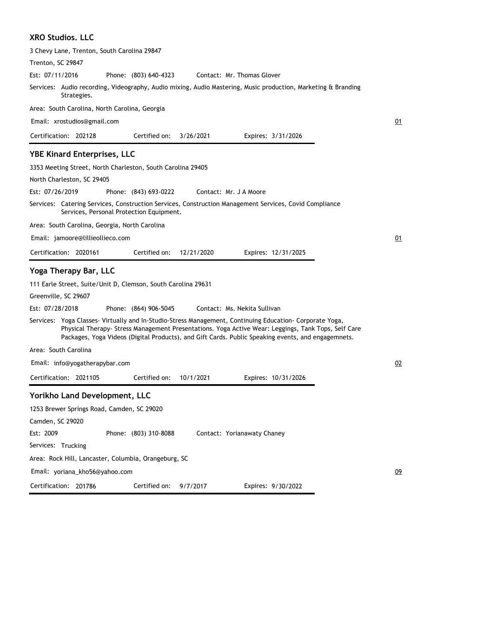#### **XRO Studios. LLC**

| 3 Chevy Lane, Trenton, South Carolina 29847                                                                                                                                                                                                                                                                           |    |
|-----------------------------------------------------------------------------------------------------------------------------------------------------------------------------------------------------------------------------------------------------------------------------------------------------------------------|----|
| Trenton, SC 29847                                                                                                                                                                                                                                                                                                     |    |
| Est: 07/11/2016<br>Phone: (803) 640-4323<br>Contact: Mr. Thomas Glover                                                                                                                                                                                                                                                |    |
| Services: Audio recording, Videography, Audio mixing, Audio Mastering, Music production, Marketing & Branding<br>Strategies.                                                                                                                                                                                          |    |
| Area: South Carolina, North Carolina, Georgia                                                                                                                                                                                                                                                                         |    |
| Email: xrostudios@gmail.com                                                                                                                                                                                                                                                                                           | 01 |
| Certification: 202128<br>Certified on:<br>3/26/2021<br>Expires: 3/31/2026                                                                                                                                                                                                                                             |    |
| <b>YBE Kinard Enterprises, LLC</b>                                                                                                                                                                                                                                                                                    |    |
| 3353 Meeting Street, North Charleston, South Carolina 29405                                                                                                                                                                                                                                                           |    |
| North Charleston, SC 29405                                                                                                                                                                                                                                                                                            |    |
| Est: 07/26/2019<br>Phone: (843) 693-0222<br>Contact: Mr. J A Moore                                                                                                                                                                                                                                                    |    |
| Services: Catering Services, Construction Services, Construction Management Services, Covid Compliance<br>Services, Personal Protection Equipment.                                                                                                                                                                    |    |
| Area: South Carolina, Georgia, North Carolina                                                                                                                                                                                                                                                                         |    |
| Email: jamoore@lillieollieco.com                                                                                                                                                                                                                                                                                      | 01 |
| Certification: 2020161<br>Certified on:<br>12/21/2020<br>Expires: 12/31/2025                                                                                                                                                                                                                                          |    |
| Yoga Therapy Bar, LLC                                                                                                                                                                                                                                                                                                 |    |
| 111 Earle Street, Suite/Unit D, Clemson, South Carolina 29631                                                                                                                                                                                                                                                         |    |
| Greenville, SC 29607                                                                                                                                                                                                                                                                                                  |    |
| Est: 07/28/2018<br>Phone: (864) 906-5045<br>Contact: Ms. Nekita Sullivan                                                                                                                                                                                                                                              |    |
| Services: Yoga Classes- Virtually and In-Studio-Stress Management, Continuing Education- Corporate Yoga,<br>Physical Therapy- Stress Management Presentations. Yoga Active Wear: Leggings, Tank Tops, Self Care<br>Packages, Yoga Videos (Digital Products), and Gift Cards. Public Speaking events, and engagemnets. |    |
| Area: South Carolina                                                                                                                                                                                                                                                                                                  |    |
| Email: info@yogatherapybar.com                                                                                                                                                                                                                                                                                        | 02 |
| Certified on:<br>Certification: 2021105<br>10/1/2021<br>Expires: 10/31/2026                                                                                                                                                                                                                                           |    |
| Yorikho Land Development, LLC                                                                                                                                                                                                                                                                                         |    |
| 1253 Brewer Springs Road, Camden, SC 29020                                                                                                                                                                                                                                                                            |    |
| Camden, SC 29020                                                                                                                                                                                                                                                                                                      |    |
| Est: 2009<br>Phone: (803) 310-8088<br>Contact: Yorianawaty Chaney                                                                                                                                                                                                                                                     |    |
| Services: Trucking                                                                                                                                                                                                                                                                                                    |    |
| Area: Rock Hill, Lancaster, Columbia, Orangeburg, SC                                                                                                                                                                                                                                                                  |    |
| Email: yoriana_kho56@yahoo.com                                                                                                                                                                                                                                                                                        | 09 |
| Certification: 201786<br>Certified on:<br>9/7/2017<br>Expires: 9/30/2022                                                                                                                                                                                                                                              |    |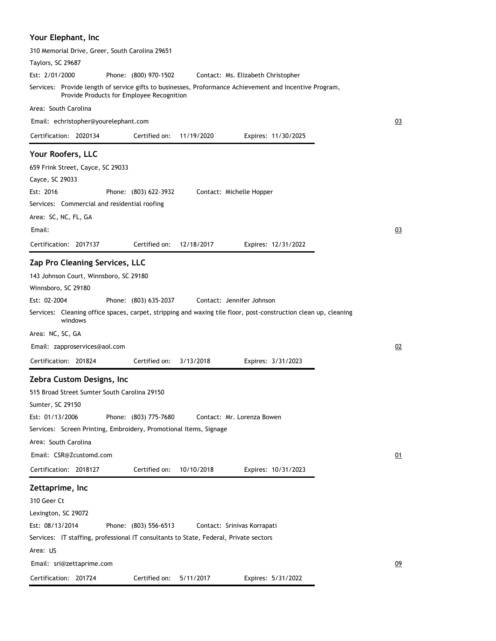## **Your Elephant, Inc**

| 310 Memorial Drive, Greer, South Carolina 29651                                                                                                      |           |
|------------------------------------------------------------------------------------------------------------------------------------------------------|-----------|
| Taylors, SC 29687                                                                                                                                    |           |
| Est: 2/01/2000<br>Phone: (800) 970-1502<br>Contact: Ms. Elizabeth Christopher                                                                        |           |
| Services: Provide length of service gifts to businesses, Proformance Achievement and Incentive Program,<br>Provide Products for Employee Recognition |           |
| Area: South Carolina                                                                                                                                 |           |
| Email: echristopher@yourelephant.com                                                                                                                 | 03        |
| Certification: 2020134<br>Certified on:<br>11/19/2020<br>Expires: 11/30/2025                                                                         |           |
| Your Roofers, LLC                                                                                                                                    |           |
| 659 Frink Street, Cayce, SC 29033                                                                                                                    |           |
| Cayce, SC 29033                                                                                                                                      |           |
| Est: 2016<br>Phone: (803) 622-3932<br>Contact: Michelle Hopper                                                                                       |           |
| Services: Commercial and residential roofing                                                                                                         |           |
| Area: SC, NC, FL, GA                                                                                                                                 |           |
| Email:                                                                                                                                               | 03        |
| Certified on:<br>Certification: 2017137<br>12/18/2017<br>Expires: 12/31/2022                                                                         |           |
|                                                                                                                                                      |           |
| Zap Pro Cleaning Services, LLC                                                                                                                       |           |
| 143 Johnson Court, Winnsboro, SC 29180                                                                                                               |           |
| Winnsboro, SC 29180                                                                                                                                  |           |
| Est: 02-2004<br>Phone: (803) 635-2037<br>Contact: Jennifer Johnson                                                                                   |           |
| Services: Cleaning office spaces, carpet, stripping and waxing tile floor, post-construction clean up, cleaning<br>windows                           |           |
| Area: NC, SC, GA                                                                                                                                     |           |
| Email: zapproservices@aol.com                                                                                                                        | 02        |
| Certification: 201824<br>Certified on:<br>3/13/2018<br>Expires: 3/31/2023                                                                            |           |
| Zebra Custom Designs, Inc                                                                                                                            |           |
| 515 Broad Street Sumter South Carolina 29150                                                                                                         |           |
| Sumter, SC 29150                                                                                                                                     |           |
| Est: 01/13/2006<br>Phone: (803) 775-7680<br>Contact: Mr. Lorenza Bowen                                                                               |           |
| Services: Screen Printing, Embroidery, Promotional Items, Signage                                                                                    |           |
| Area: South Carolina                                                                                                                                 |           |
| Email: CSR@Zcustomd.com                                                                                                                              | <u>01</u> |
| Certification: 2018127<br>Certified on:<br>10/10/2018<br>Expires: 10/31/2023                                                                         |           |
| Zettaprime, Inc                                                                                                                                      |           |
| 310 Geer Ct                                                                                                                                          |           |
| Lexington, SC 29072                                                                                                                                  |           |
| Est: 08/13/2014<br>Phone: (803) 556-6513<br>Contact: Srinivas Korrapati                                                                              |           |
| Services: IT staffing, professional IT consultants to State, Federal, Private sectors                                                                |           |
| Area: US                                                                                                                                             |           |
|                                                                                                                                                      |           |
| Email: sri@zettaprime.com                                                                                                                            | 09        |
| Certification: 201724<br>Certified on:<br>5/11/2017<br>Expires: 5/31/2022                                                                            |           |